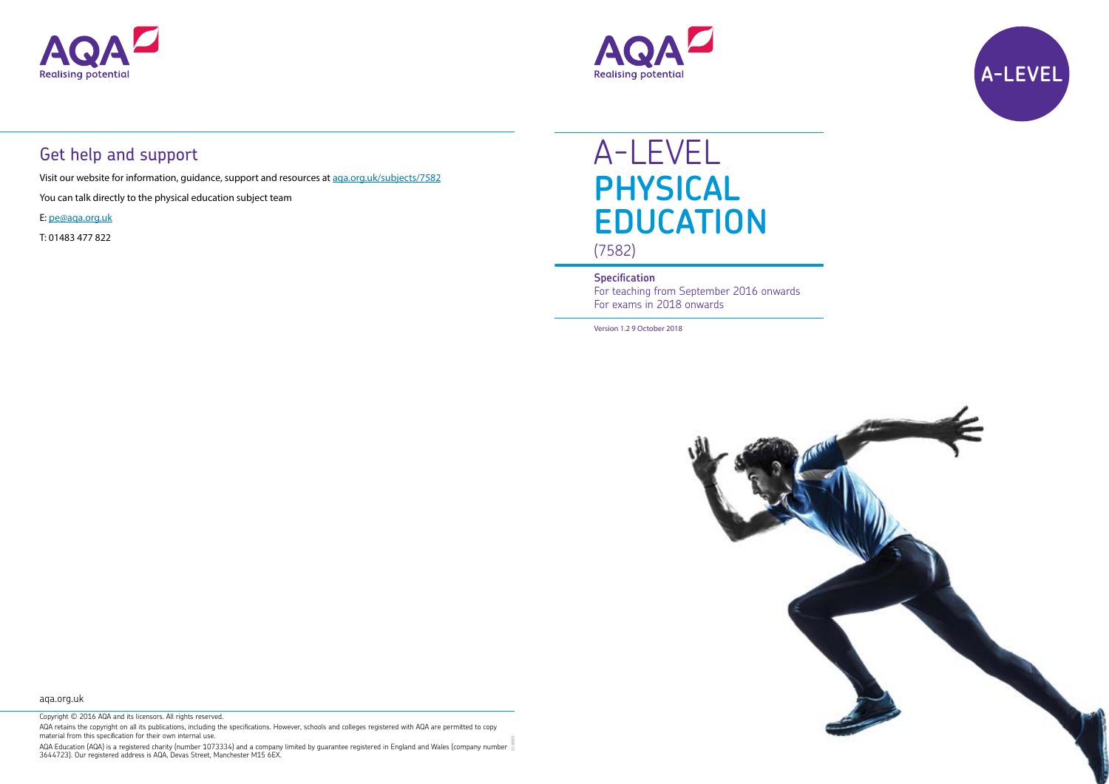



# A-level **Physical Education**

(7582)

## **Specification**

For teaching from September 2016 onwards For exams in 2018 onwards

Version 1.2 9 October 2018

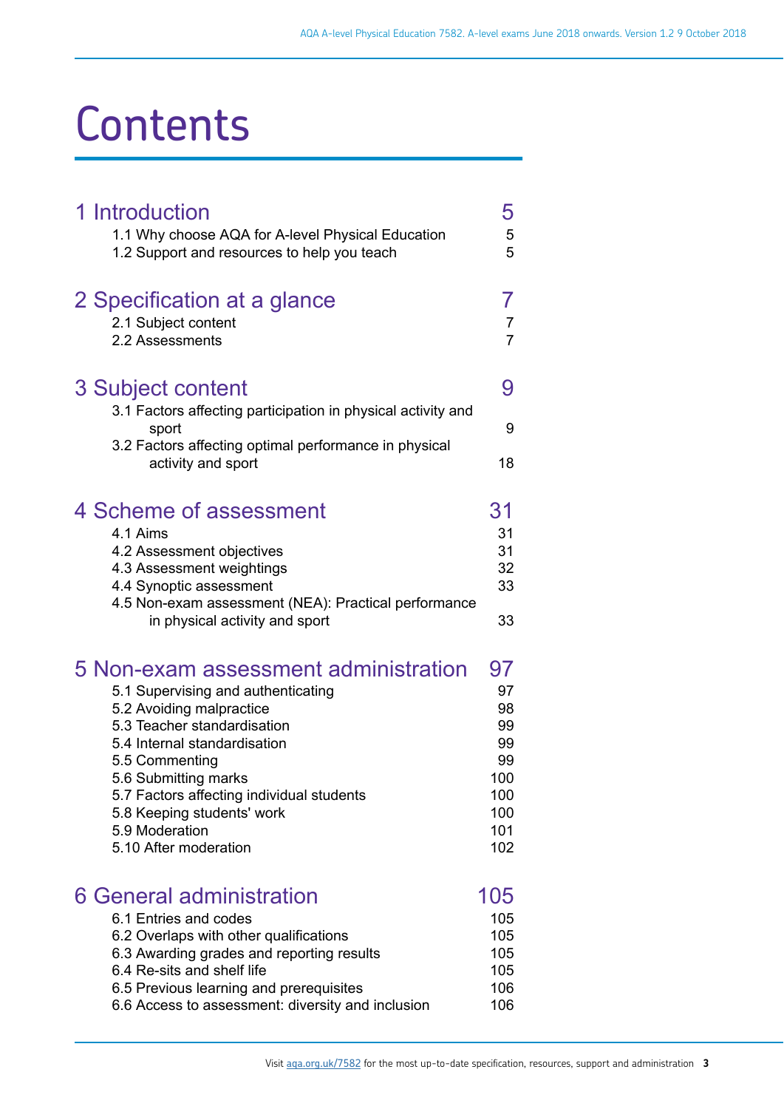# **Contents**

| 1 Introduction<br>1.1 Why choose AQA for A-level Physical Education<br>1.2 Support and resources to help you teach | 5<br>5<br>5              |
|--------------------------------------------------------------------------------------------------------------------|--------------------------|
| 2 Specification at a glance<br>2.1 Subject content<br>2.2 Assessments                                              | 7<br>7<br>$\overline{7}$ |
| 3 Subject content                                                                                                  | 9                        |
| 3.1 Factors affecting participation in physical activity and<br>sport                                              | 9                        |
| 3.2 Factors affecting optimal performance in physical<br>activity and sport                                        | 18                       |
| 4 Scheme of assessment                                                                                             | 31                       |
| 4.1 Aims                                                                                                           | 31                       |
| 4.2 Assessment objectives                                                                                          | 31                       |
| 4.3 Assessment weightings<br>4.4 Synoptic assessment                                                               | 32<br>33                 |
| 4.5 Non-exam assessment (NEA): Practical performance<br>in physical activity and sport                             | 33                       |
| 5 Non-exam assessment administration                                                                               | 97                       |
| 5.1 Supervising and authenticating                                                                                 | 97                       |
| 5.2 Avoiding malpractice                                                                                           | 98                       |
| 5.3 Teacher standardisation                                                                                        | 99                       |
| 5.4 Internal standardisation<br>5.5 Commenting                                                                     | 99<br>99                 |
| 5.6 Submitting marks                                                                                               | 100                      |
| 5.7 Factors affecting individual students                                                                          | 100                      |
| 5.8 Keeping students' work                                                                                         | 100                      |
| 5.9 Moderation<br>5.10 After moderation                                                                            | 101<br>102               |
|                                                                                                                    |                          |
| 6 General administration                                                                                           | 105                      |
| 6.1 Entries and codes                                                                                              | 105                      |
| 6.2 Overlaps with other qualifications                                                                             | 105<br>105               |
| 6.3 Awarding grades and reporting results<br>6.4 Re-sits and shelf life                                            | 105                      |
| 6.5 Previous learning and prerequisites                                                                            | 106                      |
| 6.6 Access to assessment: diversity and inclusion                                                                  | 106                      |
|                                                                                                                    |                          |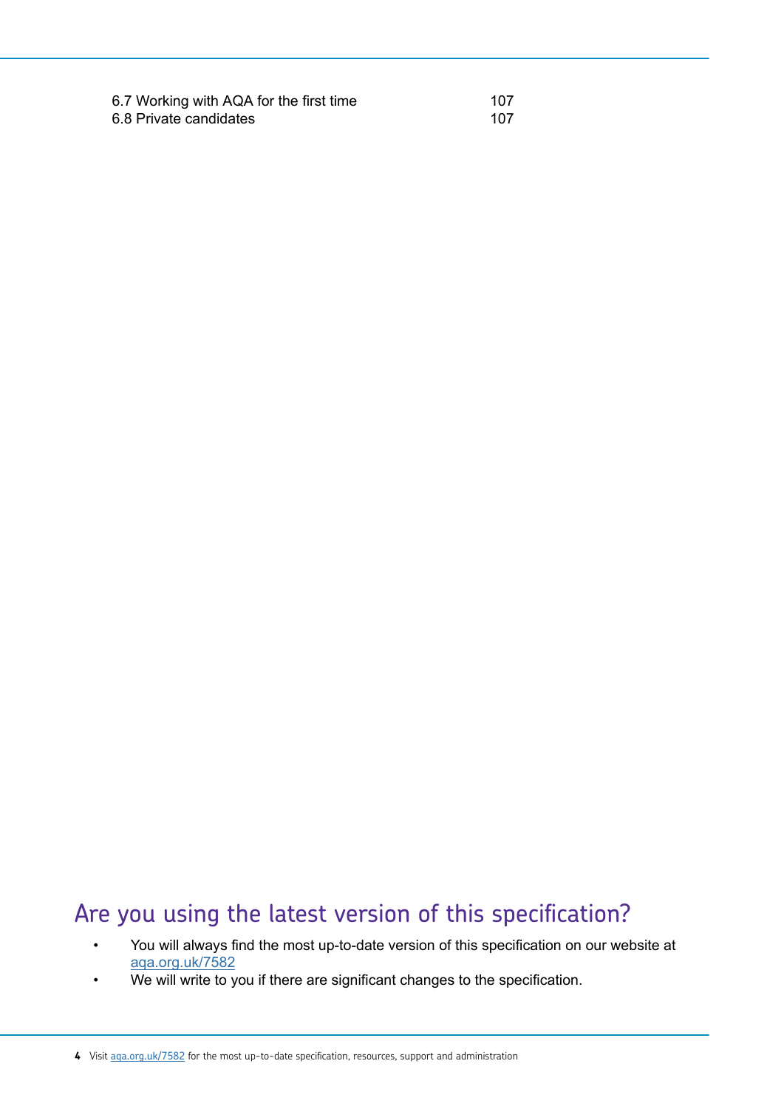| 6.7 Working with AQA for the first time | -107 |
|-----------------------------------------|------|
| 6.8 Private candidates                  | 107  |

# Are you using the latest version of this specification?

- You will always find the most up-to-date version of this specification on our website at [aqa.org.uk/7582](http://aqa.org.uk/7582)
- We will write to you if there are significant changes to the specification.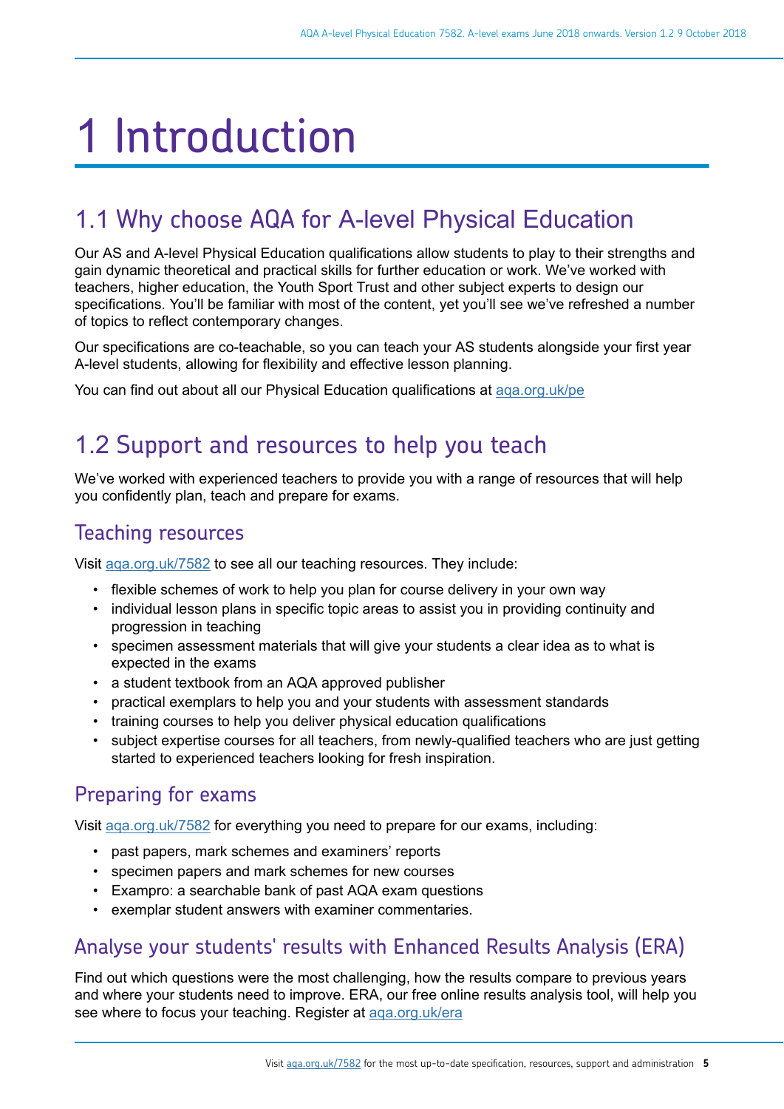# <span id="page-4-0"></span>1 Introduction

# 1.1 Why choose AQA for A-level Physical Education

Our AS and A-level Physical Education qualifications allow students to play to their strengths and gain dynamic theoretical and practical skills for further education or work. We've worked with teachers, higher education, the Youth Sport Trust and other subject experts to design our specifications. You'll be familiar with most of the content, yet you'll see we've refreshed a number of topics to reflect contemporary changes.

Our specifications are co-teachable, so you can teach your AS students alongside your first year A-level students, allowing for flexibility and effective lesson planning.

You can find out about all our Physical Education qualifications at aga.org.uk/pe

# 1.2 Support and resources to help you teach

We've worked with experienced teachers to provide you with a range of resources that will help you confidently plan, teach and prepare for exams.

# Teaching resources

Visit [aqa.org.uk/7582](http://www.aqa.org.uk/7582) to see all our teaching resources. They include:

- flexible schemes of work to help you plan for course delivery in your own way
- individual lesson plans in specific topic areas to assist you in providing continuity and progression in teaching
- specimen assessment materials that will give your students a clear idea as to what is expected in the exams
- a student textbook from an AQA approved publisher
- practical exemplars to help you and your students with assessment standards
- training courses to help you deliver physical education qualifications
- subject expertise courses for all teachers, from newly-qualified teachers who are just getting started to experienced teachers looking for fresh inspiration.

# Preparing for exams

Visit [aqa.org.uk/7582](http://www.aqa.org.uk/7582) for everything you need to prepare for our exams, including:

- past papers, mark schemes and examiners' reports
- specimen papers and mark schemes for new courses
- Exampro: a searchable bank of past AQA exam questions
- exemplar student answers with examiner commentaries.

# Analyse your students' results with Enhanced Results Analysis (ERA)

Find out which questions were the most challenging, how the results compare to previous years and where your students need to improve. ERA, our free online results analysis tool, will help you see where to focus your teaching. Register at [aqa.org.uk/era](http://www.aqa.org.uk/era)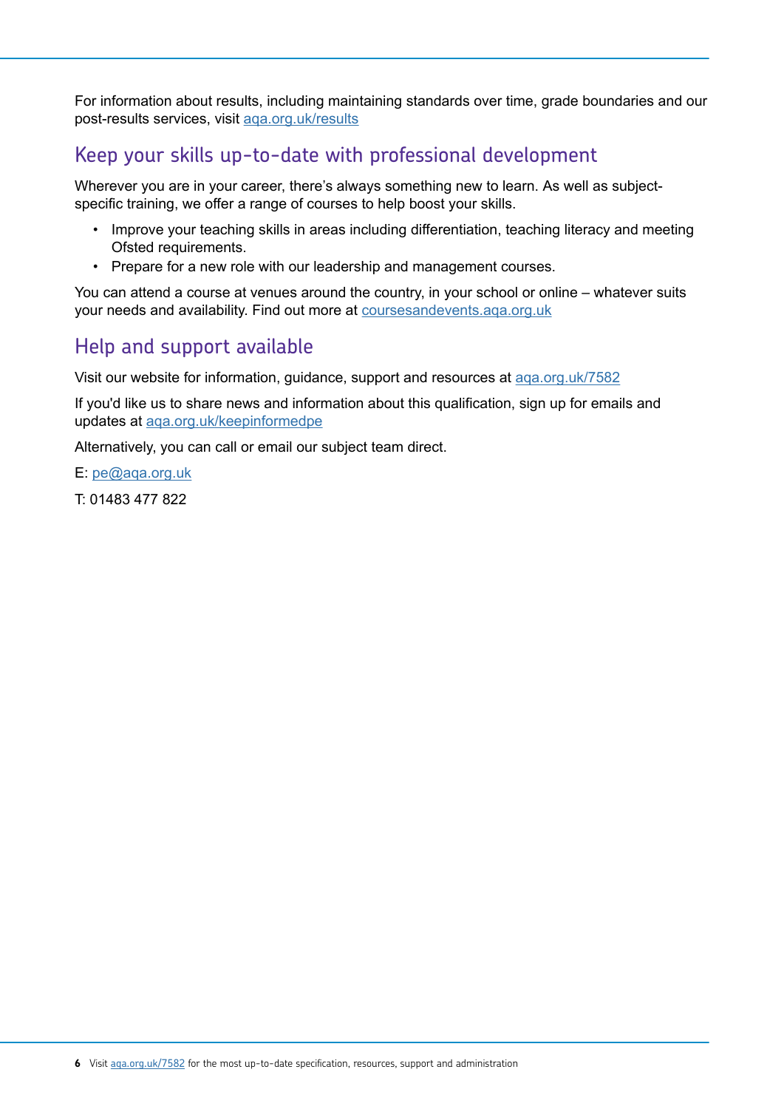For information about results, including maintaining standards over time, grade boundaries and our post-results services, visit [aqa.org.uk/results](http://www.aqa.org.uk/results)

# Keep your skills up-to-date with professional development

Wherever you are in your career, there's always something new to learn. As well as subjectspecific training, we offer a range of courses to help boost your skills.

- Improve your teaching skills in areas including differentiation, teaching literacy and meeting Ofsted requirements.
- Prepare for a new role with our leadership and management courses.

You can attend a course at venues around the country, in your school or online – whatever suits your needs and availability. Find out more at [coursesandevents.aqa.org.uk](http://coursesandevents.aqa.org.uk/)

# Help and support available

Visit our website for information, guidance, support and resources at [aqa.org.uk/7582](http://www.aqa.org.uk/7582)

If you'd like us to share news and information about this qualification, sign up for emails and updates at [aqa.org.uk/keepinformedpe](http://www.aqa.org.uk/keepinformedpe)

Alternatively, you can call or email our subject team direct.

E: [pe@aqa.org.uk](mailto:pe@aqa.org.uk)

T: 01483 477 822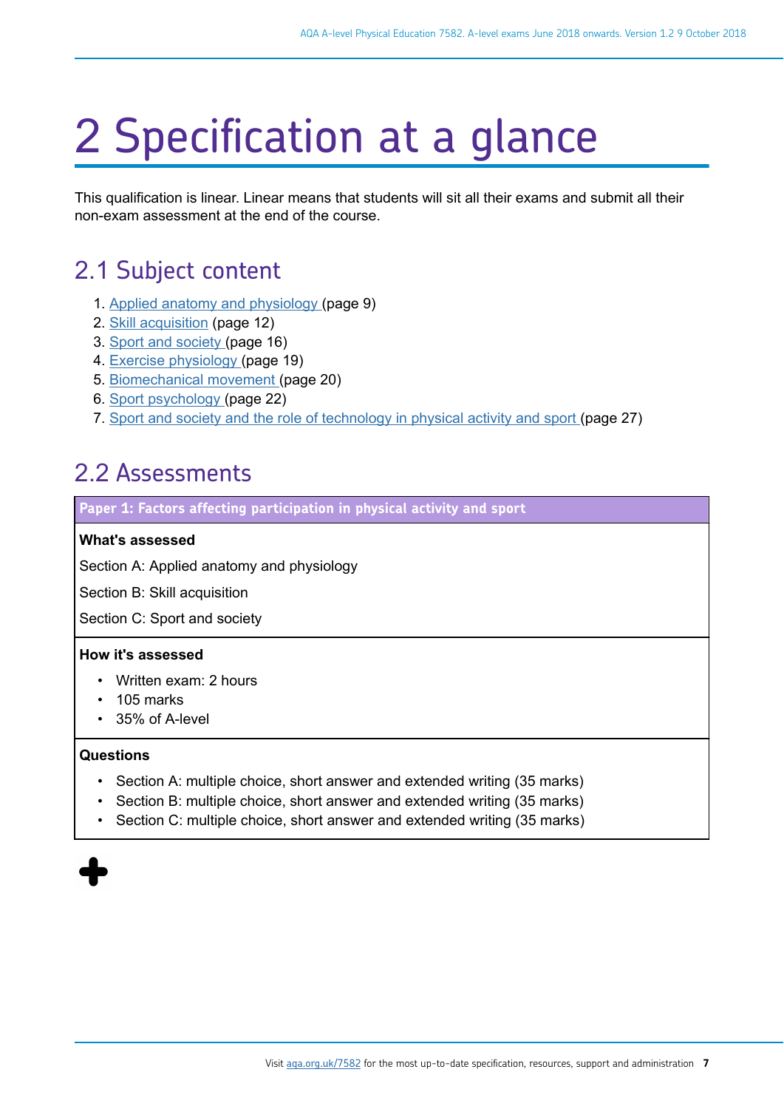# <span id="page-6-0"></span>2 Specification at a glance

This qualification is linear. Linear means that students will sit all their exams and submit all their non-exam assessment at the end of the course.

# 2.1 Subject content

- 1. [Applied anatomy and physiology \(](#page-8-0)page 9)
- 2. [Skill acquisition](#page-11-0) (page 12)
- 3. [Sport and society](#page-15-0) (page 16)
- 4. [Exercise physiology](#page-18-0) (page 19)
- 5. [Biomechanical movement](#page-19-0) (page 20)
- 6. [Sport psychology \(](#page-21-0)page 22)
- 7. [Sport and society and the role of technology in physical activity and sport \(](#page-26-0)page 27)

# 2.2 Assessments

**Paper 1: Factors affecting participation in physical activity and sport**

#### **What's assessed**

Section A: Applied anatomy and physiology

Section B: Skill acquisition

Section C: Sport and society

#### **How it's assessed**

- Written exam: 2 hours
- 105 marks
- 35% of A-level

#### **Questions**

- Section A: multiple choice, short answer and extended writing (35 marks)
- Section B: multiple choice, short answer and extended writing (35 marks)
- Section C: multiple choice, short answer and extended writing (35 marks)

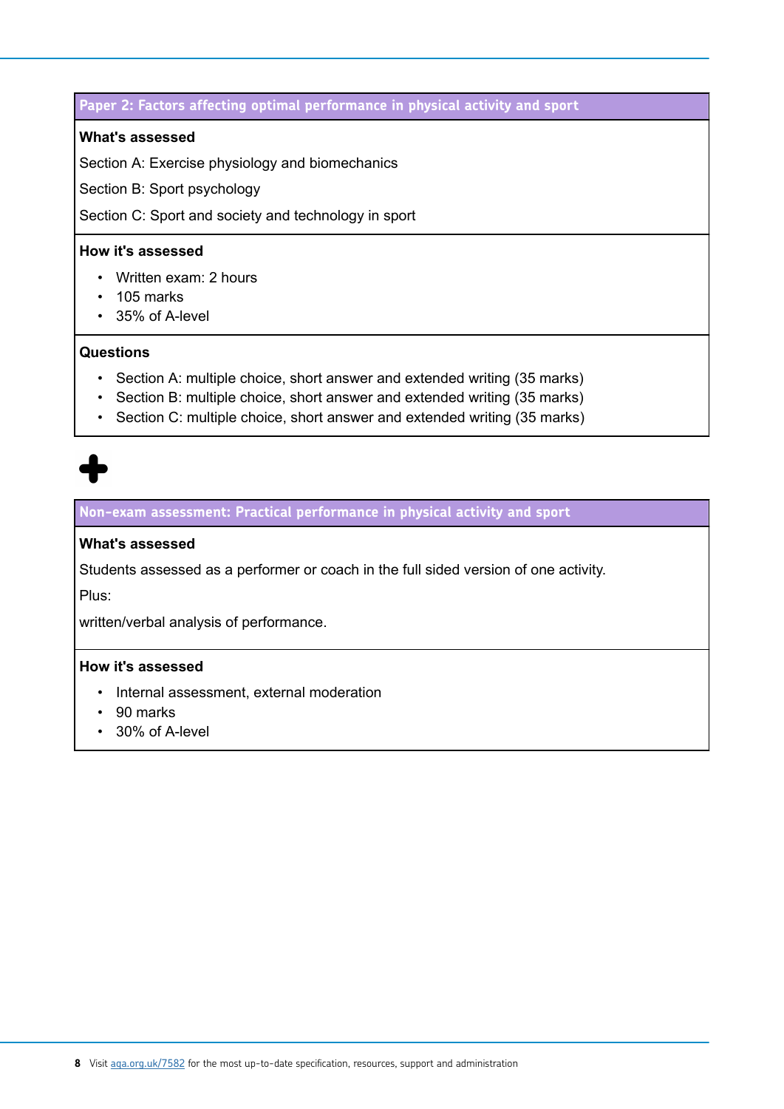#### **Paper 2: Factors affecting optimal performance in physical activity and sport**

#### **What's assessed**

Section A: Exercise physiology and biomechanics

Section B: Sport psychology

Section C: Sport and society and technology in sport

#### **How it's assessed**

- Written exam: 2 hours
- 105 marks
- 35% of A-level

#### **Questions**

- Section A: multiple choice, short answer and extended writing (35 marks)
- Section B: multiple choice, short answer and extended writing (35 marks)
- Section C: multiple choice, short answer and extended writing (35 marks)

**Non-exam assessment: Practical performance in physical activity and sport**

#### **What's assessed**

Students assessed as a performer or coach in the full sided version of one activity.

Plus:

written/verbal analysis of performance.

#### **How it's assessed**

- Internal assessment, external moderation
- 90 marks
- 30% of A-level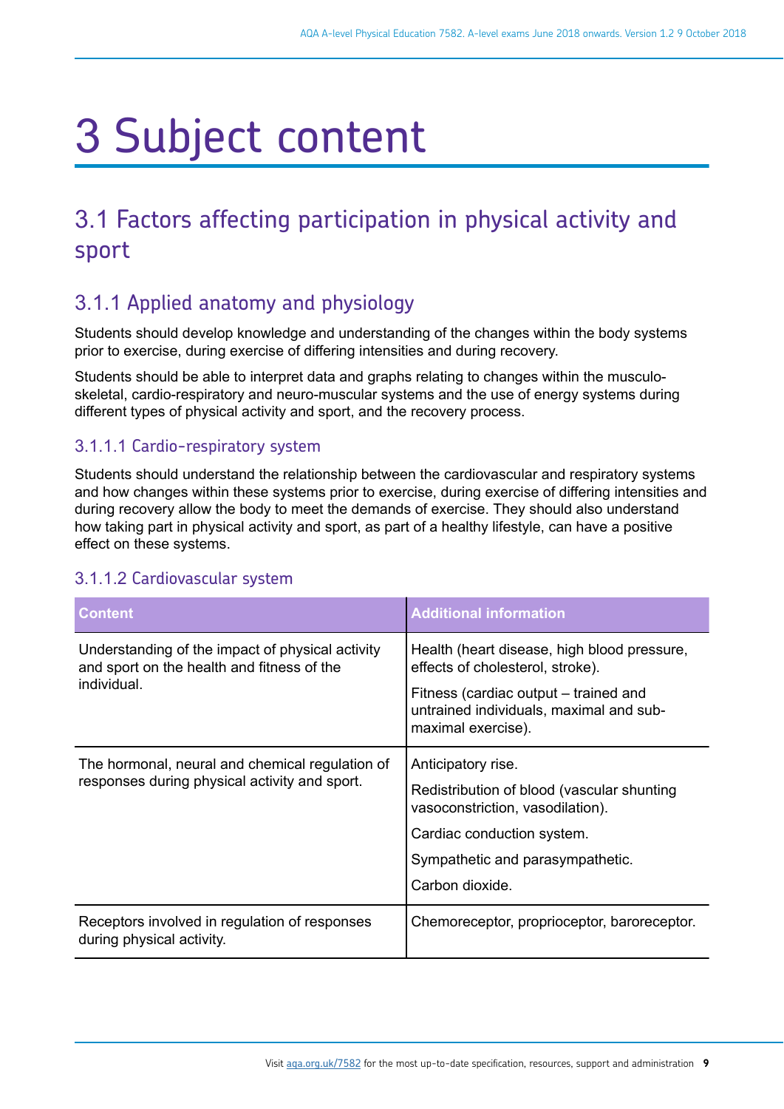# <span id="page-8-0"></span>3 Subject content

# 3.1 Factors affecting participation in physical activity and sport

# 3.1.1 Applied anatomy and physiology

Students should develop knowledge and understanding of the changes within the body systems prior to exercise, during exercise of differing intensities and during recovery.

Students should be able to interpret data and graphs relating to changes within the musculoskeletal, cardio-respiratory and neuro-muscular systems and the use of energy systems during different types of physical activity and sport, and the recovery process.

#### 3.1.1.1 Cardio-respiratory system

Students should understand the relationship between the cardiovascular and respiratory systems and how changes within these systems prior to exercise, during exercise of differing intensities and during recovery allow the body to meet the demands of exercise. They should also understand how taking part in physical activity and sport, as part of a healthy lifestyle, can have a positive effect on these systems.

#### 3.1.1.2 Cardiovascular system

| Content                                                                                          | <b>Additional information</b>                                                                          |
|--------------------------------------------------------------------------------------------------|--------------------------------------------------------------------------------------------------------|
| Understanding of the impact of physical activity<br>and sport on the health and fitness of the   | Health (heart disease, high blood pressure,<br>effects of cholesterol, stroke).                        |
| individual.                                                                                      | Fitness (cardiac output – trained and<br>untrained individuals, maximal and sub-<br>maximal exercise). |
| The hormonal, neural and chemical regulation of<br>responses during physical activity and sport. | Anticipatory rise.                                                                                     |
|                                                                                                  | Redistribution of blood (vascular shunting<br>vasoconstriction, vasodilation).                         |
|                                                                                                  | Cardiac conduction system.                                                                             |
|                                                                                                  | Sympathetic and parasympathetic.                                                                       |
|                                                                                                  | Carbon dioxide.                                                                                        |
| Receptors involved in regulation of responses<br>during physical activity.                       | Chemoreceptor, proprioceptor, baroreceptor.                                                            |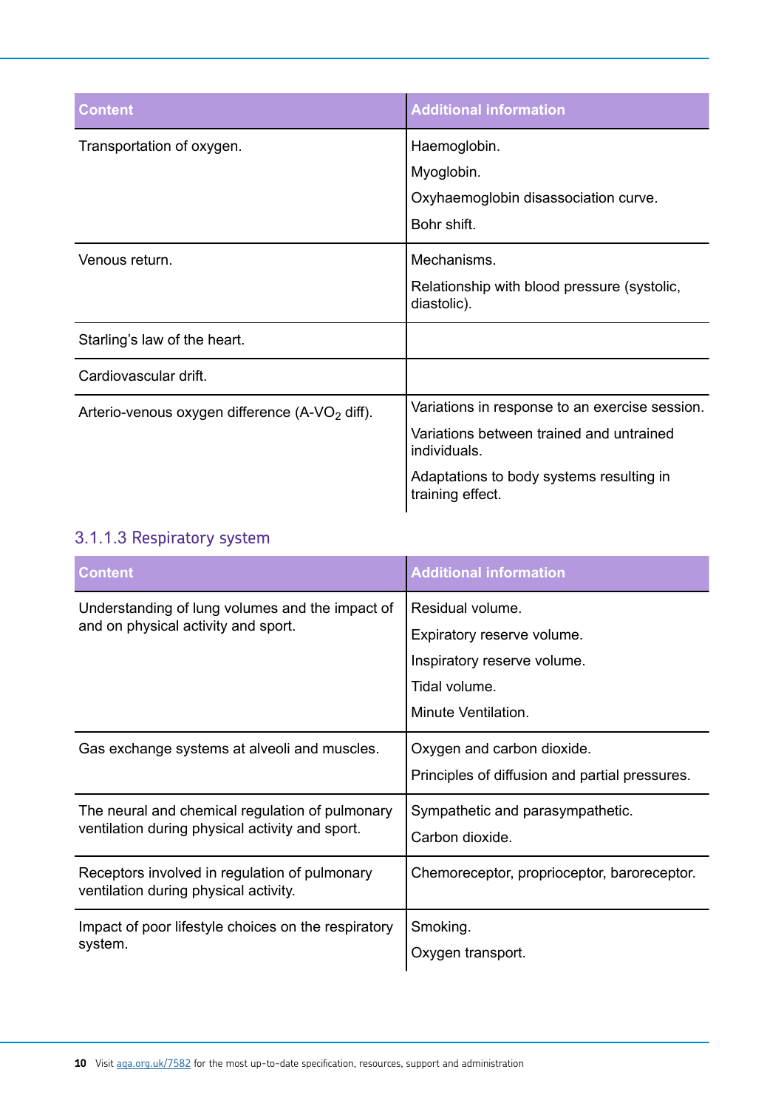| <b>Content</b>                                             | <b>Additional information</b>                                |
|------------------------------------------------------------|--------------------------------------------------------------|
| Transportation of oxygen.                                  | Haemoglobin.                                                 |
|                                                            | Myoglobin.                                                   |
|                                                            | Oxyhaemoglobin disassociation curve.                         |
|                                                            | Bohr shift.                                                  |
| Venous return.                                             | Mechanisms.                                                  |
|                                                            | Relationship with blood pressure (systolic,<br>diastolic).   |
| Starling's law of the heart.                               |                                                              |
| Cardiovascular drift.                                      |                                                              |
| Arterio-venous oxygen difference (A-VO <sub>2</sub> diff). | Variations in response to an exercise session.               |
|                                                            | Variations between trained and untrained<br>individuals.     |
|                                                            | Adaptations to body systems resulting in<br>training effect. |

# 3.1.1.3 Respiratory system

| <b>Content</b>                                                                                     | <b>Additional information</b>                                                                                         |
|----------------------------------------------------------------------------------------------------|-----------------------------------------------------------------------------------------------------------------------|
| Understanding of lung volumes and the impact of<br>and on physical activity and sport.             | Residual volume.<br>Expiratory reserve volume.<br>Inspiratory reserve volume.<br>Tidal volume.<br>Minute Ventilation. |
| Gas exchange systems at alveoli and muscles.                                                       | Oxygen and carbon dioxide.<br>Principles of diffusion and partial pressures.                                          |
| The neural and chemical regulation of pulmonary<br>ventilation during physical activity and sport. | Sympathetic and parasympathetic.<br>Carbon dioxide.                                                                   |
| Receptors involved in regulation of pulmonary<br>ventilation during physical activity.             | Chemoreceptor, proprioceptor, baroreceptor.                                                                           |
| Impact of poor lifestyle choices on the respiratory<br>system.                                     | Smoking.<br>Oxygen transport.                                                                                         |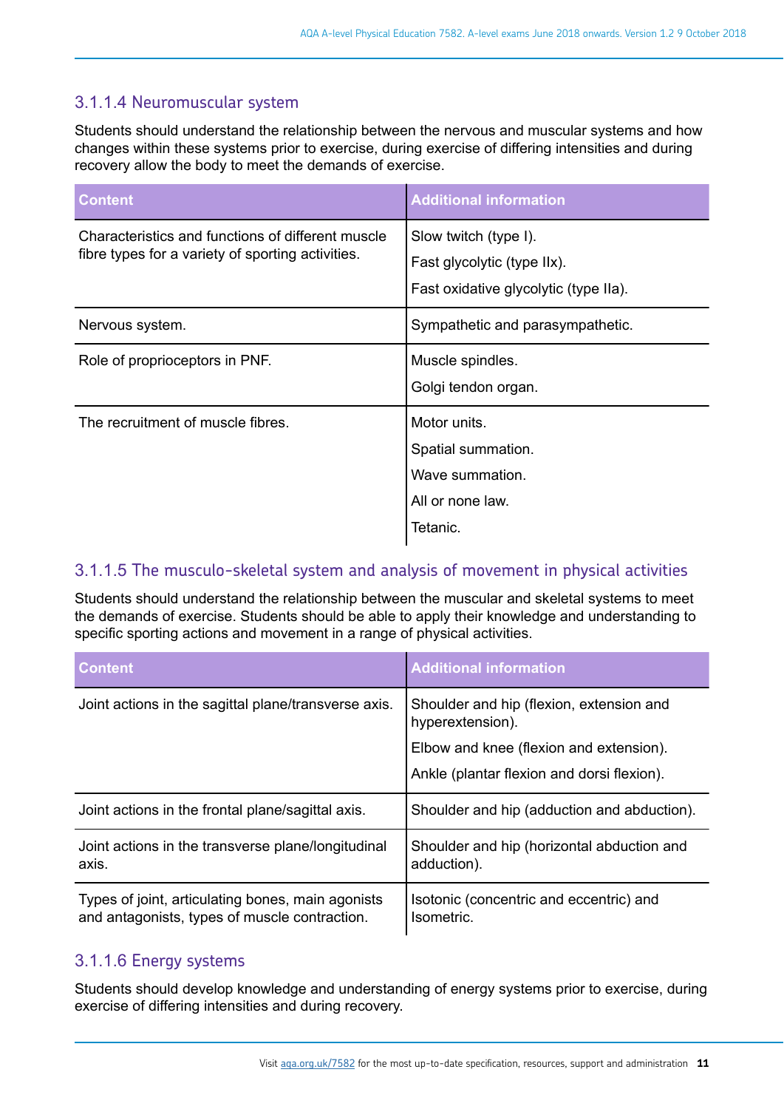### 3.1.1.4 Neuromuscular system

Students should understand the relationship between the nervous and muscular systems and how changes within these systems prior to exercise, during exercise of differing intensities and during recovery allow the body to meet the demands of exercise.

| <b>Content</b>                                                                                         | <b>Additional information</b>                                                                 |
|--------------------------------------------------------------------------------------------------------|-----------------------------------------------------------------------------------------------|
| Characteristics and functions of different muscle<br>fibre types for a variety of sporting activities. | Slow twitch (type I).<br>Fast glycolytic (type IIx).<br>Fast oxidative glycolytic (type IIa). |
| Nervous system.                                                                                        | Sympathetic and parasympathetic.                                                              |
| Role of proprioceptors in PNF.                                                                         | Muscle spindles.<br>Golgi tendon organ.                                                       |
| The recruitment of muscle fibres.                                                                      | Motor units.<br>Spatial summation.<br>Wave summation.<br>All or none law.<br>Tetanic.         |

#### 3.1.1.5 The musculo-skeletal system and analysis of movement in physical activities

Students should understand the relationship between the muscular and skeletal systems to meet the demands of exercise. Students should be able to apply their knowledge and understanding to specific sporting actions and movement in a range of physical activities.

| <b>Content</b>                                                                                     | <b>Additional information</b>                                                                                                                         |
|----------------------------------------------------------------------------------------------------|-------------------------------------------------------------------------------------------------------------------------------------------------------|
| Joint actions in the sagittal plane/transverse axis.                                               | Shoulder and hip (flexion, extension and<br>hyperextension).<br>Elbow and knee (flexion and extension).<br>Ankle (plantar flexion and dorsi flexion). |
| Joint actions in the frontal plane/sagittal axis.                                                  | Shoulder and hip (adduction and abduction).                                                                                                           |
| Joint actions in the transverse plane/longitudinal<br>axis.                                        | Shoulder and hip (horizontal abduction and<br>adduction).                                                                                             |
| Types of joint, articulating bones, main agonists<br>and antagonists, types of muscle contraction. | Isotonic (concentric and eccentric) and<br>Isometric.                                                                                                 |

#### 3.1.1.6 Energy systems

Students should develop knowledge and understanding of energy systems prior to exercise, during exercise of differing intensities and during recovery.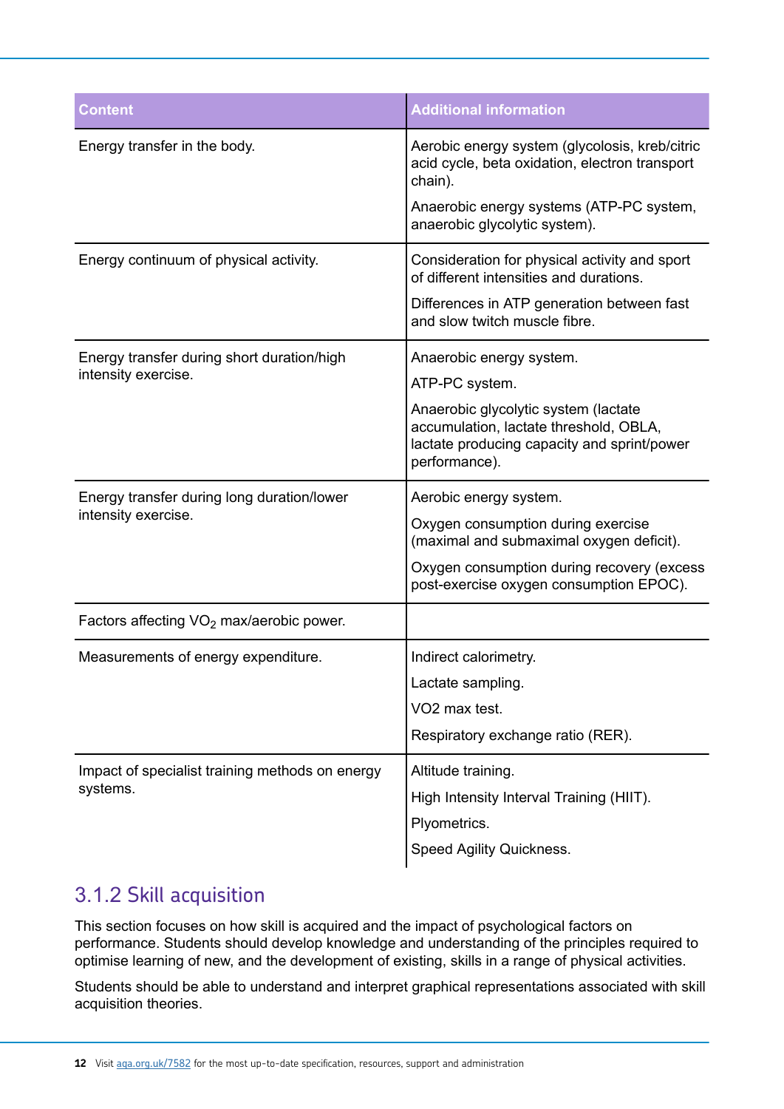<span id="page-11-0"></span>

| <b>Content</b>                                                    | <b>Additional information</b>                                                                               |
|-------------------------------------------------------------------|-------------------------------------------------------------------------------------------------------------|
| Energy transfer in the body.                                      | Aerobic energy system (glycolosis, kreb/citric<br>acid cycle, beta oxidation, electron transport<br>chain). |
|                                                                   | Anaerobic energy systems (ATP-PC system,<br>anaerobic glycolytic system).                                   |
| Energy continuum of physical activity.                            | Consideration for physical activity and sport<br>of different intensities and durations.                    |
|                                                                   | Differences in ATP generation between fast<br>and slow twitch muscle fibre.                                 |
| Energy transfer during short duration/high<br>intensity exercise. | Anaerobic energy system.<br>ATP-PC system.<br>Anaerobic glycolytic system (lactate                          |
|                                                                   | accumulation, lactate threshold, OBLA,<br>lactate producing capacity and sprint/power<br>performance).      |
| Energy transfer during long duration/lower                        | Aerobic energy system.                                                                                      |
| intensity exercise.                                               | Oxygen consumption during exercise<br>(maximal and submaximal oxygen deficit).                              |
|                                                                   | Oxygen consumption during recovery (excess<br>post-exercise oxygen consumption EPOC).                       |
| Factors affecting VO <sub>2</sub> max/aerobic power.              |                                                                                                             |
| Measurements of energy expenditure.                               | Indirect calorimetry.                                                                                       |
|                                                                   | Lactate sampling.                                                                                           |
|                                                                   | VO2 max test.                                                                                               |
|                                                                   | Respiratory exchange ratio (RER).                                                                           |
| Impact of specialist training methods on energy                   | Altitude training.                                                                                          |
| systems.                                                          | High Intensity Interval Training (HIIT).                                                                    |
|                                                                   | Plyometrics.                                                                                                |
|                                                                   | Speed Agility Quickness.                                                                                    |

# 3.1.2 Skill acquisition

This section focuses on how skill is acquired and the impact of psychological factors on performance. Students should develop knowledge and understanding of the principles required to optimise learning of new, and the development of existing, skills in a range of physical activities.

Students should be able to understand and interpret graphical representations associated with skill acquisition theories.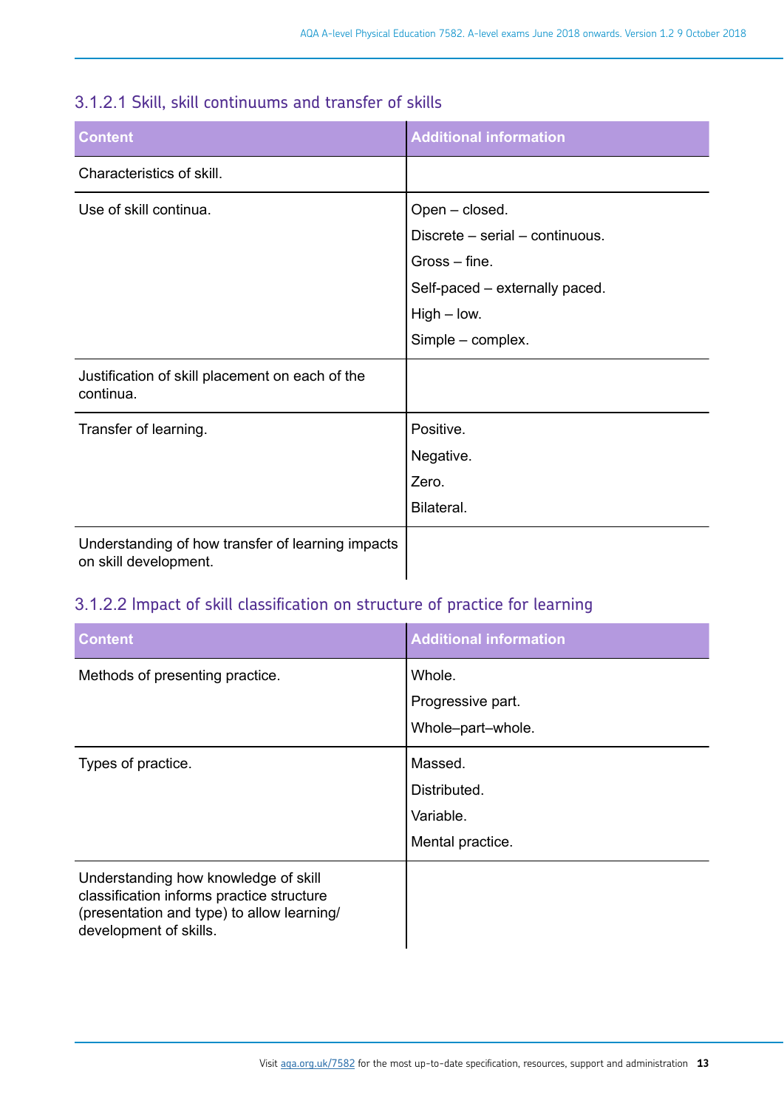## 3.1.2.1 Skill, skill continuums and transfer of skills

| <b>Content</b>                                                             | <b>Additional information</b>                                                                                                              |
|----------------------------------------------------------------------------|--------------------------------------------------------------------------------------------------------------------------------------------|
| Characteristics of skill.                                                  |                                                                                                                                            |
| Use of skill continua.                                                     | Open - closed.<br>Discrete - serial - continuous.<br>Gross - fine.<br>Self-paced - externally paced.<br>$High - low.$<br>Simple – complex. |
| Justification of skill placement on each of the<br>continua.               |                                                                                                                                            |
| Transfer of learning.                                                      | Positive.<br>Negative.<br>Zero.<br>Bilateral.                                                                                              |
| Understanding of how transfer of learning impacts<br>on skill development. |                                                                                                                                            |

# 3.1.2.2 Impact of skill classification on structure of practice for learning

| <b>Content</b>                                                                                                                                            | <b>Additional information</b>                            |
|-----------------------------------------------------------------------------------------------------------------------------------------------------------|----------------------------------------------------------|
| Methods of presenting practice.                                                                                                                           | Whole.<br>Progressive part.<br>Whole-part-whole.         |
| Types of practice.                                                                                                                                        | Massed.<br>Distributed.<br>Variable.<br>Mental practice. |
| Understanding how knowledge of skill<br>classification informs practice structure<br>(presentation and type) to allow learning/<br>development of skills. |                                                          |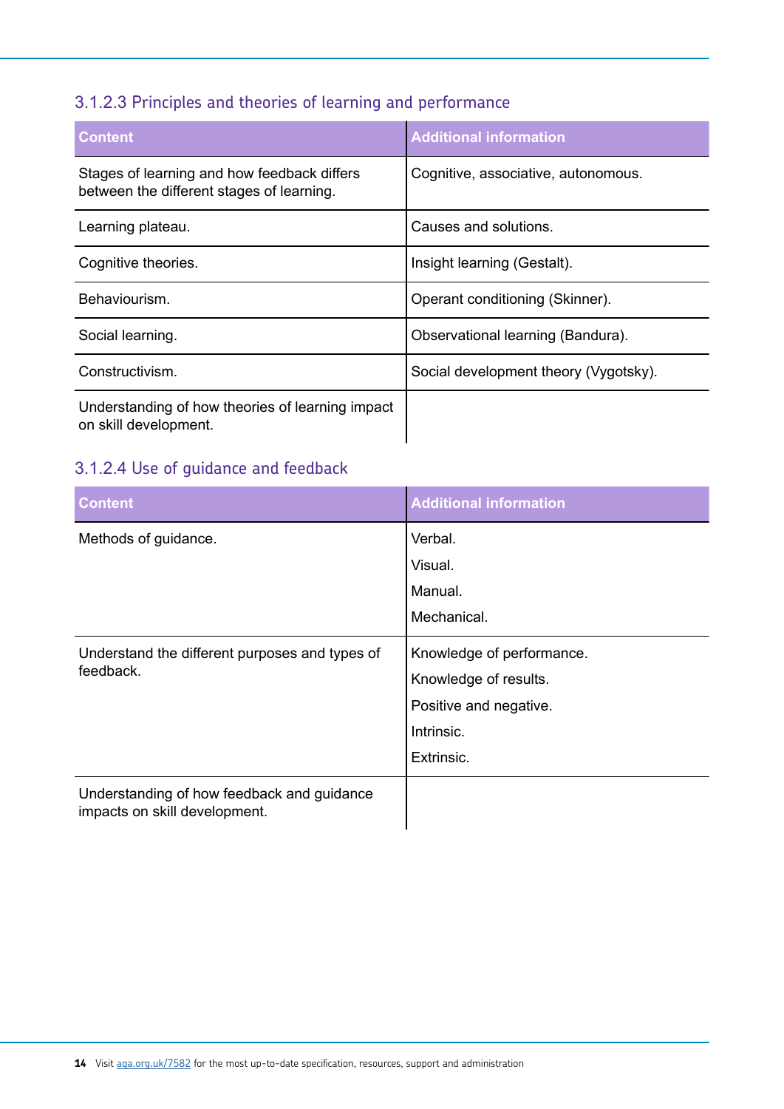# 3.1.2.3 Principles and theories of learning and performance

| Content                                                                                  | <b>Additional information</b>         |
|------------------------------------------------------------------------------------------|---------------------------------------|
| Stages of learning and how feedback differs<br>between the different stages of learning. | Cognitive, associative, autonomous.   |
| Learning plateau.                                                                        | Causes and solutions.                 |
| Cognitive theories.                                                                      | Insight learning (Gestalt).           |
| Behaviourism.                                                                            | Operant conditioning (Skinner).       |
| Social learning.                                                                         | Observational learning (Bandura).     |
| Constructivism.                                                                          | Social development theory (Vygotsky). |
| Understanding of how theories of learning impact<br>on skill development.                |                                       |

# 3.1.2.4 Use of guidance and feedback

| <b>Content</b>                                                              | <b>Additional information</b> |
|-----------------------------------------------------------------------------|-------------------------------|
| Methods of guidance.                                                        | Verbal.                       |
|                                                                             | Visual.                       |
|                                                                             | Manual.                       |
|                                                                             | Mechanical.                   |
| Understand the different purposes and types of                              | Knowledge of performance.     |
| feedback.                                                                   | Knowledge of results.         |
|                                                                             | Positive and negative.        |
|                                                                             | Intrinsic.                    |
|                                                                             | Extrinsic.                    |
| Understanding of how feedback and guidance<br>impacts on skill development. |                               |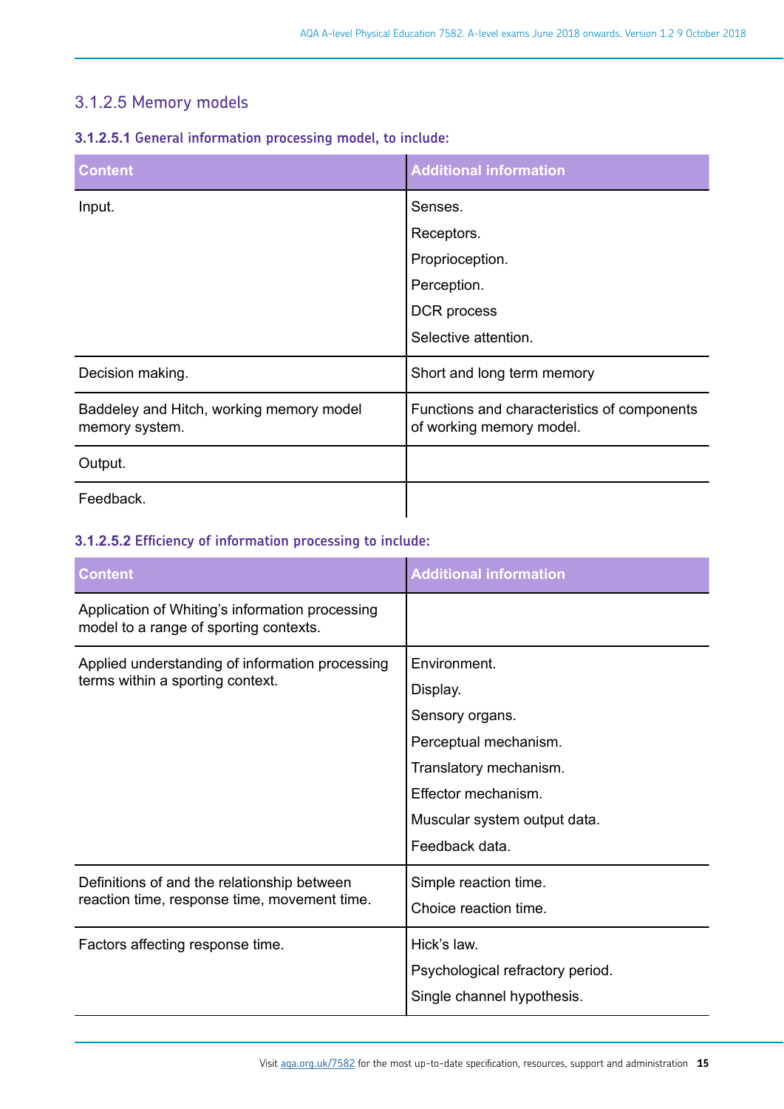# 3.1.2.5 Memory models

**3.1.2.5.1 General information processing model, to include:**

| <b>Content</b>                                             | <b>Additional information</b>                                           |
|------------------------------------------------------------|-------------------------------------------------------------------------|
| Input.                                                     | Senses.                                                                 |
|                                                            | Receptors.                                                              |
|                                                            | Proprioception.                                                         |
|                                                            | Perception.                                                             |
|                                                            | DCR process                                                             |
|                                                            | Selective attention.                                                    |
| Decision making.                                           | Short and long term memory                                              |
| Baddeley and Hitch, working memory model<br>memory system. | Functions and characteristics of components<br>of working memory model. |
| Output.                                                    |                                                                         |
| Feedback.                                                  |                                                                         |

#### **3.1.2.5.2 Efficiency of information processing to include:**

| <b>Content</b>                                                                              | <b>Additional information</b>                                                                                                                         |
|---------------------------------------------------------------------------------------------|-------------------------------------------------------------------------------------------------------------------------------------------------------|
| Application of Whiting's information processing<br>model to a range of sporting contexts.   |                                                                                                                                                       |
| Applied understanding of information processing<br>terms within a sporting context.         | Environment.<br>Display.<br>Sensory organs.<br>Perceptual mechanism.<br>Translatory mechanism.<br>Effector mechanism.<br>Muscular system output data. |
| Definitions of and the relationship between<br>reaction time, response time, movement time. | Feedback data.<br>Simple reaction time.<br>Choice reaction time.                                                                                      |
| Factors affecting response time.                                                            | Hick's law.<br>Psychological refractory period.<br>Single channel hypothesis.                                                                         |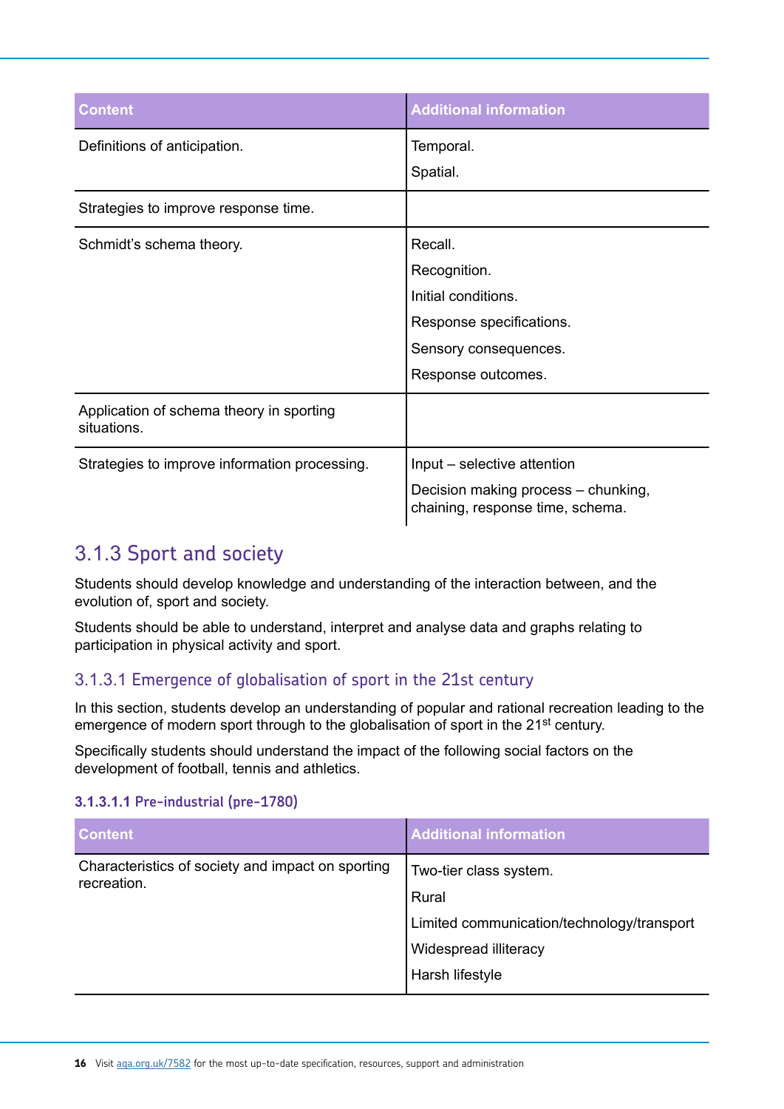<span id="page-15-0"></span>

| <b>Content</b>                                          | <b>Additional information</b>                                           |
|---------------------------------------------------------|-------------------------------------------------------------------------|
| Definitions of anticipation.                            | Temporal.                                                               |
|                                                         | Spatial.                                                                |
| Strategies to improve response time.                    |                                                                         |
| Schmidt's schema theory.                                | Recall.                                                                 |
|                                                         | Recognition.                                                            |
|                                                         | Initial conditions.                                                     |
|                                                         | Response specifications.                                                |
|                                                         | Sensory consequences.                                                   |
|                                                         | Response outcomes.                                                      |
| Application of schema theory in sporting<br>situations. |                                                                         |
| Strategies to improve information processing.           | Input – selective attention                                             |
|                                                         | Decision making process - chunking,<br>chaining, response time, schema. |

# 3.1.3 Sport and society

Students should develop knowledge and understanding of the interaction between, and the evolution of, sport and society.

Students should be able to understand, interpret and analyse data and graphs relating to participation in physical activity and sport.

## 3.1.3.1 Emergence of globalisation of sport in the 21st century

In this section, students develop an understanding of popular and rational recreation leading to the emergence of modern sport through to the globalisation of sport in the 21<sup>st</sup> century.

Specifically students should understand the impact of the following social factors on the development of football, tennis and athletics.

#### **3.1.3.1.1 Pre-industrial (pre-1780)**

| <b>Content</b>                                                   | <b>Additional information</b>              |
|------------------------------------------------------------------|--------------------------------------------|
| Characteristics of society and impact on sporting<br>recreation. | Two-tier class system.                     |
|                                                                  | Rural                                      |
|                                                                  | Limited communication/technology/transport |
|                                                                  | Widespread illiteracy                      |
|                                                                  | Harsh lifestyle                            |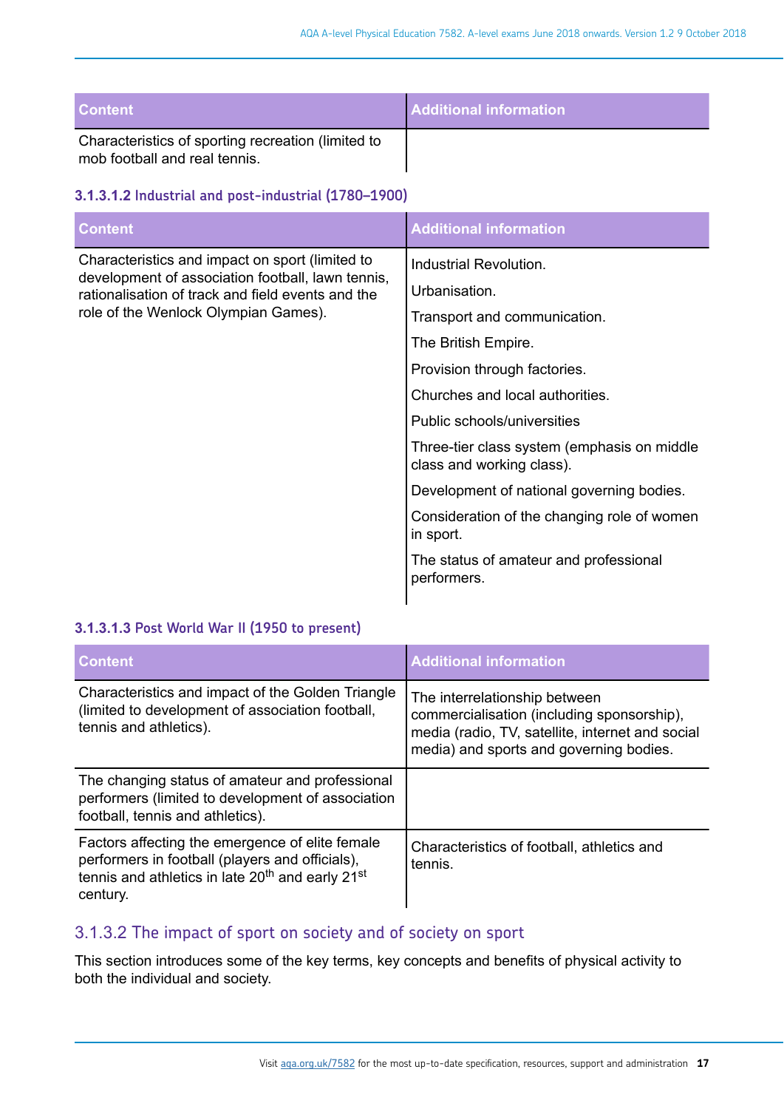| <b>Content</b>                                                                      | <b>Additional information</b> |
|-------------------------------------------------------------------------------------|-------------------------------|
| Characteristics of sporting recreation (limited to<br>mob football and real tennis. |                               |

#### **3.1.3.1.2 Industrial and post-industrial (1780–1900)**

| Content                                                                                                                                                                                           | <b>Additional information</b>                                            |
|---------------------------------------------------------------------------------------------------------------------------------------------------------------------------------------------------|--------------------------------------------------------------------------|
| Characteristics and impact on sport (limited to<br>development of association football, lawn tennis,<br>rationalisation of track and field events and the<br>role of the Wenlock Olympian Games). | Industrial Revolution.                                                   |
|                                                                                                                                                                                                   | Urbanisation.                                                            |
|                                                                                                                                                                                                   | Transport and communication.                                             |
|                                                                                                                                                                                                   | The British Empire.                                                      |
|                                                                                                                                                                                                   | Provision through factories.                                             |
|                                                                                                                                                                                                   | Churches and local authorities.                                          |
|                                                                                                                                                                                                   | Public schools/universities                                              |
|                                                                                                                                                                                                   | Three-tier class system (emphasis on middle<br>class and working class). |
|                                                                                                                                                                                                   | Development of national governing bodies.                                |
|                                                                                                                                                                                                   | Consideration of the changing role of women<br>in sport.                 |
|                                                                                                                                                                                                   | The status of amateur and professional<br>performers.                    |
|                                                                                                                                                                                                   |                                                                          |

#### **3.1.3.1.3 Post World War II (1950 to present)**

| <b>Content</b>                                                                                                                                                                             | <b>Additional information</b>                                                                                                                                              |
|--------------------------------------------------------------------------------------------------------------------------------------------------------------------------------------------|----------------------------------------------------------------------------------------------------------------------------------------------------------------------------|
| Characteristics and impact of the Golden Triangle<br>(limited to development of association football,<br>tennis and athletics).                                                            | The interrelationship between<br>commercialisation (including sponsorship),<br>media (radio, TV, satellite, internet and social<br>media) and sports and governing bodies. |
| The changing status of amateur and professional<br>performers (limited to development of association<br>football, tennis and athletics).                                                   |                                                                                                                                                                            |
| Factors affecting the emergence of elite female<br>performers in football (players and officials),<br>tennis and athletics in late 20 <sup>th</sup> and early 21 <sup>st</sup><br>century. | Characteristics of football, athletics and<br>tennis.                                                                                                                      |

## 3.1.3.2 The impact of sport on society and of society on sport

This section introduces some of the key terms, key concepts and benefits of physical activity to both the individual and society.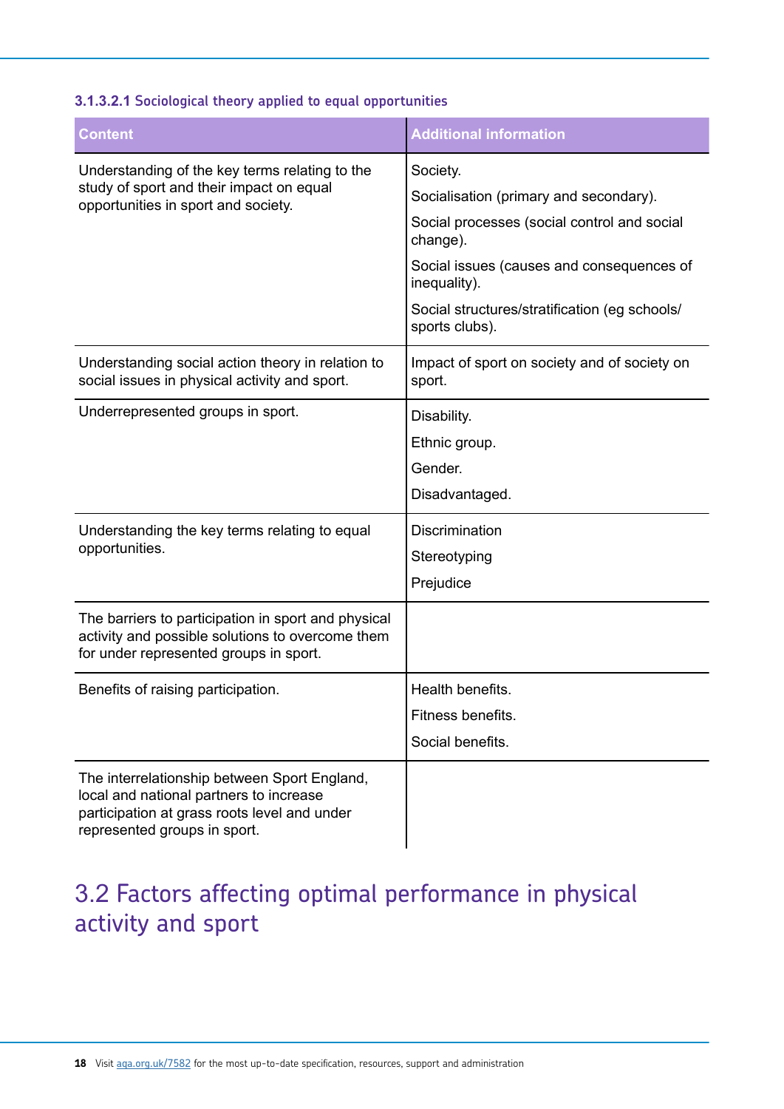| <b>Content</b>                                                                                                                                                          | <b>Additional information</b>                                   |
|-------------------------------------------------------------------------------------------------------------------------------------------------------------------------|-----------------------------------------------------------------|
| Understanding of the key terms relating to the                                                                                                                          | Society.                                                        |
| study of sport and their impact on equal<br>opportunities in sport and society.                                                                                         | Socialisation (primary and secondary).                          |
|                                                                                                                                                                         | Social processes (social control and social<br>change).         |
|                                                                                                                                                                         | Social issues (causes and consequences of<br>inequality).       |
|                                                                                                                                                                         | Social structures/stratification (eg schools/<br>sports clubs). |
| Understanding social action theory in relation to<br>social issues in physical activity and sport.                                                                      | Impact of sport on society and of society on<br>sport.          |
| Underrepresented groups in sport.                                                                                                                                       | Disability.                                                     |
|                                                                                                                                                                         | Ethnic group.                                                   |
|                                                                                                                                                                         | Gender.                                                         |
|                                                                                                                                                                         | Disadvantaged.                                                  |
| Understanding the key terms relating to equal<br>opportunities.                                                                                                         | Discrimination                                                  |
|                                                                                                                                                                         | Stereotyping                                                    |
|                                                                                                                                                                         | Prejudice                                                       |
| The barriers to participation in sport and physical<br>activity and possible solutions to overcome them<br>for under represented groups in sport.                       |                                                                 |
| Benefits of raising participation.                                                                                                                                      | Health benefits.                                                |
|                                                                                                                                                                         | Fitness benefits.                                               |
|                                                                                                                                                                         | Social benefits.                                                |
| The interrelationship between Sport England,<br>local and national partners to increase<br>participation at grass roots level and under<br>represented groups in sport. |                                                                 |

#### <span id="page-17-0"></span>**3.1.3.2.1 Sociological theory applied to equal opportunities**

# 3.2 Factors affecting optimal performance in physical activity and sport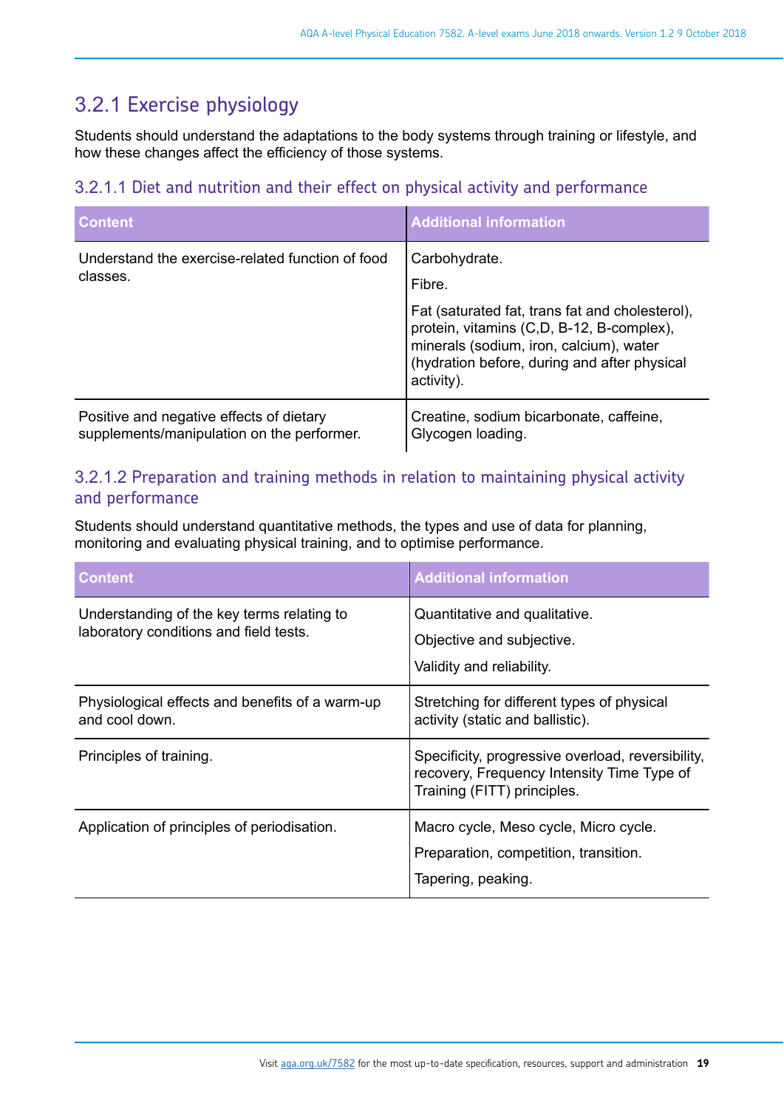# <span id="page-18-0"></span>3.2.1 Exercise physiology

Students should understand the adaptations to the body systems through training or lifestyle, and how these changes affect the efficiency of those systems.

#### 3.2.1.1 Diet and nutrition and their effect on physical activity and performance

| <b>Content</b>                                                                         | <b>Additional information</b>                                                                                                                                                                                                    |
|----------------------------------------------------------------------------------------|----------------------------------------------------------------------------------------------------------------------------------------------------------------------------------------------------------------------------------|
| Understand the exercise-related function of food<br>classes.                           | Carbohydrate.<br>Fibre.<br>Fat (saturated fat, trans fat and cholesterol),<br>protein, vitamins (C,D, B-12, B-complex),<br>minerals (sodium, iron, calcium), water<br>(hydration before, during and after physical<br>activity). |
| Positive and negative effects of dietary<br>supplements/manipulation on the performer. | Creatine, sodium bicarbonate, caffeine,<br>Glycogen loading.                                                                                                                                                                     |

## 3.2.1.2 Preparation and training methods in relation to maintaining physical activity and performance

Students should understand quantitative methods, the types and use of data for planning, monitoring and evaluating physical training, and to optimise performance.

| <b>Content</b>                                                                       | <b>Additional information</b>                                                                                                  |
|--------------------------------------------------------------------------------------|--------------------------------------------------------------------------------------------------------------------------------|
| Understanding of the key terms relating to<br>laboratory conditions and field tests. | Quantitative and qualitative.<br>Objective and subjective.<br>Validity and reliability.                                        |
| Physiological effects and benefits of a warm-up<br>and cool down.                    | Stretching for different types of physical<br>activity (static and ballistic).                                                 |
| Principles of training.                                                              | Specificity, progressive overload, reversibility,<br>recovery, Frequency Intensity Time Type of<br>Training (FITT) principles. |
| Application of principles of periodisation.                                          | Macro cycle, Meso cycle, Micro cycle.<br>Preparation, competition, transition.<br>Tapering, peaking.                           |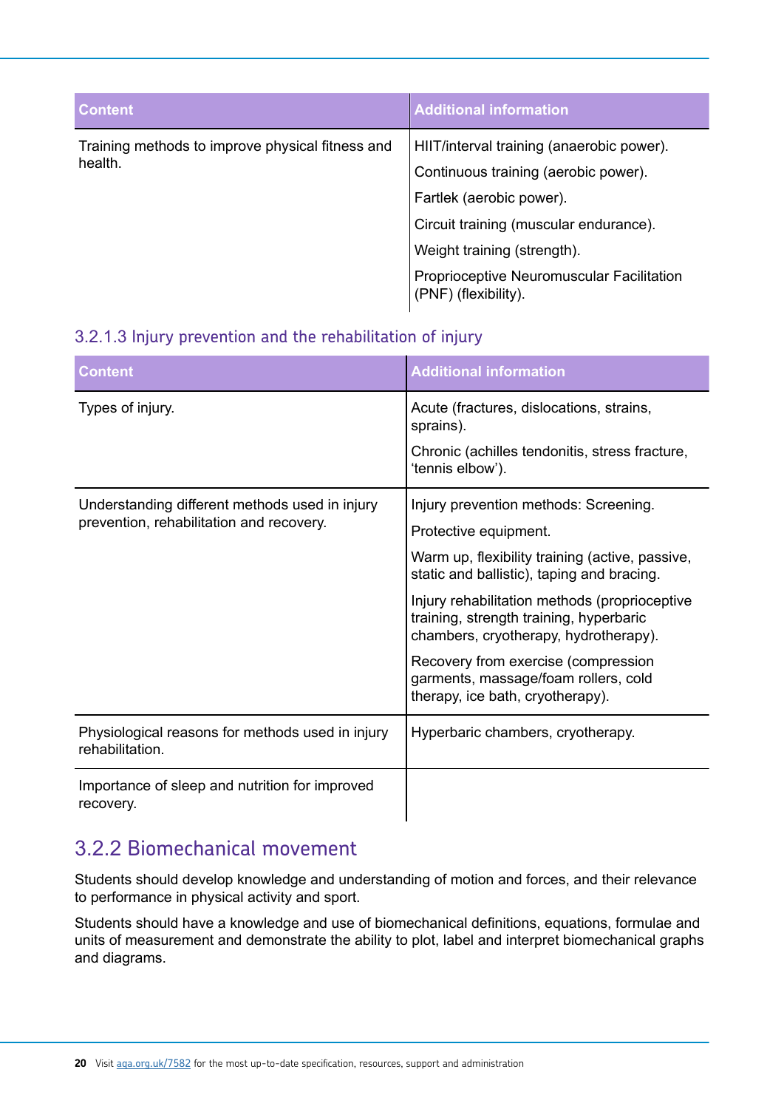<span id="page-19-0"></span>

| <b>Content</b>                                              | <b>Additional information</b>                                                                                                                                                                                                                               |
|-------------------------------------------------------------|-------------------------------------------------------------------------------------------------------------------------------------------------------------------------------------------------------------------------------------------------------------|
| Training methods to improve physical fitness and<br>health. | HIIT/interval training (anaerobic power).<br>Continuous training (aerobic power).<br>Fartlek (aerobic power).<br>Circuit training (muscular endurance).<br>Weight training (strength).<br>Proprioceptive Neuromuscular Facilitation<br>(PNF) (flexibility). |

## 3.2.1.3 Injury prevention and the rehabilitation of injury

| <b>Content</b>                                                      | <b>Additional information</b>                                                                                                     |
|---------------------------------------------------------------------|-----------------------------------------------------------------------------------------------------------------------------------|
| Types of injury.                                                    | Acute (fractures, dislocations, strains,<br>sprains).                                                                             |
|                                                                     | Chronic (achilles tendonitis, stress fracture,<br>'tennis elbow').                                                                |
| Understanding different methods used in injury                      | Injury prevention methods: Screening.                                                                                             |
| prevention, rehabilitation and recovery.                            | Protective equipment.                                                                                                             |
|                                                                     | Warm up, flexibility training (active, passive,<br>static and ballistic), taping and bracing.                                     |
|                                                                     | Injury rehabilitation methods (proprioceptive<br>training, strength training, hyperbaric<br>chambers, cryotherapy, hydrotherapy). |
|                                                                     | Recovery from exercise (compression<br>garments, massage/foam rollers, cold<br>therapy, ice bath, cryotherapy).                   |
| Physiological reasons for methods used in injury<br>rehabilitation. | Hyperbaric chambers, cryotherapy.                                                                                                 |
| Importance of sleep and nutrition for improved<br>recovery.         |                                                                                                                                   |

# 3.2.2 Biomechanical movement

Students should develop knowledge and understanding of motion and forces, and their relevance to performance in physical activity and sport.

Students should have a knowledge and use of biomechanical definitions, equations, formulae and units of measurement and demonstrate the ability to plot, label and interpret biomechanical graphs and diagrams.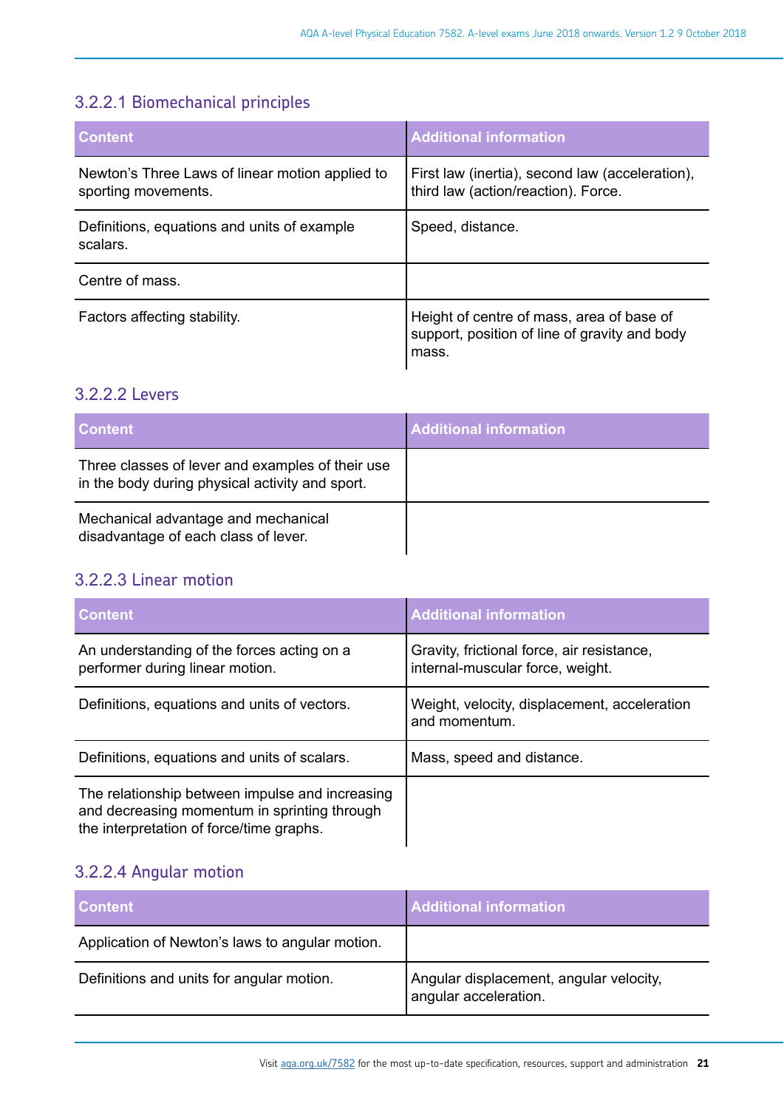# 3.2.2.1 Biomechanical principles

| <b>Content</b>                                                         | <b>Additional information</b>                                                                       |
|------------------------------------------------------------------------|-----------------------------------------------------------------------------------------------------|
| Newton's Three Laws of linear motion applied to<br>sporting movements. | First law (inertia), second law (acceleration),<br>third law (action/reaction). Force.              |
| Definitions, equations and units of example<br>scalars.                | Speed, distance.                                                                                    |
| Centre of mass.                                                        |                                                                                                     |
| Factors affecting stability.                                           | Height of centre of mass, area of base of<br>support, position of line of gravity and body<br>mass. |

## 3.2.2.2 Levers

| ∣ Content⊹                                                                                          | <b>Additional information</b> |
|-----------------------------------------------------------------------------------------------------|-------------------------------|
| Three classes of lever and examples of their use<br>in the body during physical activity and sport. |                               |
| Mechanical advantage and mechanical<br>disadvantage of each class of lever.                         |                               |

## 3.2.2.3 Linear motion

| <b>Content</b>                                                                                                                              | <b>Additional information</b>                                                  |
|---------------------------------------------------------------------------------------------------------------------------------------------|--------------------------------------------------------------------------------|
| An understanding of the forces acting on a<br>performer during linear motion.                                                               | Gravity, frictional force, air resistance,<br>internal-muscular force, weight. |
| Definitions, equations and units of vectors.                                                                                                | Weight, velocity, displacement, acceleration<br>and momentum.                  |
| Definitions, equations and units of scalars.                                                                                                | Mass, speed and distance.                                                      |
| The relationship between impulse and increasing<br>and decreasing momentum in sprinting through<br>the interpretation of force/time graphs. |                                                                                |

## 3.2.2.4 Angular motion

| l Content                                       | <b>Additional information</b>                                    |
|-------------------------------------------------|------------------------------------------------------------------|
| Application of Newton's laws to angular motion. |                                                                  |
| Definitions and units for angular motion.       | Angular displacement, angular velocity,<br>angular acceleration. |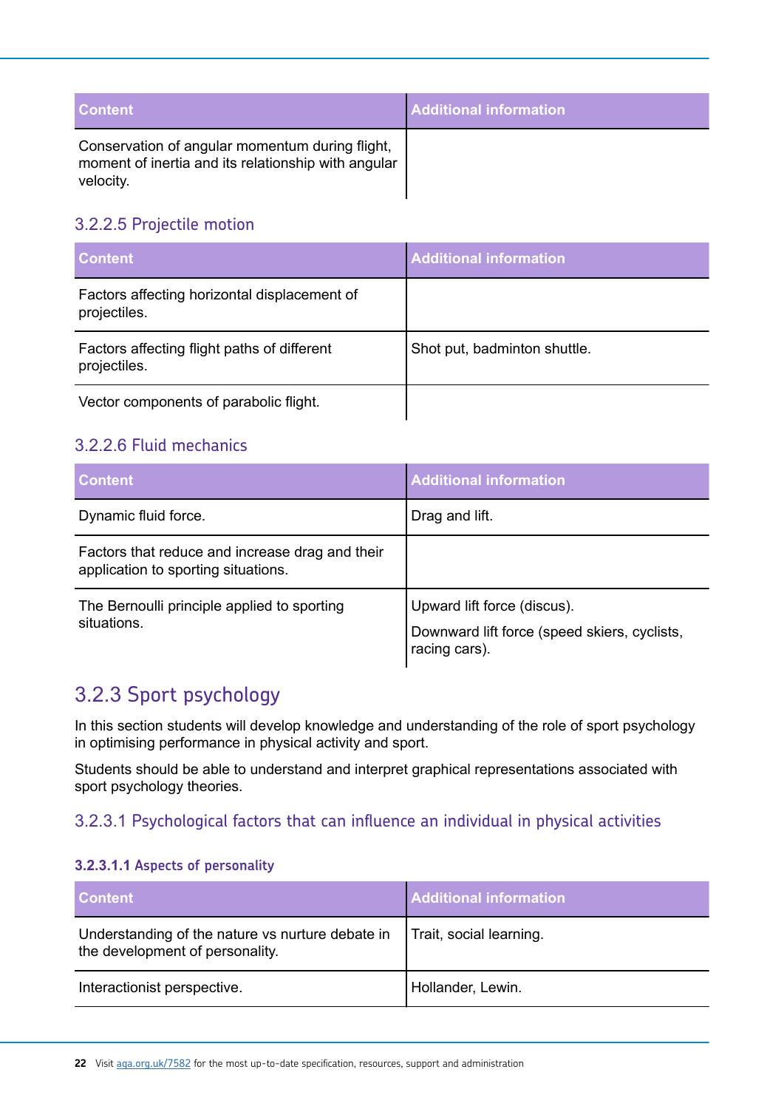<span id="page-21-0"></span>

| l Content                                                                                                           | <b>Additional information</b> |
|---------------------------------------------------------------------------------------------------------------------|-------------------------------|
| Conservation of angular momentum during flight,<br>moment of inertia and its relationship with angular<br>velocity. |                               |

## 3.2.2.5 Projectile motion

| <b>Content</b> ⊦                                             | <b>Additional information</b> |
|--------------------------------------------------------------|-------------------------------|
| Factors affecting horizontal displacement of<br>projectiles. |                               |
| Factors affecting flight paths of different<br>projectiles.  | Shot put, badminton shuttle.  |
| Vector components of parabolic flight.                       |                               |

## 3.2.2.6 Fluid mechanics

| <b>Content</b>                                                                         | <b>Additional information</b>                                                                |
|----------------------------------------------------------------------------------------|----------------------------------------------------------------------------------------------|
| Dynamic fluid force.                                                                   | Drag and lift.                                                                               |
| Factors that reduce and increase drag and their<br>application to sporting situations. |                                                                                              |
| The Bernoulli principle applied to sporting<br>situations.                             | Upward lift force (discus).<br>Downward lift force (speed skiers, cyclists,<br>racing cars). |

# 3.2.3 Sport psychology

In this section students will develop knowledge and understanding of the role of sport psychology in optimising performance in physical activity and sport.

Students should be able to understand and interpret graphical representations associated with sport psychology theories.

### 3.2.3.1 Psychological factors that can influence an individual in physical activities

#### **3.2.3.1.1 Aspects of personality**

| l Content i                                                                         | <b>Additional information</b> |
|-------------------------------------------------------------------------------------|-------------------------------|
| Understanding of the nature vs nurture debate in<br>the development of personality. | Trait, social learning.       |
| Interactionist perspective.                                                         | Hollander, Lewin.             |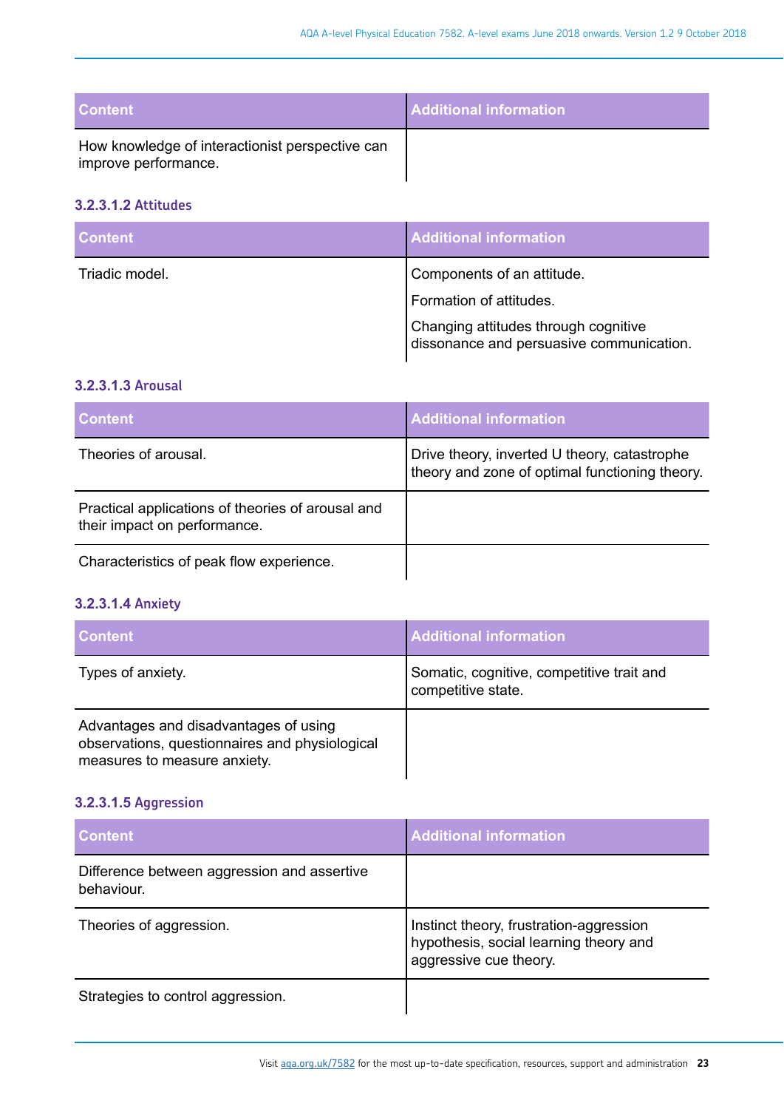| l Content                                                               | <b>Additional information</b> |
|-------------------------------------------------------------------------|-------------------------------|
| How knowledge of interactionist perspective can<br>improve performance. |                               |

#### **3.2.3.1.2 Attitudes**

| <b>Content</b> | <b>Additional information</b>                                                    |
|----------------|----------------------------------------------------------------------------------|
| Triadic model. | Components of an attitude.<br>Formation of attitudes.                            |
|                | Changing attitudes through cognitive<br>dissonance and persuasive communication. |

#### **3.2.3.1.3 Arousal**

| Content                                                                           | <b>Additional information</b>                                                                  |
|-----------------------------------------------------------------------------------|------------------------------------------------------------------------------------------------|
| Theories of arousal.                                                              | Drive theory, inverted U theory, catastrophe<br>theory and zone of optimal functioning theory. |
| Practical applications of theories of arousal and<br>their impact on performance. |                                                                                                |
| Characteristics of peak flow experience.                                          |                                                                                                |

#### **3.2.3.1.4 Anxiety**

| Content                                                                                                                 | <b>Additional information</b>                                   |
|-------------------------------------------------------------------------------------------------------------------------|-----------------------------------------------------------------|
| Types of anxiety.                                                                                                       | Somatic, cognitive, competitive trait and<br>competitive state. |
| Advantages and disadvantages of using<br>observations, questionnaires and physiological<br>measures to measure anxiety. |                                                                 |

## **3.2.3.1.5 Aggression**

| Content                                                   | <b>Additional information</b>                                                                               |
|-----------------------------------------------------------|-------------------------------------------------------------------------------------------------------------|
| Difference between aggression and assertive<br>behaviour. |                                                                                                             |
| Theories of aggression.                                   | Instinct theory, frustration-aggression<br>hypothesis, social learning theory and<br>aggressive cue theory. |
| Strategies to control aggression.                         |                                                                                                             |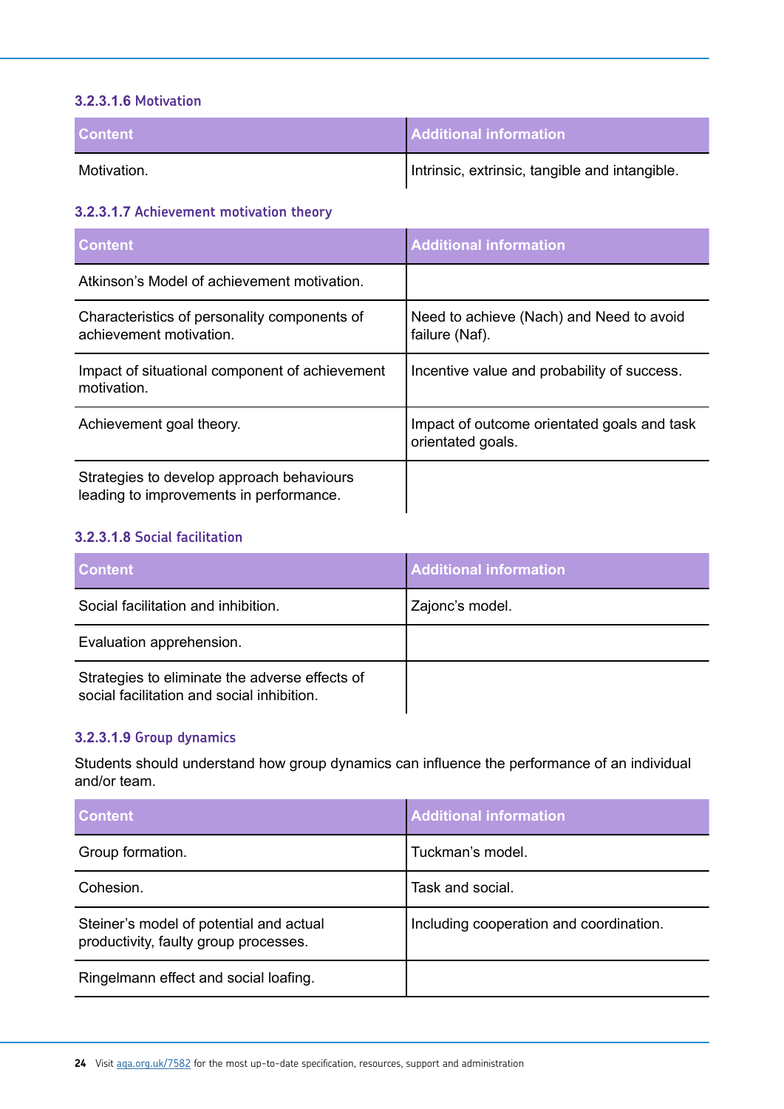#### **3.2.3.1.6 Motivation**

| <b>Content</b> | <b>Additional information</b>                  |
|----------------|------------------------------------------------|
| Motivation.    | Intrinsic, extrinsic, tangible and intangible. |

### **3.2.3.1.7 Achievement motivation theory**

| Content                                                                              | <b>Additional information</b>                                    |
|--------------------------------------------------------------------------------------|------------------------------------------------------------------|
| Atkinson's Model of achievement motivation.                                          |                                                                  |
| Characteristics of personality components of<br>achievement motivation.              | Need to achieve (Nach) and Need to avoid<br>failure (Naf).       |
| Impact of situational component of achievement<br>motivation.                        | Incentive value and probability of success.                      |
| Achievement goal theory.                                                             | Impact of outcome orientated goals and task<br>orientated goals. |
| Strategies to develop approach behaviours<br>leading to improvements in performance. |                                                                  |

#### **3.2.3.1.8 Social facilitation**

| <b>Content</b>                                                                               | <b>Additional information</b> |
|----------------------------------------------------------------------------------------------|-------------------------------|
| Social facilitation and inhibition.                                                          | Zajonc's model.               |
| Evaluation apprehension.                                                                     |                               |
| Strategies to eliminate the adverse effects of<br>social facilitation and social inhibition. |                               |

#### **3.2.3.1.9 Group dynamics**

Students should understand how group dynamics can influence the performance of an individual and/or team.

| <b>Content</b>                                                                   | <b>Additional information</b>           |
|----------------------------------------------------------------------------------|-----------------------------------------|
| Group formation.                                                                 | Tuckman's model.                        |
| Cohesion.                                                                        | Task and social.                        |
| Steiner's model of potential and actual<br>productivity, faulty group processes. | Including cooperation and coordination. |
| Ringelmann effect and social loafing.                                            |                                         |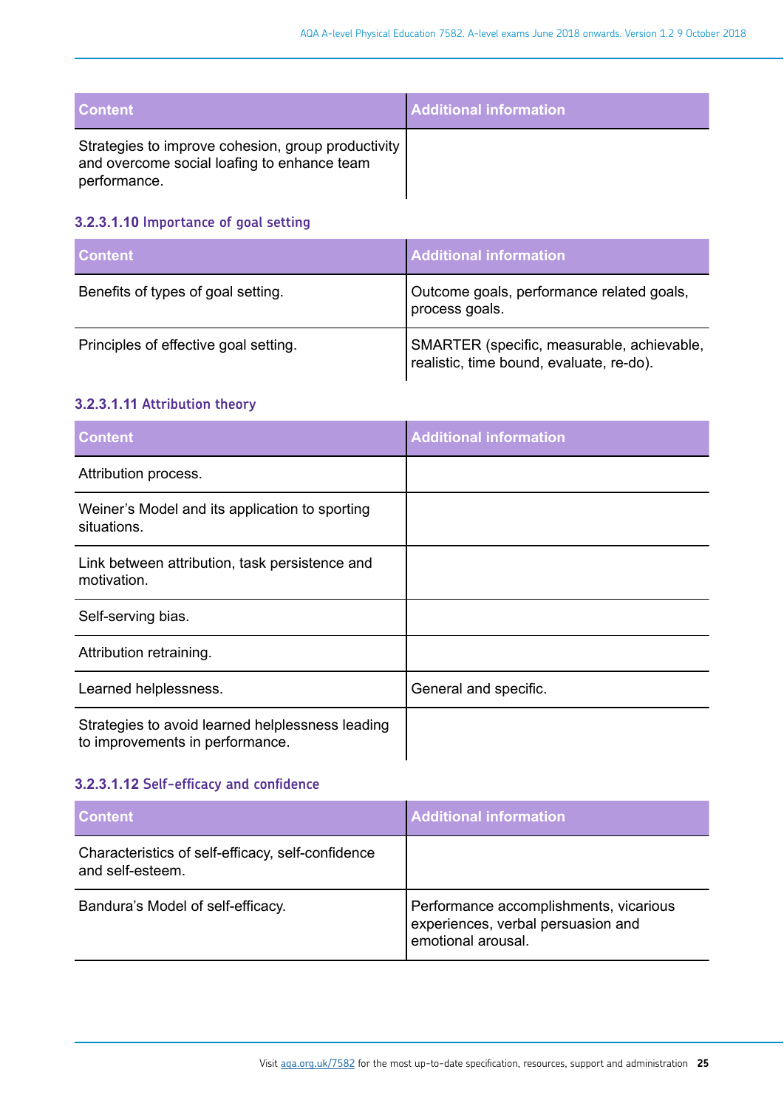| <b>Content</b>                                                                                                    | <b>Additional information</b> |
|-------------------------------------------------------------------------------------------------------------------|-------------------------------|
| Strategies to improve cohesion, group productivity<br>and overcome social loafing to enhance team<br>performance. |                               |

#### **3.2.3.1.10 Importance of goal setting**

| ∣ Content⊹                            | <b>Additional information</b>                                                          |
|---------------------------------------|----------------------------------------------------------------------------------------|
| Benefits of types of goal setting.    | Outcome goals, performance related goals,<br>process goals.                            |
| Principles of effective goal setting. | SMARTER (specific, measurable, achievable,<br>realistic, time bound, evaluate, re-do). |

#### **3.2.3.1.11 Attribution theory**

| Content                                                                             | <b>Additional information</b> |
|-------------------------------------------------------------------------------------|-------------------------------|
| Attribution process.                                                                |                               |
| Weiner's Model and its application to sporting<br>situations.                       |                               |
| Link between attribution, task persistence and<br>motivation.                       |                               |
| Self-serving bias.                                                                  |                               |
| Attribution retraining.                                                             |                               |
| Learned helplessness.                                                               | General and specific.         |
| Strategies to avoid learned helplessness leading<br>to improvements in performance. |                               |

# **3.2.3.1.12 Self-efficacy and confidence**

| <b>Content</b>                                                        | <b>Additional information</b>                                                                      |
|-----------------------------------------------------------------------|----------------------------------------------------------------------------------------------------|
| Characteristics of self-efficacy, self-confidence<br>and self-esteem. |                                                                                                    |
| Bandura's Model of self-efficacy.                                     | Performance accomplishments, vicarious<br>experiences, verbal persuasion and<br>emotional arousal. |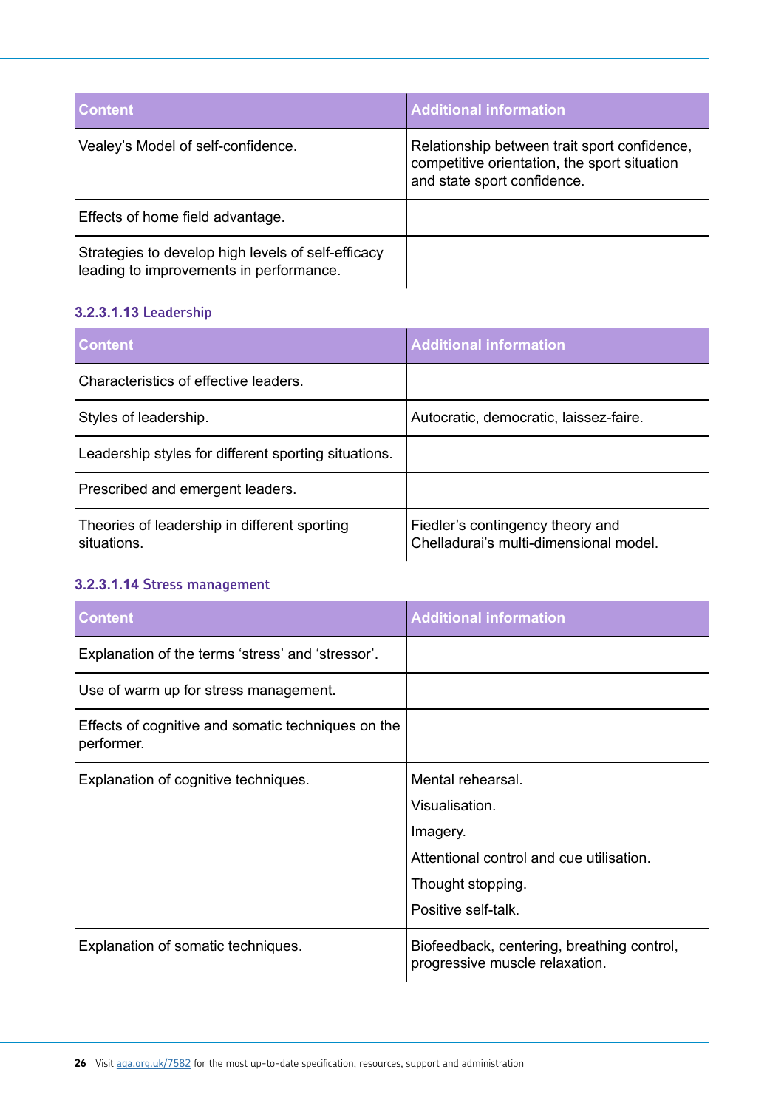| <b>Content</b>                                                                                | <b>Additional information</b>                                                                                               |
|-----------------------------------------------------------------------------------------------|-----------------------------------------------------------------------------------------------------------------------------|
| Vealey's Model of self-confidence.                                                            | Relationship between trait sport confidence,<br>competitive orientation, the sport situation<br>and state sport confidence. |
| Effects of home field advantage.                                                              |                                                                                                                             |
| Strategies to develop high levels of self-efficacy<br>leading to improvements in performance. |                                                                                                                             |

#### **3.2.3.1.13 Leadership**

| Content                                                     | <b>Additional information</b>                                              |
|-------------------------------------------------------------|----------------------------------------------------------------------------|
| Characteristics of effective leaders.                       |                                                                            |
| Styles of leadership.                                       | Autocratic, democratic, laissez-faire.                                     |
| Leadership styles for different sporting situations.        |                                                                            |
| Prescribed and emergent leaders.                            |                                                                            |
| Theories of leadership in different sporting<br>situations. | Fiedler's contingency theory and<br>Chelladurai's multi-dimensional model. |

#### **3.2.3.1.14 Stress management**

| Content                                                          | <b>Additional information</b>                                                |
|------------------------------------------------------------------|------------------------------------------------------------------------------|
| Explanation of the terms 'stress' and 'stressor'.                |                                                                              |
| Use of warm up for stress management.                            |                                                                              |
| Effects of cognitive and somatic techniques on the<br>performer. |                                                                              |
| Explanation of cognitive techniques.                             | Mental rehearsal.                                                            |
|                                                                  | Visualisation.                                                               |
|                                                                  | Imagery.                                                                     |
|                                                                  | Attentional control and cue utilisation.                                     |
|                                                                  | Thought stopping.                                                            |
|                                                                  | Positive self-talk.                                                          |
| Explanation of somatic techniques.                               | Biofeedback, centering, breathing control,<br>progressive muscle relaxation. |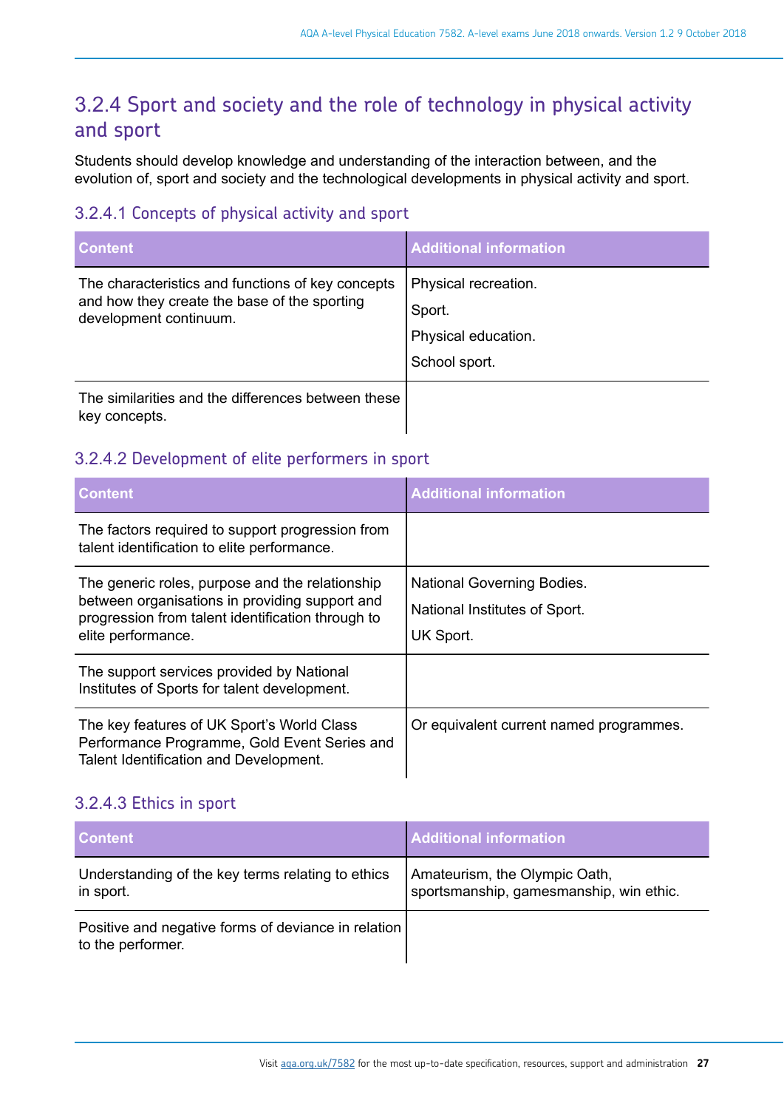# <span id="page-26-0"></span>3.2.4 Sport and society and the role of technology in physical activity and sport

Students should develop knowledge and understanding of the interaction between, and the evolution of, sport and society and the technological developments in physical activity and sport.

## 3.2.4.1 Concepts of physical activity and sport

| <b>Content</b>                                                                                                              | <b>Additional information</b>                                          |
|-----------------------------------------------------------------------------------------------------------------------------|------------------------------------------------------------------------|
| The characteristics and functions of key concepts<br>and how they create the base of the sporting<br>development continuum. | Physical recreation.<br>Sport.<br>Physical education.<br>School sport. |
| The similarities and the differences between these<br>key concepts.                                                         |                                                                        |

# 3.2.4.2 Development of elite performers in sport

| Content                                                                                                                                                                      | <b>Additional information</b>                                            |
|------------------------------------------------------------------------------------------------------------------------------------------------------------------------------|--------------------------------------------------------------------------|
| The factors required to support progression from<br>talent identification to elite performance.                                                                              |                                                                          |
| The generic roles, purpose and the relationship<br>between organisations in providing support and<br>progression from talent identification through to<br>elite performance. | National Governing Bodies.<br>National Institutes of Sport.<br>UK Sport. |
| The support services provided by National<br>Institutes of Sports for talent development.                                                                                    |                                                                          |
| The key features of UK Sport's World Class<br>Performance Programme, Gold Event Series and<br>Talent Identification and Development.                                         | Or equivalent current named programmes.                                  |

## 3.2.4.3 Ethics in sport

| <b>Content</b>                                                           | <b>Additional information</b>                                            |
|--------------------------------------------------------------------------|--------------------------------------------------------------------------|
| Understanding of the key terms relating to ethics<br>in sport.           | Amateurism, the Olympic Oath,<br>sportsmanship, gamesmanship, win ethic. |
| Positive and negative forms of deviance in relation<br>to the performer. |                                                                          |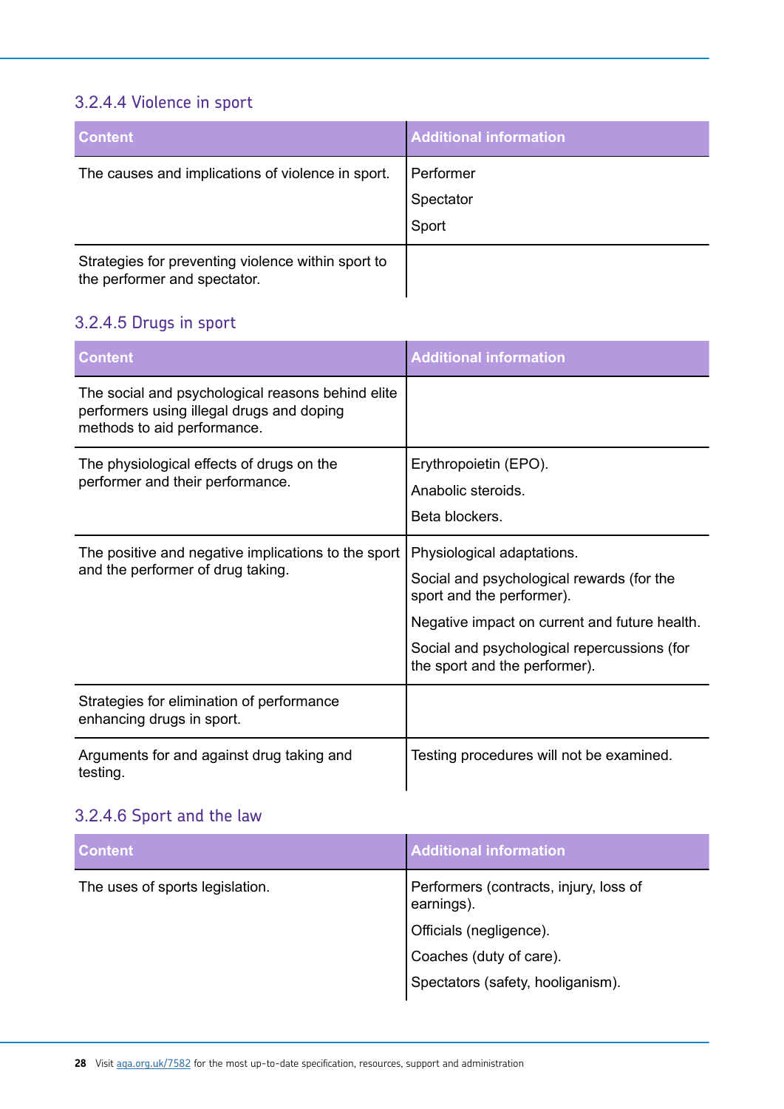# 3.2.4.4 Violence in sport

| <b>Content</b>                                                                     | <b>Additional information</b>   |
|------------------------------------------------------------------------------------|---------------------------------|
| The causes and implications of violence in sport.                                  | Performer<br>Spectator<br>Sport |
| Strategies for preventing violence within sport to<br>the performer and spectator. |                                 |

# 3.2.4.5 Drugs in sport

| <b>Content</b>                                                                                                                | <b>Additional information</b>                                                |
|-------------------------------------------------------------------------------------------------------------------------------|------------------------------------------------------------------------------|
| The social and psychological reasons behind elite<br>performers using illegal drugs and doping<br>methods to aid performance. |                                                                              |
| The physiological effects of drugs on the<br>performer and their performance.                                                 | Erythropoietin (EPO).                                                        |
|                                                                                                                               | Anabolic steroids.                                                           |
|                                                                                                                               | Beta blockers.                                                               |
| The positive and negative implications to the sport<br>and the performer of drug taking.                                      | Physiological adaptations.                                                   |
|                                                                                                                               | Social and psychological rewards (for the<br>sport and the performer).       |
|                                                                                                                               | Negative impact on current and future health.                                |
|                                                                                                                               | Social and psychological repercussions (for<br>the sport and the performer). |
| Strategies for elimination of performance<br>enhancing drugs in sport.                                                        |                                                                              |
| Arguments for and against drug taking and<br>testing.                                                                         | Testing procedures will not be examined.                                     |

### 3.2.4.6 Sport and the law

| <b>Content</b>                  | <b>Additional information</b>                        |
|---------------------------------|------------------------------------------------------|
| The uses of sports legislation. | Performers (contracts, injury, loss of<br>earnings). |
|                                 | Officials (negligence).                              |
|                                 | Coaches (duty of care).                              |
|                                 | Spectators (safety, hooliganism).                    |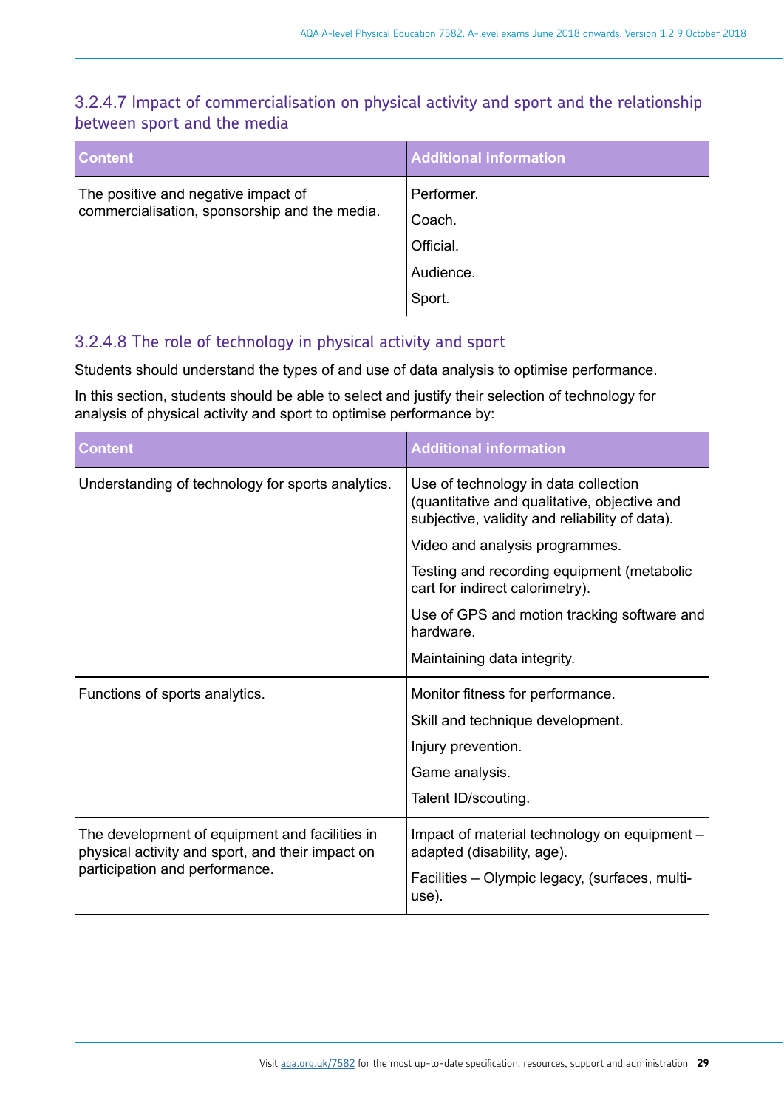### 3.2.4.7 Impact of commercialisation on physical activity and sport and the relationship between sport and the media

| <b>Content</b>                                                                       | <b>Additional information</b> |  |
|--------------------------------------------------------------------------------------|-------------------------------|--|
| The positive and negative impact of<br>commercialisation, sponsorship and the media. | Performer.                    |  |
|                                                                                      | Coach.                        |  |
|                                                                                      | Official.                     |  |
|                                                                                      | Audience.                     |  |
|                                                                                      | Sport.                        |  |

## 3.2.4.8 The role of technology in physical activity and sport

Students should understand the types of and use of data analysis to optimise performance.

In this section, students should be able to select and justify their selection of technology for analysis of physical activity and sport to optimise performance by:

| <b>Content</b>                                                                                                                       | <b>Additional information</b>                                                                                                          |  |
|--------------------------------------------------------------------------------------------------------------------------------------|----------------------------------------------------------------------------------------------------------------------------------------|--|
| Understanding of technology for sports analytics.                                                                                    | Use of technology in data collection<br>(quantitative and qualitative, objective and<br>subjective, validity and reliability of data). |  |
|                                                                                                                                      | Video and analysis programmes.                                                                                                         |  |
|                                                                                                                                      | Testing and recording equipment (metabolic<br>cart for indirect calorimetry).                                                          |  |
|                                                                                                                                      | Use of GPS and motion tracking software and<br>hardware.                                                                               |  |
|                                                                                                                                      | Maintaining data integrity.                                                                                                            |  |
| Functions of sports analytics.                                                                                                       | Monitor fitness for performance.                                                                                                       |  |
|                                                                                                                                      | Skill and technique development.                                                                                                       |  |
|                                                                                                                                      | Injury prevention.                                                                                                                     |  |
|                                                                                                                                      | Game analysis.                                                                                                                         |  |
|                                                                                                                                      | Talent ID/scouting.                                                                                                                    |  |
| The development of equipment and facilities in<br>physical activity and sport, and their impact on<br>participation and performance. | Impact of material technology on equipment -<br>adapted (disability, age).                                                             |  |
|                                                                                                                                      | Facilities - Olympic legacy, (surfaces, multi-<br>use).                                                                                |  |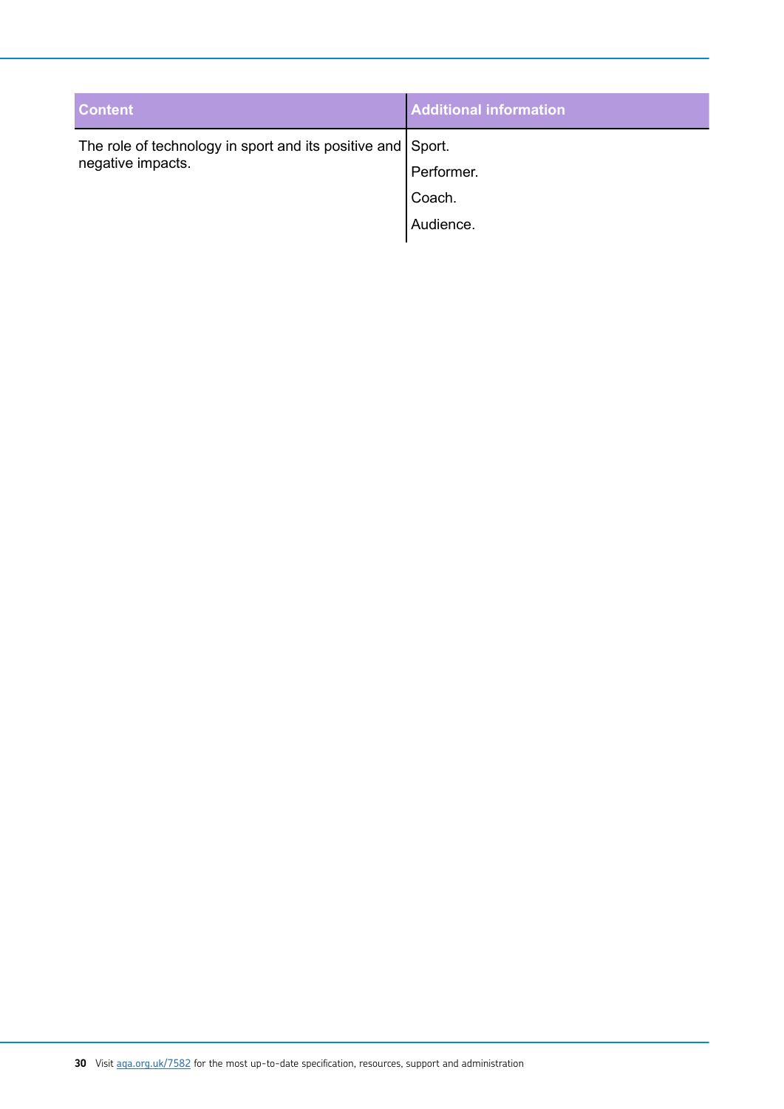| <b>Content</b>                                                                   | <b>Additional information</b> |  |
|----------------------------------------------------------------------------------|-------------------------------|--|
| The role of technology in sport and its positive and Sport.<br>negative impacts. |                               |  |
|                                                                                  | Performer.                    |  |
|                                                                                  | Coach.                        |  |
|                                                                                  | Audience.                     |  |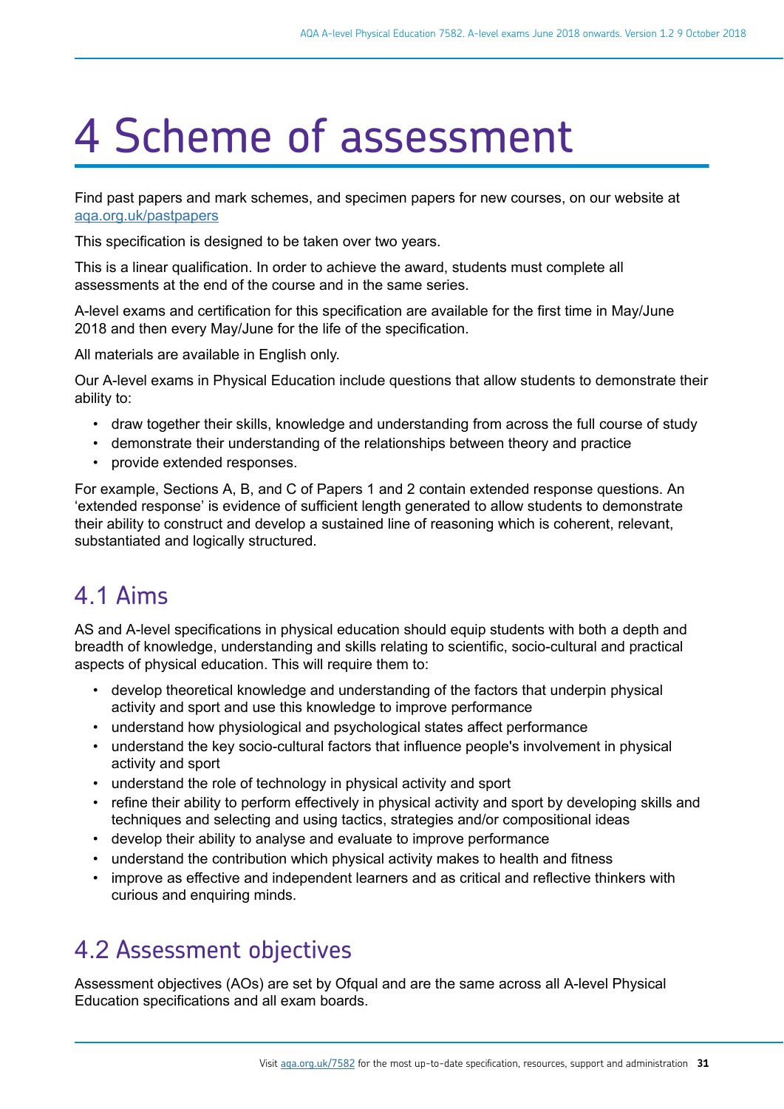# <span id="page-30-0"></span>4 Scheme of assessment

Find past papers and mark schemes, and specimen papers for new courses, on our website at [aqa.org.uk/pastpapers](http://www.aqa.org.uk/pastpapers)

This specification is designed to be taken over two years.

This is a linear qualification. In order to achieve the award, students must complete all assessments at the end of the course and in the same series.

A-level exams and certification for this specification are available for the first time in May/June 2018 and then every May/June for the life of the specification.

All materials are available in English only.

Our A-level exams in Physical Education include questions that allow students to demonstrate their ability to:

- draw together their skills, knowledge and understanding from across the full course of study
- demonstrate their understanding of the relationships between theory and practice
- provide extended responses.

For example, Sections A, B, and C of Papers 1 and 2 contain extended response questions. An 'extended response' is evidence of sufficient length generated to allow students to demonstrate their ability to construct and develop a sustained line of reasoning which is coherent, relevant, substantiated and logically structured.

# 4.1 Aims

AS and A-level specifications in physical education should equip students with both a depth and breadth of knowledge, understanding and skills relating to scientific, socio-cultural and practical aspects of physical education. This will require them to:

- develop theoretical knowledge and understanding of the factors that underpin physical activity and sport and use this knowledge to improve performance
- understand how physiological and psychological states affect performance
- understand the key socio-cultural factors that influence people's involvement in physical activity and sport
- understand the role of technology in physical activity and sport
- refine their ability to perform effectively in physical activity and sport by developing skills and techniques and selecting and using tactics, strategies and/or compositional ideas
- develop their ability to analyse and evaluate to improve performance
- understand the contribution which physical activity makes to health and fitness
- improve as effective and independent learners and as critical and reflective thinkers with curious and enquiring minds.

# 4.2 Assessment objectives

Assessment objectives (AOs) are set by Ofqual and are the same across all A-level Physical Education specifications and all exam boards.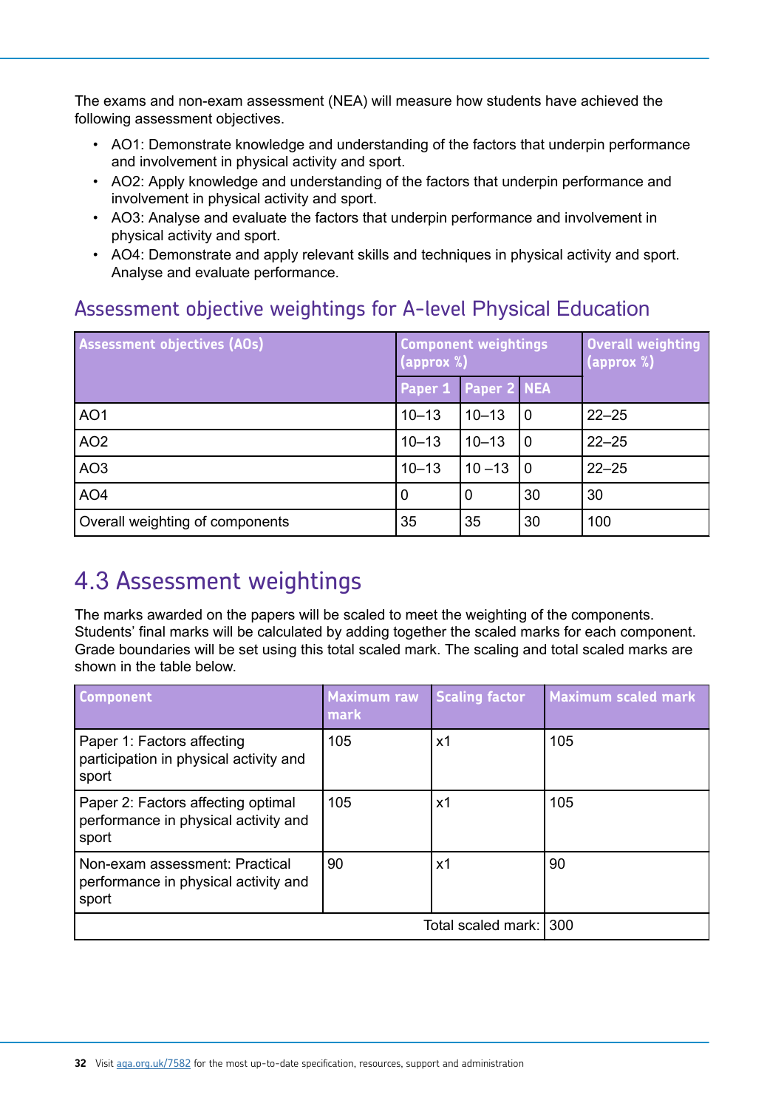<span id="page-31-0"></span>The exams and non-exam assessment (NEA) will measure how students have achieved the following assessment objectives.

- AO1: Demonstrate knowledge and understanding of the factors that underpin performance and involvement in physical activity and sport.
- AO2: Apply knowledge and understanding of the factors that underpin performance and involvement in physical activity and sport.
- AO3: Analyse and evaluate the factors that underpin performance and involvement in physical activity and sport.
- AO4: Demonstrate and apply relevant skills and techniques in physical activity and sport. Analyse and evaluate performance.

# Assessment objective weightings for A-level Physical Education

| <b>Assessment objectives (AOs)</b> | <b>Component weightings</b><br>$\left\lceil \left( \text{approx} \right. \text{\%} \right) \right\rceil$ |           |          | <b>Overall weighting</b><br>(approx %) |
|------------------------------------|----------------------------------------------------------------------------------------------------------|-----------|----------|----------------------------------------|
|                                    | Paper 1 Paper 2 NEA                                                                                      |           |          |                                        |
| AO <sub>1</sub>                    | $10 - 13$                                                                                                | $10 - 13$ | 0        | $22 - 25$                              |
| AO <sub>2</sub>                    | $10 - 13$                                                                                                | $10 - 13$ | 0        | $22 - 25$                              |
| AO <sub>3</sub>                    | $10 - 13$                                                                                                | $10 - 13$ | $\Omega$ | $22 - 25$                              |
| AO <sub>4</sub>                    | 0                                                                                                        | 0         | 30       | 30                                     |
| Overall weighting of components    | 35                                                                                                       | 35        | 30       | 100                                    |

# 4.3 Assessment weightings

The marks awarded on the papers will be scaled to meet the weighting of the components. Students' final marks will be calculated by adding together the scaled marks for each component. Grade boundaries will be set using this total scaled mark. The scaling and total scaled marks are shown in the table below.

| <b>Component</b>                                                                    | <b>Maximum raw</b><br>mark | <b>Scaling factor</b> | <b>Maximum scaled mark</b> |
|-------------------------------------------------------------------------------------|----------------------------|-----------------------|----------------------------|
| Paper 1: Factors affecting<br>participation in physical activity and<br>sport       | 105                        | x1                    | 105                        |
| Paper 2: Factors affecting optimal<br>performance in physical activity and<br>sport | 105                        | x1                    | 105                        |
| Non-exam assessment: Practical<br>performance in physical activity and<br>sport     | 90                         | x1                    | 90                         |
|                                                                                     | Total scaled mark: 300     |                       |                            |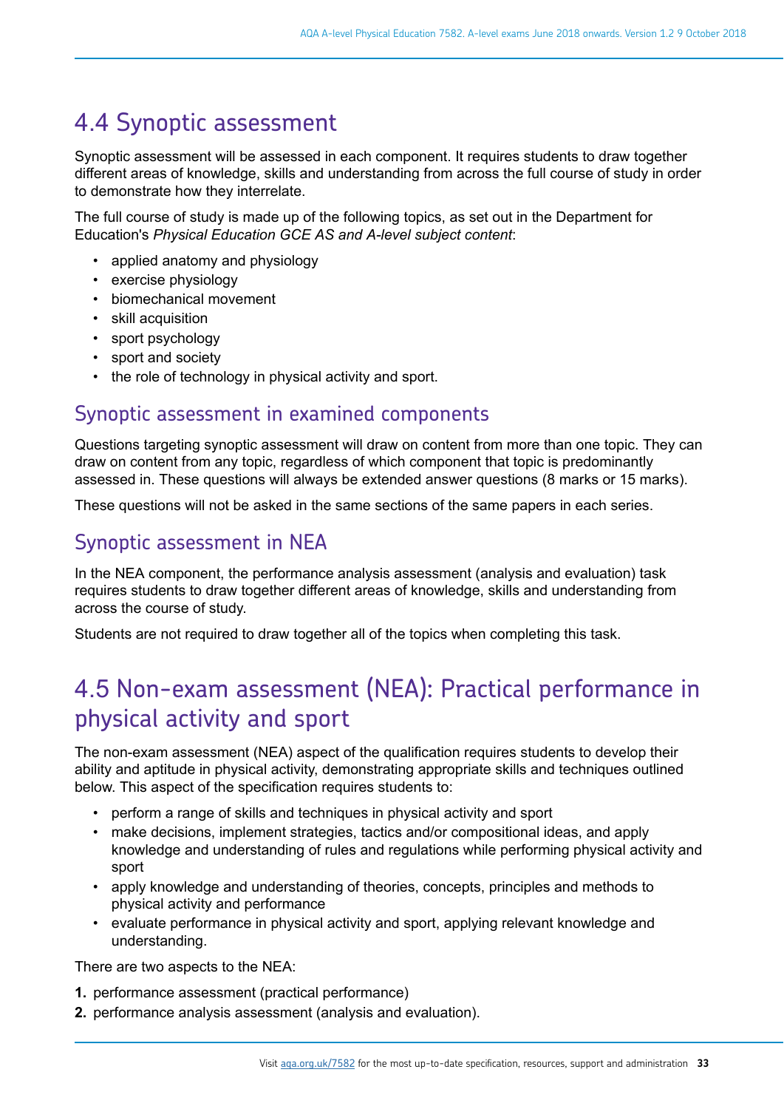# <span id="page-32-0"></span>4.4 Synoptic assessment

Synoptic assessment will be assessed in each component. It requires students to draw together different areas of knowledge, skills and understanding from across the full course of study in order to demonstrate how they interrelate.

The full course of study is made up of the following topics, as set out in the Department for Education's *Physical Education GCE AS and A-level subject content*:

- applied anatomy and physiology
- exercise physiology
- biomechanical movement
- skill acquisition
- sport psychology
- sport and society
- the role of technology in physical activity and sport.

# Synoptic assessment in examined components

Questions targeting synoptic assessment will draw on content from more than one topic. They can draw on content from any topic, regardless of which component that topic is predominantly assessed in. These questions will always be extended answer questions (8 marks or 15 marks).

These questions will not be asked in the same sections of the same papers in each series.

# Synoptic assessment in NEA

In the NEA component, the performance analysis assessment (analysis and evaluation) task requires students to draw together different areas of knowledge, skills and understanding from across the course of study.

Students are not required to draw together all of the topics when completing this task.

# 4.5 Non-exam assessment (NEA): Practical performance in physical activity and sport

The non-exam assessment (NEA) aspect of the qualification requires students to develop their ability and aptitude in physical activity, demonstrating appropriate skills and techniques outlined below. This aspect of the specification requires students to:

- perform a range of skills and techniques in physical activity and sport
- make decisions, implement strategies, tactics and/or compositional ideas, and apply knowledge and understanding of rules and regulations while performing physical activity and sport
- apply knowledge and understanding of theories, concepts, principles and methods to physical activity and performance
- evaluate performance in physical activity and sport, applying relevant knowledge and understanding.

There are two aspects to the NEA:

- **1.** performance assessment (practical performance)
- **2.** performance analysis assessment (analysis and evaluation).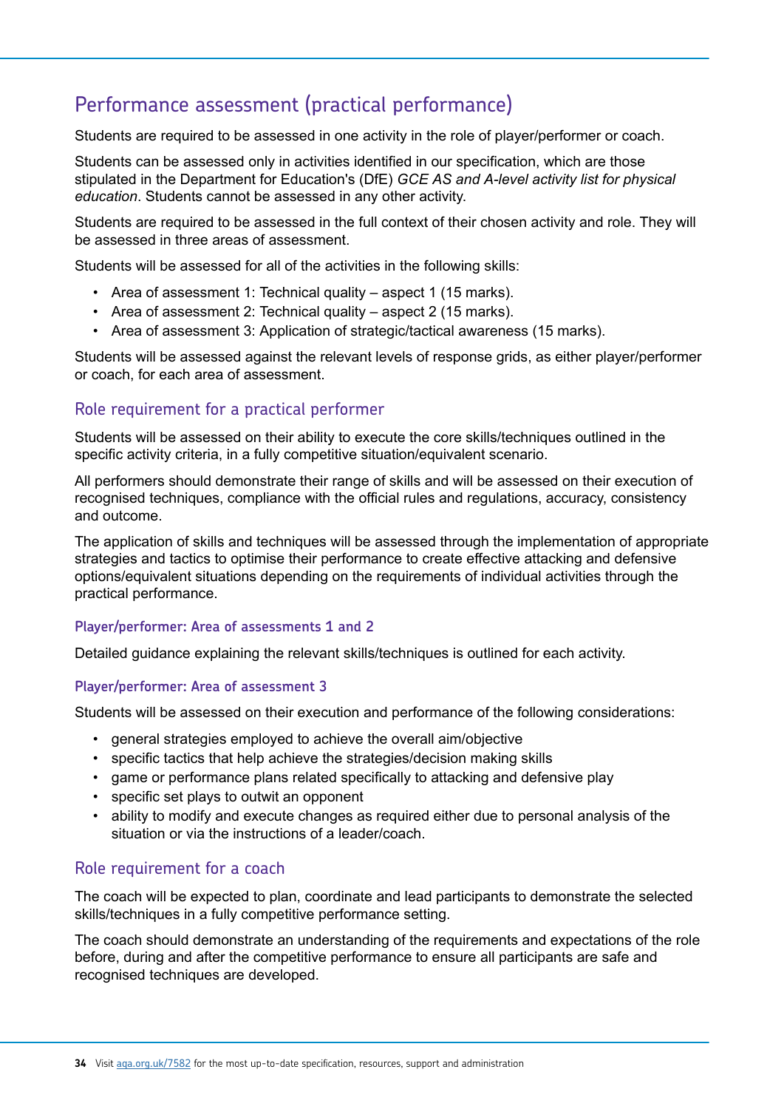# Performance assessment (practical performance)

Students are required to be assessed in one activity in the role of player/performer or coach.

Students can be assessed only in activities identified in our specification, which are those stipulated in the Department for Education's (DfE) *GCE AS and A-level activity list for physical education*. Students cannot be assessed in any other activity.

Students are required to be assessed in the full context of their chosen activity and role. They will be assessed in three areas of assessment.

Students will be assessed for all of the activities in the following skills:

- Area of assessment 1: Technical quality aspect 1 (15 marks).
- Area of assessment 2: Technical quality aspect 2 (15 marks).
- Area of assessment 3: Application of strategic/tactical awareness (15 marks).

Students will be assessed against the relevant levels of response grids, as either player/performer or coach, for each area of assessment.

#### Role requirement for a practical performer

Students will be assessed on their ability to execute the core skills/techniques outlined in the specific activity criteria, in a fully competitive situation/equivalent scenario.

All performers should demonstrate their range of skills and will be assessed on their execution of recognised techniques, compliance with the official rules and regulations, accuracy, consistency and outcome.

The application of skills and techniques will be assessed through the implementation of appropriate strategies and tactics to optimise their performance to create effective attacking and defensive options/equivalent situations depending on the requirements of individual activities through the practical performance.

#### **Player/performer: Area of assessments 1 and 2**

Detailed guidance explaining the relevant skills/techniques is outlined for each activity.

#### **Player/performer: Area of assessment 3**

Students will be assessed on their execution and performance of the following considerations:

- general strategies employed to achieve the overall aim/objective
- specific tactics that help achieve the strategies/decision making skills
- game or performance plans related specifically to attacking and defensive play
- specific set plays to outwit an opponent
- ability to modify and execute changes as required either due to personal analysis of the situation or via the instructions of a leader/coach.

#### Role requirement for a coach

The coach will be expected to plan, coordinate and lead participants to demonstrate the selected skills/techniques in a fully competitive performance setting.

The coach should demonstrate an understanding of the requirements and expectations of the role before, during and after the competitive performance to ensure all participants are safe and recognised techniques are developed.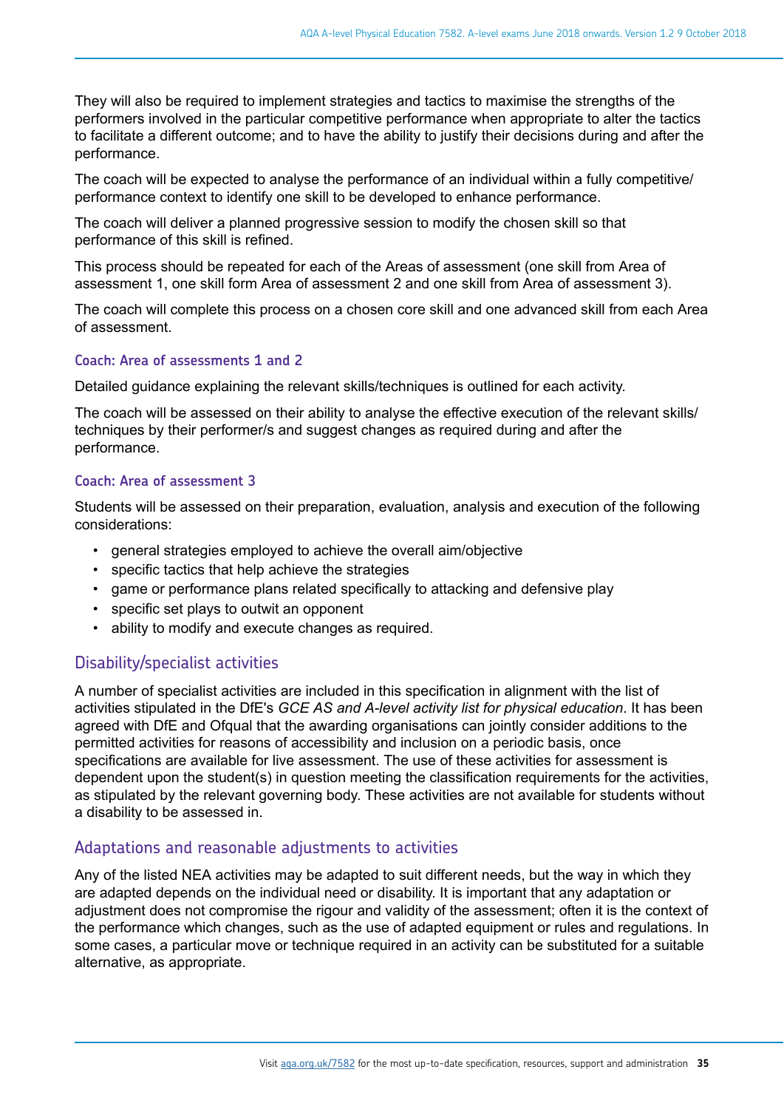They will also be required to implement strategies and tactics to maximise the strengths of the performers involved in the particular competitive performance when appropriate to alter the tactics to facilitate a different outcome; and to have the ability to justify their decisions during and after the performance.

The coach will be expected to analyse the performance of an individual within a fully competitive/ performance context to identify one skill to be developed to enhance performance.

The coach will deliver a planned progressive session to modify the chosen skill so that performance of this skill is refined.

This process should be repeated for each of the Areas of assessment (one skill from Area of assessment 1, one skill form Area of assessment 2 and one skill from Area of assessment 3).

The coach will complete this process on a chosen core skill and one advanced skill from each Area of assessment.

#### **Coach: Area of assessments 1 and 2**

Detailed guidance explaining the relevant skills/techniques is outlined for each activity.

The coach will be assessed on their ability to analyse the effective execution of the relevant skills/ techniques by their performer/s and suggest changes as required during and after the performance.

#### **Coach: Area of assessment 3**

Students will be assessed on their preparation, evaluation, analysis and execution of the following considerations:

- general strategies employed to achieve the overall aim/objective
- specific tactics that help achieve the strategies
- game or performance plans related specifically to attacking and defensive play
- specific set plays to outwit an opponent
- ability to modify and execute changes as required.

#### Disability/specialist activities

A number of specialist activities are included in this specification in alignment with the list of activities stipulated in the DfE's *GCE AS and A-level activity list for physical education*. It has been agreed with DfE and Ofqual that the awarding organisations can jointly consider additions to the permitted activities for reasons of accessibility and inclusion on a periodic basis, once specifications are available for live assessment. The use of these activities for assessment is dependent upon the student(s) in question meeting the classification requirements for the activities, as stipulated by the relevant governing body. These activities are not available for students without a disability to be assessed in.

#### Adaptations and reasonable adjustments to activities

Any of the listed NEA activities may be adapted to suit different needs, but the way in which they are adapted depends on the individual need or disability. It is important that any adaptation or adjustment does not compromise the rigour and validity of the assessment; often it is the context of the performance which changes, such as the use of adapted equipment or rules and regulations. In some cases, a particular move or technique required in an activity can be substituted for a suitable alternative, as appropriate.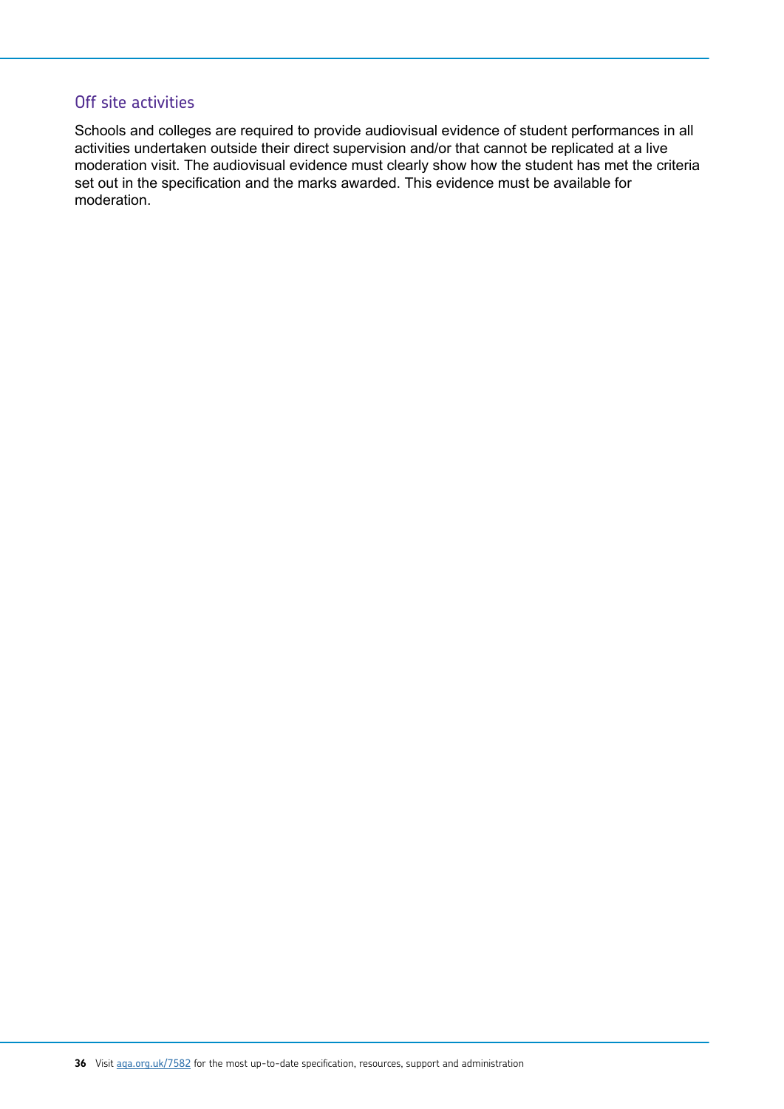#### Off site activities

Schools and colleges are required to provide audiovisual evidence of student performances in all activities undertaken outside their direct supervision and/or that cannot be replicated at a live moderation visit. The audiovisual evidence must clearly show how the student has met the criteria set out in the specification and the marks awarded. This evidence must be available for moderation.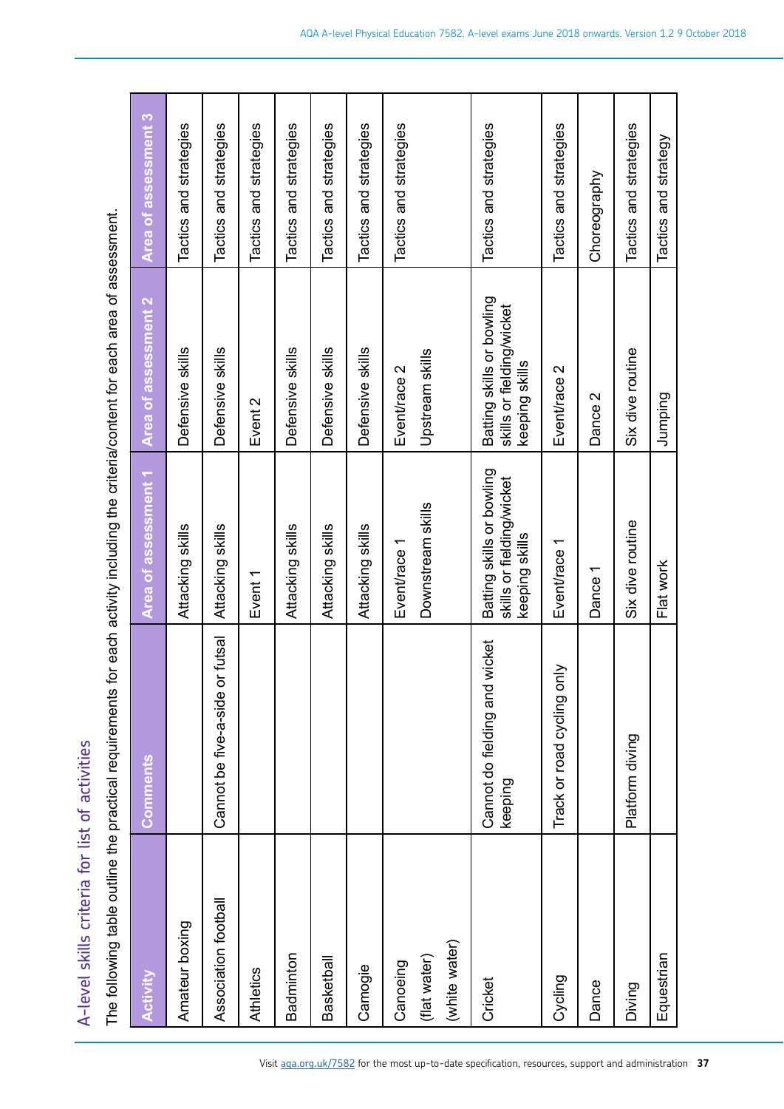A-level skills criteria for list of activities A-level skills criteria for list of activities The following table outline the practical requirements for each activity including the criteria/content for each area of assessment. The following table outline the practical requirements for each activity including the criteria/content for each area of assessment.

| Activity                 | Comments                                 | Area of assessment 1                                                     | Area of assessment 2                                                     | Area of assessment 3   |
|--------------------------|------------------------------------------|--------------------------------------------------------------------------|--------------------------------------------------------------------------|------------------------|
| Amateur boxing           |                                          | Attacking skills                                                         | Defensive skills                                                         | Tactics and strategies |
| Association football     | futsal<br>Cannot be five-a-side or       | Attacking skills                                                         | Defensive skills                                                         | Tactics and strategies |
| <b>Athletics</b>         |                                          | Event <sub>1</sub>                                                       | Event <sub>2</sub>                                                       | Tactics and strategies |
| Badminton                |                                          | Attacking skills                                                         | Defensive skills                                                         | Tactics and strategies |
| Basketball               |                                          | Attacking skills                                                         | Defensive skills                                                         | Tactics and strategies |
| Camogie                  |                                          | Attacking skills                                                         | Defensive skills                                                         | Tactics and strategies |
| (flat water)<br>Canoeing |                                          | Downstream skills<br>Event/race 1                                        | Upstream skills<br>Event/race 2                                          | Tactics and strategies |
| (white water)            |                                          |                                                                          |                                                                          |                        |
| Cricket                  | Cannot do fielding and wicket<br>keeping | Batting skills or bowling<br>skills or fielding/wicket<br>keeping skills | Batting skills or bowling<br>skills or fielding/wicket<br>keeping skills | Tactics and strategies |
| Cycling                  | Track or road cycling only               | Eventrace 1                                                              | Event/race 2                                                             | Tactics and strategies |
| Dance                    |                                          | Dance 1                                                                  | Dance 2                                                                  | Choreography           |
| Diving                   | Platform diving                          | Six dive routine                                                         | Six dive routine                                                         | Tactics and strategies |
| Equestrian               |                                          | Flat work                                                                | Jumping                                                                  | Tactics and strategy   |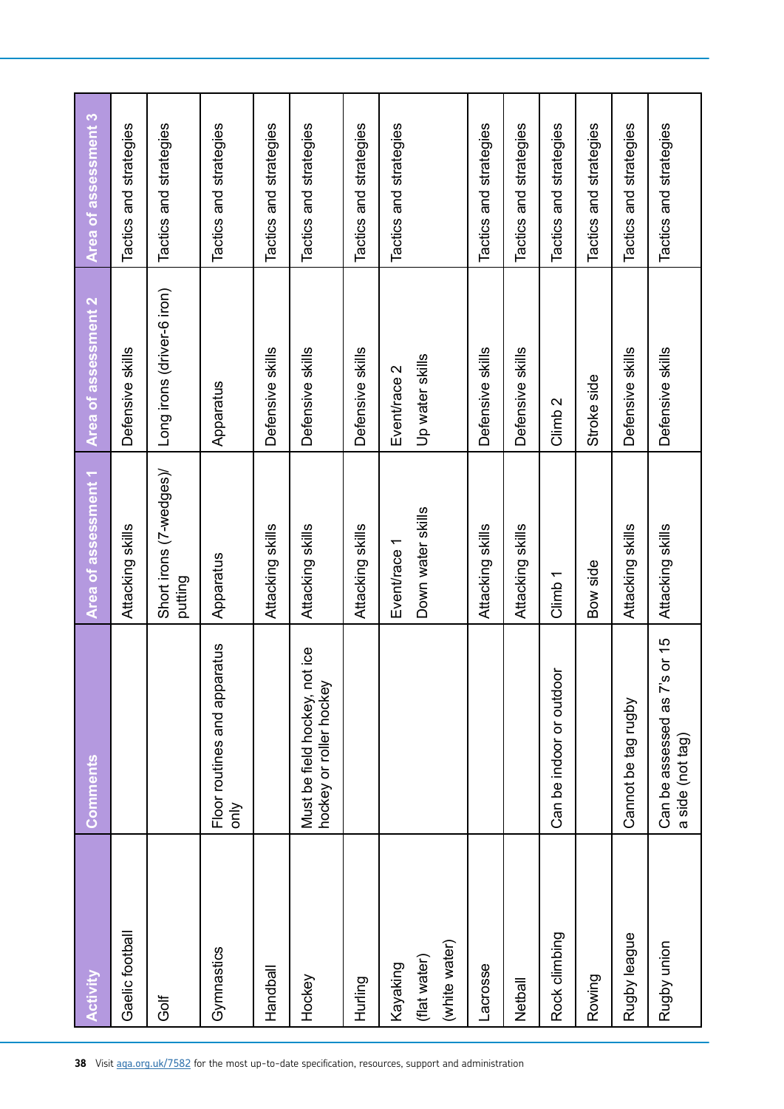| Activity                                  | Comments                                                 | Area of assessment 1               | Area of assessment 2            | Area of assessment 3   |
|-------------------------------------------|----------------------------------------------------------|------------------------------------|---------------------------------|------------------------|
| Gaelic football                           |                                                          | Attacking skills                   | Defensive skills                | Tactics and strategies |
| <b>Golf</b>                               |                                                          | Shott irons (7-wedges)/<br>putting | Long irons (driver-6 iron)      | Tactics and strategies |
| Gymnastics                                | Floor routines and apparatus<br>only                     | Apparatus                          | Apparatus                       | Tactics and strategies |
| <b>Handball</b>                           |                                                          | Attacking skills                   | Defensive skills                | Tactics and strategies |
| Hockey                                    | Must be field hockey, not ice<br>hockey or roller hockey | Attacking skills                   | Defensive skills                | Tactics and strategies |
| Hurling                                   |                                                          | Attacking skills                   | Defensive skills                | Tactics and strategies |
| (white water)<br>(flat water)<br>Kayaking |                                                          | Down water skills<br>Eventrace 1   | Up water skills<br>Event/race 2 | Tactics and strategies |
|                                           |                                                          |                                    |                                 |                        |
| Lacrosse                                  |                                                          | Attacking skills                   | Defensive skills                | Tactics and strategies |
| <b>Netball</b>                            |                                                          | Attacking skills                   | Defensive skills                | Tactics and strategies |
| Rock climbing                             | Can be indoor or outdoor                                 | Climb <sub>1</sub>                 | Climb <sub>2</sub>              | Tactics and strategies |
| Rowing                                    |                                                          | Bow side                           | Stroke side                     | Tactics and strategies |
| Rugby league                              | Cannot be tag rugby                                      | Attacking skills                   | Defensive skills                | Tactics and strategies |
| Rugby union                               | s or $15$<br>Can be assessed as 7<br>a side (not tag)    | Attacking skills                   | Defensive skills                | Tactics and strategies |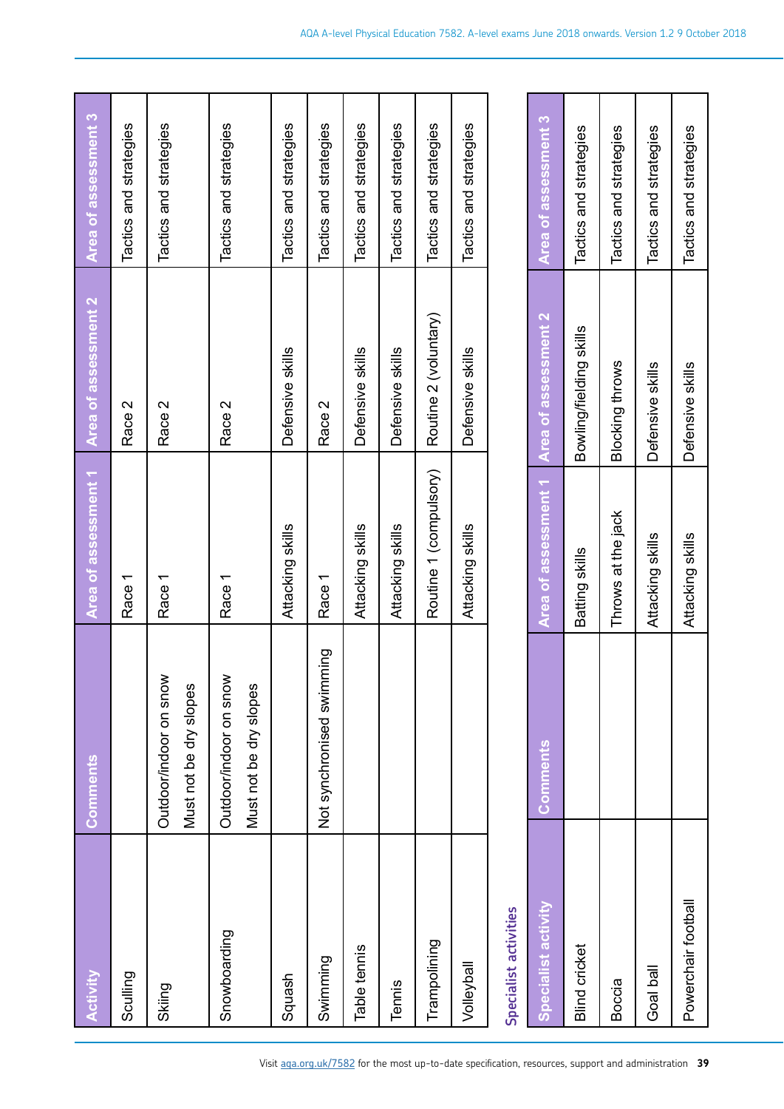| Activity              | Comments                                         | Area of assessment 1   | Area of assessment 2    | Area of assessment 3   |
|-----------------------|--------------------------------------------------|------------------------|-------------------------|------------------------|
| Sculling              |                                                  | Race 1                 | Race 2                  | Tactics and strategies |
| Skiing                | Outdoor/indoor on snow<br>Must not be dry slopes | Race 1                 | Race 2                  | Tactics and strategies |
| Snowboarding          | Outdoor/indoor on snow<br>Must not be dry slopes | Race 1                 | Race 2                  | Tactics and strategies |
| Squash                |                                                  | Attacking skills       | Defensive skills        | Tactics and strategies |
| Swimming              | mming<br>Not synchronised swii                   | Race 1                 | Race 2                  | Tactics and strategies |
| Table tennis          |                                                  | Attacking skills       | Defensive skills        | Tactics and strategies |
| Tennis                |                                                  | Attacking skills       | Defensive skills        | Tactics and strategies |
| Trampolining          |                                                  | Routine 1 (compulsory) | Routine 2 (voluntary)   | Tactics and strategies |
| Volleyball            |                                                  | Attacking skills       | Defensive skills        | Tactics and strategies |
| Specialist activities |                                                  |                        |                         |                        |
| Specialist activity   | Comments                                         | Area of assessment 1   | Area of assessment 2    | Area of assessment 3   |
| <b>Blind cricket</b>  |                                                  | Batting skills         | Bowling/fielding skills | Tactics and strategies |
| Boccia                |                                                  | Throws at the jack     | Blocking throws         | Tactics and strategies |

Goal ball **Indical Strategies** Skills Skills Tefensive skills Tefensive skills Tactic Strategies

Attacking skills

Defensive skills

Defensive skills

Tactics and strategies

Tactics and strategies

Powerchair football **Attacking skills Attacking skills Defensive skills** Defensive skills Tactics and strategies

Attacking skills

Powerchair football

Goal ball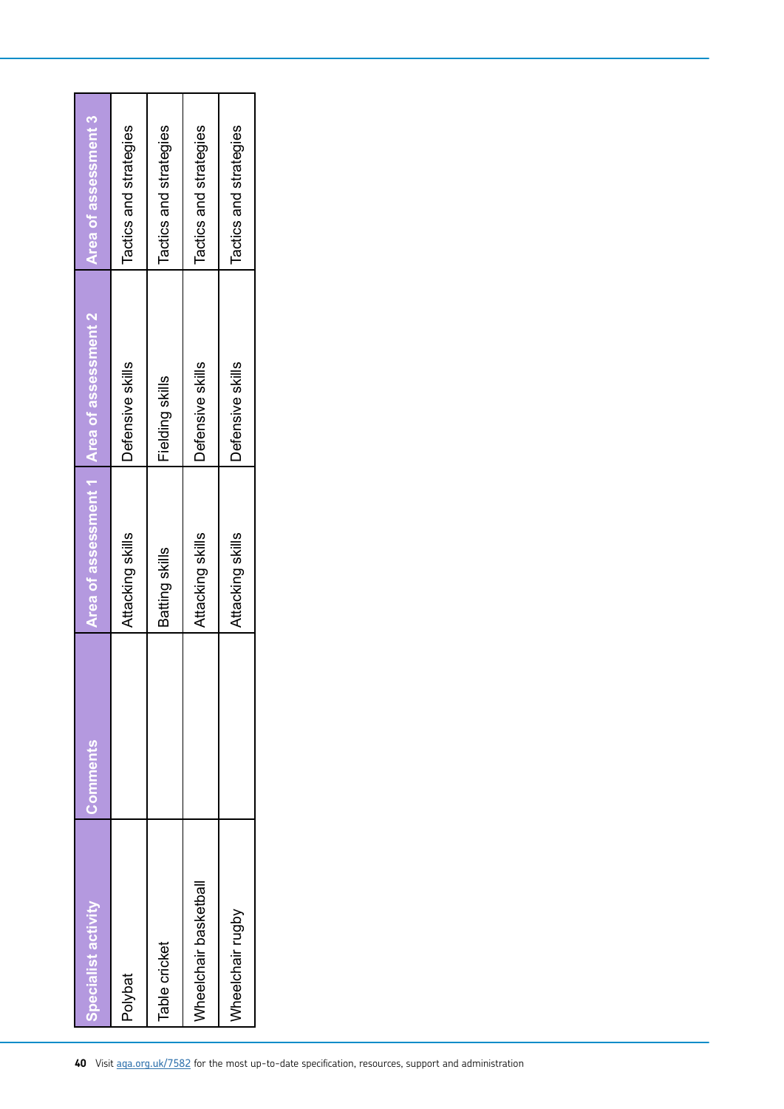| Specialist activity          | Comments | Area of assessment 1 Area of assessment 2 |                  | Area of assessment 3   |
|------------------------------|----------|-------------------------------------------|------------------|------------------------|
| Polybat                      |          | Attacking skills                          | Defensive skills | Tactics and strategies |
| Table cricket                |          | Batting skills                            | Fielding skills  | Tactics and strategies |
| <b>Wheelchair basketball</b> |          | Attacking skills                          | Defensive skills | Tactics and strategies |
| Wheelchair rugby             |          | Attacking skills                          | Defensive skills | Tactics and strategies |
|                              |          |                                           |                  |                        |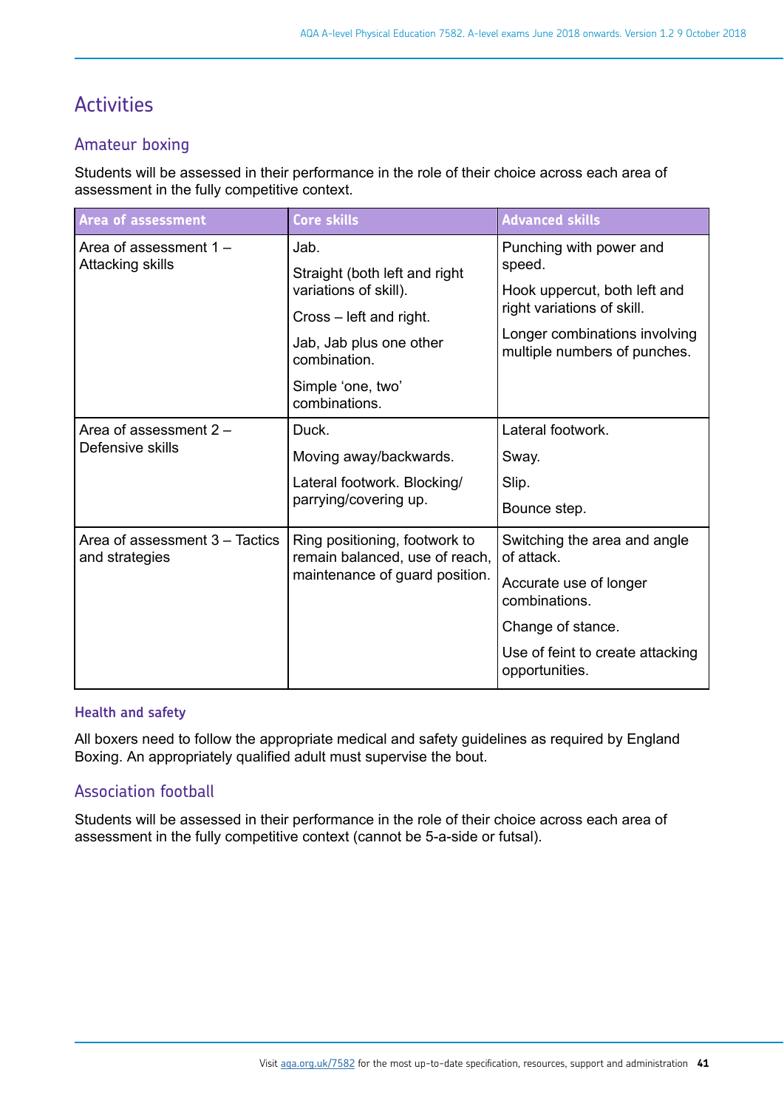# Activities

## Amateur boxing

Students will be assessed in their performance in the role of their choice across each area of assessment in the fully competitive context.

| <b>Area of assessment</b>                        | Core skills                                                                                       | <b>Advanced skills</b>                                        |
|--------------------------------------------------|---------------------------------------------------------------------------------------------------|---------------------------------------------------------------|
| Area of assessment $1 -$                         | Jab.                                                                                              | Punching with power and                                       |
| <b>Attacking skills</b>                          | Straight (both left and right<br>variations of skill).                                            | speed.<br>Hook uppercut, both left and                        |
|                                                  | Cross - left and right.                                                                           | right variations of skill.                                    |
|                                                  | Jab, Jab plus one other<br>combination.                                                           | Longer combinations involving<br>multiple numbers of punches. |
|                                                  | Simple 'one, two'<br>combinations.                                                                |                                                               |
| Area of assessment 2 -                           | Duck.                                                                                             | Lateral footwork.                                             |
| Defensive skills                                 | Moving away/backwards.                                                                            | Sway.                                                         |
|                                                  | Lateral footwork. Blocking/                                                                       | Slip.                                                         |
|                                                  | parrying/covering up.                                                                             | Bounce step.                                                  |
| Area of assessment 3 - Tactics<br>and strategies | Ring positioning, footwork to<br>remain balanced, use of reach,<br>maintenance of guard position. | Switching the area and angle<br>of attack.                    |
|                                                  |                                                                                                   | Accurate use of longer<br>combinations.                       |
|                                                  |                                                                                                   | Change of stance.                                             |
|                                                  |                                                                                                   | Use of feint to create attacking<br>opportunities.            |

### **Health and safety**

All boxers need to follow the appropriate medical and safety guidelines as required by England Boxing. An appropriately qualified adult must supervise the bout.

## Association football

Students will be assessed in their performance in the role of their choice across each area of assessment in the fully competitive context (cannot be 5-a-side or futsal).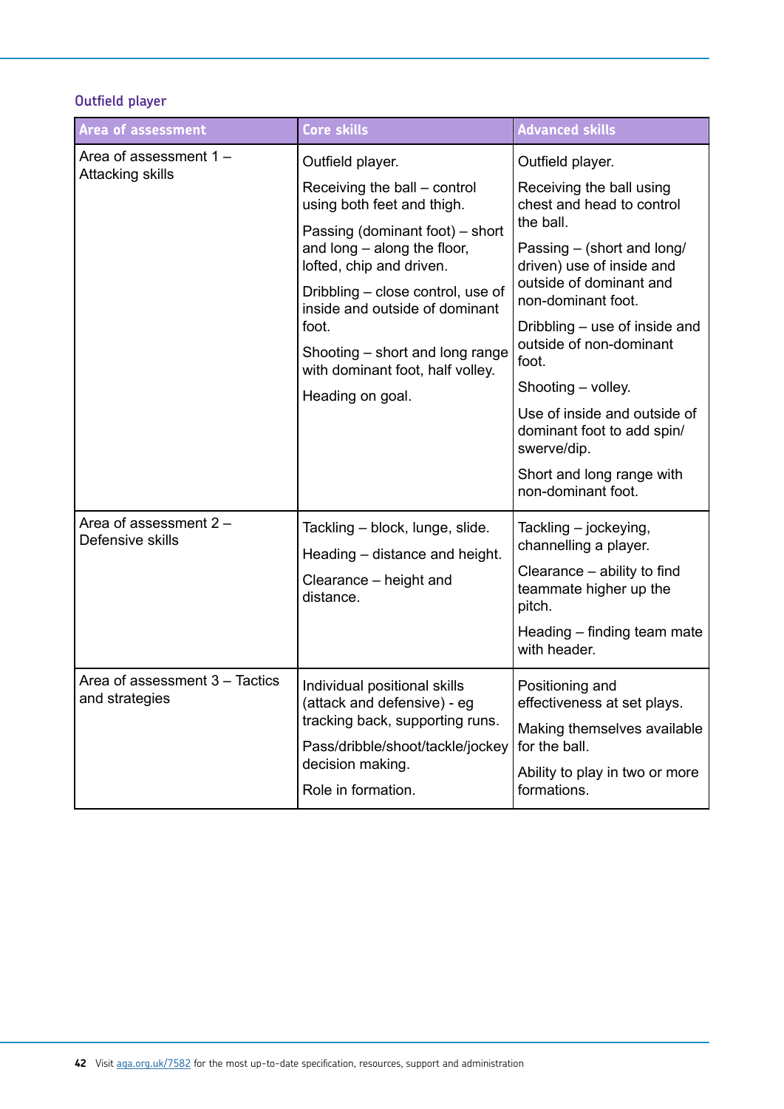## **Outfield player**

| <b>Area of assessment</b>                        | <b>Core skills</b>                                                                         | <b>Advanced skills</b>                                                    |
|--------------------------------------------------|--------------------------------------------------------------------------------------------|---------------------------------------------------------------------------|
| Area of assessment 1 -                           | Outfield player.                                                                           | Outfield player.                                                          |
| Attacking skills                                 | Receiving the ball – control<br>using both feet and thigh.                                 | Receiving the ball using<br>chest and head to control<br>the ball.        |
|                                                  | Passing (dominant foot) – short<br>and long - along the floor,<br>lofted, chip and driven. | Passing - (short and long/<br>driven) use of inside and                   |
|                                                  | Dribbling – close control, use of<br>inside and outside of dominant                        | outside of dominant and<br>non-dominant foot.                             |
|                                                  | foot.                                                                                      | Dribbling – use of inside and<br>outside of non-dominant                  |
|                                                  | Shooting - short and long range<br>with dominant foot, half volley.                        | foot.                                                                     |
|                                                  | Heading on goal.                                                                           | Shooting - volley.                                                        |
|                                                  |                                                                                            | Use of inside and outside of<br>dominant foot to add spin/<br>swerve/dip. |
|                                                  |                                                                                            | Short and long range with<br>non-dominant foot.                           |
| Area of assessment 2 -<br>Defensive skills       | Tackling - block, lunge, slide.                                                            | Tackling – jockeying,<br>channelling a player.                            |
|                                                  | Heading - distance and height.                                                             |                                                                           |
|                                                  | Clearance - height and<br>distance.                                                        | Clearance - ability to find<br>teammate higher up the<br>pitch.           |
|                                                  |                                                                                            | Heading – finding team mate<br>with header.                               |
| Area of assessment 3 - Tactics<br>and strategies | Individual positional skills<br>(attack and defensive) - eg                                | Positioning and<br>effectiveness at set plays.                            |
|                                                  | tracking back, supporting runs.                                                            | Making themselves available                                               |
|                                                  | Pass/dribble/shoot/tackle/jockey<br>decision making.                                       | for the ball.                                                             |
|                                                  | Role in formation.                                                                         | Ability to play in two or more<br>formations.                             |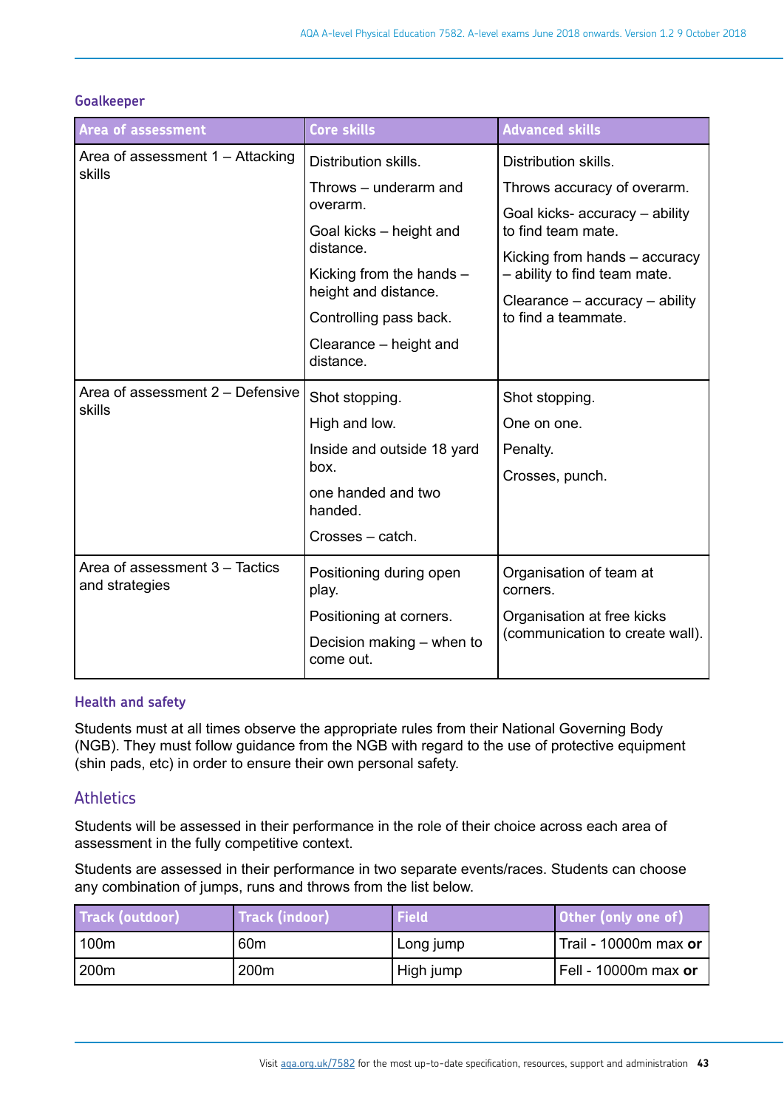### **Goalkeeper**

| <b>Area of assessment</b>                        | Core skills                            | <b>Advanced skills</b>                               |
|--------------------------------------------------|----------------------------------------|------------------------------------------------------|
| Area of assessment $1 -$ Attacking<br>skills     | Distribution skills.                   | Distribution skills.                                 |
|                                                  | Throws - underarm and                  | Throws accuracy of overarm.                          |
|                                                  | overarm.<br>Goal kicks – height and    | Goal kicks- accuracy - ability<br>to find team mate. |
|                                                  | distance.                              | Kicking from hands - accuracy                        |
|                                                  | Kicking from the hands $-$             | - ability to find team mate.                         |
|                                                  | height and distance.                   | Clearance $-$ accuracy $-$ ability                   |
|                                                  | Controlling pass back.                 | to find a teammate.                                  |
|                                                  | Clearance - height and<br>distance.    |                                                      |
| Area of assessment 2 - Defensive<br>skills       | Shot stopping.                         | Shot stopping.                                       |
|                                                  | High and low.                          | One on one.                                          |
|                                                  | Inside and outside 18 yard             | Penalty.                                             |
|                                                  | box.                                   | Crosses, punch.                                      |
|                                                  | one handed and two<br>handed.          |                                                      |
|                                                  | Crosses - catch.                       |                                                      |
| Area of assessment 3 - Tactics<br>and strategies | Positioning during open<br>play.       | Organisation of team at<br>corners.                  |
|                                                  | Positioning at corners.                | Organisation at free kicks                           |
|                                                  | Decision making – when to<br>come out. | (communication to create wall).                      |

### **Health and safety**

Students must at all times observe the appropriate rules from their National Governing Body (NGB). They must follow guidance from the NGB with regard to the use of protective equipment (shin pads, etc) in order to ensure their own personal safety.

## **Athletics**

Students will be assessed in their performance in the role of their choice across each area of assessment in the fully competitive context.

Students are assessed in their performance in two separate events/races. Students can choose any combination of jumps, runs and throws from the list below.

| Track (outdoor) | Track (indoor)   | <b>Field</b> | Other (only one of)   |
|-----------------|------------------|--------------|-----------------------|
| 100m            | 60 <sub>m</sub>  | Long jump    | Trail - 10000m max or |
| 200m            | 200 <sub>m</sub> | High jump    | Fell - 10000m max or  |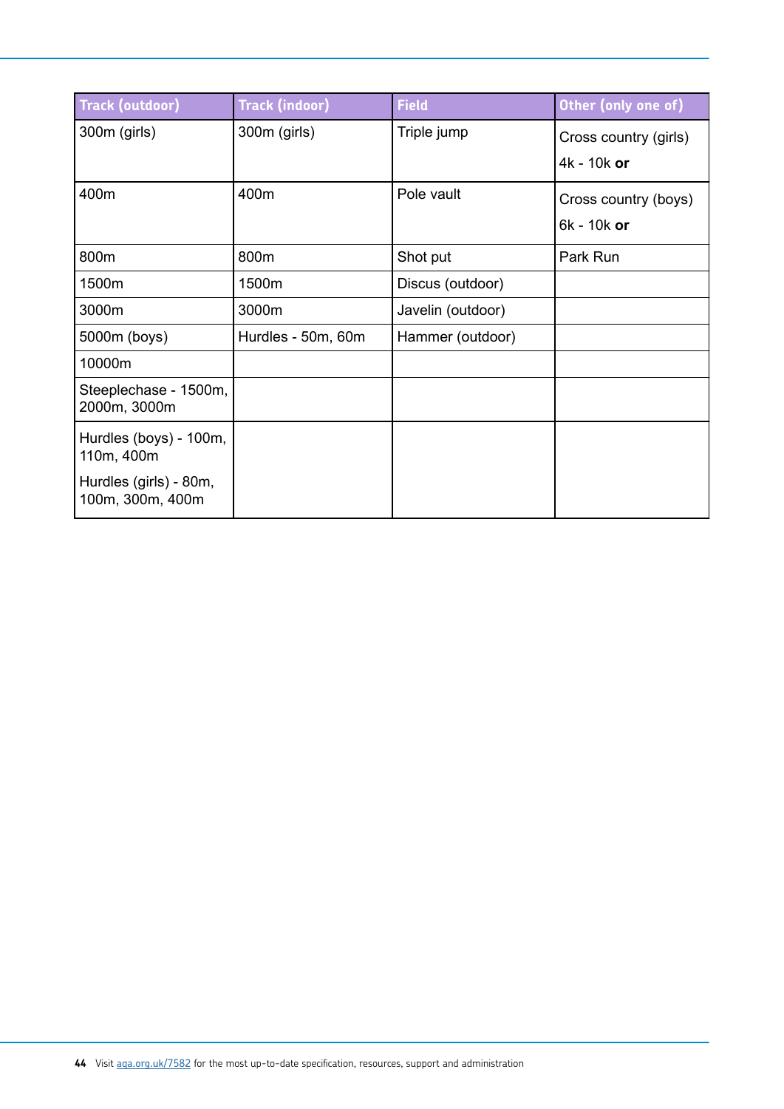| <b>Track (outdoor)</b>                                                             | <b>Track (indoor)</b> | <b>Field</b>      | Other (only one of)                  |
|------------------------------------------------------------------------------------|-----------------------|-------------------|--------------------------------------|
| 300m (girls)                                                                       | 300m (girls)          | Triple jump       | Cross country (girls)<br>4k - 10k or |
| 400m                                                                               | 400m                  | Pole vault        | Cross country (boys)<br>6k - 10k or  |
| 800m                                                                               | 800m                  | Shot put          | Park Run                             |
| 1500m                                                                              | 1500m                 | Discus (outdoor)  |                                      |
| 3000m                                                                              | 3000m                 | Javelin (outdoor) |                                      |
| 5000m (boys)                                                                       | Hurdles - 50m, 60m    | Hammer (outdoor)  |                                      |
| 10000m                                                                             |                       |                   |                                      |
| Steeplechase - 1500m,<br>2000m, 3000m                                              |                       |                   |                                      |
| Hurdles (boys) - 100m,<br>110m, 400m<br>Hurdles (girls) - 80m,<br>100m, 300m, 400m |                       |                   |                                      |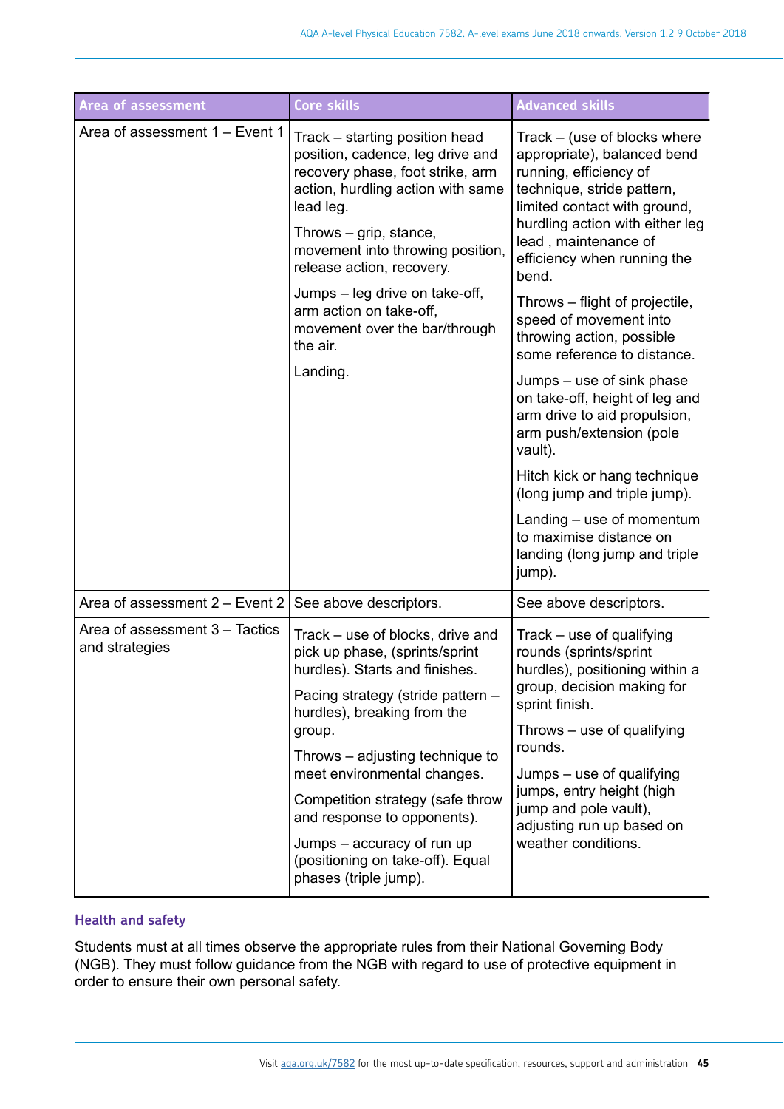| <b>Area of assessment</b>                        | Core skills                                                                                                                                                                                                                                                                                                                                                                                                        | <b>Advanced skills</b>                                                                                                                                                                                                                                                                                                                                                                                                                                                                                                                                                                                                                                                                    |
|--------------------------------------------------|--------------------------------------------------------------------------------------------------------------------------------------------------------------------------------------------------------------------------------------------------------------------------------------------------------------------------------------------------------------------------------------------------------------------|-------------------------------------------------------------------------------------------------------------------------------------------------------------------------------------------------------------------------------------------------------------------------------------------------------------------------------------------------------------------------------------------------------------------------------------------------------------------------------------------------------------------------------------------------------------------------------------------------------------------------------------------------------------------------------------------|
| Area of assessment 1 - Event 1                   | Track – starting position head<br>position, cadence, leg drive and<br>recovery phase, foot strike, arm<br>action, hurdling action with same<br>lead leg.<br>Throws $-$ grip, stance,<br>movement into throwing position,<br>release action, recovery.<br>Jumps - leg drive on take-off,<br>arm action on take-off,<br>movement over the bar/through<br>the air.<br>Landing.                                        | $Track - (use of blocks where$<br>appropriate), balanced bend<br>running, efficiency of<br>technique, stride pattern,<br>limited contact with ground,<br>hurdling action with either leg<br>lead, maintenance of<br>efficiency when running the<br>bend.<br>Throws – flight of projectile,<br>speed of movement into<br>throwing action, possible<br>some reference to distance.<br>Jumps – use of sink phase<br>on take-off, height of leg and<br>arm drive to aid propulsion,<br>arm push/extension (pole<br>vault).<br>Hitch kick or hang technique<br>(long jump and triple jump).<br>Landing – use of momentum<br>to maximise distance on<br>landing (long jump and triple<br>jump). |
| Area of assessment 2 - Event 2                   | See above descriptors.                                                                                                                                                                                                                                                                                                                                                                                             | See above descriptors.                                                                                                                                                                                                                                                                                                                                                                                                                                                                                                                                                                                                                                                                    |
| Area of assessment 3 - Tactics<br>and strategies | Track – use of blocks, drive and<br>pick up phase, (sprints/sprint<br>hurdles). Starts and finishes.<br>Pacing strategy (stride pattern -<br>hurdles), breaking from the<br>group.<br>Throws – adjusting technique to<br>meet environmental changes.<br>Competition strategy (safe throw<br>and response to opponents).<br>Jumps - accuracy of run up<br>(positioning on take-off). Equal<br>phases (triple jump). | Track – use of qualifying<br>rounds (sprints/sprint<br>hurdles), positioning within a<br>group, decision making for<br>sprint finish.<br>Throws – use of qualifying<br>rounds.<br>Jumps – use of qualifying<br>jumps, entry height (high<br>jump and pole vault),<br>adjusting run up based on<br>weather conditions.                                                                                                                                                                                                                                                                                                                                                                     |

Students must at all times observe the appropriate rules from their National Governing Body (NGB). They must follow guidance from the NGB with regard to use of protective equipment in order to ensure their own personal safety.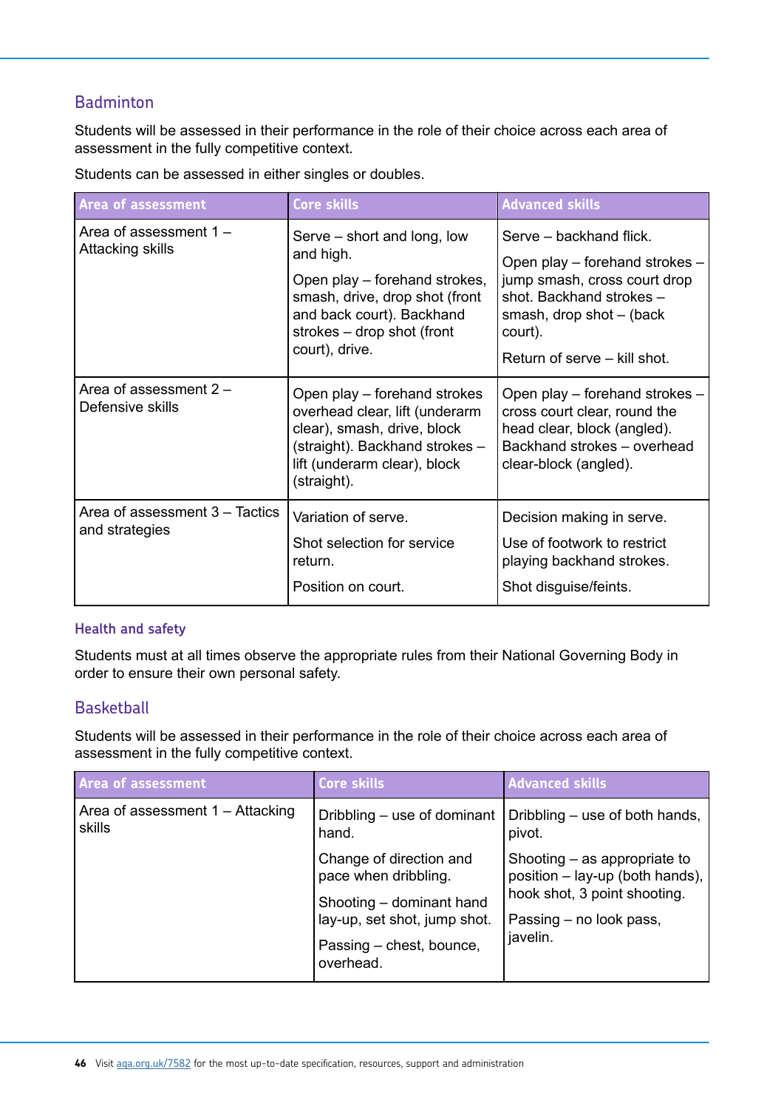## Badminton

Students will be assessed in their performance in the role of their choice across each area of assessment in the fully competitive context.

Students can be assessed in either singles or doubles.

| <b>Area of assessment</b>                         | Core skills                                                                                                                                                                              | <b>Advanced skills</b>                                                                                                                                                                         |
|---------------------------------------------------|------------------------------------------------------------------------------------------------------------------------------------------------------------------------------------------|------------------------------------------------------------------------------------------------------------------------------------------------------------------------------------------------|
| Area of assessment 1 -<br><b>Attacking skills</b> | Serve – short and long, low<br>and high.<br>Open play – forehand strokes,<br>smash, drive, drop shot (front<br>and back court). Backhand<br>strokes – drop shot (front<br>court), drive. | Serve – backhand flick.<br>Open play – forehand strokes –<br>jump smash, cross court drop<br>shot. Backhand strokes -<br>smash, drop shot $-$ (back<br>court).<br>Return of serve - kill shot. |
| Area of assessment $2 -$<br>Defensive skills      | Open play – forehand strokes<br>overhead clear, lift (underarm<br>clear), smash, drive, block<br>(straight). Backhand strokes -<br>lift (underarm clear), block<br>(straight).           | Open play – forehand strokes –<br>cross court clear, round the<br>head clear, block (angled).<br>Backhand strokes - overhead<br>clear-block (angled).                                          |
| Area of assessment 3 – Tactics<br>and strategies  | Variation of serve.<br>Shot selection for service<br>return.<br>Position on court.                                                                                                       | Decision making in serve.<br>Use of footwork to restrict<br>playing backhand strokes.<br>Shot disguise/feints.                                                                                 |

### **Health and safety**

Students must at all times observe the appropriate rules from their National Governing Body in order to ensure their own personal safety.

## **Basketball**

| <b>Area of assessment</b>                    | Core skills                                                                                                                                          | <b>Advanced skills</b>                                                                                                                 |
|----------------------------------------------|------------------------------------------------------------------------------------------------------------------------------------------------------|----------------------------------------------------------------------------------------------------------------------------------------|
| Area of assessment $1 -$ Attacking<br>skills | Dribbling – use of dominant<br>hand.                                                                                                                 | Dribbling – use of both hands,<br>pivot.                                                                                               |
|                                              | Change of direction and<br>pace when dribbling.<br>Shooting - dominant hand<br>lay-up, set shot, jump shot.<br>Passing - chest, bounce,<br>overhead. | Shooting – as appropriate to<br>position - lay-up (both hands),<br>hook shot, 3 point shooting.<br>Passing - no look pass,<br>javelin. |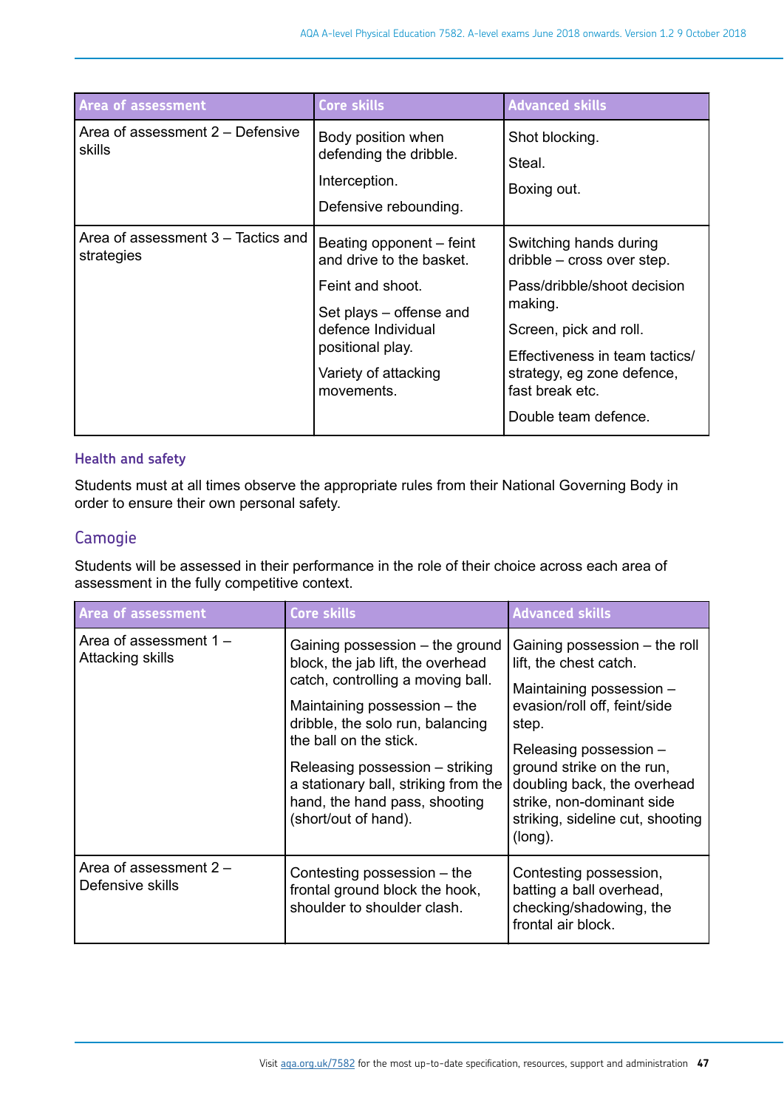| <b>Area of assessment</b>                        | Core skills                                                                                                                                                                         | <b>Advanced skills</b>                                                                                                                                                                                                              |
|--------------------------------------------------|-------------------------------------------------------------------------------------------------------------------------------------------------------------------------------------|-------------------------------------------------------------------------------------------------------------------------------------------------------------------------------------------------------------------------------------|
| Area of assessment 2 – Defensive<br>skills       | Body position when<br>defending the dribble.<br>Interception.<br>Defensive rebounding.                                                                                              | Shot blocking.<br>Steal.<br>Boxing out.                                                                                                                                                                                             |
| Area of assessment 3 – Tactics and<br>strategies | Beating opponent – feint<br>and drive to the basket.<br>Feint and shoot.<br>Set plays – offense and<br>defence Individual<br>positional play.<br>Variety of attacking<br>movements. | Switching hands during<br>dribble - cross over step.<br>Pass/dribble/shoot decision<br>making.<br>Screen, pick and roll.<br>Effectiveness in team tactics/<br>strategy, eg zone defence,<br>fast break etc.<br>Double team defence. |

Students must at all times observe the appropriate rules from their National Governing Body in order to ensure their own personal safety.

## Camogie

| <b>Area of assessment</b>                    | Core skills                                                                                                                                                                                                                                                                                                                                   | <b>Advanced skills</b>                                                                                                                                                                                                                                                                            |
|----------------------------------------------|-----------------------------------------------------------------------------------------------------------------------------------------------------------------------------------------------------------------------------------------------------------------------------------------------------------------------------------------------|---------------------------------------------------------------------------------------------------------------------------------------------------------------------------------------------------------------------------------------------------------------------------------------------------|
| Area of assessment $1 -$<br>Attacking skills | Gaining possession – the ground<br>block, the jab lift, the overhead<br>catch, controlling a moving ball.<br>Maintaining possession $-$ the<br>dribble, the solo run, balancing<br>the ball on the stick.<br>Releasing possession - striking<br>a stationary ball, striking from the<br>hand, the hand pass, shooting<br>(short/out of hand). | Gaining possession - the roll<br>lift, the chest catch.<br>Maintaining possession -<br>evasion/roll off, feint/side<br>step.<br>Releasing possession -<br>ground strike on the run,<br>doubling back, the overhead<br>strike, non-dominant side<br>striking, sideline cut, shooting<br>$(long)$ . |
| Area of assessment 2 -<br>Defensive skills   | Contesting possession – the<br>frontal ground block the hook,<br>shoulder to shoulder clash.                                                                                                                                                                                                                                                  | Contesting possession,<br>batting a ball overhead,<br>checking/shadowing, the<br>frontal air block.                                                                                                                                                                                               |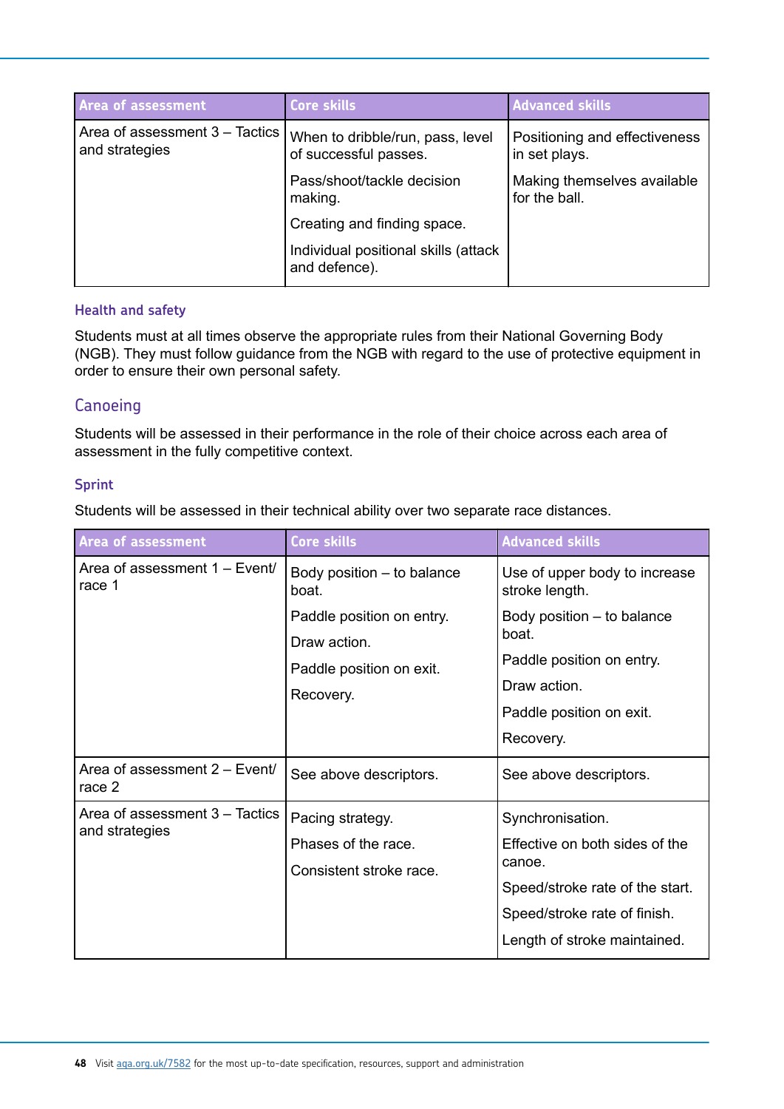| <b>Area of assessment</b>                          | Core skills                                               | <b>Advanced skills</b>                         |
|----------------------------------------------------|-----------------------------------------------------------|------------------------------------------------|
| Area of assessment 3 - Tactics  <br>and strategies | When to dribble/run, pass, level<br>of successful passes. | Positioning and effectiveness<br>in set plays. |
|                                                    | Pass/shoot/tackle decision<br>making.                     | Making themselves available<br>for the ball.   |
|                                                    | Creating and finding space.                               |                                                |
|                                                    | Individual positional skills (attack<br>and defence).     |                                                |

Students must at all times observe the appropriate rules from their National Governing Body (NGB). They must follow guidance from the NGB with regard to the use of protective equipment in order to ensure their own personal safety.

## Canoeing

Students will be assessed in their performance in the role of their choice across each area of assessment in the fully competitive context.

### **Sprint**

Students will be assessed in their technical ability over two separate race distances.

| <b>Area of assessment</b>                        | Core skills                                                                        | <b>Advanced skills</b>                                                                                                                                          |
|--------------------------------------------------|------------------------------------------------------------------------------------|-----------------------------------------------------------------------------------------------------------------------------------------------------------------|
| Area of assessment 1 – Event/<br>race 1          | Body position – to balance<br>boat.                                                | Use of upper body to increase<br>stroke length.                                                                                                                 |
|                                                  | Paddle position on entry.<br>Draw action.<br>Paddle position on exit.<br>Recovery. | Body position – to balance<br>boat.<br>Paddle position on entry.<br>Draw action.<br>Paddle position on exit.<br>Recovery.                                       |
| Area of assessment 2 - Event/<br>race 2          | See above descriptors.                                                             | See above descriptors.                                                                                                                                          |
| Area of assessment 3 - Tactics<br>and strategies | Pacing strategy.<br>Phases of the race.<br>Consistent stroke race.                 | Synchronisation.<br>Effective on both sides of the<br>canoe.<br>Speed/stroke rate of the start.<br>Speed/stroke rate of finish.<br>Length of stroke maintained. |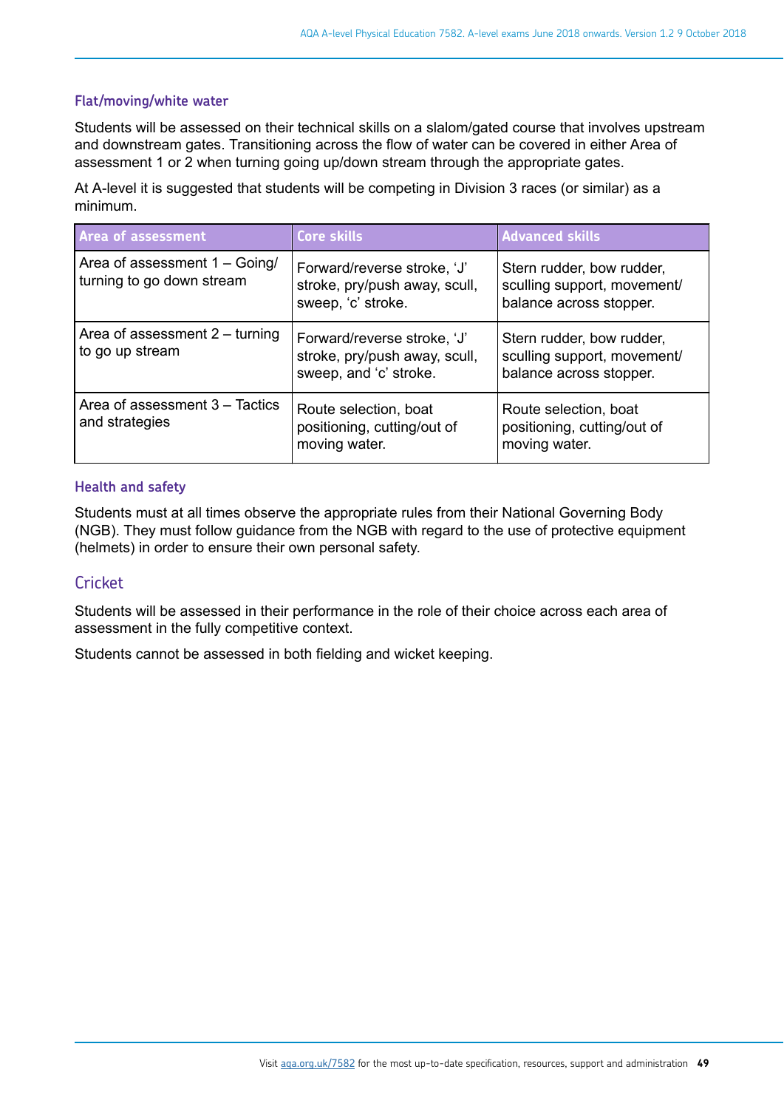### **Flat/moving/white water**

Students will be assessed on their technical skills on a slalom/gated course that involves upstream and downstream gates. Transitioning across the flow of water can be covered in either Area of assessment 1 or 2 when turning going up/down stream through the appropriate gates.

At A-level it is suggested that students will be competing in Division 3 races (or similar) as a minimum.

| <b>Area of assessment</b>                                  | Core skills                                                                            | <b>Advanced skills</b>                                                              |
|------------------------------------------------------------|----------------------------------------------------------------------------------------|-------------------------------------------------------------------------------------|
| Area of assessment 1 – Going/<br>turning to go down stream | Forward/reverse stroke, 'J'<br>stroke, pry/push away, scull,<br>sweep, 'c' stroke.     | Stern rudder, bow rudder,<br>sculling support, movement/<br>balance across stopper. |
| Area of assessment $2 -$ turning<br>to go up stream        | Forward/reverse stroke, 'J'<br>stroke, pry/push away, scull,<br>sweep, and 'c' stroke. | Stern rudder, bow rudder,<br>sculling support, movement/<br>balance across stopper. |
| Area of assessment 3 - Tactics<br>and strategies           | Route selection, boat<br>positioning, cutting/out of<br>moving water.                  | Route selection, boat<br>positioning, cutting/out of<br>moving water.               |

### **Health and safety**

Students must at all times observe the appropriate rules from their National Governing Body (NGB). They must follow guidance from the NGB with regard to the use of protective equipment (helmets) in order to ensure their own personal safety.

## **Cricket**

Students will be assessed in their performance in the role of their choice across each area of assessment in the fully competitive context.

Students cannot be assessed in both fielding and wicket keeping.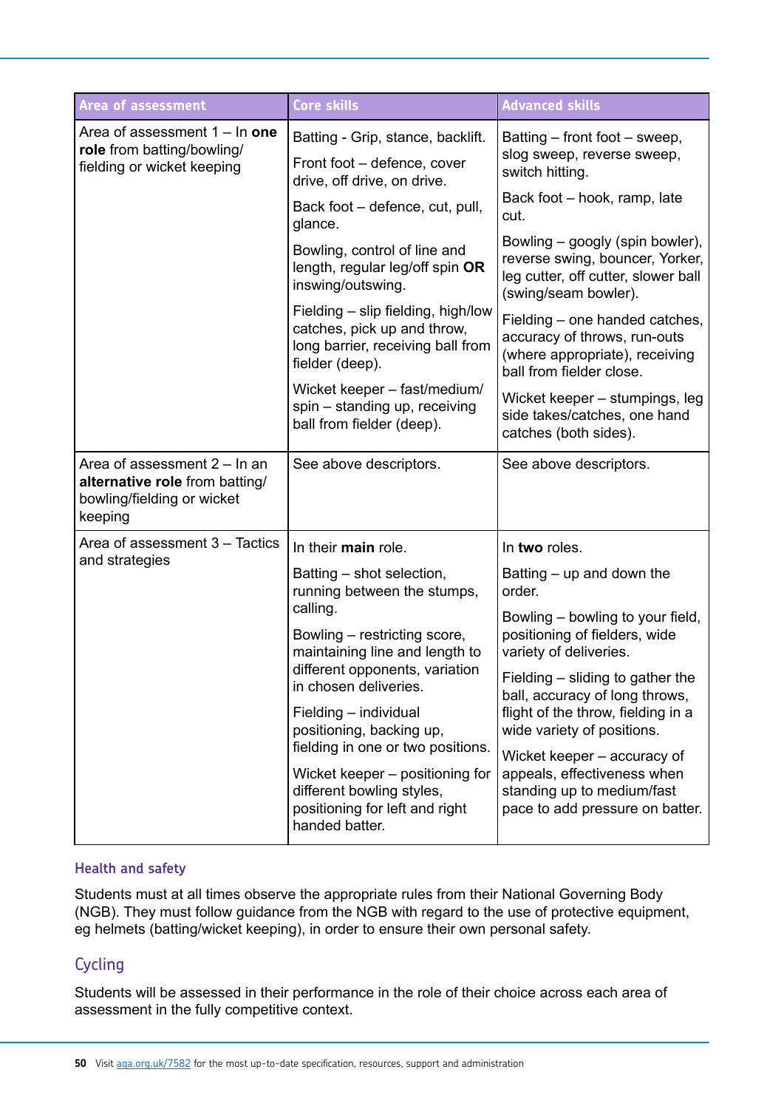| <b>Area of assessment</b>                                                                                   | Core skills                                                                                                                                                                                                                                                                                                                                                                                                     | <b>Advanced skills</b>                                                                                                                                                                                                                                                                                                                                                                                        |
|-------------------------------------------------------------------------------------------------------------|-----------------------------------------------------------------------------------------------------------------------------------------------------------------------------------------------------------------------------------------------------------------------------------------------------------------------------------------------------------------------------------------------------------------|---------------------------------------------------------------------------------------------------------------------------------------------------------------------------------------------------------------------------------------------------------------------------------------------------------------------------------------------------------------------------------------------------------------|
| Area of assessment $1 - \ln$ one<br>role from batting/bowling/<br>fielding or wicket keeping                | Batting - Grip, stance, backlift.<br>Front foot – defence, cover<br>drive, off drive, on drive.                                                                                                                                                                                                                                                                                                                 | Batting – front foot – sweep,<br>slog sweep, reverse sweep,<br>switch hitting.                                                                                                                                                                                                                                                                                                                                |
|                                                                                                             | Back foot – defence, cut, pull,<br>glance.                                                                                                                                                                                                                                                                                                                                                                      | Back foot – hook, ramp, late<br>cut.                                                                                                                                                                                                                                                                                                                                                                          |
|                                                                                                             | Bowling, control of line and<br>length, regular leg/off spin OR<br>inswing/outswing.                                                                                                                                                                                                                                                                                                                            | Bowling – googly (spin bowler),<br>reverse swing, bouncer, Yorker,<br>leg cutter, off cutter, slower ball<br>(swing/seam bowler).                                                                                                                                                                                                                                                                             |
|                                                                                                             | Fielding – slip fielding, high/low<br>catches, pick up and throw,<br>long barrier, receiving ball from<br>fielder (deep).                                                                                                                                                                                                                                                                                       | Fielding – one handed catches,<br>accuracy of throws, run-outs<br>(where appropriate), receiving<br>ball from fielder close.                                                                                                                                                                                                                                                                                  |
|                                                                                                             | Wicket keeper - fast/medium/<br>spin - standing up, receiving<br>ball from fielder (deep).                                                                                                                                                                                                                                                                                                                      | Wicket keeper – stumpings, leg<br>side takes/catches, one hand<br>catches (both sides).                                                                                                                                                                                                                                                                                                                       |
| Area of assessment $2 - \ln a$ n<br>alternative role from batting/<br>bowling/fielding or wicket<br>keeping | See above descriptors.                                                                                                                                                                                                                                                                                                                                                                                          | See above descriptors.                                                                                                                                                                                                                                                                                                                                                                                        |
| Area of assessment 3 - Tactics                                                                              | In their main role.                                                                                                                                                                                                                                                                                                                                                                                             | In two roles.                                                                                                                                                                                                                                                                                                                                                                                                 |
| and strategies                                                                                              | Batting – shot selection,<br>running between the stumps,<br>calling.<br>Bowling – restricting score,<br>maintaining line and length to<br>different opponents, variation<br>in chosen deliveries.<br>Fielding - individual<br>positioning, backing up,<br>fielding in one or two positions.<br>Wicket keeper – positioning for<br>different bowling styles,<br>positioning for left and right<br>handed batter. | Batting $-$ up and down the<br>order.<br>Bowling – bowling to your field,<br>positioning of fielders, wide<br>variety of deliveries.<br>Fielding - sliding to gather the<br>ball, accuracy of long throws,<br>flight of the throw, fielding in a<br>wide variety of positions.<br>Wicket keeper - accuracy of<br>appeals, effectiveness when<br>standing up to medium/fast<br>pace to add pressure on batter. |

Students must at all times observe the appropriate rules from their National Governing Body (NGB). They must follow guidance from the NGB with regard to the use of protective equipment, eg helmets (batting/wicket keeping), in order to ensure their own personal safety.

## **Cycling**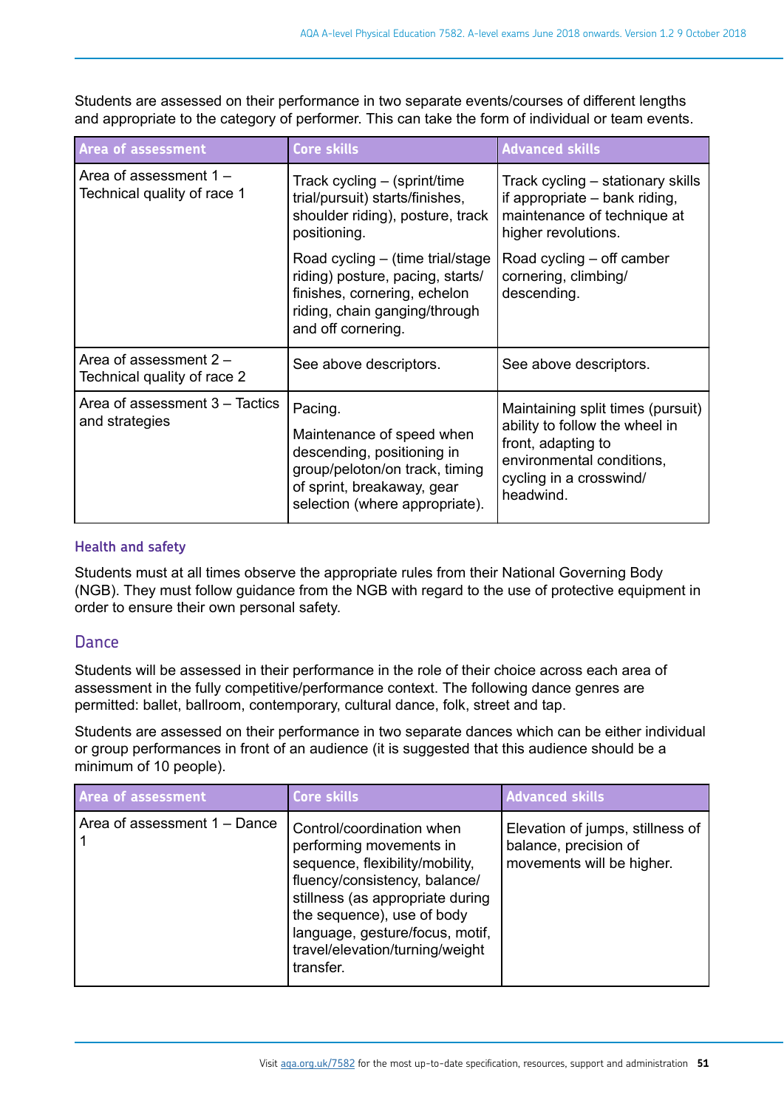Students are assessed on their performance in two separate events/courses of different lengths and appropriate to the category of performer. This can take the form of individual or team events.

| Area of assessment                                      | Core skills                                                                                                                                                          | <b>Advanced skills</b>                                                                                                                                         |
|---------------------------------------------------------|----------------------------------------------------------------------------------------------------------------------------------------------------------------------|----------------------------------------------------------------------------------------------------------------------------------------------------------------|
| Area of assessment $1 -$<br>Technical quality of race 1 | Track cycling – (sprint/time<br>trial/pursuit) starts/finishes,<br>shoulder riding), posture, track<br>positioning.                                                  | Track cycling – stationary skills<br>if appropriate – bank riding,<br>maintenance of technique at<br>higher revolutions.                                       |
|                                                         | Road cycling – (time trial/stage<br>riding) posture, pacing, starts/<br>finishes, cornering, echelon<br>riding, chain ganging/through<br>and off cornering.          | Road cycling – off camber<br>cornering, climbing/<br>descending.                                                                                               |
| Area of assessment $2 -$<br>Technical quality of race 2 | See above descriptors.                                                                                                                                               | See above descriptors.                                                                                                                                         |
| Area of assessment 3 - Tactics<br>and strategies        | Pacing.<br>Maintenance of speed when<br>descending, positioning in<br>group/peloton/on track, timing<br>of sprint, breakaway, gear<br>selection (where appropriate). | Maintaining split times (pursuit)<br>ability to follow the wheel in<br>front, adapting to<br>environmental conditions,<br>cycling in a crosswind/<br>headwind. |

### **Health and safety**

Students must at all times observe the appropriate rules from their National Governing Body (NGB). They must follow guidance from the NGB with regard to the use of protective equipment in order to ensure their own personal safety.

## Dance

Students will be assessed in their performance in the role of their choice across each area of assessment in the fully competitive/performance context. The following dance genres are permitted: ballet, ballroom, contemporary, cultural dance, folk, street and tap.

Students are assessed on their performance in two separate dances which can be either individual or group performances in front of an audience (it is suggested that this audience should be a minimum of 10 people).

| <b>Area of assessment</b>    | Core skills                                                                                                                                                                                                                                                                   | <b>Advanced skills</b>                                                                 |
|------------------------------|-------------------------------------------------------------------------------------------------------------------------------------------------------------------------------------------------------------------------------------------------------------------------------|----------------------------------------------------------------------------------------|
| Area of assessment 1 – Dance | Control/coordination when<br>performing movements in<br>sequence, flexibility/mobility,<br>fluency/consistency, balance/<br>stillness (as appropriate during<br>the sequence), use of body<br>language, gesture/focus, motif,<br>travel/elevation/turning/weight<br>transfer. | Elevation of jumps, stillness of<br>balance, precision of<br>movements will be higher. |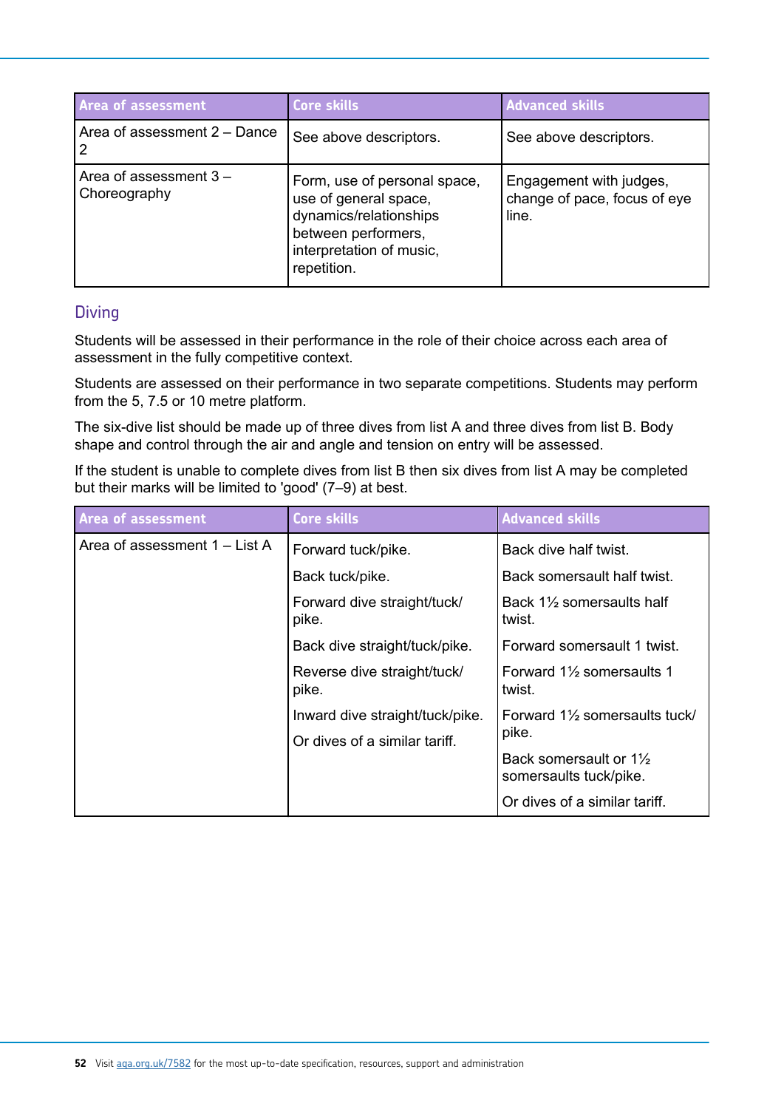| <b>Area of assessment</b>                | Core skills                                                                                                                                       | <b>Advanced skills</b>                                           |
|------------------------------------------|---------------------------------------------------------------------------------------------------------------------------------------------------|------------------------------------------------------------------|
| Area of assessment 2 - Dance             | See above descriptors.                                                                                                                            | See above descriptors.                                           |
| Area of assessment $3 -$<br>Choreography | Form, use of personal space,<br>use of general space,<br>dynamics/relationships<br>between performers,<br>interpretation of music,<br>repetition. | Engagement with judges,<br>change of pace, focus of eye<br>line. |

### Diving

Students will be assessed in their performance in the role of their choice across each area of assessment in the fully competitive context.

Students are assessed on their performance in two separate competitions. Students may perform from the 5, 7.5 or 10 metre platform.

The six-dive list should be made up of three dives from list A and three dives from list B. Body shape and control through the air and angle and tension on entry will be assessed.

If the student is unable to complete dives from list B then six dives from list A may be completed but their marks will be limited to 'good' (7–9) at best.

| Area of assessment              | Core skills                          | <b>Advanced skills</b>                                        |
|---------------------------------|--------------------------------------|---------------------------------------------------------------|
| Area of assessment $1 -$ List A | Forward tuck/pike.                   | Back dive half twist.                                         |
|                                 | Back tuck/pike.                      | Back somersault half twist.                                   |
|                                 | Forward dive straight/tuck/<br>pike. | Back $1\frac{1}{2}$ somersaults half<br>twist.                |
|                                 | Back dive straight/tuck/pike.        | Forward somersault 1 twist.                                   |
|                                 | Reverse dive straight/tuck/<br>pike. | Forward 1 <sup>1</sup> / <sub>2</sub> somersaults 1<br>twist. |
|                                 | Inward dive straight/tuck/pike.      | Forward 1 <sup>1</sup> / <sub>2</sub> somersaults tuck/       |
|                                 | Or dives of a similar tariff.        | pike.                                                         |
|                                 |                                      | Back somersault or 1 <sup>1/2</sup><br>somersaults tuck/pike. |
|                                 |                                      | Or dives of a similar tariff.                                 |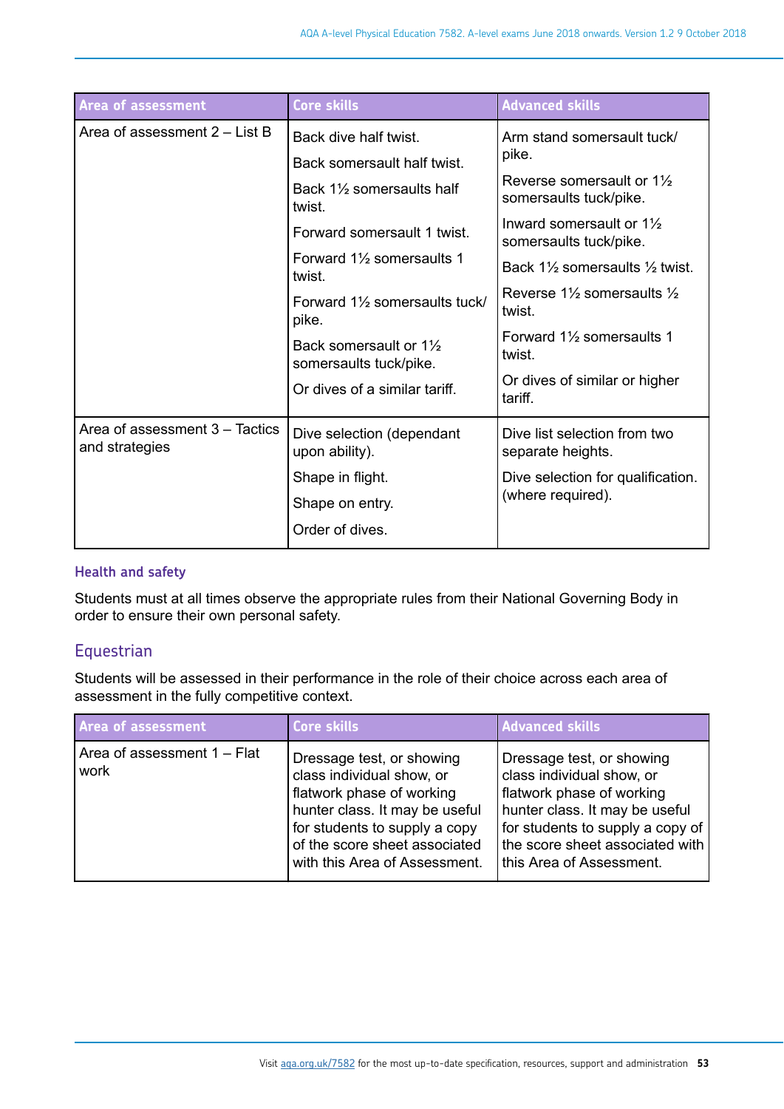| <b>Area of assessment</b>                        | Core skills                                                      | <b>Advanced skills</b>                                        |
|--------------------------------------------------|------------------------------------------------------------------|---------------------------------------------------------------|
| Area of assessment $2 -$ List B                  | Back dive half twist.                                            | Arm stand somersault tuck/                                    |
|                                                  | Back somersault half twist.                                      | pike.                                                         |
|                                                  | Back 1 <sup>1</sup> / <sub>2</sub> somersaults half<br>twist.    | Reverse somersault or 11/2<br>somersaults tuck/pike.          |
|                                                  | Forward somersault 1 twist.                                      | Inward somersault or $1\frac{1}{2}$<br>somersaults tuck/pike. |
|                                                  | Forward 1 <sup>1</sup> / <sub>2</sub> somersaults 1<br>twist.    | Back $1\frac{1}{2}$ somersaults $\frac{1}{2}$ twist.          |
|                                                  | Forward 1 <sup>1</sup> / <sub>2</sub> somersaults tuck/<br>pike. | Reverse $1\frac{1}{2}$ somersaults $\frac{1}{2}$<br>twist.    |
|                                                  | Back somersault or 11/2<br>somersaults tuck/pike.                | Forward 1 <sup>1</sup> / <sub>2</sub> somersaults 1<br>twist. |
|                                                  | Or dives of a similar tariff.                                    | Or dives of similar or higher<br>tariff.                      |
| Area of assessment 3 - Tactics<br>and strategies | Dive selection (dependant<br>upon ability).                      | Dive list selection from two<br>separate heights.             |
|                                                  | Shape in flight.                                                 | Dive selection for qualification.                             |
|                                                  | Shape on entry.                                                  | (where required).                                             |
|                                                  | Order of dives.                                                  |                                                               |

Students must at all times observe the appropriate rules from their National Governing Body in order to ensure their own personal safety.

## Equestrian

| Area of assessment                  | Core skills                                                                                                                                                                                                              | <b>Advanced skills</b>                                                                                                                                                                                                   |
|-------------------------------------|--------------------------------------------------------------------------------------------------------------------------------------------------------------------------------------------------------------------------|--------------------------------------------------------------------------------------------------------------------------------------------------------------------------------------------------------------------------|
| Area of assessment 1 - Flat<br>work | Dressage test, or showing<br>class individual show, or<br>flatwork phase of working<br>hunter class. It may be useful<br>for students to supply a copy<br>of the score sheet associated<br>with this Area of Assessment. | Dressage test, or showing<br>class individual show, or<br>flatwork phase of working<br>hunter class. It may be useful<br>for students to supply a copy of<br>the score sheet associated with<br>this Area of Assessment. |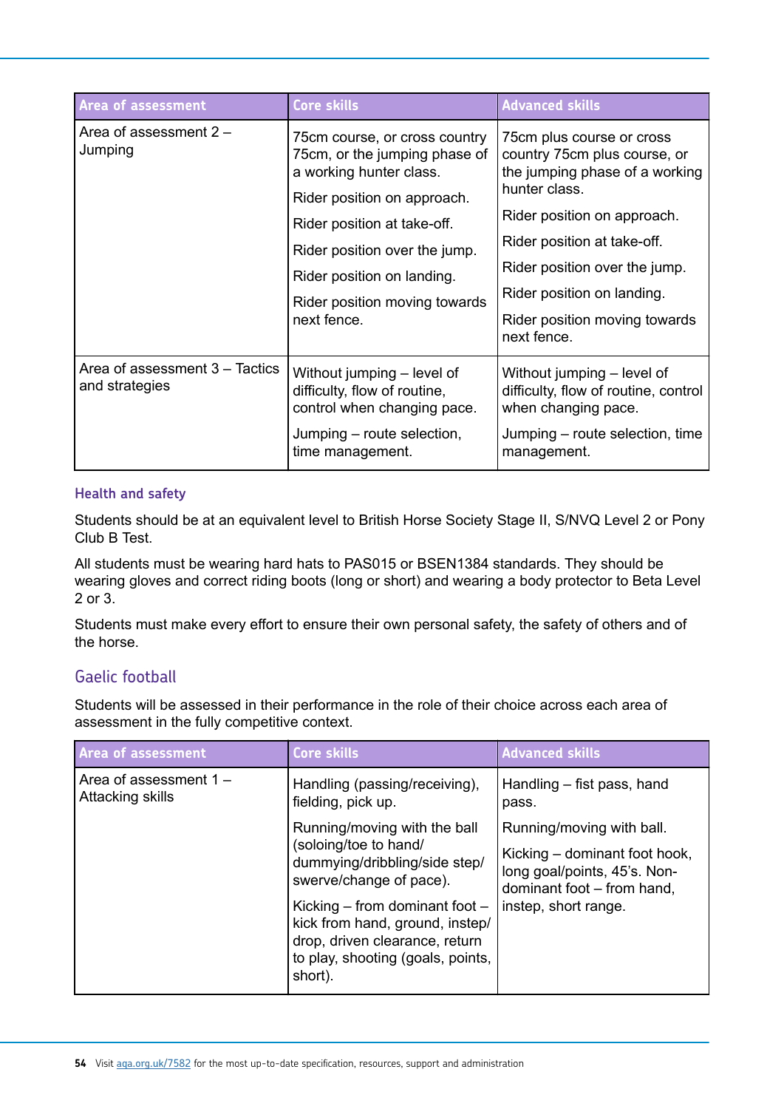| Area of assessment                               | Core skills                                                                                                                                                                                                                                                            | <b>Advanced skills</b>                                                                                                                                                                                                                                                                    |
|--------------------------------------------------|------------------------------------------------------------------------------------------------------------------------------------------------------------------------------------------------------------------------------------------------------------------------|-------------------------------------------------------------------------------------------------------------------------------------------------------------------------------------------------------------------------------------------------------------------------------------------|
| Area of assessment $2 -$<br>Jumping              | 75cm course, or cross country<br>75cm, or the jumping phase of<br>a working hunter class.<br>Rider position on approach.<br>Rider position at take-off.<br>Rider position over the jump.<br>Rider position on landing.<br>Rider position moving towards<br>next fence. | 75cm plus course or cross<br>country 75cm plus course, or<br>the jumping phase of a working<br>hunter class.<br>Rider position on approach.<br>Rider position at take-off.<br>Rider position over the jump.<br>Rider position on landing.<br>Rider position moving towards<br>next fence. |
| Area of assessment 3 – Tactics<br>and strategies | Without jumping – level of<br>difficulty, flow of routine,<br>control when changing pace.<br>Jumping – route selection,<br>time management.                                                                                                                            | Without jumping – level of<br>difficulty, flow of routine, control<br>when changing pace.<br>Jumping - route selection, time<br>management.                                                                                                                                               |

Students should be at an equivalent level to British Horse Society Stage II, S/NVQ Level 2 or Pony Club B Test.

All students must be wearing hard hats to PAS015 or BSEN1384 standards. They should be wearing gloves and correct riding boots (long or short) and wearing a body protector to Beta Level 2 or 3.

Students must make every effort to ensure their own personal safety, the safety of others and of the horse.

## Gaelic football

| <b>Area of assessment</b>                    | <b>Core skills</b>                                                                                                                                                                                                                                                           | <b>Advanced skills</b>                                                                                                                           |
|----------------------------------------------|------------------------------------------------------------------------------------------------------------------------------------------------------------------------------------------------------------------------------------------------------------------------------|--------------------------------------------------------------------------------------------------------------------------------------------------|
| Area of assessment $1 -$<br>Attacking skills | Handling (passing/receiving),<br>fielding, pick up.                                                                                                                                                                                                                          | Handling – fist pass, hand<br>pass.                                                                                                              |
|                                              | Running/moving with the ball<br>(soloing/toe to hand/<br>dummying/dribbling/side step/<br>swerve/change of pace).<br>Kicking $-$ from dominant foot $-$<br>kick from hand, ground, instep/<br>drop, driven clearance, return<br>to play, shooting (goals, points,<br>short). | Running/moving with ball.<br>Kicking - dominant foot hook,<br>long goal/points, 45's. Non-<br>dominant foot - from hand,<br>instep, short range. |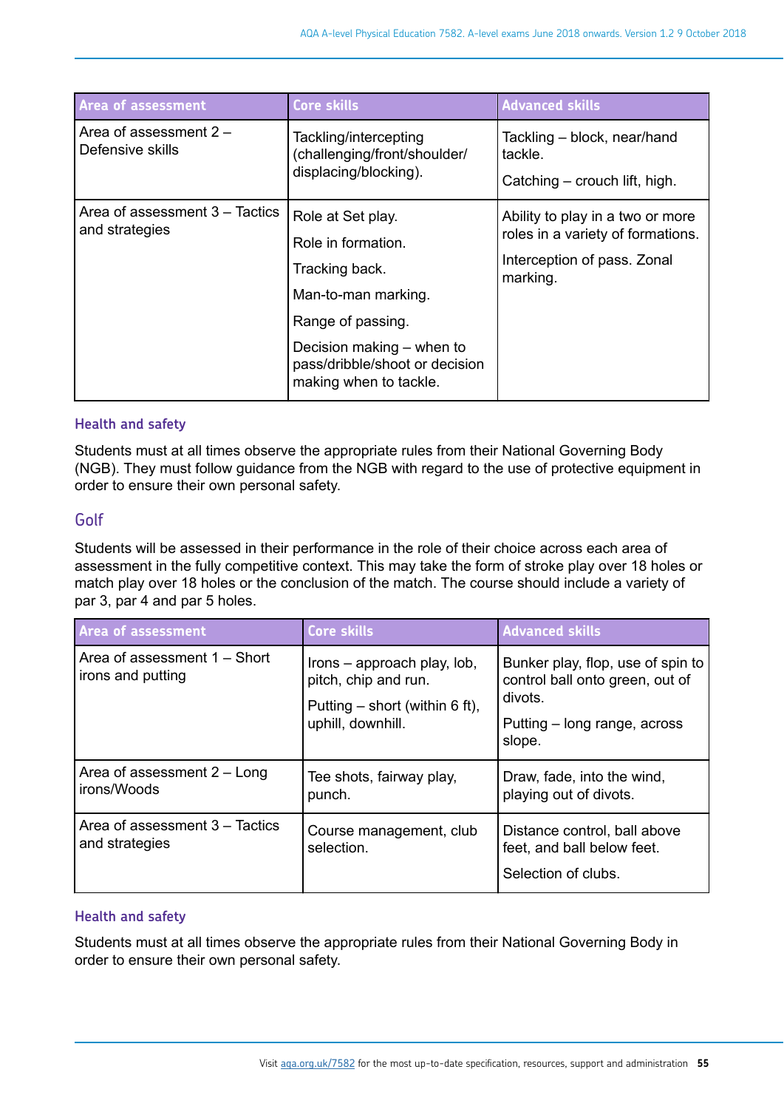| <b>Area of assessment</b>                        | Core skills                                                                                                                                                                                    | <b>Advanced skills</b>                                                                                           |
|--------------------------------------------------|------------------------------------------------------------------------------------------------------------------------------------------------------------------------------------------------|------------------------------------------------------------------------------------------------------------------|
| Area of assessment $2 -$<br>Defensive skills     | Tackling/intercepting<br>(challenging/front/shoulder/<br>displacing/blocking).                                                                                                                 | Tackling – block, near/hand<br>tackle.<br>Catching – crouch lift, high.                                          |
| Area of assessment 3 - Tactics<br>and strategies | Role at Set play.<br>Role in formation.<br>Tracking back.<br>Man-to-man marking.<br>Range of passing.<br>Decision making - when to<br>pass/dribble/shoot or decision<br>making when to tackle. | Ability to play in a two or more<br>roles in a variety of formations.<br>Interception of pass. Zonal<br>marking. |

Students must at all times observe the appropriate rules from their National Governing Body (NGB). They must follow guidance from the NGB with regard to the use of protective equipment in order to ensure their own personal safety.

### Golf

Students will be assessed in their performance in the role of their choice across each area of assessment in the fully competitive context. This may take the form of stroke play over 18 holes or match play over 18 holes or the conclusion of the match. The course should include a variety of par 3, par 4 and par 5 holes.

| <b>Area of assessment</b>                         | Core skills                                                                                                | <b>Advanced skills</b>                                                                                                    |
|---------------------------------------------------|------------------------------------------------------------------------------------------------------------|---------------------------------------------------------------------------------------------------------------------------|
| Area of assessment 1 - Short<br>irons and putting | Irons – approach play, lob,<br>pitch, chip and run.<br>Putting – short (within 6 ft),<br>uphill, downhill. | Bunker play, flop, use of spin to<br>control ball onto green, out of<br>divots.<br>Putting – long range, across<br>slope. |
| Area of assessment $2 - Long$<br>irons/Woods      | Tee shots, fairway play,<br>punch.                                                                         | Draw, fade, into the wind,<br>playing out of divots.                                                                      |
| Area of assessment 3 – Tactics<br>and strategies  | Course management, club<br>selection.                                                                      | Distance control, ball above<br>feet, and ball below feet.<br>Selection of clubs.                                         |

### **Health and safety**

Students must at all times observe the appropriate rules from their National Governing Body in order to ensure their own personal safety.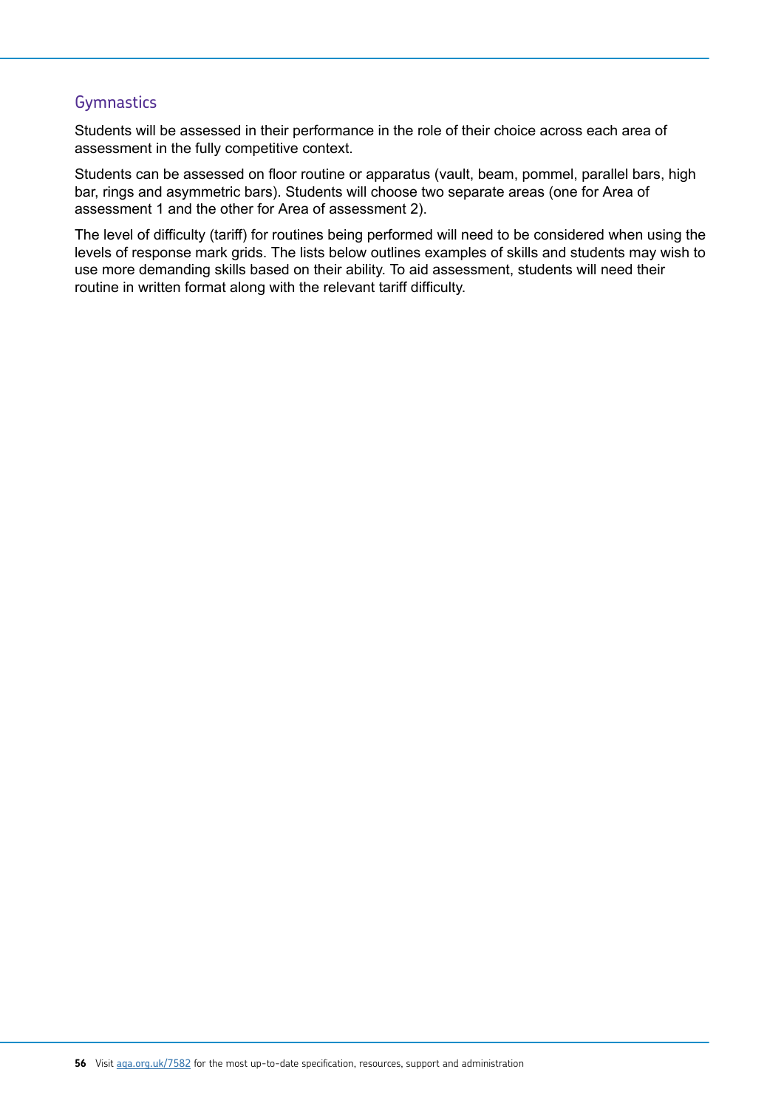## **Gymnastics**

Students will be assessed in their performance in the role of their choice across each area of assessment in the fully competitive context.

Students can be assessed on floor routine or apparatus (vault, beam, pommel, parallel bars, high bar, rings and asymmetric bars). Students will choose two separate areas (one for Area of assessment 1 and the other for Area of assessment 2).

The level of difficulty (tariff) for routines being performed will need to be considered when using the levels of response mark grids. The lists below outlines examples of skills and students may wish to use more demanding skills based on their ability. To aid assessment, students will need their routine in written format along with the relevant tariff difficulty.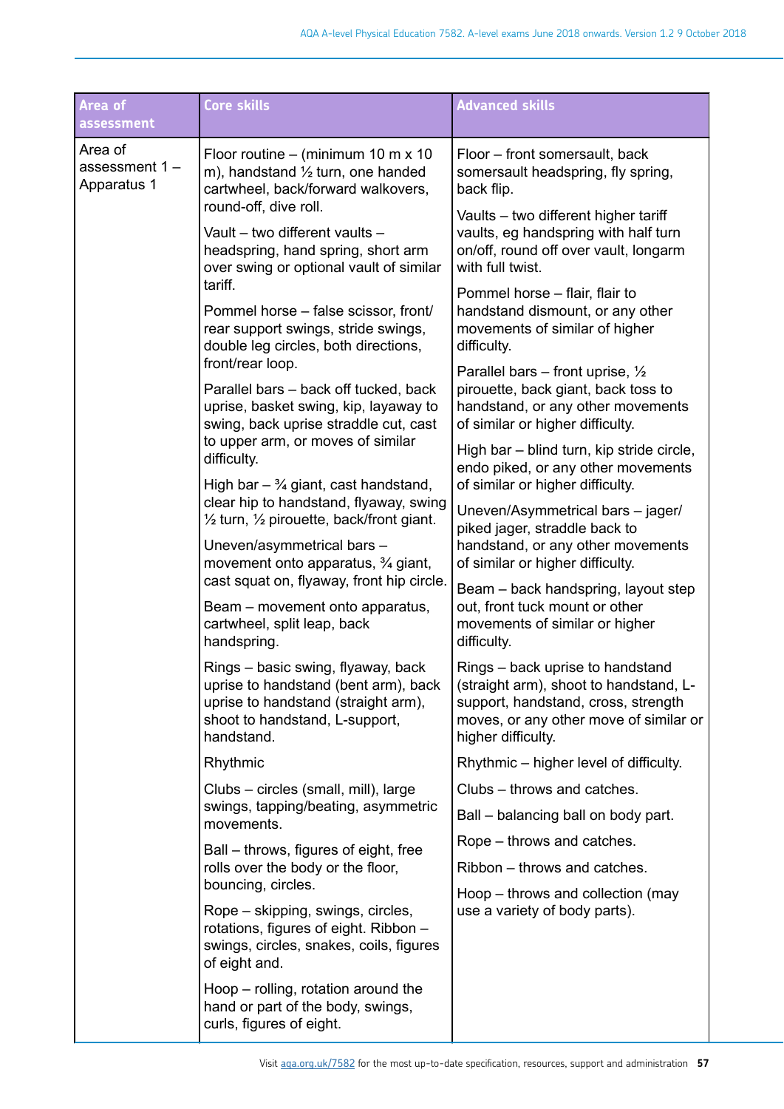| Area of<br>assessment                      | Core skills                                                                                                                                                       | <b>Advanced skills</b>                                                                                                                                                            |
|--------------------------------------------|-------------------------------------------------------------------------------------------------------------------------------------------------------------------|-----------------------------------------------------------------------------------------------------------------------------------------------------------------------------------|
| Area of<br>assessment $1 -$<br>Apparatus 1 | Floor routine $-$ (minimum 10 m x 10<br>m), handstand $\frac{1}{2}$ turn, one handed<br>cartwheel, back/forward walkovers,                                        | Floor - front somersault, back<br>somersault headspring, fly spring,<br>back flip.                                                                                                |
|                                            | round-off, dive roll.<br>Vault - two different vaults -<br>headspring, hand spring, short arm<br>over swing or optional vault of similar                          | Vaults - two different higher tariff<br>vaults, eg handspring with half turn<br>on/off, round off over vault, longarm<br>with full twist.                                         |
|                                            | tariff.<br>Pommel horse - false scissor, front/<br>rear support swings, stride swings,<br>double leg circles, both directions,                                    | Pommel horse - flair, flair to<br>handstand dismount, or any other<br>movements of similar of higher<br>difficulty.                                                               |
|                                            | front/rear loop.<br>Parallel bars - back off tucked, back<br>uprise, basket swing, kip, layaway to<br>swing, back uprise straddle cut, cast                       | Parallel bars – front uprise, $\frac{1}{2}$<br>pirouette, back giant, back toss to<br>handstand, or any other movements<br>of similar or higher difficulty.                       |
|                                            | to upper arm, or moves of similar<br>difficulty.<br>High bar $ \frac{3}{4}$ giant, cast handstand,                                                                | High bar - blind turn, kip stride circle,<br>endo piked, or any other movements<br>of similar or higher difficulty.                                                               |
|                                            | clear hip to handstand, flyaway, swing<br>$\frac{1}{2}$ turn, $\frac{1}{2}$ pirouette, back/front giant.                                                          | Uneven/Asymmetrical bars - jager/<br>piked jager, straddle back to                                                                                                                |
|                                            | Uneven/asymmetrical bars -<br>movement onto apparatus, $\frac{3}{4}$ giant,<br>cast squat on, flyaway, front hip circle.                                          | handstand, or any other movements<br>of similar or higher difficulty.                                                                                                             |
|                                            | Beam – movement onto apparatus,<br>cartwheel, split leap, back<br>handspring.                                                                                     | Beam - back handspring, layout step<br>out, front tuck mount or other<br>movements of similar or higher<br>difficulty.                                                            |
|                                            | Rings - basic swing, flyaway, back<br>uprise to handstand (bent arm), back<br>uprise to handstand (straight arm),<br>shoot to handstand, L-support,<br>handstand. | Rings – back uprise to handstand<br>(straight arm), shoot to handstand, L-<br>support, handstand, cross, strength<br>moves, or any other move of similar or<br>higher difficulty. |
|                                            | Rhythmic                                                                                                                                                          | Rhythmic – higher level of difficulty.                                                                                                                                            |
|                                            | Clubs - circles (small, mill), large<br>swings, tapping/beating, asymmetric                                                                                       | Clubs - throws and catches.                                                                                                                                                       |
|                                            | movements.                                                                                                                                                        | Ball - balancing ball on body part.                                                                                                                                               |
|                                            | Ball – throws, figures of eight, free                                                                                                                             | Rope – throws and catches.                                                                                                                                                        |
|                                            | rolls over the body or the floor,<br>bouncing, circles.                                                                                                           | Ribbon - throws and catches.                                                                                                                                                      |
|                                            | Rope – skipping, swings, circles,<br>rotations, figures of eight. Ribbon -<br>swings, circles, snakes, coils, figures<br>of eight and.                            | Hoop – throws and collection (may<br>use a variety of body parts).                                                                                                                |
|                                            | Hoop – rolling, rotation around the<br>hand or part of the body, swings,<br>curls, figures of eight.                                                              |                                                                                                                                                                                   |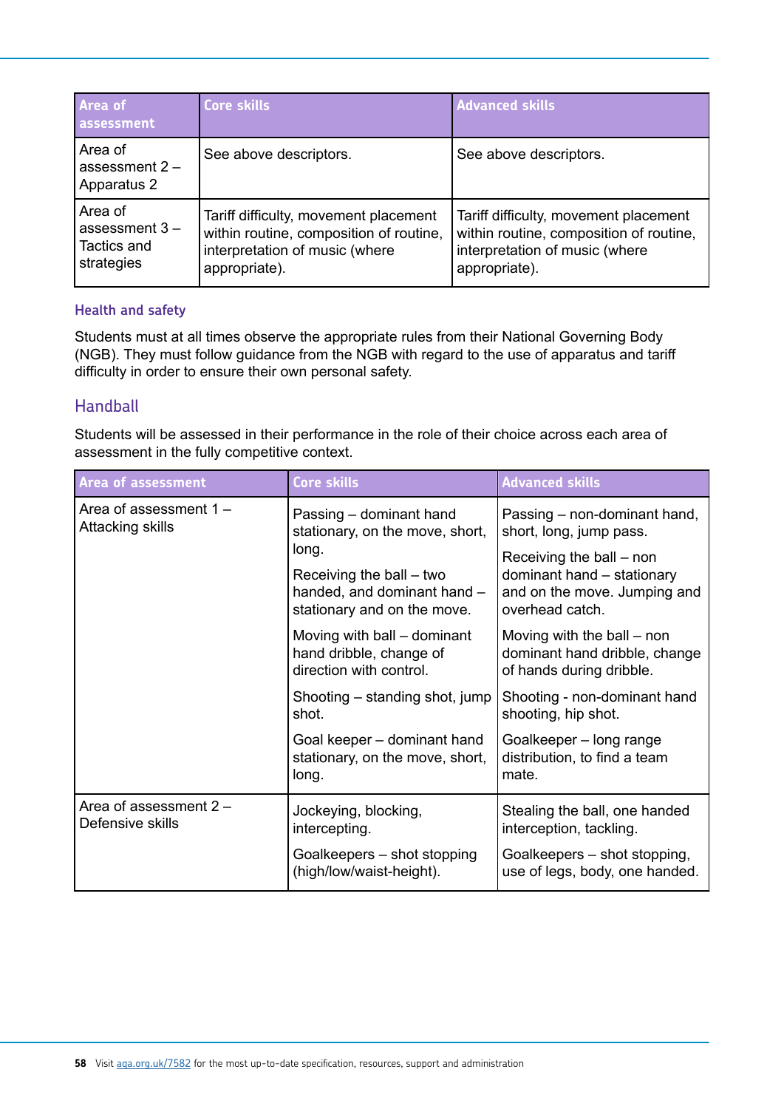| Area of<br>assessment                                    | Core skills                                                                                                                         | <b>Advanced skills</b>                                                                                                              |
|----------------------------------------------------------|-------------------------------------------------------------------------------------------------------------------------------------|-------------------------------------------------------------------------------------------------------------------------------------|
| Area of<br>assessment $2 -$<br>Apparatus 2               | See above descriptors.                                                                                                              | See above descriptors.                                                                                                              |
| Area of<br>assessment $3 -$<br>Tactics and<br>strategies | Tariff difficulty, movement placement<br>within routine, composition of routine,<br>interpretation of music (where<br>appropriate). | Tariff difficulty, movement placement<br>within routine, composition of routine,<br>interpretation of music (where<br>appropriate). |

Students must at all times observe the appropriate rules from their National Governing Body (NGB). They must follow guidance from the NGB with regard to the use of apparatus and tariff difficulty in order to ensure their own personal safety.

## Handball

| Area of assessment                           | Core skills                                                                                     | <b>Advanced skills</b>                                                                                    |
|----------------------------------------------|-------------------------------------------------------------------------------------------------|-----------------------------------------------------------------------------------------------------------|
| Area of assessment $1 -$<br>Attacking skills | Passing – dominant hand<br>stationary, on the move, short,                                      | Passing – non-dominant hand,<br>short, long, jump pass.                                                   |
|                                              | long.<br>Receiving the ball – two<br>handed, and dominant hand -<br>stationary and on the move. | Receiving the ball – non<br>dominant hand - stationary<br>and on the move. Jumping and<br>overhead catch. |
|                                              | Moving with ball - dominant<br>hand dribble, change of<br>direction with control.               | Moving with the ball – non<br>dominant hand dribble, change<br>of hands during dribble.                   |
|                                              | Shooting – standing shot, jump<br>shot.                                                         | Shooting - non-dominant hand<br>shooting, hip shot.                                                       |
|                                              | Goal keeper - dominant hand<br>stationary, on the move, short,<br>long.                         | Goalkeeper - long range<br>distribution, to find a team<br>mate.                                          |
| Area of assessment 2 -<br>Defensive skills   | Jockeying, blocking,<br>intercepting.                                                           | Stealing the ball, one handed<br>interception, tackling.                                                  |
|                                              | Goalkeepers - shot stopping<br>(high/low/waist-height).                                         | Goalkeepers – shot stopping,<br>use of legs, body, one handed.                                            |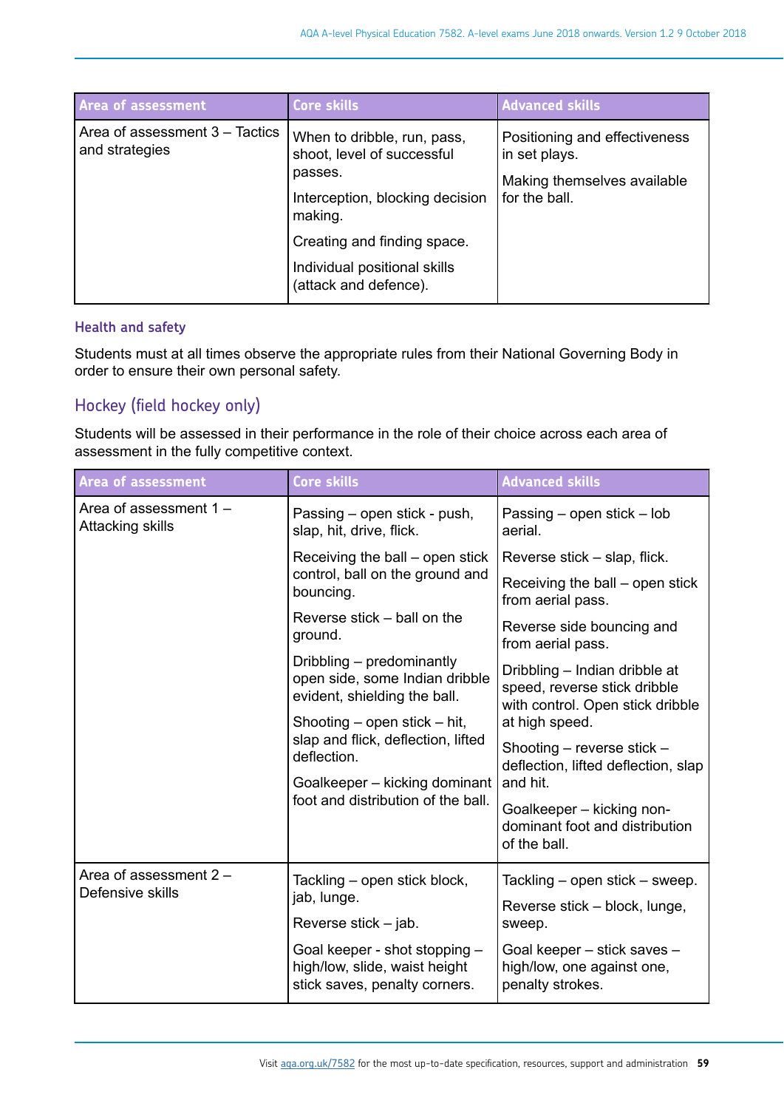| <b>Area of assessment</b>                        | Core skills                                                                                                        | <b>Advanced skills</b>                                                                         |
|--------------------------------------------------|--------------------------------------------------------------------------------------------------------------------|------------------------------------------------------------------------------------------------|
| Area of assessment 3 - Tactics<br>and strategies | When to dribble, run, pass,<br>shoot, level of successful<br>passes.<br>Interception, blocking decision<br>making. | Positioning and effectiveness<br>in set plays.<br>Making themselves available<br>for the ball. |
|                                                  | Creating and finding space.<br>Individual positional skills<br>(attack and defence).                               |                                                                                                |

Students must at all times observe the appropriate rules from their National Governing Body in order to ensure their own personal safety.

## Hockey (field hockey only)

| <b>Area of assessment</b>                         | Core skills                                                                                     | <b>Advanced skills</b>                                                                            |
|---------------------------------------------------|-------------------------------------------------------------------------------------------------|---------------------------------------------------------------------------------------------------|
| Area of assessment 1 -<br><b>Attacking skills</b> | Passing – open stick - push,<br>slap, hit, drive, flick.                                        | Passing $-$ open stick $-$ lob<br>aerial.                                                         |
|                                                   | Receiving the ball – open stick<br>control, ball on the ground and                              | Reverse stick – slap, flick.                                                                      |
|                                                   | bouncing.                                                                                       | Receiving the ball – open stick<br>from aerial pass.                                              |
|                                                   | Reverse stick – ball on the<br>ground.                                                          | Reverse side bouncing and<br>from aerial pass.                                                    |
|                                                   | Dribbling - predominantly<br>open side, some Indian dribble<br>evident, shielding the ball.     | Dribbling - Indian dribble at<br>speed, reverse stick dribble<br>with control. Open stick dribble |
|                                                   | Shooting $-$ open stick $-$ hit,<br>slap and flick, deflection, lifted                          | at high speed.                                                                                    |
|                                                   | deflection.                                                                                     | Shooting - reverse stick -<br>deflection, lifted deflection, slap                                 |
|                                                   | Goalkeeper - kicking dominant                                                                   | and hit.                                                                                          |
|                                                   | foot and distribution of the ball.                                                              | Goalkeeper - kicking non-<br>dominant foot and distribution<br>of the ball.                       |
| Area of assessment 2 -<br>Defensive skills        | Tackling – open stick block,                                                                    | Tackling $-$ open stick $-$ sweep.                                                                |
|                                                   | jab, lunge.                                                                                     | Reverse stick – block, lunge,                                                                     |
|                                                   | Reverse stick $-$ jab.                                                                          | sweep.                                                                                            |
|                                                   | Goal keeper - shot stopping -<br>high/low, slide, waist height<br>stick saves, penalty corners. | Goal keeper - stick saves -<br>high/low, one against one,<br>penalty strokes.                     |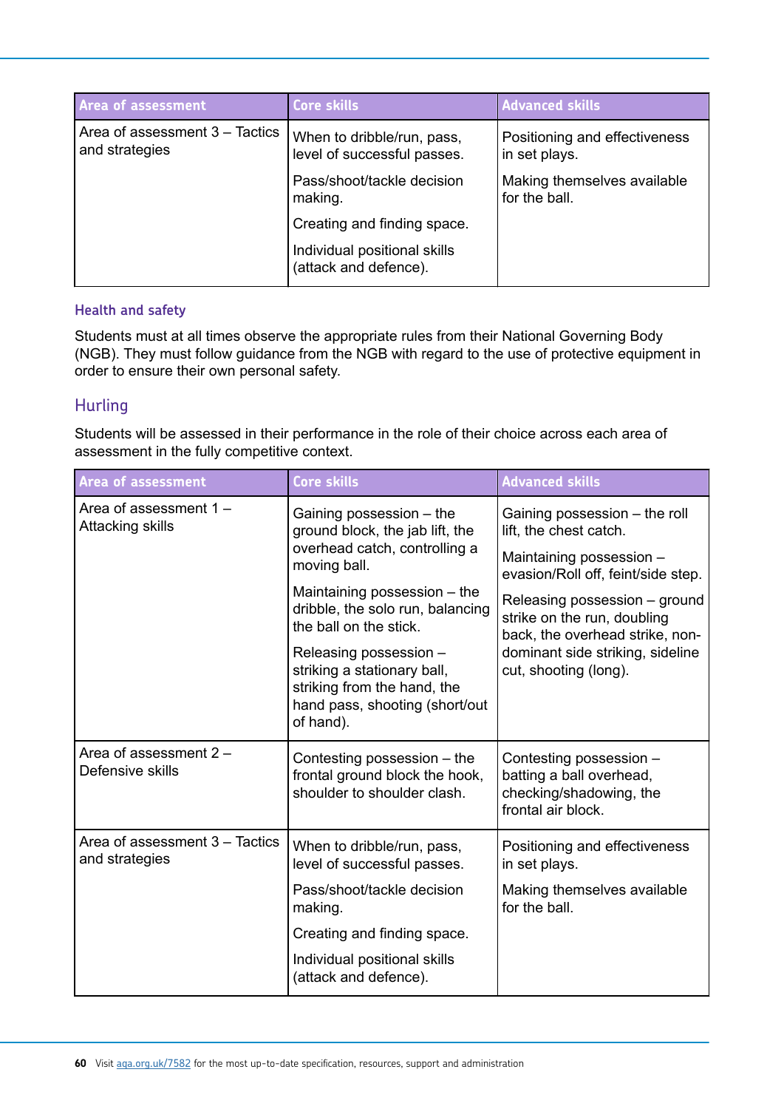| <b>Area of assessment</b>                        | Core skills                                               | <b>Advanced skills</b>                         |
|--------------------------------------------------|-----------------------------------------------------------|------------------------------------------------|
| Area of assessment 3 - Tactics<br>and strategies | When to dribble/run, pass,<br>level of successful passes. | Positioning and effectiveness<br>in set plays. |
|                                                  | Pass/shoot/tackle decision<br>making.                     | Making themselves available<br>for the ball.   |
|                                                  | Creating and finding space.                               |                                                |
|                                                  | Individual positional skills<br>(attack and defence).     |                                                |

Students must at all times observe the appropriate rules from their National Governing Body (NGB). They must follow guidance from the NGB with regard to the use of protective equipment in order to ensure their own personal safety.

## **Hurling**

| <b>Area of assessment</b>                         | Core skills                                                                                                                         | <b>Advanced skills</b>                                                                                                    |
|---------------------------------------------------|-------------------------------------------------------------------------------------------------------------------------------------|---------------------------------------------------------------------------------------------------------------------------|
| Area of assessment 1 -<br><b>Attacking skills</b> | Gaining possession - the<br>ground block, the jab lift, the<br>overhead catch, controlling a<br>moving ball.                        | Gaining possession - the roll<br>lift, the chest catch.<br>Maintaining possession -<br>evasion/Roll off, feint/side step. |
|                                                   | Maintaining possession $-$ the<br>dribble, the solo run, balancing<br>the ball on the stick.                                        | Releasing possession - ground<br>strike on the run, doubling<br>back, the overhead strike, non-                           |
|                                                   | Releasing possession -<br>striking a stationary ball,<br>striking from the hand, the<br>hand pass, shooting (short/out<br>of hand). | dominant side striking, sideline<br>cut, shooting (long).                                                                 |
| Area of assessment 2 -<br>Defensive skills        | Contesting possession – the<br>frontal ground block the hook,<br>shoulder to shoulder clash.                                        | Contesting possession -<br>batting a ball overhead,<br>checking/shadowing, the<br>frontal air block.                      |
| Area of assessment 3 - Tactics<br>and strategies  | When to dribble/run, pass,<br>level of successful passes.                                                                           | Positioning and effectiveness<br>in set plays.                                                                            |
|                                                   | Pass/shoot/tackle decision<br>making.                                                                                               | Making themselves available<br>for the ball.                                                                              |
|                                                   | Creating and finding space.                                                                                                         |                                                                                                                           |
|                                                   | Individual positional skills<br>(attack and defence).                                                                               |                                                                                                                           |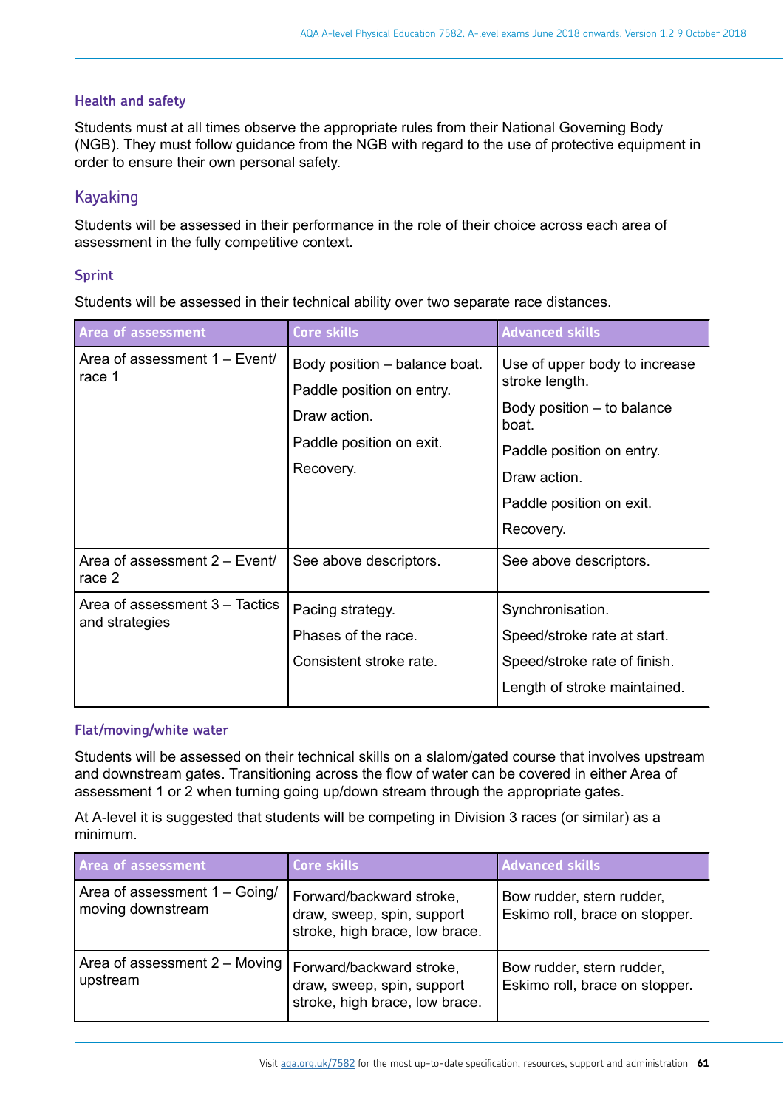Students must at all times observe the appropriate rules from their National Governing Body (NGB). They must follow guidance from the NGB with regard to the use of protective equipment in order to ensure their own personal safety.

## Kayaking

Students will be assessed in their performance in the role of their choice across each area of assessment in the fully competitive context.

### **Sprint**

Students will be assessed in their technical ability over two separate race distances.

| <b>Area of assessment</b>                        | Core skills                                                                                                         | <b>Advanced skills</b>                                                                                                                                                       |
|--------------------------------------------------|---------------------------------------------------------------------------------------------------------------------|------------------------------------------------------------------------------------------------------------------------------------------------------------------------------|
| Area of assessment 1 – Event/<br>race 1          | Body position – balance boat.<br>Paddle position on entry.<br>Draw action.<br>Paddle position on exit.<br>Recovery. | Use of upper body to increase<br>stroke length.<br>Body position – to balance<br>boat.<br>Paddle position on entry.<br>Draw action.<br>Paddle position on exit.<br>Recovery. |
| Area of assessment 2 – Event/<br>race 2          | See above descriptors.                                                                                              | See above descriptors.                                                                                                                                                       |
| Area of assessment 3 - Tactics<br>and strategies | Pacing strategy.<br>Phases of the race.<br>Consistent stroke rate.                                                  | Synchronisation.<br>Speed/stroke rate at start.<br>Speed/stroke rate of finish.<br>Length of stroke maintained.                                                              |

### **Flat/moving/white water**

Students will be assessed on their technical skills on a slalom/gated course that involves upstream and downstream gates. Transitioning across the flow of water can be covered in either Area of assessment 1 or 2 when turning going up/down stream through the appropriate gates.

At A-level it is suggested that students will be competing in Division 3 races (or similar) as a minimum.

| <b>Area of assessment</b>                          | Core skills                                                                              | <b>Advanced skills</b>                                      |
|----------------------------------------------------|------------------------------------------------------------------------------------------|-------------------------------------------------------------|
| Area of assessment 1 - Going/<br>moving downstream | Forward/backward stroke,<br>draw, sweep, spin, support<br>stroke, high brace, low brace. | Bow rudder, stern rudder,<br>Eskimo roll, brace on stopper. |
| Area of assessment 2 – Moving<br>upstream          | Forward/backward stroke,<br>draw, sweep, spin, support<br>stroke, high brace, low brace. | Bow rudder, stern rudder,<br>Eskimo roll, brace on stopper. |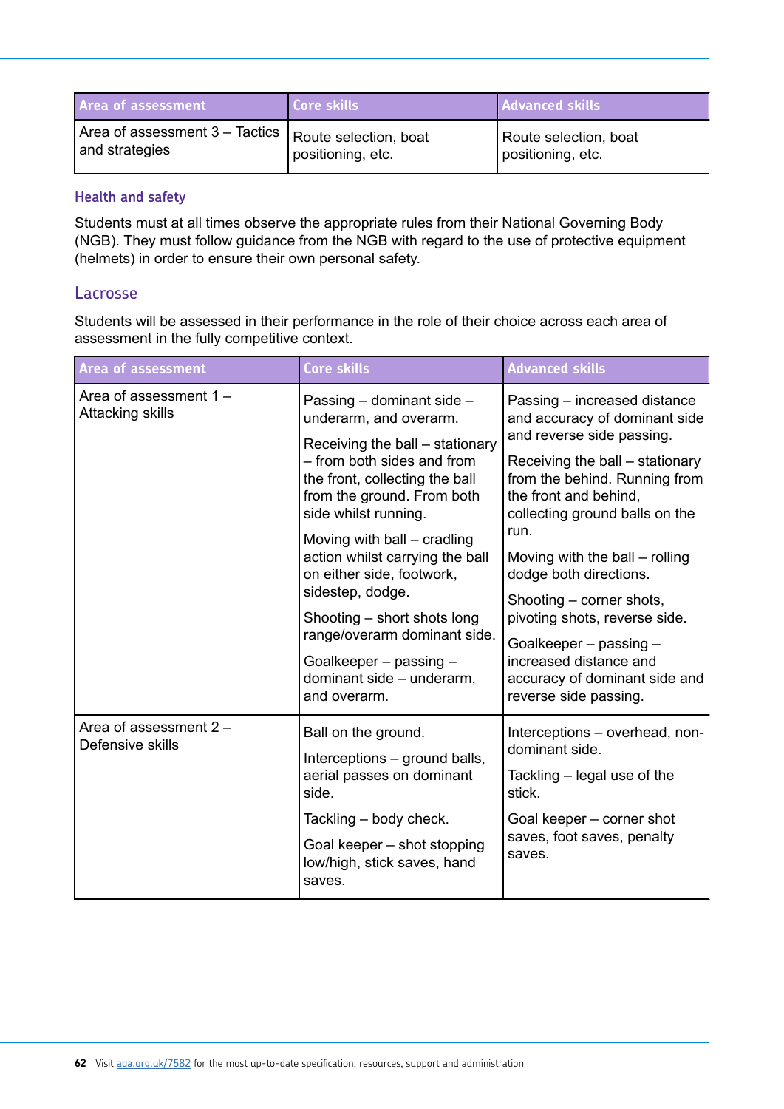| Area of assessment                                                       | Core skills       | <b>Advanced skills</b>                     |
|--------------------------------------------------------------------------|-------------------|--------------------------------------------|
| Area of assessment 3 - Tactics   Route selection, boat<br>and strategies | positioning, etc. | Route selection, boat<br>positioning, etc. |

Students must at all times observe the appropriate rules from their National Governing Body (NGB). They must follow guidance from the NGB with regard to the use of protective equipment (helmets) in order to ensure their own personal safety.

### Lacrosse

| <b>Area of assessment</b>                         | Core skills                                                                                                                                                                                                                                                                                                                                                                                                                                                               | <b>Advanced skills</b>                                                                                                                                                                                                                                                                                                                                                                                                                                                   |
|---------------------------------------------------|---------------------------------------------------------------------------------------------------------------------------------------------------------------------------------------------------------------------------------------------------------------------------------------------------------------------------------------------------------------------------------------------------------------------------------------------------------------------------|--------------------------------------------------------------------------------------------------------------------------------------------------------------------------------------------------------------------------------------------------------------------------------------------------------------------------------------------------------------------------------------------------------------------------------------------------------------------------|
| Area of assessment 1 -<br><b>Attacking skills</b> | Passing - dominant side -<br>underarm, and overarm.<br>Receiving the ball - stationary<br>- from both sides and from<br>the front, collecting the ball<br>from the ground. From both<br>side whilst running.<br>Moving with ball - cradling<br>action whilst carrying the ball<br>on either side, footwork,<br>sidestep, dodge.<br>Shooting – short shots long<br>range/overarm dominant side.<br>Goalkeeper $-$ passing $-$<br>dominant side - underarm,<br>and overarm. | Passing - increased distance<br>and accuracy of dominant side<br>and reverse side passing.<br>Receiving the ball - stationary<br>from the behind. Running from<br>the front and behind,<br>collecting ground balls on the<br>run.<br>Moving with the ball - rolling<br>dodge both directions.<br>Shooting – corner shots,<br>pivoting shots, reverse side.<br>Goalkeeper - passing -<br>increased distance and<br>accuracy of dominant side and<br>reverse side passing. |
| Area of assessment 2 -<br>Defensive skills        | Ball on the ground.<br>Interceptions – ground balls,<br>aerial passes on dominant<br>side.<br>Tackling - body check.<br>Goal keeper - shot stopping<br>low/high, stick saves, hand<br>saves.                                                                                                                                                                                                                                                                              | Interceptions - overhead, non-<br>dominant side.<br>Tackling – legal use of the<br>stick.<br>Goal keeper – corner shot<br>saves, foot saves, penalty<br>saves.                                                                                                                                                                                                                                                                                                           |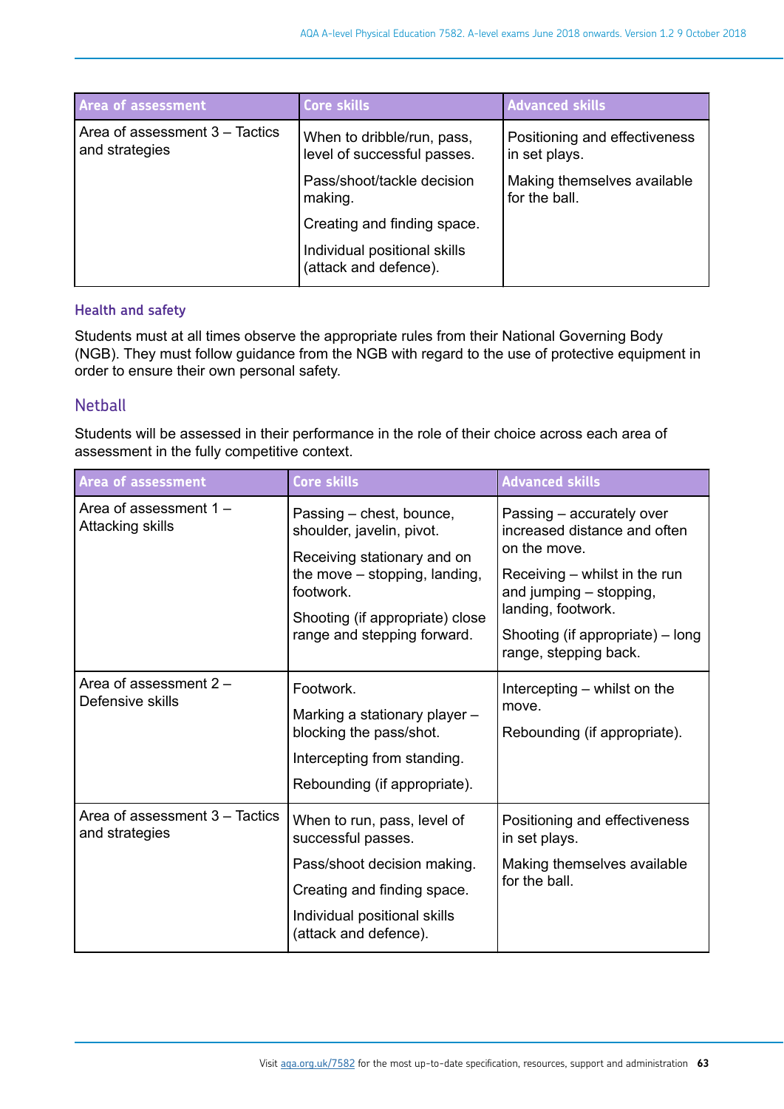| Area of assessment                               | Core skills                                               | <b>Advanced skills</b>                         |
|--------------------------------------------------|-----------------------------------------------------------|------------------------------------------------|
| Area of assessment 3 - Tactics<br>and strategies | When to dribble/run, pass,<br>level of successful passes. | Positioning and effectiveness<br>in set plays. |
|                                                  | Pass/shoot/tackle decision<br>making.                     | Making themselves available<br>for the ball.   |
|                                                  | Creating and finding space.                               |                                                |
|                                                  | Individual positional skills<br>(attack and defence).     |                                                |

Students must at all times observe the appropriate rules from their National Governing Body (NGB). They must follow guidance from the NGB with regard to the use of protective equipment in order to ensure their own personal safety.

### **Netball**

| <b>Area of assessment</b>                           | Core skills                                                                                                                                                                                            | <b>Advanced skills</b>                                                                                                                                                                                                   |
|-----------------------------------------------------|--------------------------------------------------------------------------------------------------------------------------------------------------------------------------------------------------------|--------------------------------------------------------------------------------------------------------------------------------------------------------------------------------------------------------------------------|
| Area of assessment $1 -$<br><b>Attacking skills</b> | Passing – chest, bounce,<br>shoulder, javelin, pivot.<br>Receiving stationary and on<br>the move $-$ stopping, landing,<br>footwork.<br>Shooting (if appropriate) close<br>range and stepping forward. | Passing - accurately over<br>increased distance and often<br>on the move.<br>Receiving - whilst in the run<br>and jumping - stopping,<br>landing, footwork.<br>Shooting (if appropriate) – long<br>range, stepping back. |
| Area of assessment 2 -<br>Defensive skills          | Footwork.<br>Marking a stationary player -<br>blocking the pass/shot.<br>Intercepting from standing.<br>Rebounding (if appropriate).                                                                   | Intercepting – whilst on the<br>move.<br>Rebounding (if appropriate).                                                                                                                                                    |
| Area of assessment 3 - Tactics<br>and strategies    | When to run, pass, level of<br>successful passes.<br>Pass/shoot decision making.<br>Creating and finding space.<br>Individual positional skills<br>(attack and defence).                               | Positioning and effectiveness<br>in set plays.<br>Making themselves available<br>for the ball.                                                                                                                           |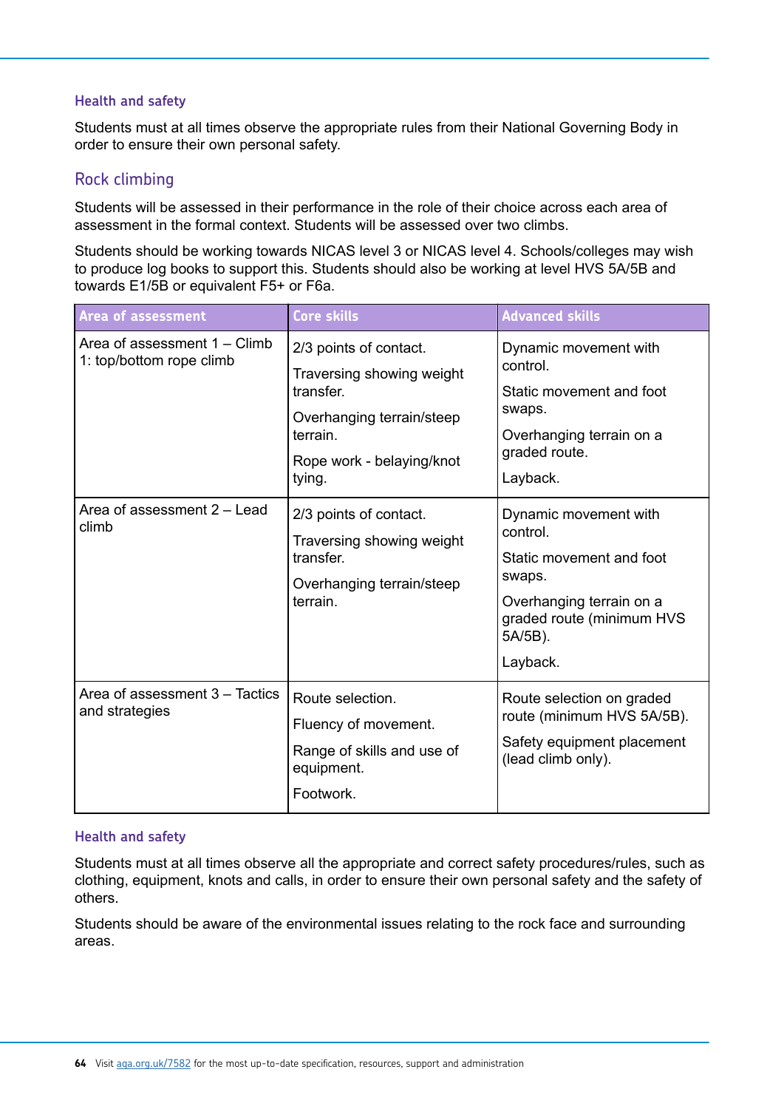Students must at all times observe the appropriate rules from their National Governing Body in order to ensure their own personal safety.

## Rock climbing

Students will be assessed in their performance in the role of their choice across each area of assessment in the formal context. Students will be assessed over two climbs.

Students should be working towards NICAS level 3 or NICAS level 4. Schools/colleges may wish to produce log books to support this. Students should also be working at level HVS 5A/5B and towards E1/5B or equivalent F5+ or F6a.

| <b>Area of assessment</b>                                | Core skills                                                                                                                                      | <b>Advanced skills</b>                                                                                                                                  |
|----------------------------------------------------------|--------------------------------------------------------------------------------------------------------------------------------------------------|---------------------------------------------------------------------------------------------------------------------------------------------------------|
| Area of assessment 1 - Climb<br>1: top/bottom rope climb | 2/3 points of contact.<br>Traversing showing weight<br>transfer.<br>Overhanging terrain/steep<br>terrain.<br>Rope work - belaying/knot<br>tying. | Dynamic movement with<br>control.<br>Static movement and foot<br>swaps.<br>Overhanging terrain on a<br>graded route.<br>Layback.                        |
| Area of assessment 2 - Lead<br>climb                     | 2/3 points of contact.<br>Traversing showing weight<br>transfer.<br>Overhanging terrain/steep<br>terrain.                                        | Dynamic movement with<br>control.<br>Static movement and foot<br>swaps.<br>Overhanging terrain on a<br>graded route (minimum HVS<br>5A/5B).<br>Layback. |
| Area of assessment 3 - Tactics<br>and strategies         | Route selection.<br>Fluency of movement.<br>Range of skills and use of<br>equipment.<br>Footwork.                                                | Route selection on graded<br>route (minimum HVS 5A/5B).<br>Safety equipment placement<br>(lead climb only).                                             |

### **Health and safety**

Students must at all times observe all the appropriate and correct safety procedures/rules, such as clothing, equipment, knots and calls, in order to ensure their own personal safety and the safety of others.

Students should be aware of the environmental issues relating to the rock face and surrounding areas.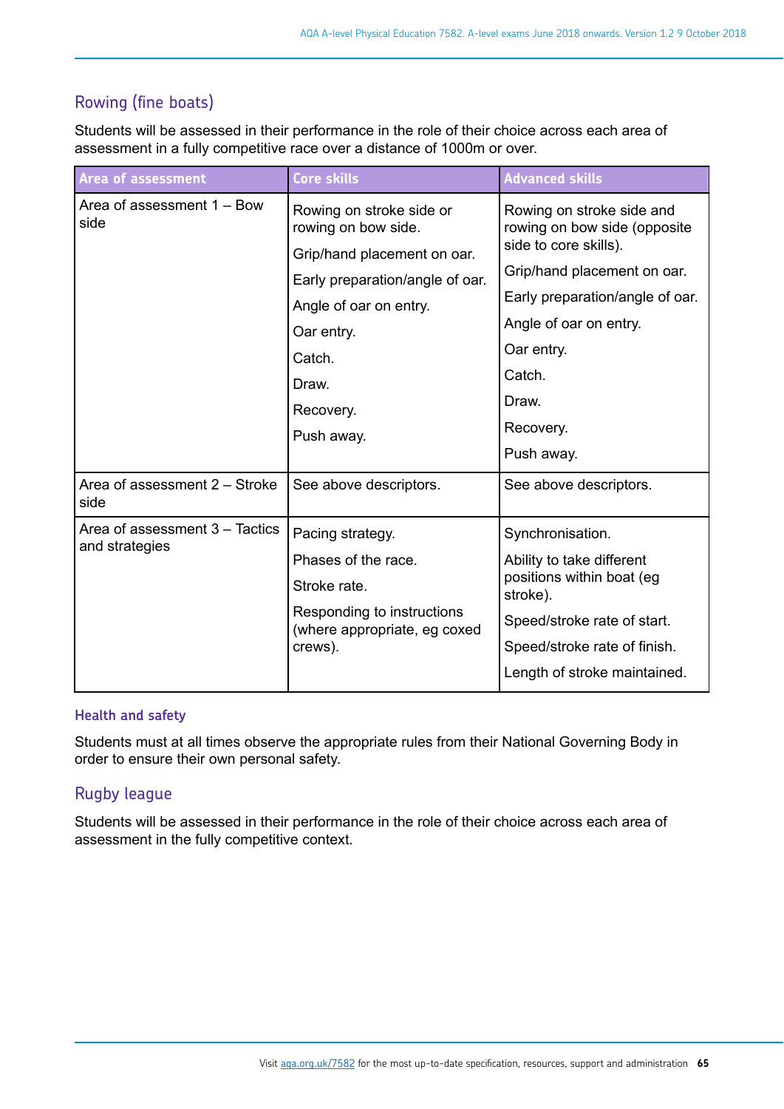## Rowing (fine boats)

Students will be assessed in their performance in the role of their choice across each area of assessment in a fully competitive race over a distance of 1000m or over.

| <b>Area of assessment</b>                        | Core skills                                                                                                                                                                                             | <b>Advanced skills</b>                                                                                                                                                                                                                     |
|--------------------------------------------------|---------------------------------------------------------------------------------------------------------------------------------------------------------------------------------------------------------|--------------------------------------------------------------------------------------------------------------------------------------------------------------------------------------------------------------------------------------------|
| Area of assessment 1 - Bow<br>side               | Rowing on stroke side or<br>rowing on bow side.<br>Grip/hand placement on oar.<br>Early preparation/angle of oar.<br>Angle of oar on entry.<br>Oar entry.<br>Catch.<br>Draw.<br>Recovery.<br>Push away. | Rowing on stroke side and<br>rowing on bow side (opposite<br>side to core skills).<br>Grip/hand placement on oar.<br>Early preparation/angle of oar.<br>Angle of oar on entry.<br>Oar entry.<br>Catch.<br>Draw.<br>Recovery.<br>Push away. |
| Area of assessment 2 - Stroke<br>side            | See above descriptors.                                                                                                                                                                                  | See above descriptors.                                                                                                                                                                                                                     |
| Area of assessment 3 - Tactics<br>and strategies | Pacing strategy.<br>Phases of the race.<br>Stroke rate.<br>Responding to instructions<br>(where appropriate, eg coxed<br>crews).                                                                        | Synchronisation.<br>Ability to take different<br>positions within boat (eg<br>stroke).<br>Speed/stroke rate of start.<br>Speed/stroke rate of finish.<br>Length of stroke maintained.                                                      |

#### **Health and safety**

Students must at all times observe the appropriate rules from their National Governing Body in order to ensure their own personal safety.

## Rugby league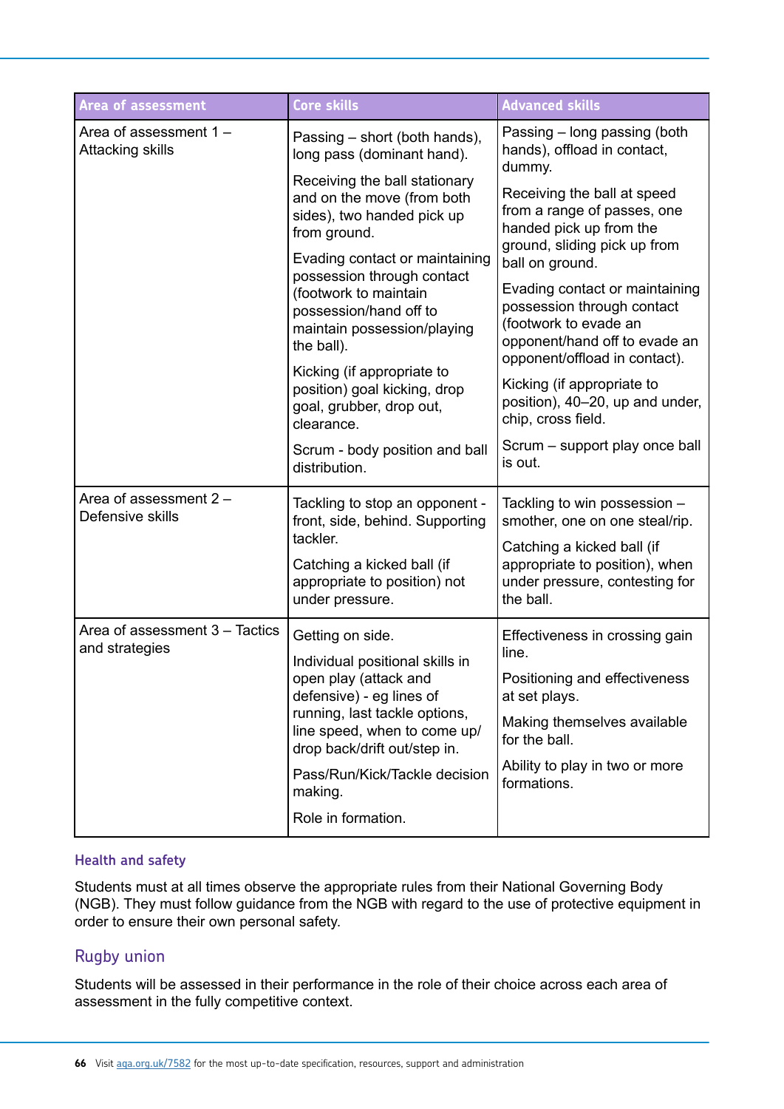| <b>Area of assessment</b>                         | Core skills                                                                                               | <b>Advanced skills</b>                                                                                                                                  |
|---------------------------------------------------|-----------------------------------------------------------------------------------------------------------|---------------------------------------------------------------------------------------------------------------------------------------------------------|
| Area of assessment 1 -<br><b>Attacking skills</b> | Passing – short (both hands),<br>long pass (dominant hand).                                               | Passing – long passing (both<br>hands), offload in contact,<br>dummy.                                                                                   |
|                                                   | Receiving the ball stationary<br>and on the move (from both<br>sides), two handed pick up<br>from ground. | Receiving the ball at speed<br>from a range of passes, one<br>handed pick up from the                                                                   |
|                                                   | Evading contact or maintaining<br>possession through contact                                              | ground, sliding pick up from<br>ball on ground.                                                                                                         |
|                                                   | (footwork to maintain<br>possession/hand off to<br>maintain possession/playing<br>the ball).              | Evading contact or maintaining<br>possession through contact<br>(footwork to evade an<br>opponent/hand off to evade an<br>opponent/offload in contact). |
|                                                   | Kicking (if appropriate to<br>position) goal kicking, drop<br>goal, grubber, drop out,<br>clearance.      | Kicking (if appropriate to<br>position), 40–20, up and under,<br>chip, cross field.                                                                     |
|                                                   | Scrum - body position and ball<br>distribution.                                                           | Scrum – support play once ball<br>is out.                                                                                                               |
| Area of assessment 2 -<br>Defensive skills        | Tackling to stop an opponent -<br>front, side, behind. Supporting                                         | Tackling to win possession -<br>smother, one on one steal/rip.                                                                                          |
|                                                   | tackler.<br>Catching a kicked ball (if<br>appropriate to position) not<br>under pressure.                 | Catching a kicked ball (if<br>appropriate to position), when<br>under pressure, contesting for<br>the ball.                                             |
| Area of assessment 3 - Tactics<br>and strategies  | Getting on side.                                                                                          | Effectiveness in crossing gain<br>line.                                                                                                                 |
|                                                   | Individual positional skills in<br>open play (attack and<br>defensive) - eg lines of                      | Positioning and effectiveness<br>at set plays.                                                                                                          |
|                                                   | running, last tackle options,<br>line speed, when to come up/<br>drop back/drift out/step in.             | Making themselves available<br>for the ball.                                                                                                            |
|                                                   | Pass/Run/Kick/Tackle decision<br>making.                                                                  | Ability to play in two or more<br>formations.                                                                                                           |
|                                                   | Role in formation.                                                                                        |                                                                                                                                                         |

Students must at all times observe the appropriate rules from their National Governing Body (NGB). They must follow guidance from the NGB with regard to the use of protective equipment in order to ensure their own personal safety.

## Rugby union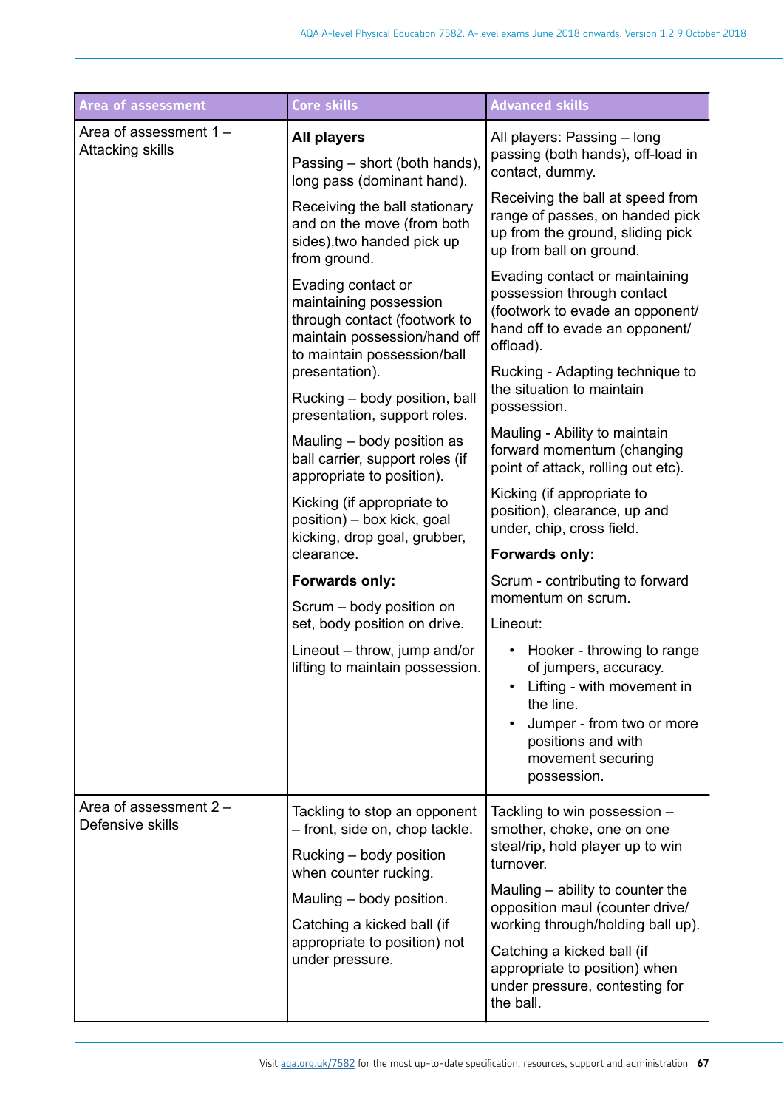| <b>Area of assessment</b>                         | Core skills                                                                                                                                                                                                                     | <b>Advanced skills</b>                                                                                                                                                                                                                                                                                                                |
|---------------------------------------------------|---------------------------------------------------------------------------------------------------------------------------------------------------------------------------------------------------------------------------------|---------------------------------------------------------------------------------------------------------------------------------------------------------------------------------------------------------------------------------------------------------------------------------------------------------------------------------------|
| Area of assessment 1 -<br><b>Attacking skills</b> | <b>All players</b><br>Passing – short (both hands),<br>long pass (dominant hand).                                                                                                                                               | All players: Passing - long<br>passing (both hands), off-load in<br>contact, dummy.                                                                                                                                                                                                                                                   |
|                                                   | Receiving the ball stationary<br>and on the move (from both<br>sides), two handed pick up<br>from ground.                                                                                                                       | Receiving the ball at speed from<br>range of passes, on handed pick<br>up from the ground, sliding pick<br>up from ball on ground.                                                                                                                                                                                                    |
|                                                   | Evading contact or<br>maintaining possession<br>through contact (footwork to<br>maintain possession/hand off<br>to maintain possession/ball                                                                                     | Evading contact or maintaining<br>possession through contact<br>(footwork to evade an opponent/<br>hand off to evade an opponent/<br>offload).                                                                                                                                                                                        |
|                                                   | presentation).<br>Rucking - body position, ball<br>presentation, support roles.                                                                                                                                                 | Rucking - Adapting technique to<br>the situation to maintain<br>possession.                                                                                                                                                                                                                                                           |
|                                                   | Mauling – body position as<br>ball carrier, support roles (if<br>appropriate to position).                                                                                                                                      | Mauling - Ability to maintain<br>forward momentum (changing<br>point of attack, rolling out etc).                                                                                                                                                                                                                                     |
|                                                   | Kicking (if appropriate to<br>position) - box kick, goal<br>kicking, drop goal, grubber,                                                                                                                                        | Kicking (if appropriate to<br>position), clearance, up and<br>under, chip, cross field.                                                                                                                                                                                                                                               |
|                                                   | clearance.                                                                                                                                                                                                                      | Forwards only:                                                                                                                                                                                                                                                                                                                        |
|                                                   | Forwards only:                                                                                                                                                                                                                  | Scrum - contributing to forward                                                                                                                                                                                                                                                                                                       |
|                                                   | Scrum - body position on<br>set, body position on drive.                                                                                                                                                                        | momentum on scrum.<br>Lineout:                                                                                                                                                                                                                                                                                                        |
|                                                   | Lineout – throw, jump and/or<br>lifting to maintain possession.                                                                                                                                                                 | Hooker - throwing to range<br>of jumpers, accuracy.<br>Lifting - with movement in<br>the line.<br>Jumper - from two or more<br>positions and with<br>movement securing<br>possession.                                                                                                                                                 |
| Area of assessment 2 -<br>Defensive skills        | Tackling to stop an opponent<br>- front, side on, chop tackle.<br>Rucking - body position<br>when counter rucking.<br>Mauling - body position.<br>Catching a kicked ball (if<br>appropriate to position) not<br>under pressure. | Tackling to win possession -<br>smother, choke, one on one<br>steal/rip, hold player up to win<br>turnover.<br>Mauling - ability to counter the<br>opposition maul (counter drive/<br>working through/holding ball up).<br>Catching a kicked ball (if<br>appropriate to position) when<br>under pressure, contesting for<br>the ball. |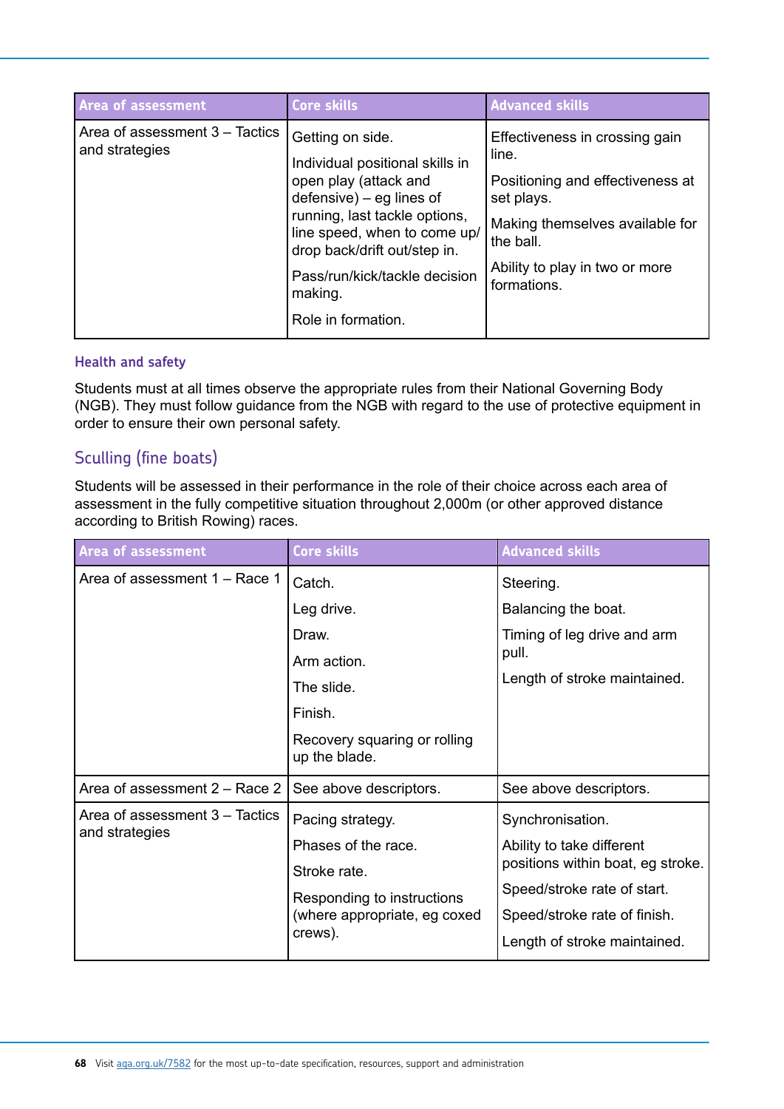| <b>Area of assessment</b>                        | Core skills                                                                                                                                                                                                                                                                   | <b>Advanced skills</b>                                                                                                                                                                     |
|--------------------------------------------------|-------------------------------------------------------------------------------------------------------------------------------------------------------------------------------------------------------------------------------------------------------------------------------|--------------------------------------------------------------------------------------------------------------------------------------------------------------------------------------------|
| Area of assessment 3 - Tactics<br>and strategies | Getting on side.<br>Individual positional skills in<br>open play (attack and<br>$defensive) - eg lines of$<br>running, last tackle options,<br>line speed, when to come up/<br>drop back/drift out/step in.<br>Pass/run/kick/tackle decision<br>making.<br>Role in formation. | Effectiveness in crossing gain<br>line.<br>Positioning and effectiveness at<br>set plays.<br>Making themselves available for<br>the ball.<br>Ability to play in two or more<br>formations. |

Students must at all times observe the appropriate rules from their National Governing Body (NGB). They must follow guidance from the NGB with regard to the use of protective equipment in order to ensure their own personal safety.

## Sculling (fine boats)

Students will be assessed in their performance in the role of their choice across each area of assessment in the fully competitive situation throughout 2,000m (or other approved distance according to British Rowing) races.

| <b>Area of assessment</b>      | Core skills                                   | <b>Advanced skills</b>            |
|--------------------------------|-----------------------------------------------|-----------------------------------|
| Area of assessment 1 - Race 1  | Catch.                                        | Steering.                         |
|                                | Leg drive.                                    | Balancing the boat.               |
|                                | Draw.                                         | Timing of leg drive and arm       |
|                                | Arm action.                                   | pull.                             |
|                                | The slide.                                    | Length of stroke maintained.      |
|                                | Finish.                                       |                                   |
|                                | Recovery squaring or rolling<br>up the blade. |                                   |
| Area of assessment 2 - Race 2  | See above descriptors.                        | See above descriptors.            |
| Area of assessment 3 - Tactics | Pacing strategy.                              | Synchronisation.                  |
| and strategies                 | Phases of the race.                           | Ability to take different         |
|                                | Stroke rate.                                  | positions within boat, eg stroke. |
|                                | Responding to instructions                    | Speed/stroke rate of start.       |
|                                | (where appropriate, eg coxed                  | Speed/stroke rate of finish.      |
|                                | crews).                                       | Length of stroke maintained.      |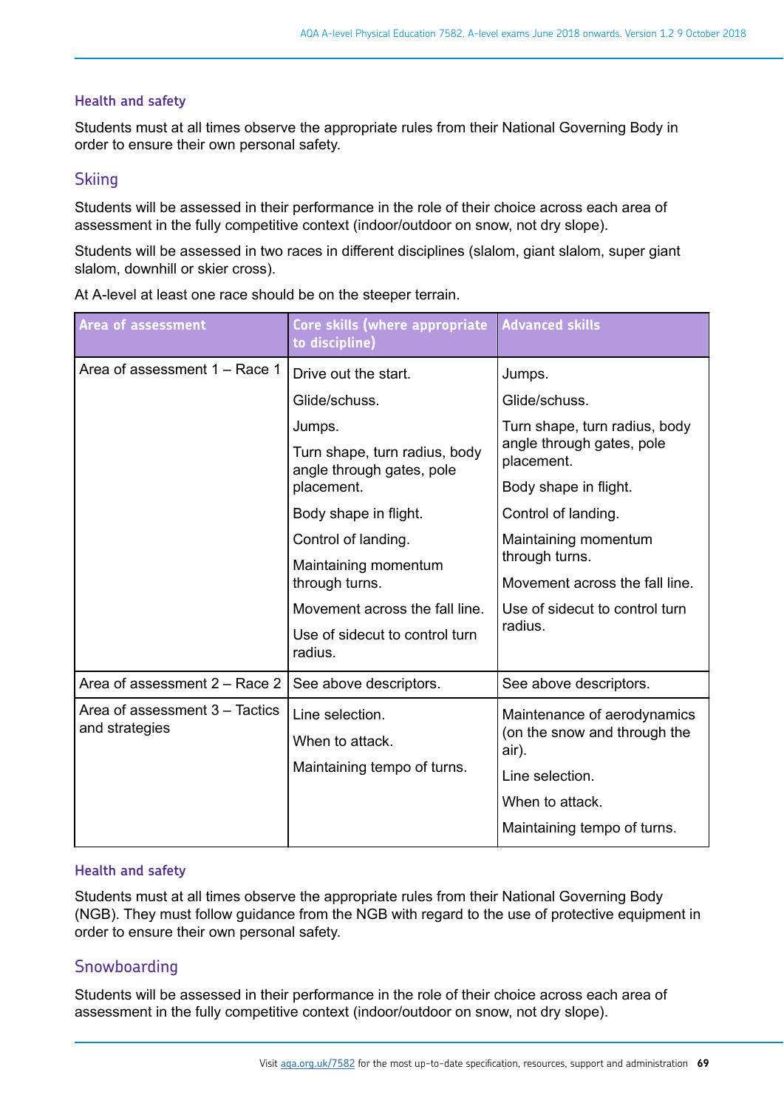Students must at all times observe the appropriate rules from their National Governing Body in order to ensure their own personal safety.

## **Skiing**

Students will be assessed in their performance in the role of their choice across each area of assessment in the fully competitive context (indoor/outdoor on snow, not dry slope).

Students will be assessed in two races in different disciplines (slalom, giant slalom, super giant slalom, downhill or skier cross).

| Area of assessment                               | Core skills (where appropriate<br>to discipline)                                                                                                                                    | <b>Advanced skills</b>                                                                                                                                                |
|--------------------------------------------------|-------------------------------------------------------------------------------------------------------------------------------------------------------------------------------------|-----------------------------------------------------------------------------------------------------------------------------------------------------------------------|
| Area of assessment 1 – Race 1                    | Drive out the start.<br>Glide/schuss.                                                                                                                                               | Jumps.<br>Glide/schuss.                                                                                                                                               |
|                                                  | Jumps.<br>Turn shape, turn radius, body<br>angle through gates, pole                                                                                                                | Turn shape, turn radius, body<br>angle through gates, pole<br>placement.                                                                                              |
|                                                  | placement.<br>Body shape in flight.<br>Control of landing.<br>Maintaining momentum<br>through turns.<br>Movement across the fall line.<br>Use of sidecut to control turn<br>radius. | Body shape in flight.<br>Control of landing.<br>Maintaining momentum<br>through turns.<br>Movement across the fall line.<br>Use of sidecut to control turn<br>radius. |
| Area of assessment 2 - Race 2                    | See above descriptors.                                                                                                                                                              | See above descriptors.                                                                                                                                                |
| Area of assessment 3 - Tactics<br>and strategies | Line selection.<br>When to attack.<br>Maintaining tempo of turns.                                                                                                                   | Maintenance of aerodynamics<br>(on the snow and through the<br>air).<br>Line selection.<br>When to attack.<br>Maintaining tempo of turns.                             |

At A-level at least one race should be on the steeper terrain.

### **Health and safety**

Students must at all times observe the appropriate rules from their National Governing Body (NGB). They must follow guidance from the NGB with regard to the use of protective equipment in order to ensure their own personal safety.

## Snowboarding

Students will be assessed in their performance in the role of their choice across each area of assessment in the fully competitive context (indoor/outdoor on snow, not dry slope).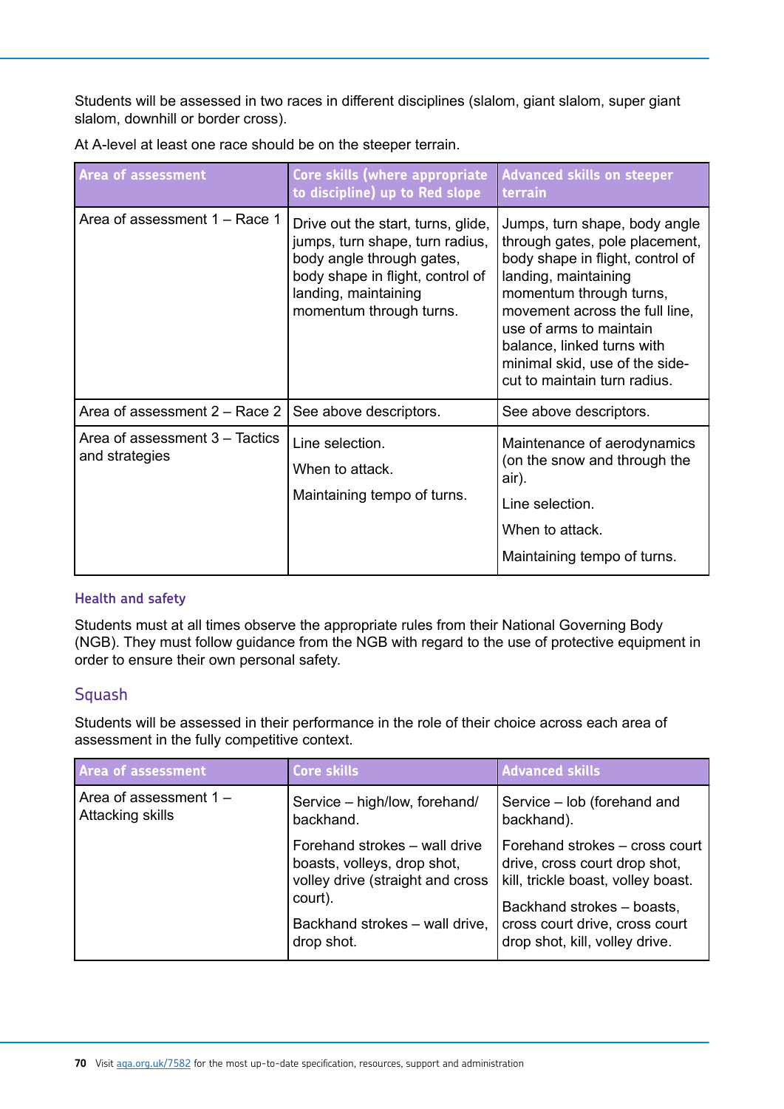Students will be assessed in two races in different disciplines (slalom, giant slalom, super giant slalom, downhill or border cross).

| <b>Area of assessment</b>                        | Core skills (where appropriate<br>to discipline) up to Red slope                                                                                                                          | <b>Advanced skills on steeper</b><br>terrain                                                                                                                                                                                                                                                                        |
|--------------------------------------------------|-------------------------------------------------------------------------------------------------------------------------------------------------------------------------------------------|---------------------------------------------------------------------------------------------------------------------------------------------------------------------------------------------------------------------------------------------------------------------------------------------------------------------|
| Area of assessment 1 – Race 1                    | Drive out the start, turns, glide,<br>jumps, turn shape, turn radius,<br>body angle through gates,<br>body shape in flight, control of<br>landing, maintaining<br>momentum through turns. | Jumps, turn shape, body angle<br>through gates, pole placement,<br>body shape in flight, control of<br>landing, maintaining<br>momentum through turns,<br>movement across the full line,<br>use of arms to maintain<br>balance, linked turns with<br>minimal skid, use of the side-<br>cut to maintain turn radius. |
| Area of assessment 2 – Race 2                    | See above descriptors.                                                                                                                                                                    | See above descriptors.                                                                                                                                                                                                                                                                                              |
| Area of assessment 3 – Tactics<br>and strategies | Line selection.<br>When to attack.<br>Maintaining tempo of turns.                                                                                                                         | Maintenance of aerodynamics<br>(on the snow and through the<br>air).<br>Line selection.<br>When to attack.<br>Maintaining tempo of turns.                                                                                                                                                                           |

At A-level at least one race should be on the steeper terrain.

### **Health and safety**

Students must at all times observe the appropriate rules from their National Governing Body (NGB). They must follow guidance from the NGB with regard to the use of protective equipment in order to ensure their own personal safety.

## Squash

| <b>Area of assessment</b>                    | Core skills                                                                                                                                                 | <b>Advanced skills</b>                                                                                                                                                                                  |
|----------------------------------------------|-------------------------------------------------------------------------------------------------------------------------------------------------------------|---------------------------------------------------------------------------------------------------------------------------------------------------------------------------------------------------------|
| Area of assessment $1 -$<br>Attacking skills | Service - high/low, forehand/<br>backhand.                                                                                                                  | Service - lob (forehand and<br>backhand).                                                                                                                                                               |
|                                              | Forehand strokes - wall drive<br>boasts, volleys, drop shot,<br>volley drive (straight and cross<br>court).<br>Backhand strokes - wall drive,<br>drop shot. | Forehand strokes - cross court<br>drive, cross court drop shot,<br>kill, trickle boast, volley boast.<br>Backhand strokes - boasts,<br>cross court drive, cross court<br>drop shot, kill, volley drive. |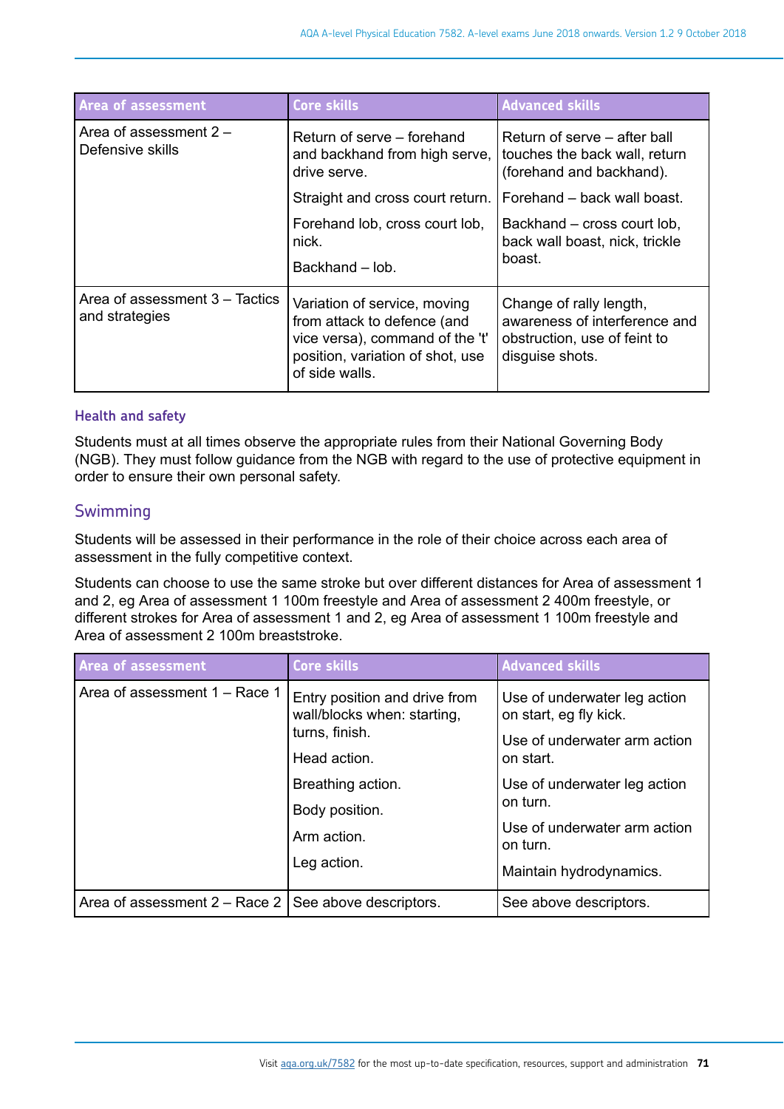| <b>Area of assessment</b>                        | Core skills                                                                                                                                          | <b>Advanced skills</b>                                                                                      |
|--------------------------------------------------|------------------------------------------------------------------------------------------------------------------------------------------------------|-------------------------------------------------------------------------------------------------------------|
| Area of assessment 2 -<br>Defensive skills       | Return of serve – forehand<br>and backhand from high serve,<br>drive serve.                                                                          | Return of serve – after ball<br>touches the back wall, return<br>(forehand and backhand).                   |
|                                                  | Straight and cross court return.                                                                                                                     | Forehand - back wall boast.                                                                                 |
|                                                  | Forehand lob, cross court lob,<br>nick.<br>Backhand – lob.                                                                                           | Backhand – cross court lob,<br>back wall boast, nick, trickle<br>boast.                                     |
| Area of assessment 3 - Tactics<br>and strategies | Variation of service, moving<br>from attack to defence (and<br>vice versa), command of the 't'<br>position, variation of shot, use<br>of side walls. | Change of rally length,<br>awareness of interference and<br>obstruction, use of feint to<br>disguise shots. |

Students must at all times observe the appropriate rules from their National Governing Body (NGB). They must follow guidance from the NGB with regard to the use of protective equipment in order to ensure their own personal safety.

### Swimming

Students will be assessed in their performance in the role of their choice across each area of assessment in the fully competitive context.

Students can choose to use the same stroke but over different distances for Area of assessment 1 and 2, eg Area of assessment 1 100m freestyle and Area of assessment 2 400m freestyle, or different strokes for Area of assessment 1 and 2, eg Area of assessment 1 100m freestyle and Area of assessment 2 100m breaststroke.

| <b>Area of assessment</b>                              | <b>Core skills</b>                                                                             | <b>Advanced skills</b>                                                                                          |
|--------------------------------------------------------|------------------------------------------------------------------------------------------------|-----------------------------------------------------------------------------------------------------------------|
| Area of assessment 1 - Race 1                          | Entry position and drive from<br>wall/blocks when: starting,<br>turns, finish.<br>Head action. | Use of underwater leg action<br>on start, eg fly kick.<br>Use of underwater arm action<br>on start.             |
|                                                        | Breathing action.<br>Body position.<br>Arm action.<br>Leg action.                              | Use of underwater leg action<br>on turn.<br>Use of underwater arm action<br>on turn.<br>Maintain hydrodynamics. |
| Area of assessment 2 – Race 2   See above descriptors. |                                                                                                | See above descriptors.                                                                                          |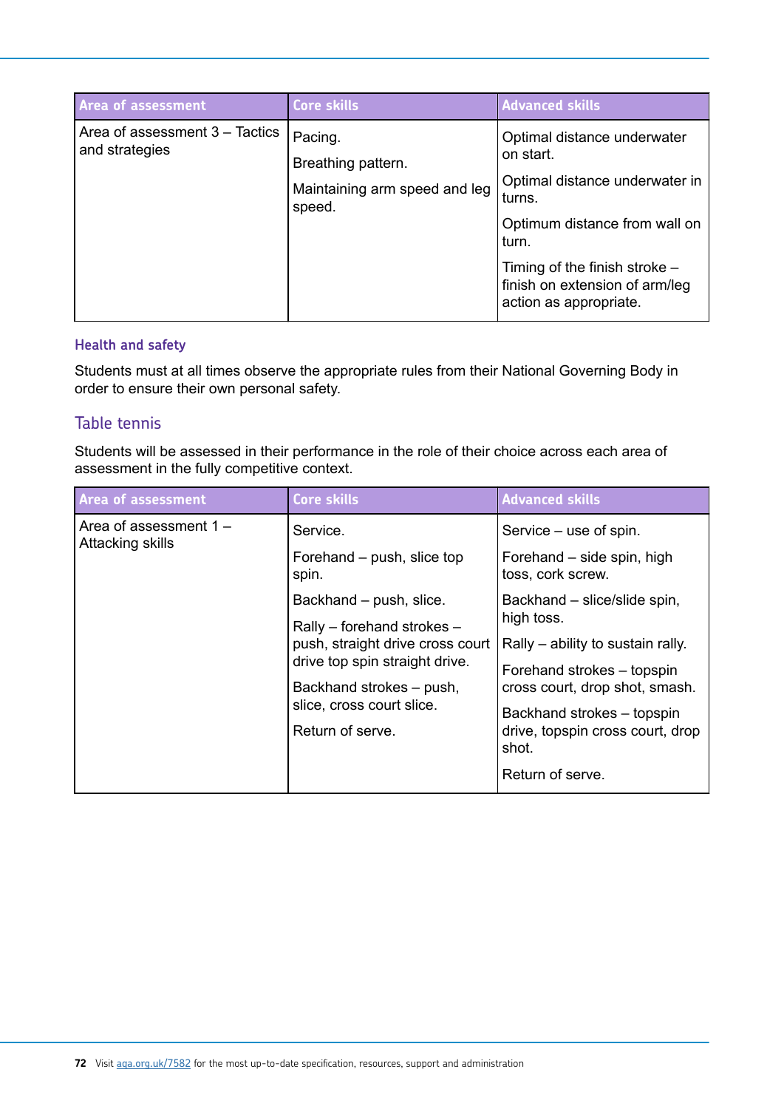| <b>Area of assessment</b>                        | Core skills                                                              | <b>Advanced skills</b>                                                                                                                                                                                                        |
|--------------------------------------------------|--------------------------------------------------------------------------|-------------------------------------------------------------------------------------------------------------------------------------------------------------------------------------------------------------------------------|
| Area of assessment 3 - Tactics<br>and strategies | Pacing.<br>Breathing pattern.<br>Maintaining arm speed and leg<br>speed. | Optimal distance underwater<br>on start.<br>Optimal distance underwater in<br>turns.<br>Optimum distance from wall on<br>turn.<br>Timing of the finish stroke $-$<br>finish on extension of arm/leg<br>action as appropriate. |

Students must at all times observe the appropriate rules from their National Governing Body in order to ensure their own personal safety.

## Table tennis

|                                                                         | Core skills                                                                                                                                                                                                | <b>Advanced skills</b>                                                                                                                                                                                                       |
|-------------------------------------------------------------------------|------------------------------------------------------------------------------------------------------------------------------------------------------------------------------------------------------------|------------------------------------------------------------------------------------------------------------------------------------------------------------------------------------------------------------------------------|
| <b>Area of assessment</b><br>Area of assessment 1 -<br>Attacking skills | Service.<br>Forehand – push, slice top<br>spin.<br>Backhand - push, slice.<br>Rally – forehand strokes –<br>push, straight drive cross court<br>drive top spin straight drive.<br>Backhand strokes - push, | Service – use of spin.<br>Forehand – side spin, high<br>toss, cork screw.<br>Backhand – slice/slide spin,<br>high toss.<br>Rally – ability to sustain rally.<br>Forehand strokes - topspin<br>cross court, drop shot, smash. |
|                                                                         | slice, cross court slice.<br>Return of serve.                                                                                                                                                              | Backhand strokes - topspin<br>drive, topspin cross court, drop<br>shot.<br>Return of serve.                                                                                                                                  |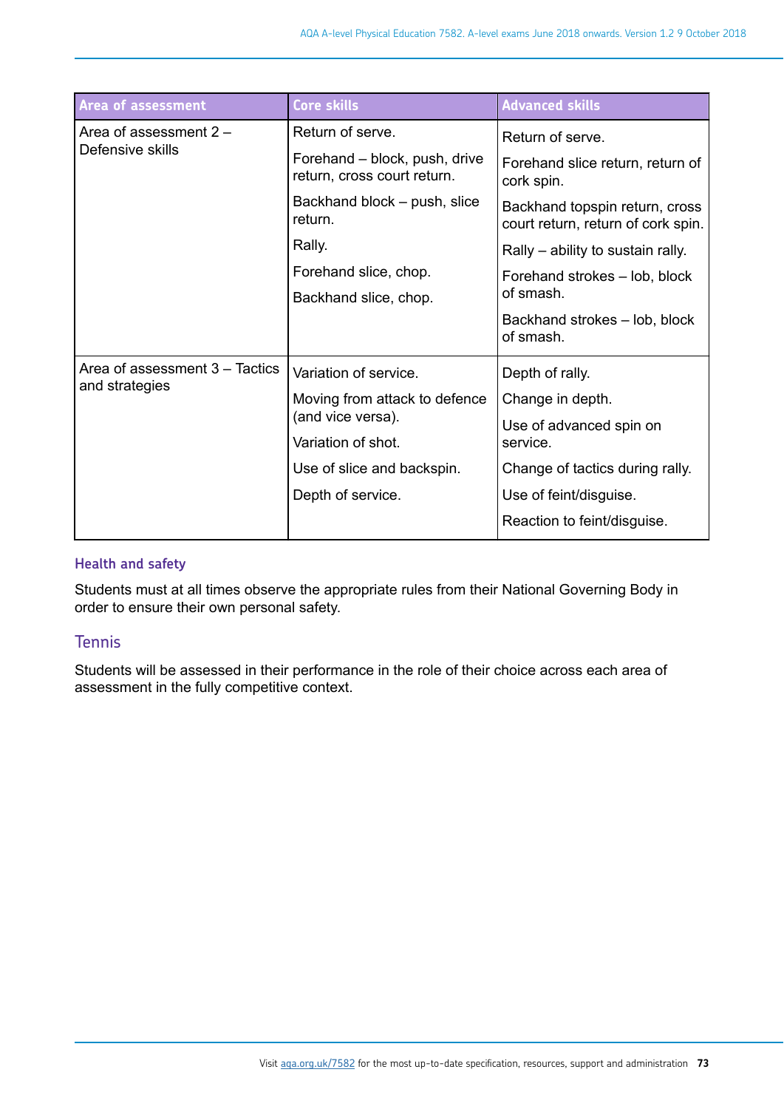| <b>Area of assessment</b>      | Core skills                                                  | <b>Advanced skills</b>                                               |
|--------------------------------|--------------------------------------------------------------|----------------------------------------------------------------------|
| Area of assessment 2 -         | Return of serve.                                             | Return of serve.                                                     |
| Defensive skills               | Forehand – block, push, drive<br>return, cross court return. | Forehand slice return, return of<br>cork spin.                       |
|                                | Backhand block - push, slice<br>return.                      | Backhand topspin return, cross<br>court return, return of cork spin. |
|                                | Rally.                                                       | Rally - ability to sustain rally.                                    |
|                                | Forehand slice, chop.                                        | Forehand strokes - lob, block                                        |
|                                | Backhand slice, chop.                                        | of smash.                                                            |
|                                |                                                              | Backhand strokes - lob, block<br>of smash.                           |
| Area of assessment 3 - Tactics | Variation of service.                                        | Depth of rally.                                                      |
| and strategies                 | Moving from attack to defence                                | Change in depth.                                                     |
|                                | (and vice versa).                                            | Use of advanced spin on                                              |
|                                | Variation of shot.                                           | service.                                                             |
|                                | Use of slice and backspin.                                   | Change of tactics during rally.                                      |
|                                | Depth of service.                                            | Use of feint/disguise.                                               |
|                                |                                                              | Reaction to feint/disguise.                                          |

Students must at all times observe the appropriate rules from their National Governing Body in order to ensure their own personal safety.

#### **Tennis**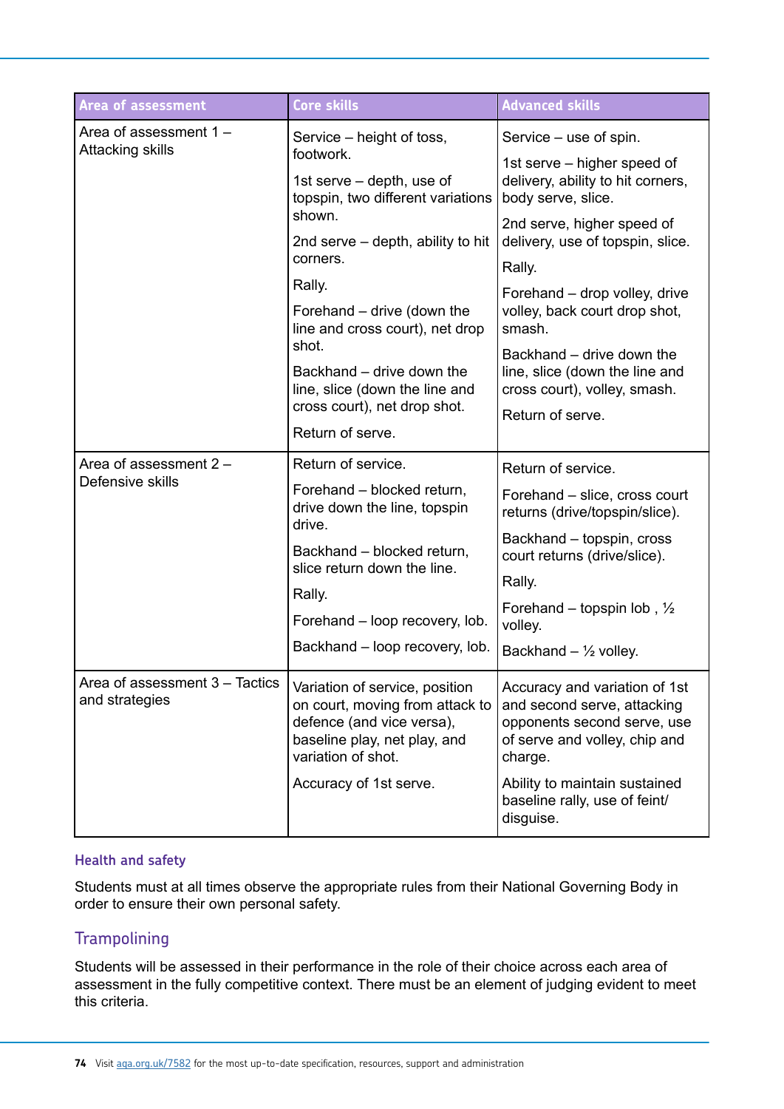| <b>Area of assessment</b>                         | Core skills                                                                                                                                                                                                                           | <b>Advanced skills</b>                                                                                                                                                                                                                                   |
|---------------------------------------------------|---------------------------------------------------------------------------------------------------------------------------------------------------------------------------------------------------------------------------------------|----------------------------------------------------------------------------------------------------------------------------------------------------------------------------------------------------------------------------------------------------------|
| Area of assessment 1 -<br><b>Attacking skills</b> | Service – height of toss,<br>footwork.<br>1st serve – depth, use of<br>topspin, two different variations                                                                                                                              | Service – use of spin.<br>1st serve – higher speed of<br>delivery, ability to hit corners,<br>body serve, slice.                                                                                                                                         |
|                                                   | shown.<br>2nd serve – depth, ability to hit<br>corners.<br>Rally.<br>Forehand – drive (down the<br>line and cross court), net drop                                                                                                    | 2nd serve, higher speed of<br>delivery, use of topspin, slice.<br>Rally.<br>Forehand - drop volley, drive<br>volley, back court drop shot,<br>smash.                                                                                                     |
|                                                   | shot.<br>Backhand – drive down the<br>line, slice (down the line and<br>cross court), net drop shot.<br>Return of serve.                                                                                                              | Backhand – drive down the<br>line, slice (down the line and<br>cross court), volley, smash.<br>Return of serve.                                                                                                                                          |
| Area of assessment 2 -<br>Defensive skills        | Return of service.<br>Forehand - blocked return,<br>drive down the line, topspin<br>drive.<br>Backhand - blocked return,<br>slice return down the line.<br>Rally.<br>Forehand - loop recovery, lob.<br>Backhand - loop recovery, lob. | Return of service.<br>Forehand – slice, cross court<br>returns (drive/topspin/slice).<br>Backhand - topspin, cross<br>court returns (drive/slice).<br>Rally.<br>Forehand – topspin lob, $\frac{1}{2}$<br>volley.<br>Backhand $-$ 1/ <sub>2</sub> volley. |
| Area of assessment 3 - Tactics<br>and strategies  | Variation of service, position<br>on court, moving from attack to<br>defence (and vice versa),<br>baseline play, net play, and<br>variation of shot.<br>Accuracy of 1st serve.                                                        | Accuracy and variation of 1st<br>and second serve, attacking<br>opponents second serve, use<br>of serve and volley, chip and<br>charge.<br>Ability to maintain sustained<br>baseline rally, use of feint/<br>disguise.                                   |

Students must at all times observe the appropriate rules from their National Governing Body in order to ensure their own personal safety.

#### **Trampolining**

Students will be assessed in their performance in the role of their choice across each area of assessment in the fully competitive context. There must be an element of judging evident to meet this criteria.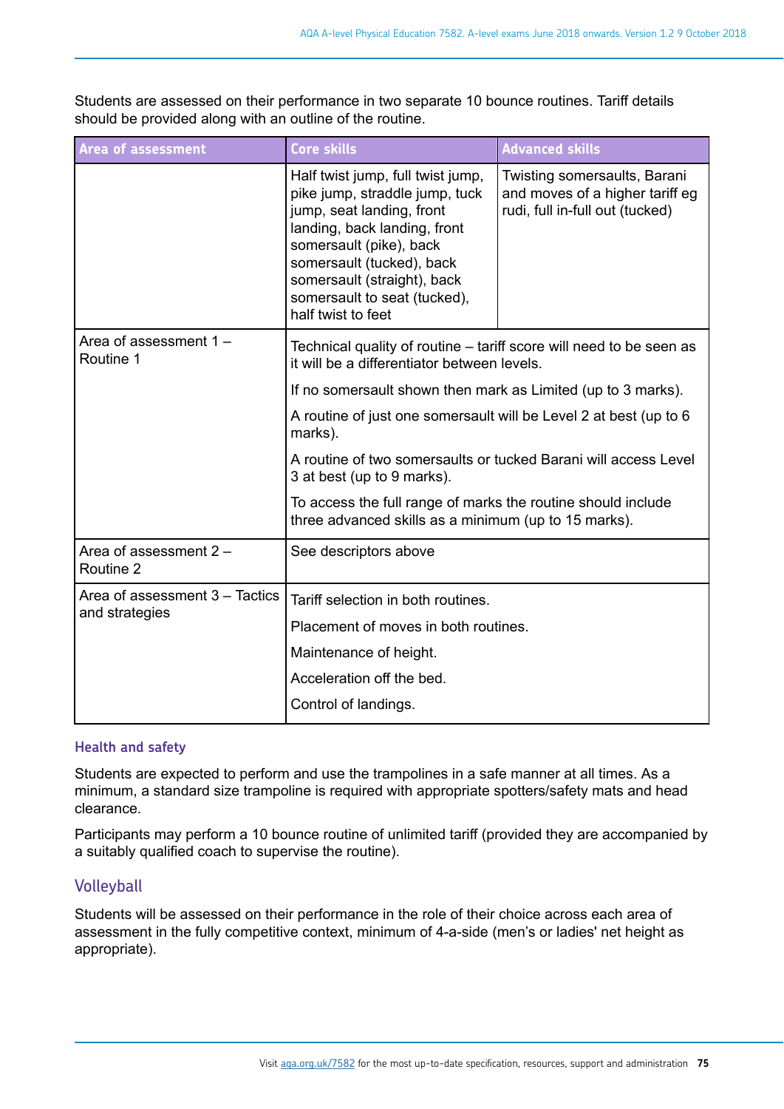Students are assessed on their performance in two separate 10 bounce routines. Tariff details should be provided along with an outline of the routine.

| <b>Area of assessment</b>           | Core skills                                                                                                                                                                                                                                                                   | <b>Advanced skills</b>                                                                             |
|-------------------------------------|-------------------------------------------------------------------------------------------------------------------------------------------------------------------------------------------------------------------------------------------------------------------------------|----------------------------------------------------------------------------------------------------|
|                                     | Half twist jump, full twist jump,<br>pike jump, straddle jump, tuck<br>jump, seat landing, front<br>landing, back landing, front<br>somersault (pike), back<br>somersault (tucked), back<br>somersault (straight), back<br>somersault to seat (tucked),<br>half twist to feet | Twisting somersaults, Barani<br>and moves of a higher tariff eg<br>rudi, full in-full out (tucked) |
| Area of assessment 1 -<br>Routine 1 | Technical quality of routine – tariff score will need to be seen as<br>it will be a differentiator between levels.                                                                                                                                                            |                                                                                                    |
|                                     | If no somersault shown then mark as Limited (up to 3 marks).<br>A routine of just one somersault will be Level 2 at best (up to 6<br>marks).                                                                                                                                  |                                                                                                    |
|                                     |                                                                                                                                                                                                                                                                               |                                                                                                    |
|                                     | A routine of two somersaults or tucked Barani will access Level<br>3 at best (up to 9 marks).                                                                                                                                                                                 |                                                                                                    |
|                                     | To access the full range of marks the routine should include<br>three advanced skills as a minimum (up to 15 marks).                                                                                                                                                          |                                                                                                    |
| Area of assessment 2 -<br>Routine 2 | See descriptors above                                                                                                                                                                                                                                                         |                                                                                                    |
| Area of assessment 3 - Tactics      | Tariff selection in both routines.                                                                                                                                                                                                                                            |                                                                                                    |
| and strategies                      | Placement of moves in both routines.                                                                                                                                                                                                                                          |                                                                                                    |
|                                     | Maintenance of height.                                                                                                                                                                                                                                                        |                                                                                                    |
|                                     | Acceleration off the bed.                                                                                                                                                                                                                                                     |                                                                                                    |
|                                     | Control of landings.                                                                                                                                                                                                                                                          |                                                                                                    |

#### **Health and safety**

Students are expected to perform and use the trampolines in a safe manner at all times. As a minimum, a standard size trampoline is required with appropriate spotters/safety mats and head clearance.

Participants may perform a 10 bounce routine of unlimited tariff (provided they are accompanied by a suitably qualified coach to supervise the routine).

#### Volleyball

Students will be assessed on their performance in the role of their choice across each area of assessment in the fully competitive context, minimum of 4-a-side (men's or ladies' net height as appropriate).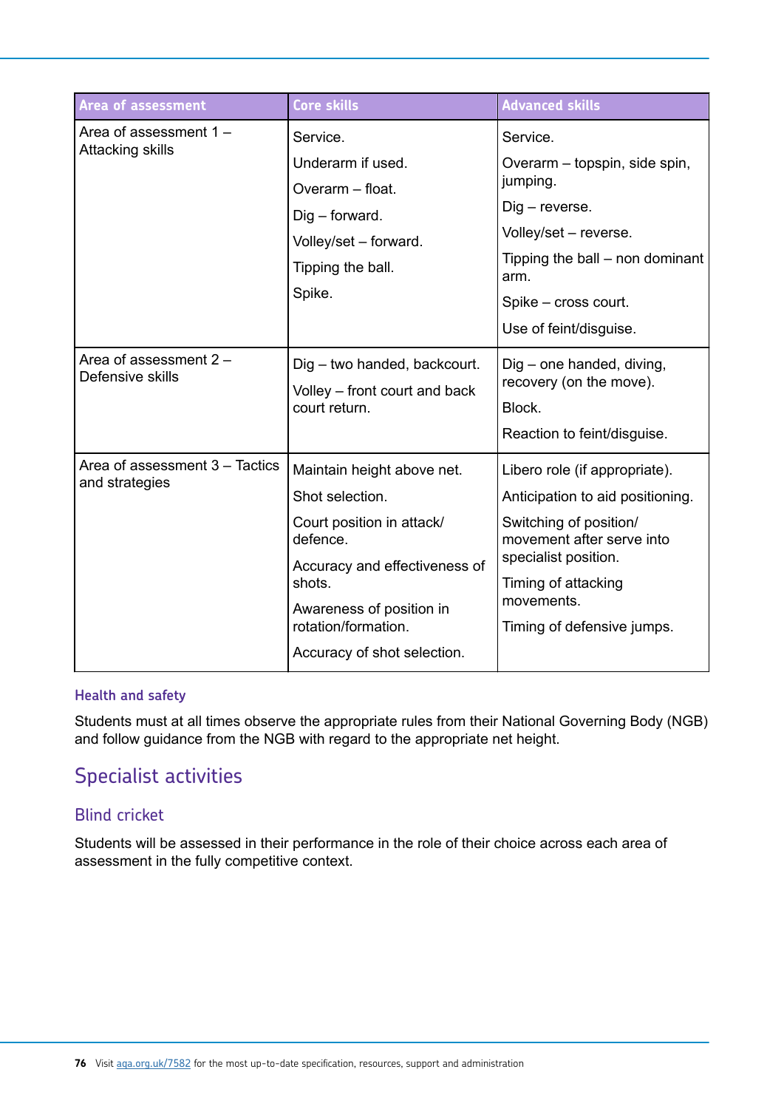| Area of assessment                               | Core skills                                     | <b>Advanced skills</b>                               |
|--------------------------------------------------|-------------------------------------------------|------------------------------------------------------|
| Area of assessment 1 -                           | Service.                                        | Service.                                             |
| Attacking skills                                 | Underarm if used.                               | Overarm – topspin, side spin,                        |
|                                                  | Overarm - float.                                | jumping.                                             |
|                                                  | $Digit - forward$ .                             | $Digit - reverse.$<br>Volley/set - reverse.          |
|                                                  | Volley/set - forward.                           |                                                      |
|                                                  | Tipping the ball.                               | Tipping the ball – non dominant<br>arm.              |
|                                                  | Spike.                                          | Spike - cross court.                                 |
|                                                  |                                                 | Use of feint/disguise.                               |
| Area of assessment 2 -<br>Defensive skills       | Dig - two handed, backcourt.                    | Dig – one handed, diving,<br>recovery (on the move). |
|                                                  | Volley - front court and back<br>court return.  | Block.                                               |
|                                                  |                                                 | Reaction to feint/disguise.                          |
| Area of assessment 3 - Tactics<br>and strategies | Maintain height above net.                      | Libero role (if appropriate).                        |
|                                                  | Shot selection.                                 | Anticipation to aid positioning.                     |
|                                                  | Court position in attack/<br>defence.           | Switching of position/<br>movement after serve into  |
|                                                  | Accuracy and effectiveness of<br>shots.         | specialist position.                                 |
|                                                  |                                                 | Timing of attacking<br>movements.                    |
|                                                  | Awareness of position in<br>rotation/formation. | Timing of defensive jumps.                           |
|                                                  | Accuracy of shot selection.                     |                                                      |

Students must at all times observe the appropriate rules from their National Governing Body (NGB) and follow guidance from the NGB with regard to the appropriate net height.

## Specialist activities

#### Blind cricket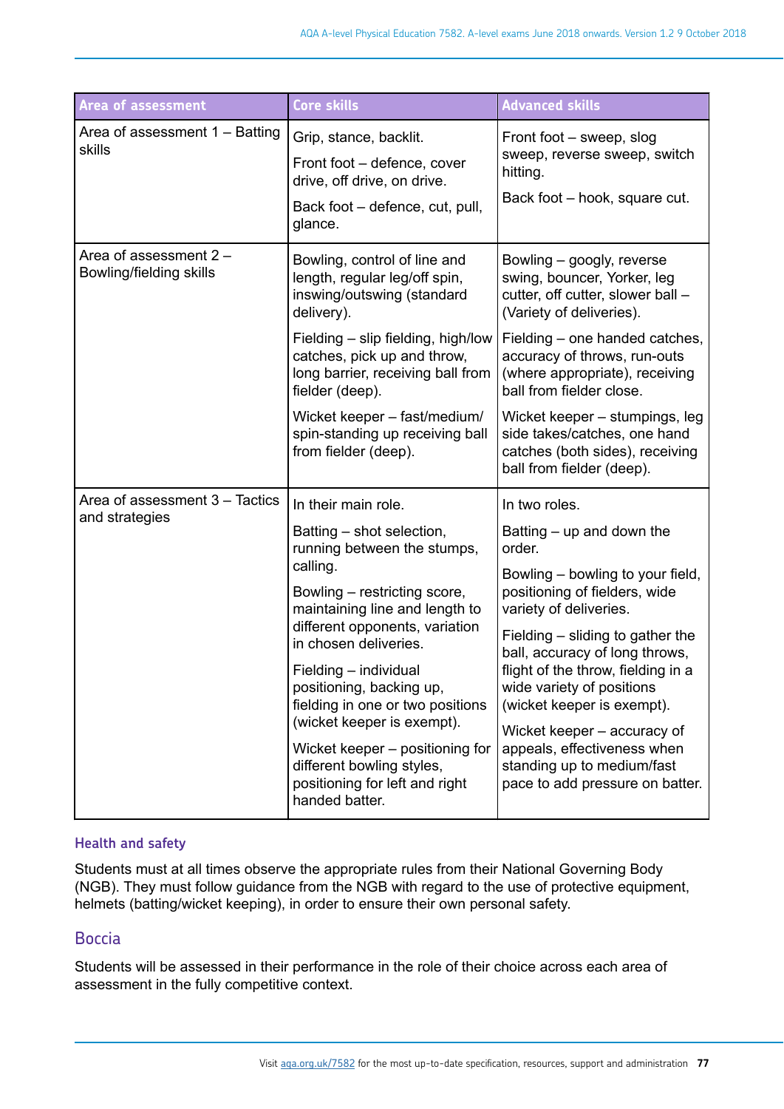| <b>Area of assessment</b>                         | Core skills                                                                                                                                                                                                                                                                                                                                                                                                                                                         | <b>Advanced skills</b>                                                                                                                                                                                                                                                                                                                                                                                                                                      |
|---------------------------------------------------|---------------------------------------------------------------------------------------------------------------------------------------------------------------------------------------------------------------------------------------------------------------------------------------------------------------------------------------------------------------------------------------------------------------------------------------------------------------------|-------------------------------------------------------------------------------------------------------------------------------------------------------------------------------------------------------------------------------------------------------------------------------------------------------------------------------------------------------------------------------------------------------------------------------------------------------------|
| Area of assessment $1 -$ Batting<br>skills        | Grip, stance, backlit.<br>Front foot – defence, cover<br>drive, off drive, on drive.<br>Back foot - defence, cut, pull,<br>glance.                                                                                                                                                                                                                                                                                                                                  | Front foot - sweep, slog<br>sweep, reverse sweep, switch<br>hitting.<br>Back foot - hook, square cut.                                                                                                                                                                                                                                                                                                                                                       |
| Area of assessment 2 -<br>Bowling/fielding skills | Bowling, control of line and<br>length, regular leg/off spin,<br>inswing/outswing (standard<br>delivery).<br>Fielding – slip fielding, high/low<br>catches, pick up and throw,<br>long barrier, receiving ball from<br>fielder (deep).<br>Wicket keeper - fast/medium/<br>spin-standing up receiving ball<br>from fielder (deep).                                                                                                                                   | Bowling – googly, reverse<br>swing, bouncer, Yorker, leg<br>cutter, off cutter, slower ball -<br>(Variety of deliveries).<br>Fielding - one handed catches,<br>accuracy of throws, run-outs<br>(where appropriate), receiving<br>ball from fielder close.<br>Wicket keeper – stumpings, leg<br>side takes/catches, one hand<br>catches (both sides), receiving<br>ball from fielder (deep).                                                                 |
| Area of assessment 3 - Tactics<br>and strategies  | In their main role.<br>Batting – shot selection,<br>running between the stumps,<br>calling.<br>Bowling – restricting score,<br>maintaining line and length to<br>different opponents, variation<br>in chosen deliveries.<br>Fielding - individual<br>positioning, backing up,<br>fielding in one or two positions<br>(wicket keeper is exempt).<br>Wicket keeper – positioning for<br>different bowling styles,<br>positioning for left and right<br>handed batter. | In two roles.<br>Batting $-$ up and down the<br>order.<br>Bowling – bowling to your field,<br>positioning of fielders, wide<br>variety of deliveries.<br>Fielding – sliding to gather the<br>ball, accuracy of long throws,<br>flight of the throw, fielding in a<br>wide variety of positions<br>(wicket keeper is exempt).<br>Wicket keeper - accuracy of<br>appeals, effectiveness when<br>standing up to medium/fast<br>pace to add pressure on batter. |

Students must at all times observe the appropriate rules from their National Governing Body (NGB). They must follow guidance from the NGB with regard to the use of protective equipment, helmets (batting/wicket keeping), in order to ensure their own personal safety.

#### Boccia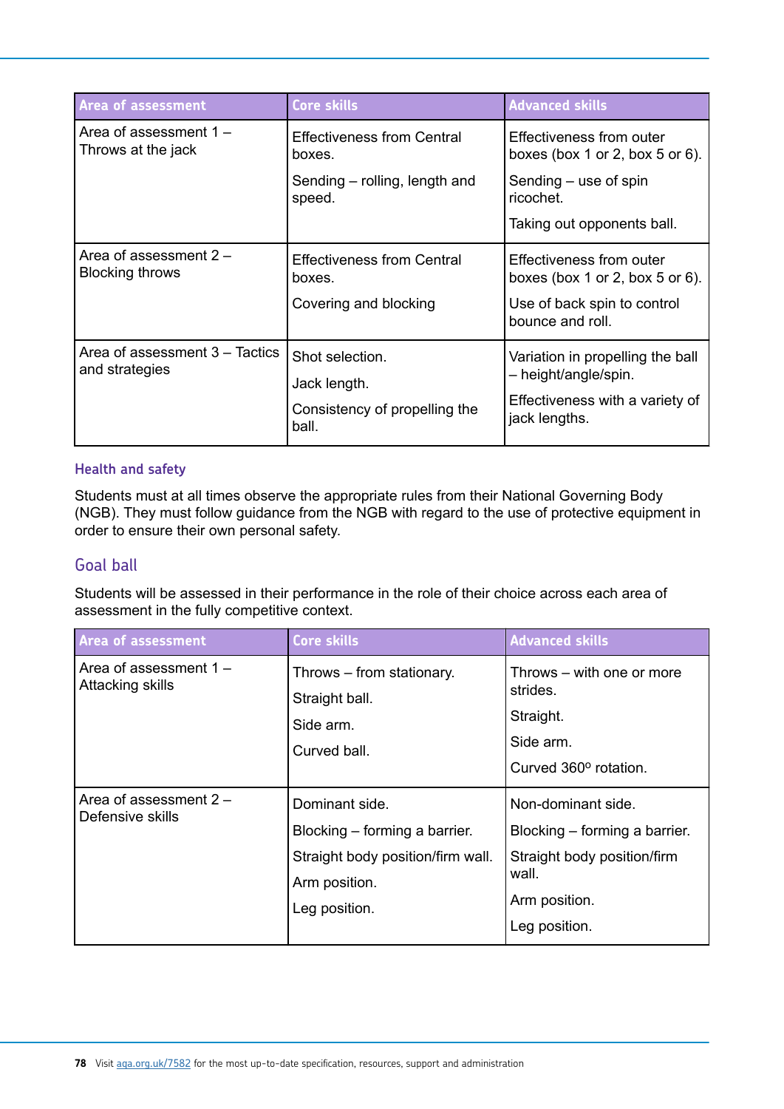| Area of assessment                                 | Core skills                                                               | <b>Advanced skills</b>                                                                                       |
|----------------------------------------------------|---------------------------------------------------------------------------|--------------------------------------------------------------------------------------------------------------|
| Area of assessment $1 -$<br>Throws at the jack     | <b>Effectiveness from Central</b><br>boxes.                               | Effectiveness from outer<br>boxes (box 1 or 2, box 5 or 6).                                                  |
|                                                    | Sending – rolling, length and<br>speed.                                   | Sending – use of spin<br>ricochet.                                                                           |
|                                                    |                                                                           | Taking out opponents ball.                                                                                   |
| Area of assessment $2 -$<br><b>Blocking throws</b> | <b>Effectiveness from Central</b><br>boxes.                               | Effectiveness from outer<br>boxes (box 1 or 2, box 5 or 6).                                                  |
|                                                    | Covering and blocking                                                     | Use of back spin to control<br>bounce and roll.                                                              |
| Area of assessment 3 - Tactics<br>and strategies   | Shot selection.<br>Jack length.<br>Consistency of propelling the<br>ball. | Variation in propelling the ball<br>- height/angle/spin.<br>Effectiveness with a variety of<br>jack lengths. |

Students must at all times observe the appropriate rules from their National Governing Body (NGB). They must follow guidance from the NGB with regard to the use of protective equipment in order to ensure their own personal safety.

#### Goal ball

| <b>Area of assessment</b>                    | Core skills                                                                                                            | <b>Advanced skills</b>                                                                                                        |
|----------------------------------------------|------------------------------------------------------------------------------------------------------------------------|-------------------------------------------------------------------------------------------------------------------------------|
| Area of assessment $1 -$<br>Attacking skills | Throws – from stationary.<br>Straight ball.<br>Side arm.<br>Curved ball.                                               | Throws – with one or more<br>strides.<br>Straight.<br>Side arm.<br>Curved 360° rotation.                                      |
| Area of assessment 2 -<br>Defensive skills   | Dominant side.<br>Blocking – forming a barrier.<br>Straight body position/firm wall.<br>Arm position.<br>Leg position. | Non-dominant side.<br>Blocking – forming a barrier.<br>Straight body position/firm<br>wall.<br>Arm position.<br>Leg position. |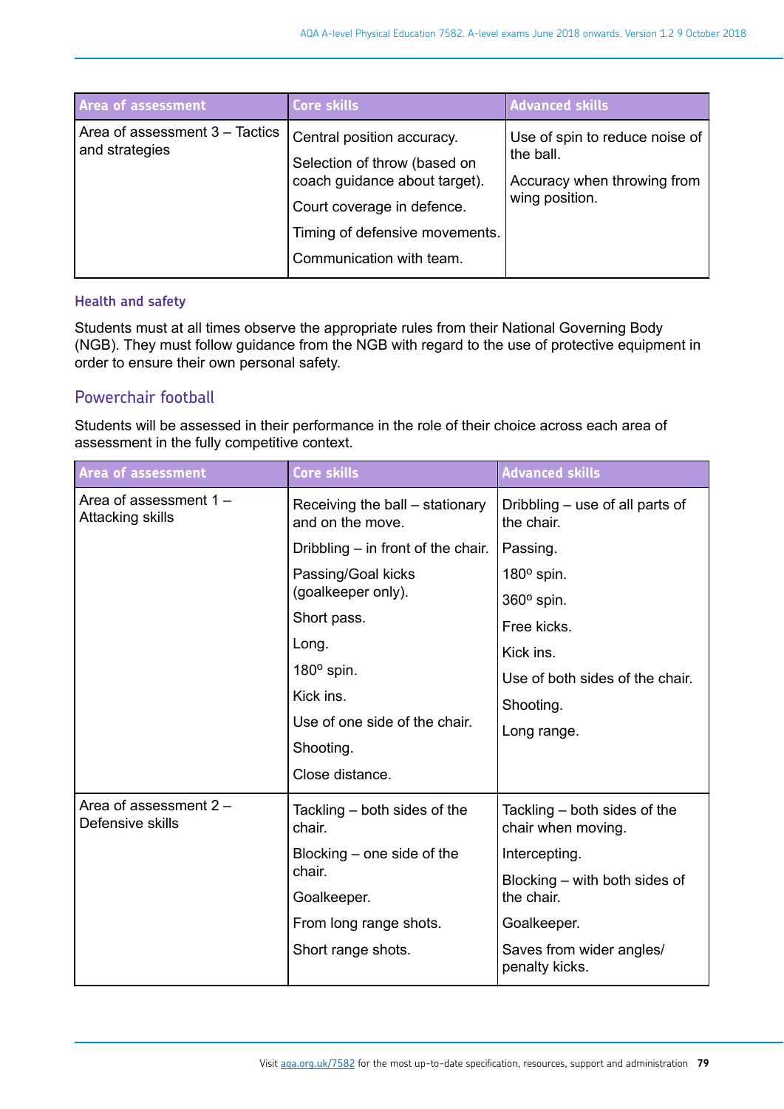| <b>Area of assessment</b>                        | Core skills                                                                                                                                                                             | <b>Advanced skills</b>                                                                       |
|--------------------------------------------------|-----------------------------------------------------------------------------------------------------------------------------------------------------------------------------------------|----------------------------------------------------------------------------------------------|
| Area of assessment 3 - Tactics<br>and strategies | Central position accuracy.<br>Selection of throw (based on<br>coach guidance about target).<br>Court coverage in defence.<br>Timing of defensive movements.<br>Communication with team. | Use of spin to reduce noise of<br>the ball.<br>Accuracy when throwing from<br>wing position. |

Students must at all times observe the appropriate rules from their National Governing Body (NGB). They must follow guidance from the NGB with regard to the use of protective equipment in order to ensure their own personal safety.

#### Powerchair football

| <b>Area of assessment</b>                    | Core skills                                         | <b>Advanced skills</b>                             |
|----------------------------------------------|-----------------------------------------------------|----------------------------------------------------|
| Area of assessment $1 -$<br>Attacking skills | Receiving the ball - stationary<br>and on the move. | Dribbling – use of all parts of<br>the chair.      |
|                                              | Dribbling $-$ in front of the chair.                | Passing.                                           |
|                                              | Passing/Goal kicks                                  | $180^\circ$ spin.                                  |
|                                              | (goalkeeper only).                                  | 360° spin.                                         |
|                                              | Short pass.                                         | Free kicks.                                        |
|                                              | Long.                                               | Kick ins.                                          |
|                                              | $180^{\circ}$ spin.                                 | Use of both sides of the chair.                    |
|                                              | Kick ins.                                           | Shooting.                                          |
|                                              | Use of one side of the chair.                       | Long range.                                        |
|                                              | Shooting.                                           |                                                    |
|                                              | Close distance.                                     |                                                    |
| Area of assessment 2 -<br>Defensive skills   | Tackling – both sides of the<br>chair.              | Tackling – both sides of the<br>chair when moving. |
|                                              | Blocking – one side of the                          | Intercepting.                                      |
|                                              | chair.                                              | Blocking - with both sides of                      |
|                                              | Goalkeeper.                                         | the chair.                                         |
|                                              | From long range shots.                              | Goalkeeper.                                        |
|                                              | Short range shots.                                  | Saves from wider angles/<br>penalty kicks.         |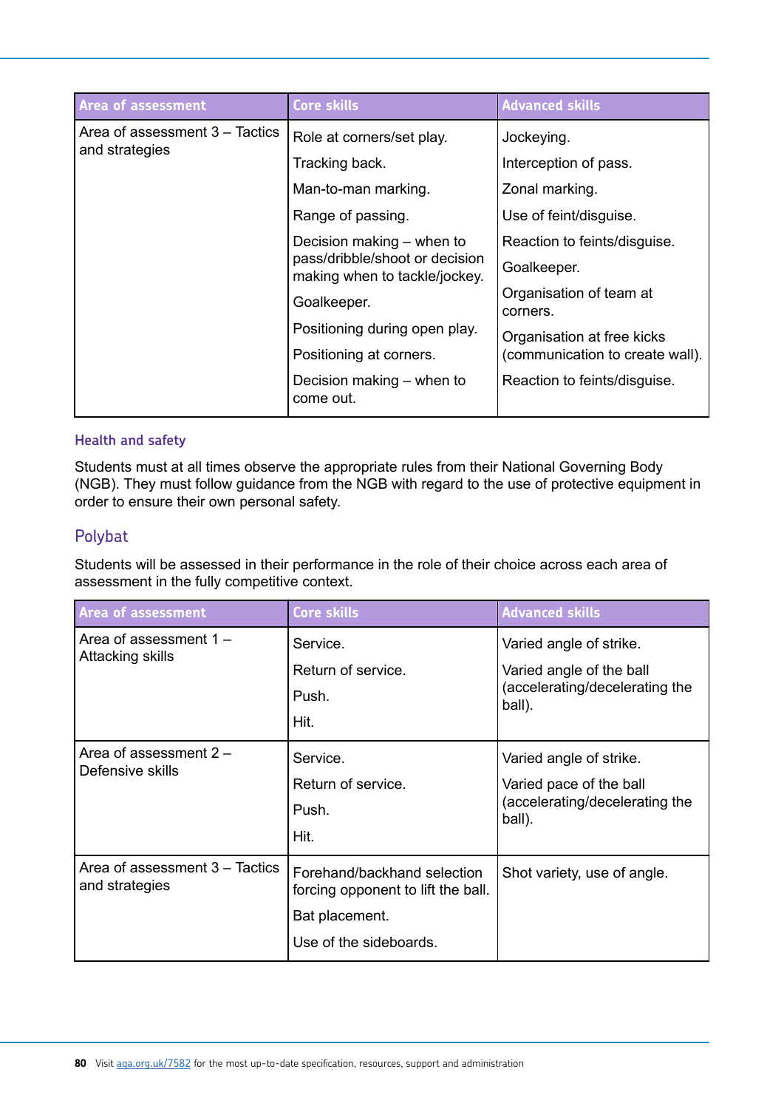| <b>Area of assessment</b>      | Core skills                                                                                  | <b>Advanced skills</b>              |
|--------------------------------|----------------------------------------------------------------------------------------------|-------------------------------------|
| Area of assessment 3 - Tactics | Role at corners/set play.                                                                    | Jockeying.                          |
| and strategies                 | Tracking back.                                                                               | Interception of pass.               |
|                                | Man-to-man marking.                                                                          | Zonal marking.                      |
|                                | Range of passing.                                                                            | Use of feint/disguise.              |
|                                | Decision making – when to<br>pass/dribble/shoot or decision<br>making when to tackle/jockey. | Reaction to feints/disguise.        |
|                                |                                                                                              | Goalkeeper.                         |
|                                | Goalkeeper.                                                                                  | Organisation of team at<br>corners. |
|                                | Positioning during open play.                                                                | Organisation at free kicks          |
|                                | Positioning at corners.                                                                      | (communication to create wall).     |
|                                | Decision making - when to<br>come out.                                                       | Reaction to feints/disguise.        |

Students must at all times observe the appropriate rules from their National Governing Body (NGB). They must follow guidance from the NGB with regard to the use of protective equipment in order to ensure their own personal safety.

#### Polybat

| <b>Area of assessment</b>                           | Core skills                                                                                                   | <b>Advanced skills</b>                                                                          |
|-----------------------------------------------------|---------------------------------------------------------------------------------------------------------------|-------------------------------------------------------------------------------------------------|
| Area of assessment $1 -$<br><b>Attacking skills</b> | Service.<br>Return of service.<br>Push.<br>Hit.                                                               | Varied angle of strike.<br>Varied angle of the ball<br>(accelerating/decelerating the<br>ball). |
| Area of assessment $2 -$<br>Defensive skills        | Service.<br>Return of service.<br>Push.<br>Hit.                                                               | Varied angle of strike.<br>Varied pace of the ball<br>(accelerating/decelerating the<br>ball).  |
| Area of assessment 3 - Tactics<br>and strategies    | Forehand/backhand selection<br>forcing opponent to lift the ball.<br>Bat placement.<br>Use of the sideboards. | Shot variety, use of angle.                                                                     |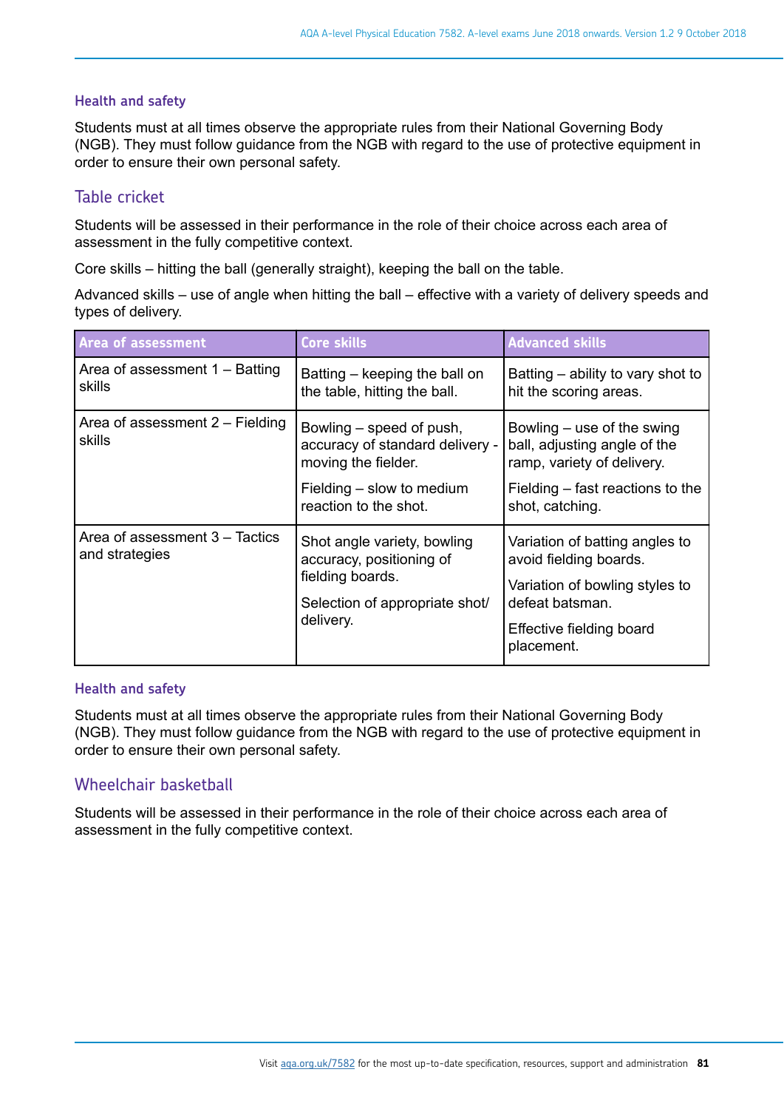Students must at all times observe the appropriate rules from their National Governing Body (NGB). They must follow guidance from the NGB with regard to the use of protective equipment in order to ensure their own personal safety.

#### Table cricket

Students will be assessed in their performance in the role of their choice across each area of assessment in the fully competitive context.

Core skills – hitting the ball (generally straight), keeping the ball on the table.

Advanced skills – use of angle when hitting the ball – effective with a variety of delivery speeds and types of delivery.

| <b>Area of assessment</b>                        | Core skills                                                                        | <b>Advanced skills</b>                                                                   |
|--------------------------------------------------|------------------------------------------------------------------------------------|------------------------------------------------------------------------------------------|
| Area of assessment $1 -$ Batting<br>skills       | Batting – keeping the ball on<br>the table, hitting the ball.                      | Batting – ability to vary shot to<br>hit the scoring areas.                              |
| Area of assessment $2 -$ Fielding<br>skills      | Bowling – speed of push,<br>accuracy of standard delivery -<br>moving the fielder. | Bowling – use of the swing<br>ball, adjusting angle of the<br>ramp, variety of delivery. |
|                                                  | Fielding – slow to medium<br>reaction to the shot.                                 | Fielding – fast reactions to the<br>shot, catching.                                      |
| Area of assessment 3 – Tactics<br>and strategies | Shot angle variety, bowling<br>accuracy, positioning of<br>fielding boards.        | Variation of batting angles to<br>avoid fielding boards.                                 |
|                                                  | Selection of appropriate shot/                                                     | Variation of bowling styles to<br>defeat batsman.                                        |
|                                                  | delivery.                                                                          | Effective fielding board<br>placement.                                                   |

#### **Health and safety**

Students must at all times observe the appropriate rules from their National Governing Body (NGB). They must follow guidance from the NGB with regard to the use of protective equipment in order to ensure their own personal safety.

#### Wheelchair basketball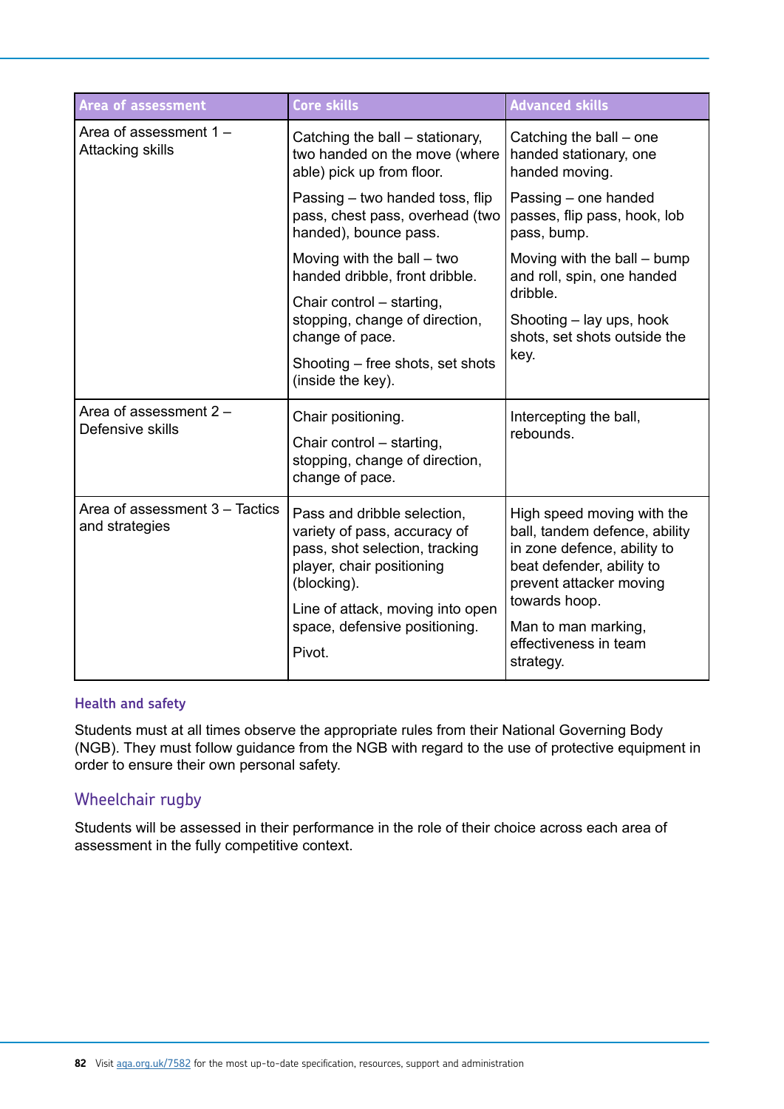| <b>Area</b> of assessment                        | Core skills                                                                                                                                                                   | <b>Advanced skills</b>                                                                                                                                              |
|--------------------------------------------------|-------------------------------------------------------------------------------------------------------------------------------------------------------------------------------|---------------------------------------------------------------------------------------------------------------------------------------------------------------------|
| Area of assessment 1 -<br>Attacking skills       | Catching the ball - stationary,<br>two handed on the move (where<br>able) pick up from floor.                                                                                 | Catching the ball – one<br>handed stationary, one<br>handed moving.                                                                                                 |
|                                                  | Passing – two handed toss, flip<br>pass, chest pass, overhead (two<br>handed), bounce pass.                                                                                   | Passing - one handed<br>passes, flip pass, hook, lob<br>pass, bump.                                                                                                 |
|                                                  | Moving with the ball $-$ two<br>handed dribble, front dribble.                                                                                                                | Moving with the ball – bump<br>and roll, spin, one handed<br>dribble.                                                                                               |
|                                                  | Chair control - starting,<br>stopping, change of direction,<br>change of pace.                                                                                                | Shooting – lay ups, hook<br>shots, set shots outside the                                                                                                            |
|                                                  | Shooting - free shots, set shots<br>(inside the key).                                                                                                                         | key.                                                                                                                                                                |
| Area of assessment 2 -<br>Defensive skills       | Chair positioning.<br>Chair control - starting,<br>stopping, change of direction,<br>change of pace.                                                                          | Intercepting the ball,<br>rebounds.                                                                                                                                 |
| Area of assessment 3 - Tactics<br>and strategies | Pass and dribble selection,<br>variety of pass, accuracy of<br>pass, shot selection, tracking<br>player, chair positioning<br>(blocking).<br>Line of attack, moving into open | High speed moving with the<br>ball, tandem defence, ability<br>in zone defence, ability to<br>beat defender, ability to<br>prevent attacker moving<br>towards hoop. |
|                                                  | space, defensive positioning.<br>Pivot.                                                                                                                                       | Man to man marking,<br>effectiveness in team<br>strategy.                                                                                                           |

Students must at all times observe the appropriate rules from their National Governing Body (NGB). They must follow guidance from the NGB with regard to the use of protective equipment in order to ensure their own personal safety.

#### Wheelchair rugby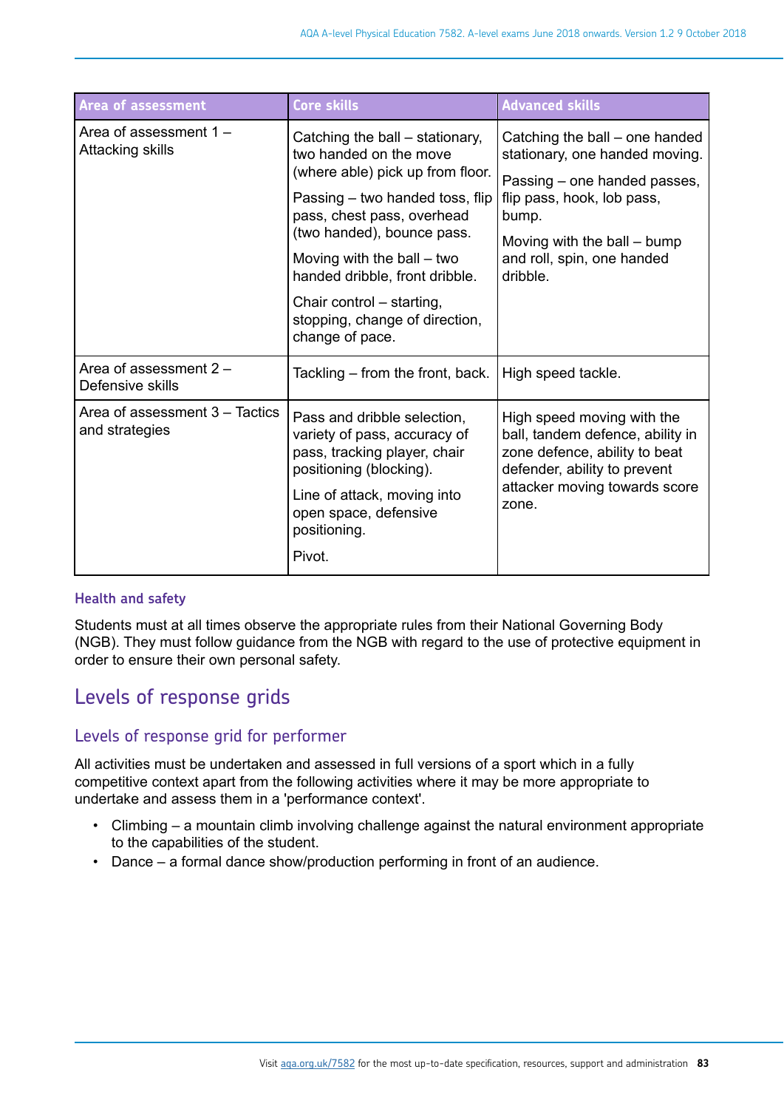| <b>Area of assessment</b>                        | Core skills                                                                                                                                                                                                                                                                                                                                      | <b>Advanced skills</b>                                                                                                                                                                                           |
|--------------------------------------------------|--------------------------------------------------------------------------------------------------------------------------------------------------------------------------------------------------------------------------------------------------------------------------------------------------------------------------------------------------|------------------------------------------------------------------------------------------------------------------------------------------------------------------------------------------------------------------|
| Area of assessment 1 -<br>Attacking skills       | Catching the ball – stationary,<br>two handed on the move<br>(where able) pick up from floor.<br>Passing – two handed toss, flip<br>pass, chest pass, overhead<br>(two handed), bounce pass.<br>Moving with the ball $-$ two<br>handed dribble, front dribble.<br>Chair control – starting,<br>stopping, change of direction,<br>change of pace. | Catching the ball – one handed<br>stationary, one handed moving.<br>Passing - one handed passes,<br>flip pass, hook, lob pass,<br>bump.<br>Moving with the ball – bump<br>and roll, spin, one handed<br>dribble. |
| Area of assessment $2 -$<br>Defensive skills     | Tackling – from the front, back.                                                                                                                                                                                                                                                                                                                 | High speed tackle.                                                                                                                                                                                               |
| Area of assessment 3 – Tactics<br>and strategies | Pass and dribble selection,<br>variety of pass, accuracy of<br>pass, tracking player, chair<br>positioning (blocking).<br>Line of attack, moving into<br>open space, defensive<br>positioning.<br>Pivot.                                                                                                                                         | High speed moving with the<br>ball, tandem defence, ability in<br>zone defence, ability to beat<br>defender, ability to prevent<br>attacker moving towards score<br>zone.                                        |

Students must at all times observe the appropriate rules from their National Governing Body (NGB). They must follow guidance from the NGB with regard to the use of protective equipment in order to ensure their own personal safety.

## Levels of response grids

#### Levels of response grid for performer

All activities must be undertaken and assessed in full versions of a sport which in a fully competitive context apart from the following activities where it may be more appropriate to undertake and assess them in a 'performance context'.

- Climbing a mountain climb involving challenge against the natural environment appropriate to the capabilities of the student.
- Dance a formal dance show/production performing in front of an audience.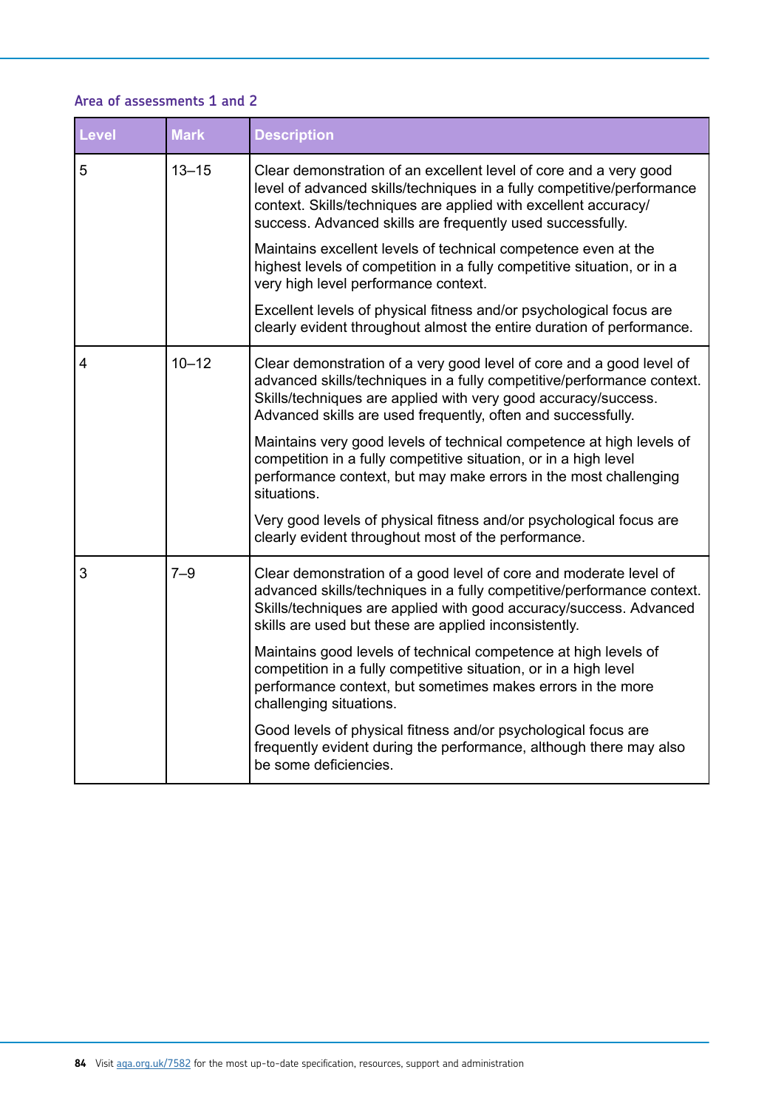#### **Area of assessments 1 and 2**

| <b>Level</b>   | <b>Mark</b> | <b>Description</b>                                                                                                                                                                                                                                                               |
|----------------|-------------|----------------------------------------------------------------------------------------------------------------------------------------------------------------------------------------------------------------------------------------------------------------------------------|
| 5              | $13 - 15$   | Clear demonstration of an excellent level of core and a very good<br>level of advanced skills/techniques in a fully competitive/performance<br>context. Skills/techniques are applied with excellent accuracy/<br>success. Advanced skills are frequently used successfully.     |
|                |             | Maintains excellent levels of technical competence even at the<br>highest levels of competition in a fully competitive situation, or in a<br>very high level performance context.                                                                                                |
|                |             | Excellent levels of physical fitness and/or psychological focus are<br>clearly evident throughout almost the entire duration of performance.                                                                                                                                     |
| $\overline{4}$ | $10 - 12$   | Clear demonstration of a very good level of core and a good level of<br>advanced skills/techniques in a fully competitive/performance context.<br>Skills/techniques are applied with very good accuracy/success.<br>Advanced skills are used frequently, often and successfully. |
|                |             | Maintains very good levels of technical competence at high levels of<br>competition in a fully competitive situation, or in a high level<br>performance context, but may make errors in the most challenging<br>situations.                                                      |
|                |             | Very good levels of physical fitness and/or psychological focus are<br>clearly evident throughout most of the performance.                                                                                                                                                       |
| 3              | $7 - 9$     | Clear demonstration of a good level of core and moderate level of<br>advanced skills/techniques in a fully competitive/performance context.<br>Skills/techniques are applied with good accuracy/success. Advanced<br>skills are used but these are applied inconsistently.       |
|                |             | Maintains good levels of technical competence at high levels of<br>competition in a fully competitive situation, or in a high level<br>performance context, but sometimes makes errors in the more<br>challenging situations.                                                    |
|                |             | Good levels of physical fitness and/or psychological focus are<br>frequently evident during the performance, although there may also<br>be some deficiencies.                                                                                                                    |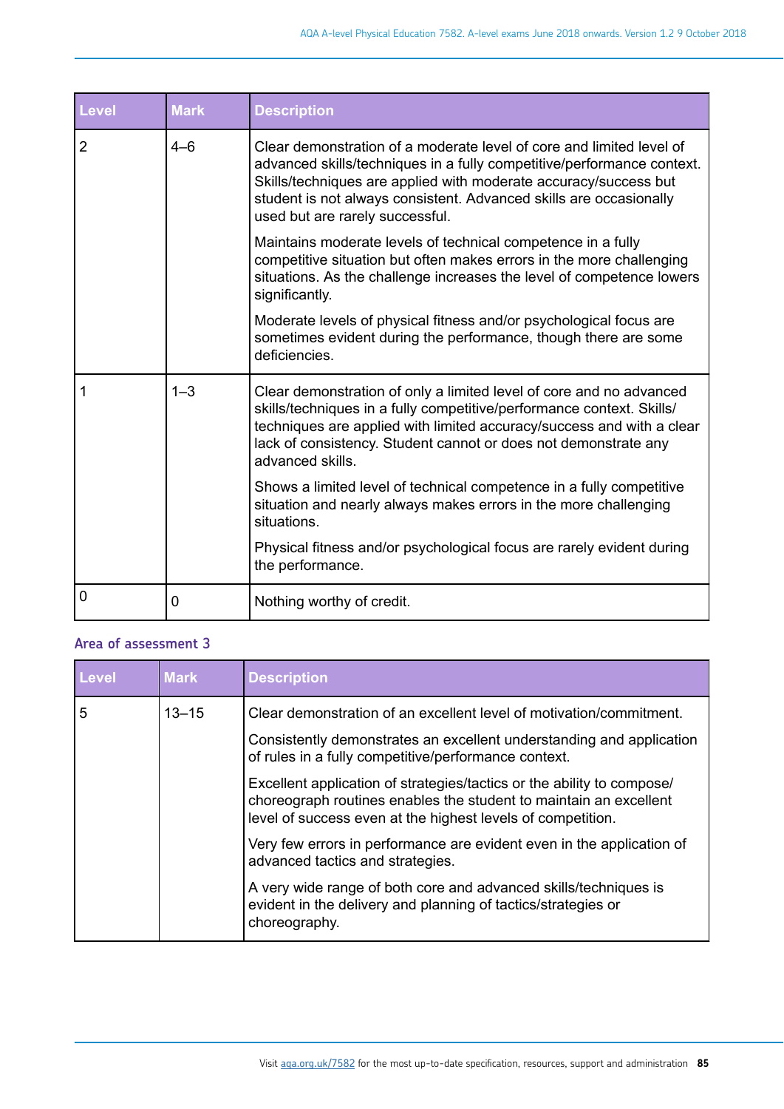| Level          | <b>Mark</b> | <b>Description</b>                                                                                                                                                                                                                                                                                                          |
|----------------|-------------|-----------------------------------------------------------------------------------------------------------------------------------------------------------------------------------------------------------------------------------------------------------------------------------------------------------------------------|
| $\overline{2}$ | $4 - 6$     | Clear demonstration of a moderate level of core and limited level of<br>advanced skills/techniques in a fully competitive/performance context.<br>Skills/techniques are applied with moderate accuracy/success but<br>student is not always consistent. Advanced skills are occasionally<br>used but are rarely successful. |
|                |             | Maintains moderate levels of technical competence in a fully<br>competitive situation but often makes errors in the more challenging<br>situations. As the challenge increases the level of competence lowers<br>significantly.                                                                                             |
|                |             | Moderate levels of physical fitness and/or psychological focus are<br>sometimes evident during the performance, though there are some<br>deficiencies.                                                                                                                                                                      |
|                | $1 - 3$     | Clear demonstration of only a limited level of core and no advanced<br>skills/techniques in a fully competitive/performance context. Skills/<br>techniques are applied with limited accuracy/success and with a clear<br>lack of consistency. Student cannot or does not demonstrate any<br>advanced skills.                |
|                |             | Shows a limited level of technical competence in a fully competitive<br>situation and nearly always makes errors in the more challenging<br>situations.                                                                                                                                                                     |
|                |             | Physical fitness and/or psychological focus are rarely evident during<br>the performance.                                                                                                                                                                                                                                   |
| 0              | $\mathbf 0$ | Nothing worthy of credit.                                                                                                                                                                                                                                                                                                   |

#### **Area of assessment 3**

| Level | <b>Mark</b> | <b>Description</b>                                                                                                                                                                                         |
|-------|-------------|------------------------------------------------------------------------------------------------------------------------------------------------------------------------------------------------------------|
| 5     | $13 - 15$   | Clear demonstration of an excellent level of motivation/commitment.                                                                                                                                        |
|       |             | Consistently demonstrates an excellent understanding and application<br>of rules in a fully competitive/performance context.                                                                               |
|       |             | Excellent application of strategies/tactics or the ability to compose/<br>choreograph routines enables the student to maintain an excellent<br>level of success even at the highest levels of competition. |
|       |             | Very few errors in performance are evident even in the application of<br>advanced tactics and strategies.                                                                                                  |
|       |             | A very wide range of both core and advanced skills/techniques is<br>evident in the delivery and planning of tactics/strategies or<br>choreography.                                                         |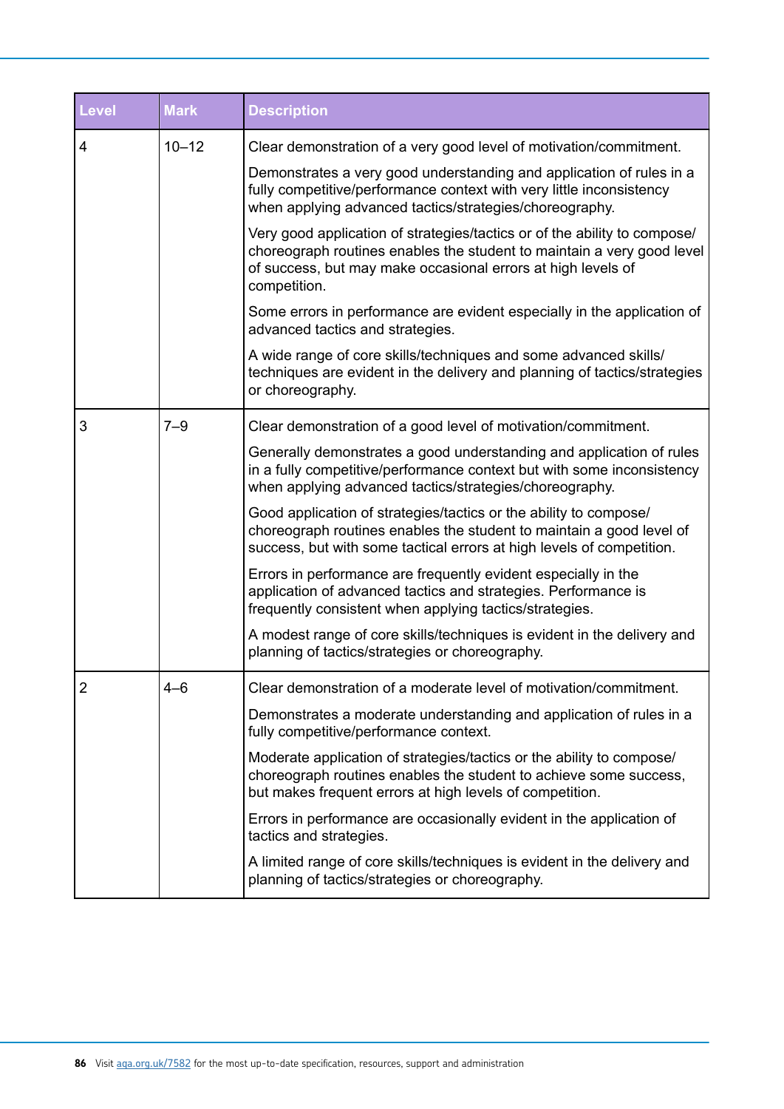| Level          | <b>Mark</b> | <b>Description</b>                                                                                                                                                                                                                  |
|----------------|-------------|-------------------------------------------------------------------------------------------------------------------------------------------------------------------------------------------------------------------------------------|
| $\overline{4}$ | $10 - 12$   | Clear demonstration of a very good level of motivation/commitment.                                                                                                                                                                  |
|                |             | Demonstrates a very good understanding and application of rules in a<br>fully competitive/performance context with very little inconsistency<br>when applying advanced tactics/strategies/choreography.                             |
|                |             | Very good application of strategies/tactics or of the ability to compose/<br>choreograph routines enables the student to maintain a very good level<br>of success, but may make occasional errors at high levels of<br>competition. |
|                |             | Some errors in performance are evident especially in the application of<br>advanced tactics and strategies.                                                                                                                         |
|                |             | A wide range of core skills/techniques and some advanced skills/<br>techniques are evident in the delivery and planning of tactics/strategies<br>or choreography.                                                                   |
| 3              | $7 - 9$     | Clear demonstration of a good level of motivation/commitment.                                                                                                                                                                       |
|                |             | Generally demonstrates a good understanding and application of rules<br>in a fully competitive/performance context but with some inconsistency<br>when applying advanced tactics/strategies/choreography.                           |
|                |             | Good application of strategies/tactics or the ability to compose/<br>choreograph routines enables the student to maintain a good level of<br>success, but with some tactical errors at high levels of competition.                  |
|                |             | Errors in performance are frequently evident especially in the<br>application of advanced tactics and strategies. Performance is<br>frequently consistent when applying tactics/strategies.                                         |
|                |             | A modest range of core skills/techniques is evident in the delivery and<br>planning of tactics/strategies or choreography.                                                                                                          |
| $\overline{2}$ | $4 - 6$     | Clear demonstration of a moderate level of motivation/commitment.                                                                                                                                                                   |
|                |             | Demonstrates a moderate understanding and application of rules in a<br>fully competitive/performance context.                                                                                                                       |
|                |             | Moderate application of strategies/tactics or the ability to compose/<br>choreograph routines enables the student to achieve some success,<br>but makes frequent errors at high levels of competition.                              |
|                |             | Errors in performance are occasionally evident in the application of<br>tactics and strategies.                                                                                                                                     |
|                |             | A limited range of core skills/techniques is evident in the delivery and<br>planning of tactics/strategies or choreography.                                                                                                         |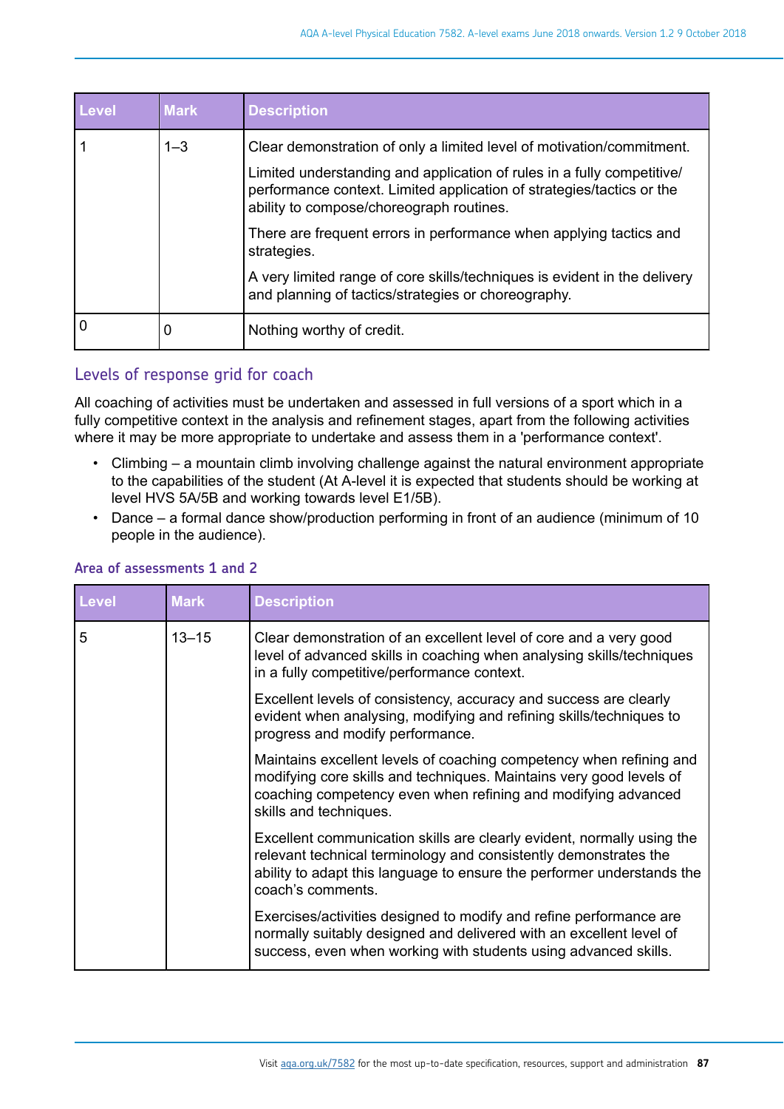| Level | <b>Mark</b> | <b>Description</b>                                                                                                                                                                                                                                                                                                                                                                                                                     |
|-------|-------------|----------------------------------------------------------------------------------------------------------------------------------------------------------------------------------------------------------------------------------------------------------------------------------------------------------------------------------------------------------------------------------------------------------------------------------------|
|       | $1 - 3$     | Clear demonstration of only a limited level of motivation/commitment.<br>Limited understanding and application of rules in a fully competitive/<br>performance context. Limited application of strategies/tactics or the<br>ability to compose/choreograph routines.<br>There are frequent errors in performance when applying tactics and<br>strategies.<br>A very limited range of core skills/techniques is evident in the delivery |
|       |             | and planning of tactics/strategies or choreography.                                                                                                                                                                                                                                                                                                                                                                                    |
| l O   | 0           | Nothing worthy of credit.                                                                                                                                                                                                                                                                                                                                                                                                              |

#### Levels of response grid for coach

All coaching of activities must be undertaken and assessed in full versions of a sport which in a fully competitive context in the analysis and refinement stages, apart from the following activities where it may be more appropriate to undertake and assess them in a 'performance context'.

- Climbing a mountain climb involving challenge against the natural environment appropriate to the capabilities of the student (At A-level it is expected that students should be working at level HVS 5A/5B and working towards level E1/5B).
- Dance a formal dance show/production performing in front of an audience (minimum of 10 people in the audience).

| <b>Level</b> | <b>Mark</b> | <b>Description</b>                                                                                                                                                                                                                        |
|--------------|-------------|-------------------------------------------------------------------------------------------------------------------------------------------------------------------------------------------------------------------------------------------|
| 5            | $13 - 15$   | Clear demonstration of an excellent level of core and a very good<br>level of advanced skills in coaching when analysing skills/techniques<br>in a fully competitive/performance context.                                                 |
|              |             | Excellent levels of consistency, accuracy and success are clearly<br>evident when analysing, modifying and refining skills/techniques to<br>progress and modify performance.                                                              |
|              |             | Maintains excellent levels of coaching competency when refining and<br>modifying core skills and techniques. Maintains very good levels of<br>coaching competency even when refining and modifying advanced<br>skills and techniques.     |
|              |             | Excellent communication skills are clearly evident, normally using the<br>relevant technical terminology and consistently demonstrates the<br>ability to adapt this language to ensure the performer understands the<br>coach's comments. |
|              |             | Exercises/activities designed to modify and refine performance are<br>normally suitably designed and delivered with an excellent level of<br>success, even when working with students using advanced skills.                              |

#### **Area of assessments 1 and 2**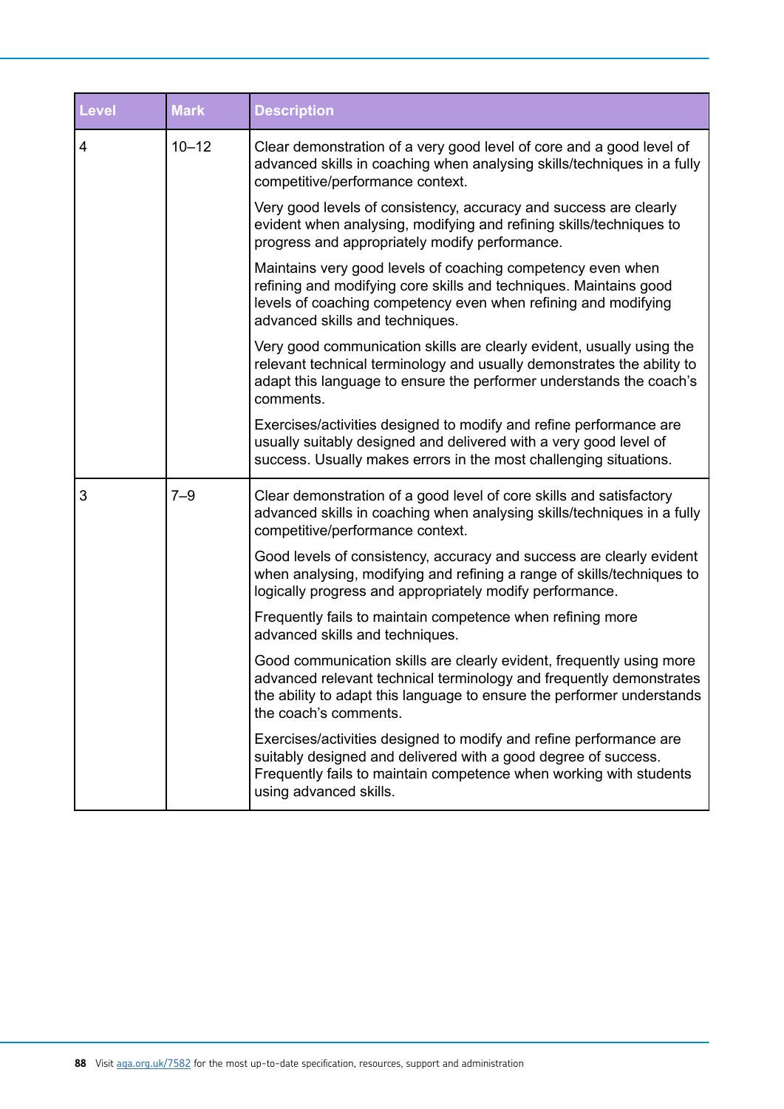| Level          | <b>Mark</b> | <b>Description</b>                                                                                                                                                                                                                             |
|----------------|-------------|------------------------------------------------------------------------------------------------------------------------------------------------------------------------------------------------------------------------------------------------|
| $\overline{4}$ | $10 - 12$   | Clear demonstration of a very good level of core and a good level of<br>advanced skills in coaching when analysing skills/techniques in a fully<br>competitive/performance context.                                                            |
|                |             | Very good levels of consistency, accuracy and success are clearly<br>evident when analysing, modifying and refining skills/techniques to<br>progress and appropriately modify performance.                                                     |
|                |             | Maintains very good levels of coaching competency even when<br>refining and modifying core skills and techniques. Maintains good<br>levels of coaching competency even when refining and modifying<br>advanced skills and techniques.          |
|                |             | Very good communication skills are clearly evident, usually using the<br>relevant technical terminology and usually demonstrates the ability to<br>adapt this language to ensure the performer understands the coach's<br>comments.            |
|                |             | Exercises/activities designed to modify and refine performance are<br>usually suitably designed and delivered with a very good level of<br>success. Usually makes errors in the most challenging situations.                                   |
| 3              | $7 - 9$     | Clear demonstration of a good level of core skills and satisfactory<br>advanced skills in coaching when analysing skills/techniques in a fully<br>competitive/performance context.                                                             |
|                |             | Good levels of consistency, accuracy and success are clearly evident<br>when analysing, modifying and refining a range of skills/techniques to<br>logically progress and appropriately modify performance.                                     |
|                |             | Frequently fails to maintain competence when refining more<br>advanced skills and techniques.                                                                                                                                                  |
|                |             | Good communication skills are clearly evident, frequently using more<br>advanced relevant technical terminology and frequently demonstrates<br>the ability to adapt this language to ensure the performer understands<br>the coach's comments. |
|                |             | Exercises/activities designed to modify and refine performance are<br>suitably designed and delivered with a good degree of success.<br>Frequently fails to maintain competence when working with students<br>using advanced skills.           |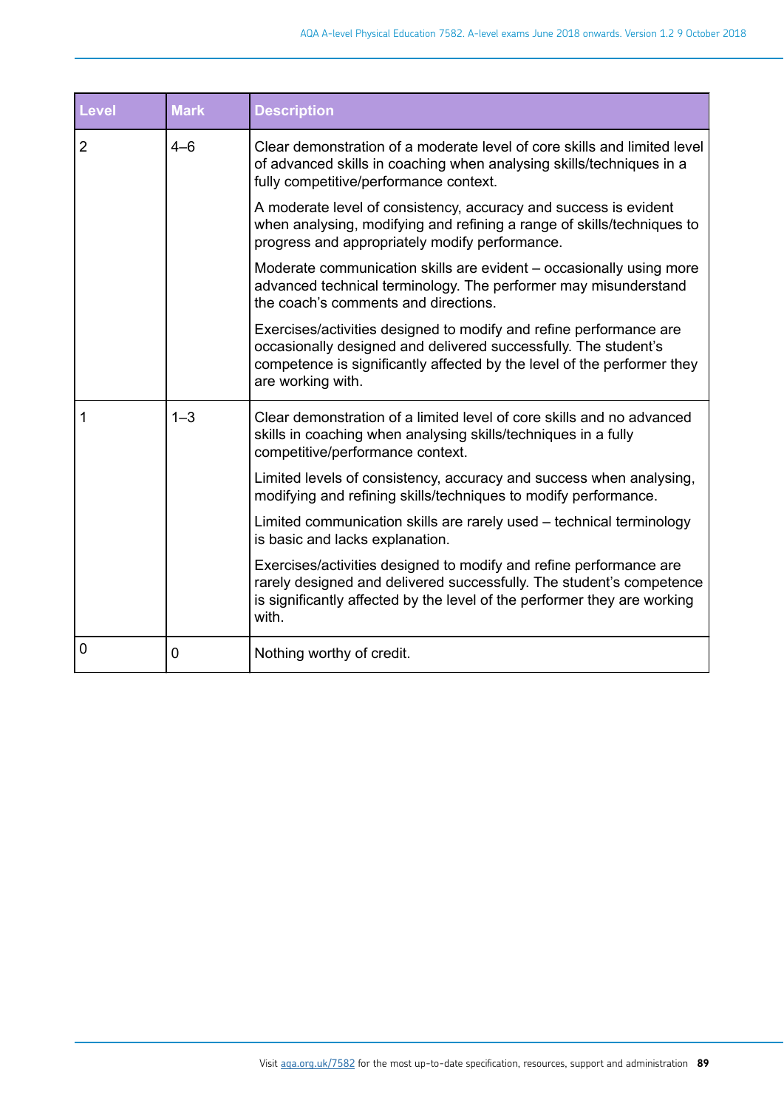| Level          | <b>Mark</b> | <b>Description</b>                                                                                                                                                                                                                    |
|----------------|-------------|---------------------------------------------------------------------------------------------------------------------------------------------------------------------------------------------------------------------------------------|
| $\overline{2}$ | $4 - 6$     | Clear demonstration of a moderate level of core skills and limited level<br>of advanced skills in coaching when analysing skills/techniques in a<br>fully competitive/performance context.                                            |
|                |             | A moderate level of consistency, accuracy and success is evident<br>when analysing, modifying and refining a range of skills/techniques to<br>progress and appropriately modify performance.                                          |
|                |             | Moderate communication skills are evident – occasionally using more<br>advanced technical terminology. The performer may misunderstand<br>the coach's comments and directions.                                                        |
|                |             | Exercises/activities designed to modify and refine performance are<br>occasionally designed and delivered successfully. The student's<br>competence is significantly affected by the level of the performer they<br>are working with. |
| 1              | $1 - 3$     | Clear demonstration of a limited level of core skills and no advanced<br>skills in coaching when analysing skills/techniques in a fully<br>competitive/performance context.                                                           |
|                |             | Limited levels of consistency, accuracy and success when analysing,<br>modifying and refining skills/techniques to modify performance.                                                                                                |
|                |             | Limited communication skills are rarely used - technical terminology<br>is basic and lacks explanation.                                                                                                                               |
|                |             | Exercises/activities designed to modify and refine performance are<br>rarely designed and delivered successfully. The student's competence<br>is significantly affected by the level of the performer they are working<br>with.       |
| 0              | 0           | Nothing worthy of credit.                                                                                                                                                                                                             |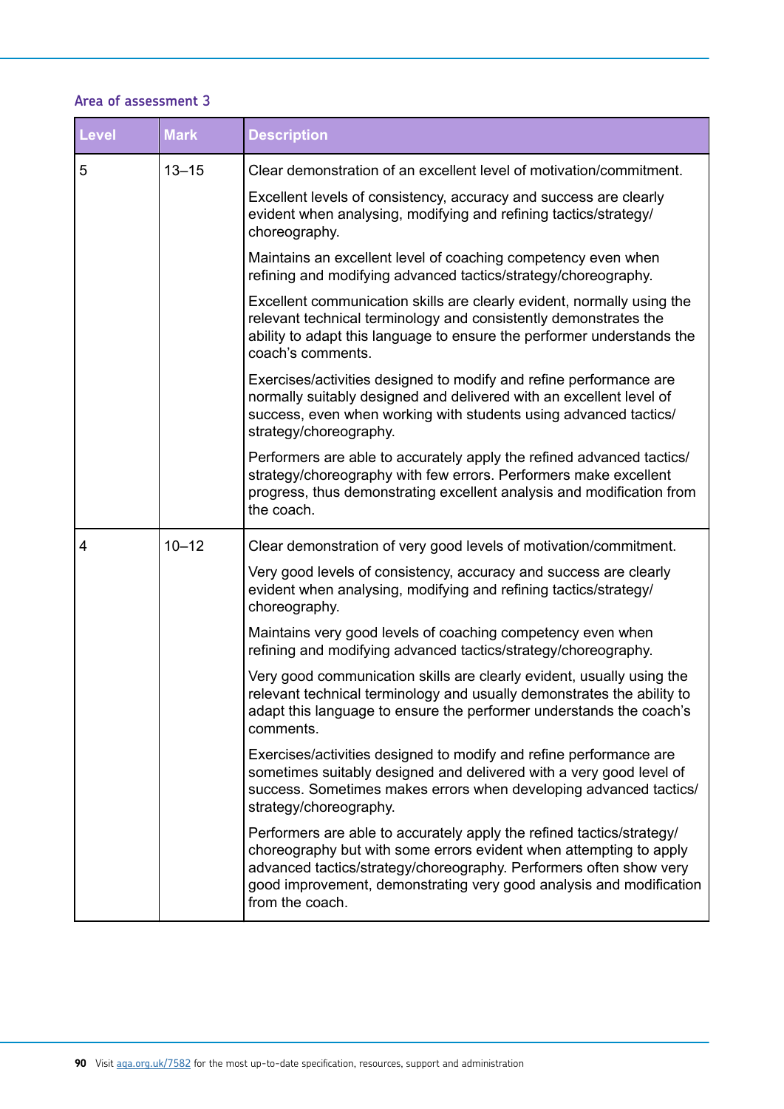#### **Area of assessment 3**

| Level | <b>Mark</b> | <b>Description</b>                                                                                                                                                                                                                                                                                          |
|-------|-------------|-------------------------------------------------------------------------------------------------------------------------------------------------------------------------------------------------------------------------------------------------------------------------------------------------------------|
| 5     | $13 - 15$   | Clear demonstration of an excellent level of motivation/commitment.                                                                                                                                                                                                                                         |
|       |             | Excellent levels of consistency, accuracy and success are clearly<br>evident when analysing, modifying and refining tactics/strategy/<br>choreography.                                                                                                                                                      |
|       |             | Maintains an excellent level of coaching competency even when<br>refining and modifying advanced tactics/strategy/choreography.                                                                                                                                                                             |
|       |             | Excellent communication skills are clearly evident, normally using the<br>relevant technical terminology and consistently demonstrates the<br>ability to adapt this language to ensure the performer understands the<br>coach's comments.                                                                   |
|       |             | Exercises/activities designed to modify and refine performance are<br>normally suitably designed and delivered with an excellent level of<br>success, even when working with students using advanced tactics/<br>strategy/choreography.                                                                     |
|       |             | Performers are able to accurately apply the refined advanced tactics/<br>strategy/choreography with few errors. Performers make excellent<br>progress, thus demonstrating excellent analysis and modification from<br>the coach.                                                                            |
| 4     | $10 - 12$   | Clear demonstration of very good levels of motivation/commitment.                                                                                                                                                                                                                                           |
|       |             | Very good levels of consistency, accuracy and success are clearly<br>evident when analysing, modifying and refining tactics/strategy/<br>choreography.                                                                                                                                                      |
|       |             | Maintains very good levels of coaching competency even when<br>refining and modifying advanced tactics/strategy/choreography.                                                                                                                                                                               |
|       |             | Very good communication skills are clearly evident, usually using the<br>relevant technical terminology and usually demonstrates the ability to<br>adapt this language to ensure the performer understands the coach's<br>comments.                                                                         |
|       |             | Exercises/activities designed to modify and refine performance are<br>sometimes suitably designed and delivered with a very good level of<br>success. Sometimes makes errors when developing advanced tactics/<br>strategy/choreography.                                                                    |
|       |             | Performers are able to accurately apply the refined tactics/strategy/<br>choreography but with some errors evident when attempting to apply<br>advanced tactics/strategy/choreography. Performers often show very<br>good improvement, demonstrating very good analysis and modification<br>from the coach. |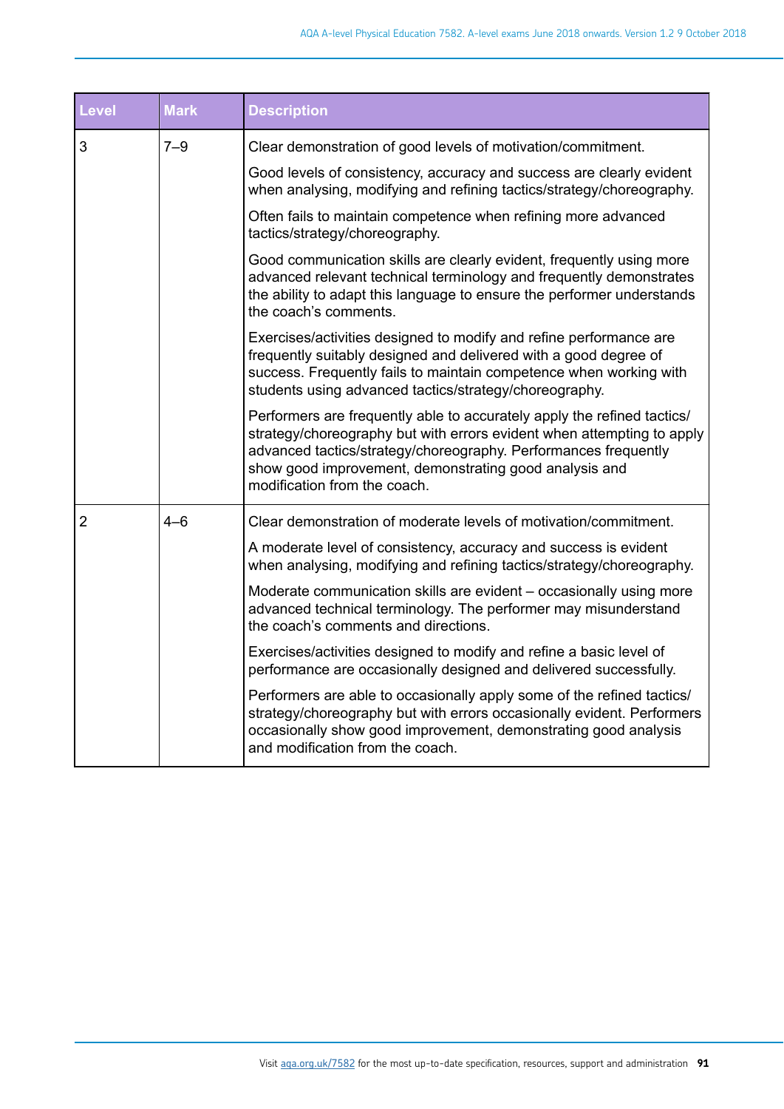| Level          | <b>Mark</b> | <b>Description</b>                                                                                                                                                                                                                                                                                             |
|----------------|-------------|----------------------------------------------------------------------------------------------------------------------------------------------------------------------------------------------------------------------------------------------------------------------------------------------------------------|
| 3              | $7 - 9$     | Clear demonstration of good levels of motivation/commitment.                                                                                                                                                                                                                                                   |
|                |             | Good levels of consistency, accuracy and success are clearly evident<br>when analysing, modifying and refining tactics/strategy/choreography.                                                                                                                                                                  |
|                |             | Often fails to maintain competence when refining more advanced<br>tactics/strategy/choreography.                                                                                                                                                                                                               |
|                |             | Good communication skills are clearly evident, frequently using more<br>advanced relevant technical terminology and frequently demonstrates<br>the ability to adapt this language to ensure the performer understands<br>the coach's comments.                                                                 |
|                |             | Exercises/activities designed to modify and refine performance are<br>frequently suitably designed and delivered with a good degree of<br>success. Frequently fails to maintain competence when working with<br>students using advanced tactics/strategy/choreography.                                         |
|                |             | Performers are frequently able to accurately apply the refined tactics/<br>strategy/choreography but with errors evident when attempting to apply<br>advanced tactics/strategy/choreography. Performances frequently<br>show good improvement, demonstrating good analysis and<br>modification from the coach. |
| $\overline{2}$ | $4 - 6$     | Clear demonstration of moderate levels of motivation/commitment.                                                                                                                                                                                                                                               |
|                |             | A moderate level of consistency, accuracy and success is evident<br>when analysing, modifying and refining tactics/strategy/choreography.                                                                                                                                                                      |
|                |             | Moderate communication skills are evident – occasionally using more<br>advanced technical terminology. The performer may misunderstand<br>the coach's comments and directions.                                                                                                                                 |
|                |             | Exercises/activities designed to modify and refine a basic level of<br>performance are occasionally designed and delivered successfully.                                                                                                                                                                       |
|                |             | Performers are able to occasionally apply some of the refined tactics/<br>strategy/choreography but with errors occasionally evident. Performers<br>occasionally show good improvement, demonstrating good analysis<br>and modification from the coach.                                                        |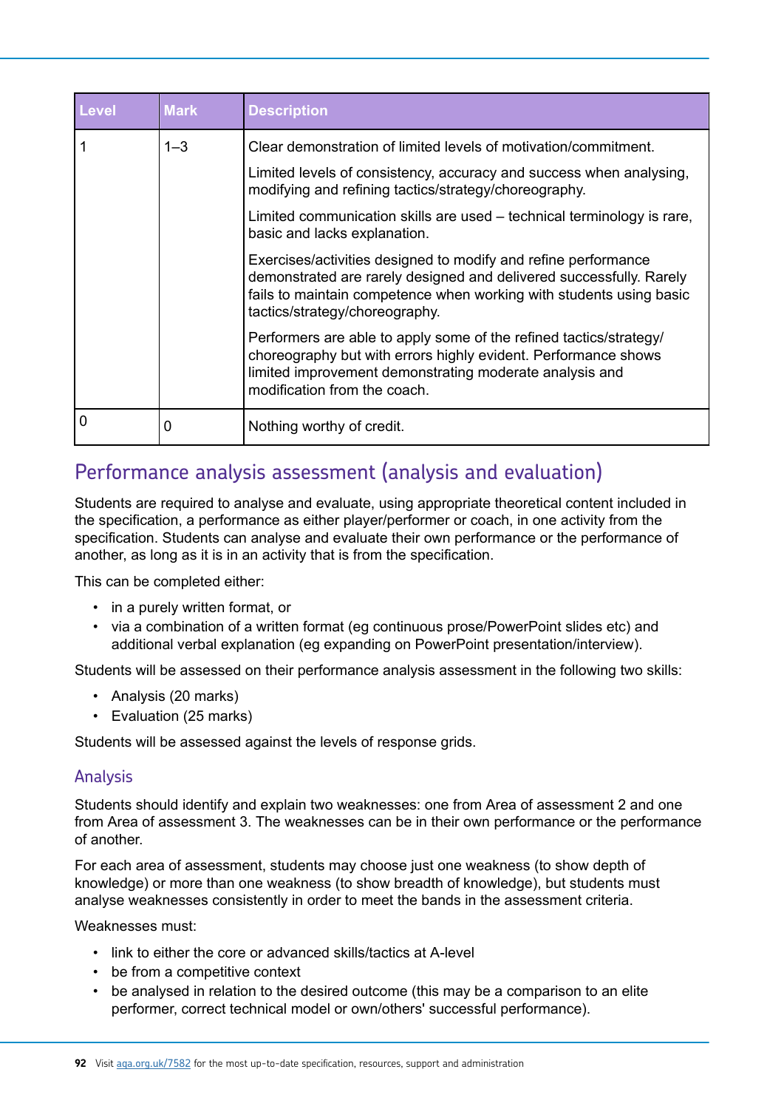| Level | <b>Mark</b> | <b>Description</b>                                                                                                                                                                                                                             |
|-------|-------------|------------------------------------------------------------------------------------------------------------------------------------------------------------------------------------------------------------------------------------------------|
| 1     | $1 - 3$     | Clear demonstration of limited levels of motivation/commitment.                                                                                                                                                                                |
|       |             | Limited levels of consistency, accuracy and success when analysing,<br>modifying and refining tactics/strategy/choreography.                                                                                                                   |
|       |             | Limited communication skills are used – technical terminology is rare,<br>basic and lacks explanation.                                                                                                                                         |
|       |             | Exercises/activities designed to modify and refine performance<br>demonstrated are rarely designed and delivered successfully. Rarely<br>fails to maintain competence when working with students using basic<br>tactics/strategy/choreography. |
|       |             | Performers are able to apply some of the refined tactics/strategy/<br>choreography but with errors highly evident. Performance shows<br>limited improvement demonstrating moderate analysis and<br>modification from the coach.                |
| l 0   | 0           | Nothing worthy of credit.                                                                                                                                                                                                                      |

## Performance analysis assessment (analysis and evaluation)

Students are required to analyse and evaluate, using appropriate theoretical content included in the specification, a performance as either player/performer or coach, in one activity from the specification. Students can analyse and evaluate their own performance or the performance of another, as long as it is in an activity that is from the specification.

This can be completed either:

- in a purely written format, or
- via a combination of a written format (eg continuous prose/PowerPoint slides etc) and additional verbal explanation (eg expanding on PowerPoint presentation/interview).

Students will be assessed on their performance analysis assessment in the following two skills:

- Analysis (20 marks)
- Evaluation (25 marks)

Students will be assessed against the levels of response grids.

#### Analysis

Students should identify and explain two weaknesses: one from Area of assessment 2 and one from Area of assessment 3. The weaknesses can be in their own performance or the performance of another.

For each area of assessment, students may choose just one weakness (to show depth of knowledge) or more than one weakness (to show breadth of knowledge), but students must analyse weaknesses consistently in order to meet the bands in the assessment criteria.

Weaknesses must:

- link to either the core or advanced skills/tactics at A-level
- be from a competitive context
- be analysed in relation to the desired outcome (this may be a comparison to an elite performer, correct technical model or own/others' successful performance).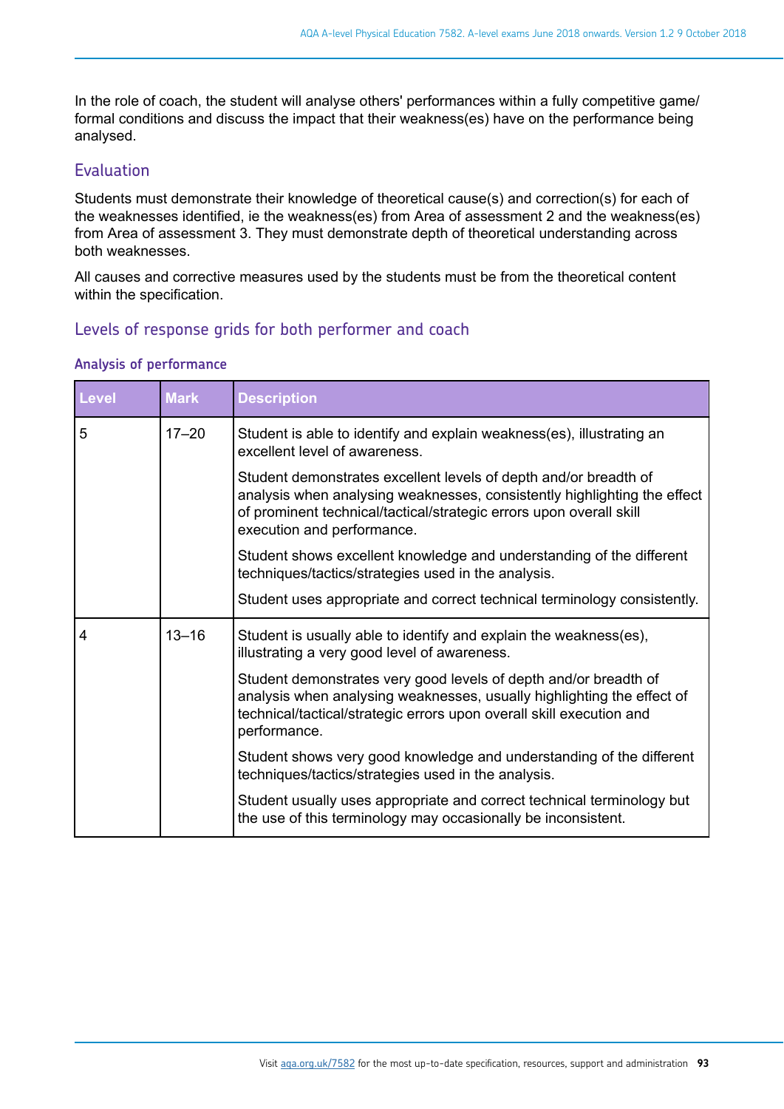In the role of coach, the student will analyse others' performances within a fully competitive game/ formal conditions and discuss the impact that their weakness(es) have on the performance being analysed.

#### Evaluation

Students must demonstrate their knowledge of theoretical cause(s) and correction(s) for each of the weaknesses identified, ie the weakness(es) from Area of assessment 2 and the weakness(es) from Area of assessment 3. They must demonstrate depth of theoretical understanding across both weaknesses.

All causes and corrective measures used by the students must be from the theoretical content within the specification.

#### Levels of response grids for both performer and coach

#### **Analysis of performance**

| Level | <b>Mark</b> | <b>Description</b>                                                                                                                                                                                                                                |
|-------|-------------|---------------------------------------------------------------------------------------------------------------------------------------------------------------------------------------------------------------------------------------------------|
| 5     | $17 - 20$   | Student is able to identify and explain weakness(es), illustrating an<br>excellent level of awareness.                                                                                                                                            |
|       |             | Student demonstrates excellent levels of depth and/or breadth of<br>analysis when analysing weaknesses, consistently highlighting the effect<br>of prominent technical/tactical/strategic errors upon overall skill<br>execution and performance. |
|       |             | Student shows excellent knowledge and understanding of the different<br>techniques/tactics/strategies used in the analysis.                                                                                                                       |
|       |             | Student uses appropriate and correct technical terminology consistently.                                                                                                                                                                          |
| 4     | $13 - 16$   | Student is usually able to identify and explain the weakness(es),<br>illustrating a very good level of awareness.                                                                                                                                 |
|       |             | Student demonstrates very good levels of depth and/or breadth of<br>analysis when analysing weaknesses, usually highlighting the effect of<br>technical/tactical/strategic errors upon overall skill execution and<br>performance.                |
|       |             | Student shows very good knowledge and understanding of the different<br>techniques/tactics/strategies used in the analysis.                                                                                                                       |
|       |             | Student usually uses appropriate and correct technical terminology but<br>the use of this terminology may occasionally be inconsistent.                                                                                                           |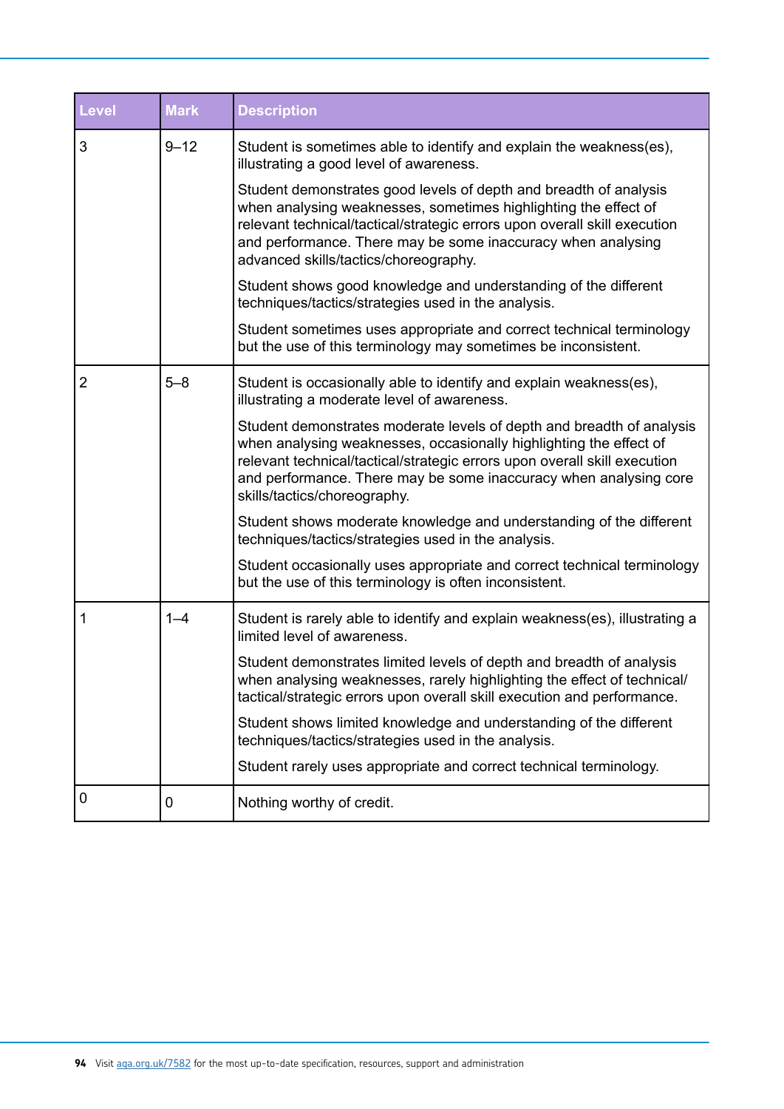| Level          | <b>Mark</b> | <b>Description</b>                                                                                                                                                                                                                                                                                                            |
|----------------|-------------|-------------------------------------------------------------------------------------------------------------------------------------------------------------------------------------------------------------------------------------------------------------------------------------------------------------------------------|
| 3              | $9 - 12$    | Student is sometimes able to identify and explain the weakness(es),<br>illustrating a good level of awareness.                                                                                                                                                                                                                |
|                |             | Student demonstrates good levels of depth and breadth of analysis<br>when analysing weaknesses, sometimes highlighting the effect of<br>relevant technical/tactical/strategic errors upon overall skill execution<br>and performance. There may be some inaccuracy when analysing<br>advanced skills/tactics/choreography.    |
|                |             | Student shows good knowledge and understanding of the different<br>techniques/tactics/strategies used in the analysis.                                                                                                                                                                                                        |
|                |             | Student sometimes uses appropriate and correct technical terminology<br>but the use of this terminology may sometimes be inconsistent.                                                                                                                                                                                        |
| $\overline{2}$ | $5 - 8$     | Student is occasionally able to identify and explain weakness(es),<br>illustrating a moderate level of awareness.                                                                                                                                                                                                             |
|                |             | Student demonstrates moderate levels of depth and breadth of analysis<br>when analysing weaknesses, occasionally highlighting the effect of<br>relevant technical/tactical/strategic errors upon overall skill execution<br>and performance. There may be some inaccuracy when analysing core<br>skills/tactics/choreography. |
|                |             | Student shows moderate knowledge and understanding of the different<br>techniques/tactics/strategies used in the analysis.                                                                                                                                                                                                    |
|                |             | Student occasionally uses appropriate and correct technical terminology<br>but the use of this terminology is often inconsistent.                                                                                                                                                                                             |
| 1              | $1 - 4$     | Student is rarely able to identify and explain weakness(es), illustrating a<br>limited level of awareness.                                                                                                                                                                                                                    |
|                |             | Student demonstrates limited levels of depth and breadth of analysis<br>when analysing weaknesses, rarely highlighting the effect of technical/<br>tactical/strategic errors upon overall skill execution and performance.                                                                                                    |
|                |             | Student shows limited knowledge and understanding of the different<br>techniques/tactics/strategies used in the analysis.                                                                                                                                                                                                     |
|                |             | Student rarely uses appropriate and correct technical terminology.                                                                                                                                                                                                                                                            |
| 0              | 0           | Nothing worthy of credit.                                                                                                                                                                                                                                                                                                     |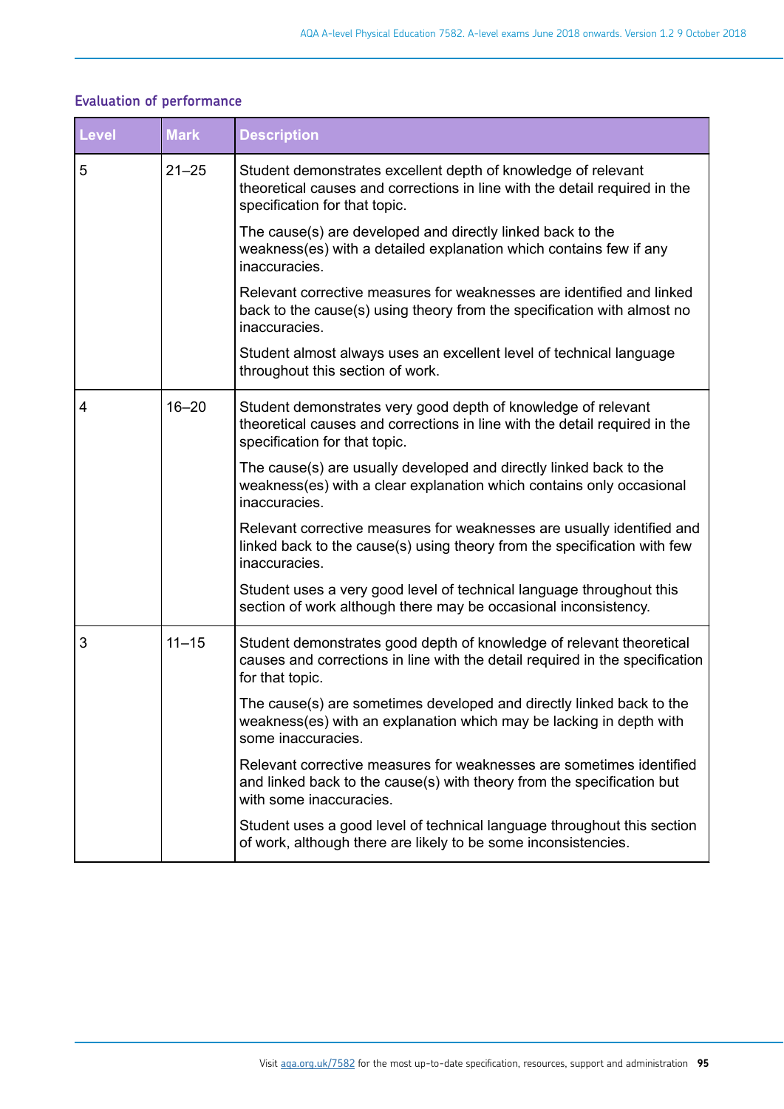| <b>Evaluation of performance</b> |  |
|----------------------------------|--|
|----------------------------------|--|

| Level | <b>Mark</b> | <b>Description</b>                                                                                                                                                           |
|-------|-------------|------------------------------------------------------------------------------------------------------------------------------------------------------------------------------|
| 5     | $21 - 25$   | Student demonstrates excellent depth of knowledge of relevant<br>theoretical causes and corrections in line with the detail required in the<br>specification for that topic. |
|       |             | The cause(s) are developed and directly linked back to the<br>weakness(es) with a detailed explanation which contains few if any<br>inaccuracies.                            |
|       |             | Relevant corrective measures for weaknesses are identified and linked<br>back to the cause(s) using theory from the specification with almost no<br>inaccuracies.            |
|       |             | Student almost always uses an excellent level of technical language<br>throughout this section of work.                                                                      |
| 4     | $16 - 20$   | Student demonstrates very good depth of knowledge of relevant<br>theoretical causes and corrections in line with the detail required in the<br>specification for that topic. |
|       |             | The cause(s) are usually developed and directly linked back to the<br>weakness(es) with a clear explanation which contains only occasional<br>inaccuracies.                  |
|       |             | Relevant corrective measures for weaknesses are usually identified and<br>linked back to the cause(s) using theory from the specification with few<br>inaccuracies.          |
|       |             | Student uses a very good level of technical language throughout this<br>section of work although there may be occasional inconsistency.                                      |
| 3     | $11 - 15$   | Student demonstrates good depth of knowledge of relevant theoretical<br>causes and corrections in line with the detail required in the specification<br>for that topic.      |
|       |             | The cause(s) are sometimes developed and directly linked back to the<br>weakness(es) with an explanation which may be lacking in depth with<br>some inaccuracies.            |
|       |             | Relevant corrective measures for weaknesses are sometimes identified<br>and linked back to the cause(s) with theory from the specification but<br>with some inaccuracies.    |
|       |             | Student uses a good level of technical language throughout this section<br>of work, although there are likely to be some inconsistencies.                                    |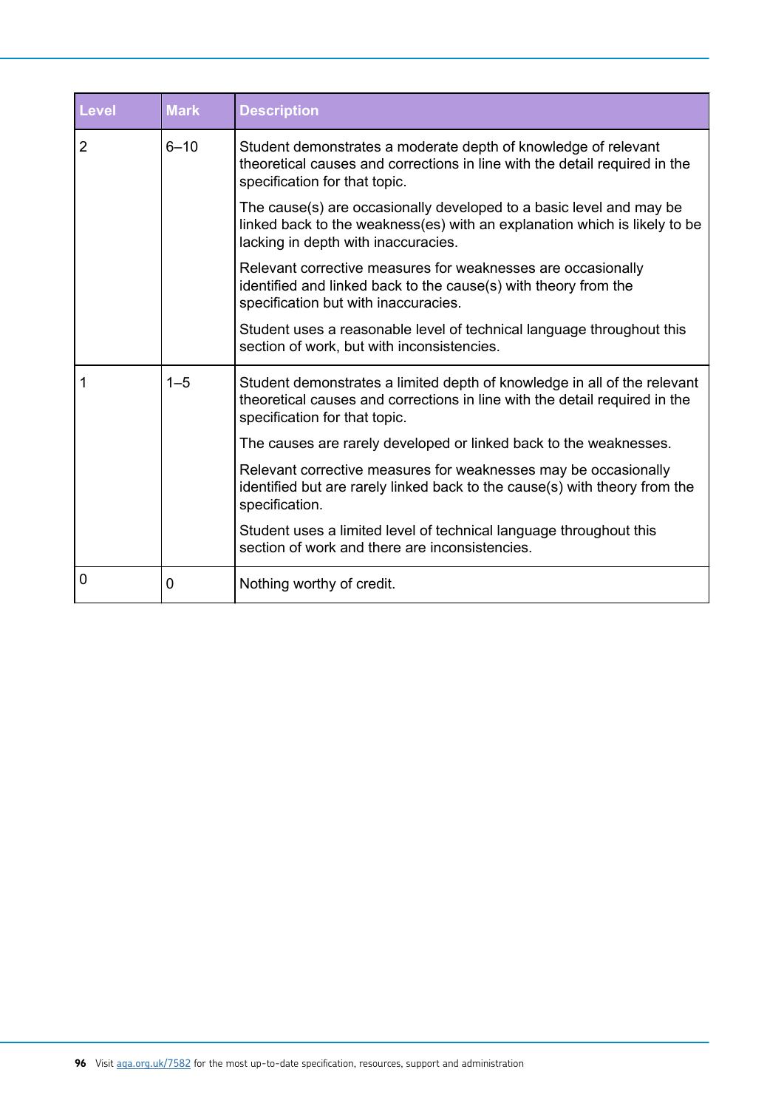| Level          | <b>Mark</b> | <b>Description</b>                                                                                                                                                                      |
|----------------|-------------|-----------------------------------------------------------------------------------------------------------------------------------------------------------------------------------------|
| $\overline{2}$ | $6 - 10$    | Student demonstrates a moderate depth of knowledge of relevant<br>theoretical causes and corrections in line with the detail required in the<br>specification for that topic.           |
|                |             | The cause(s) are occasionally developed to a basic level and may be<br>linked back to the weakness(es) with an explanation which is likely to be<br>lacking in depth with inaccuracies. |
|                |             | Relevant corrective measures for weaknesses are occasionally<br>identified and linked back to the cause(s) with theory from the<br>specification but with inaccuracies.                 |
|                |             | Student uses a reasonable level of technical language throughout this<br>section of work, but with inconsistencies.                                                                     |
| 1              | $1 - 5$     | Student demonstrates a limited depth of knowledge in all of the relevant<br>theoretical causes and corrections in line with the detail required in the<br>specification for that topic. |
|                |             | The causes are rarely developed or linked back to the weaknesses.                                                                                                                       |
|                |             | Relevant corrective measures for weaknesses may be occasionally<br>identified but are rarely linked back to the cause(s) with theory from the<br>specification.                         |
|                |             | Student uses a limited level of technical language throughout this<br>section of work and there are inconsistencies.                                                                    |
| l 0            | 0           | Nothing worthy of credit.                                                                                                                                                               |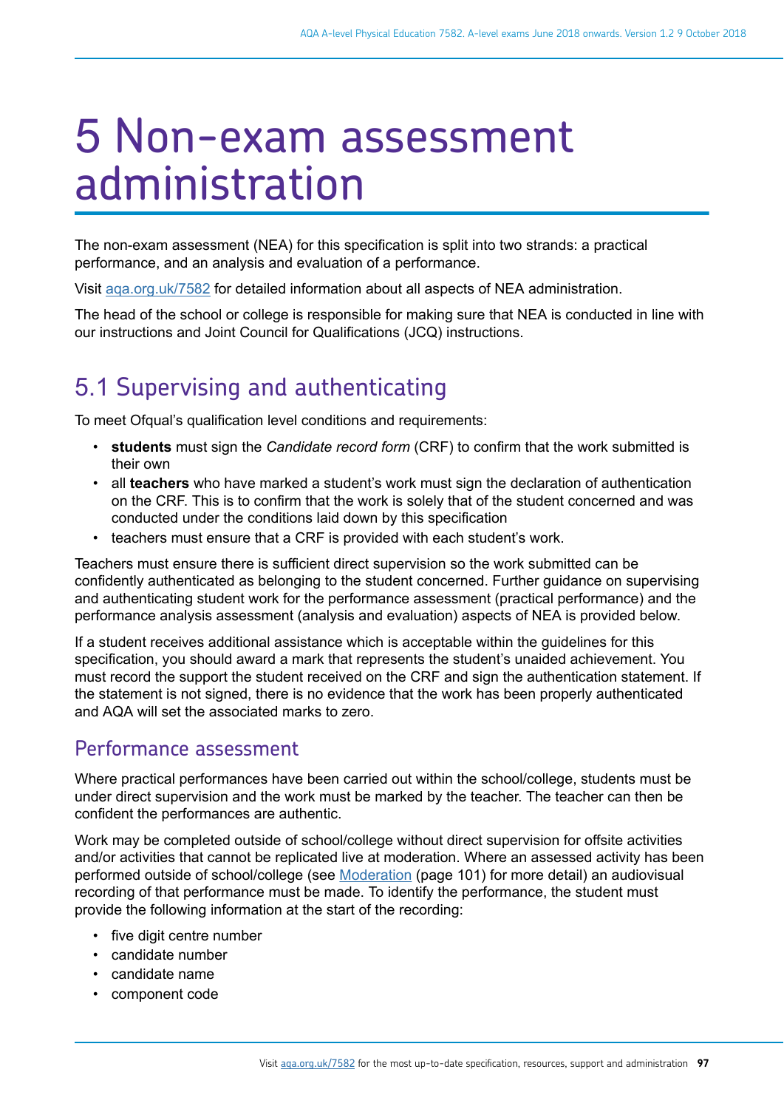# 5 Non-exam assessment administration

The non-exam assessment (NEA) for this specification is split into two strands: a practical performance, and an analysis and evaluation of a performance.

Visit [aqa.org.uk/7582](http://www.aqa.org.uk/7582) for detailed information about all aspects of NEA administration.

The head of the school or college is responsible for making sure that NEA is conducted in line with our instructions and Joint Council for Qualifications (JCQ) instructions.

# 5.1 Supervising and authenticating

To meet Ofqual's qualification level conditions and requirements:

- **students** must sign the *Candidate record form* (CRF) to confirm that the work submitted is their own
- all **teachers** who have marked a student's work must sign the declaration of authentication on the CRF. This is to confirm that the work is solely that of the student concerned and was conducted under the conditions laid down by this specification
- teachers must ensure that a CRF is provided with each student's work.

Teachers must ensure there is sufficient direct supervision so the work submitted can be confidently authenticated as belonging to the student concerned. Further guidance on supervising and authenticating student work for the performance assessment (practical performance) and the performance analysis assessment (analysis and evaluation) aspects of NEA is provided below.

If a student receives additional assistance which is acceptable within the guidelines for this specification, you should award a mark that represents the student's unaided achievement. You must record the support the student received on the CRF and sign the authentication statement. If the statement is not signed, there is no evidence that the work has been properly authenticated and AQA will set the associated marks to zero.

## Performance assessment

Where practical performances have been carried out within the school/college, students must be under direct supervision and the work must be marked by the teacher. The teacher can then be confident the performances are authentic.

Work may be completed outside of school/college without direct supervision for offsite activities and/or activities that cannot be replicated live at moderation. Where an assessed activity has been performed outside of school/college (see [Moderation](#page-100-0) (page 101) for more detail) an audiovisual recording of that performance must be made. To identify the performance, the student must provide the following information at the start of the recording:

- five digit centre number
- candidate number
- candidate name
- component code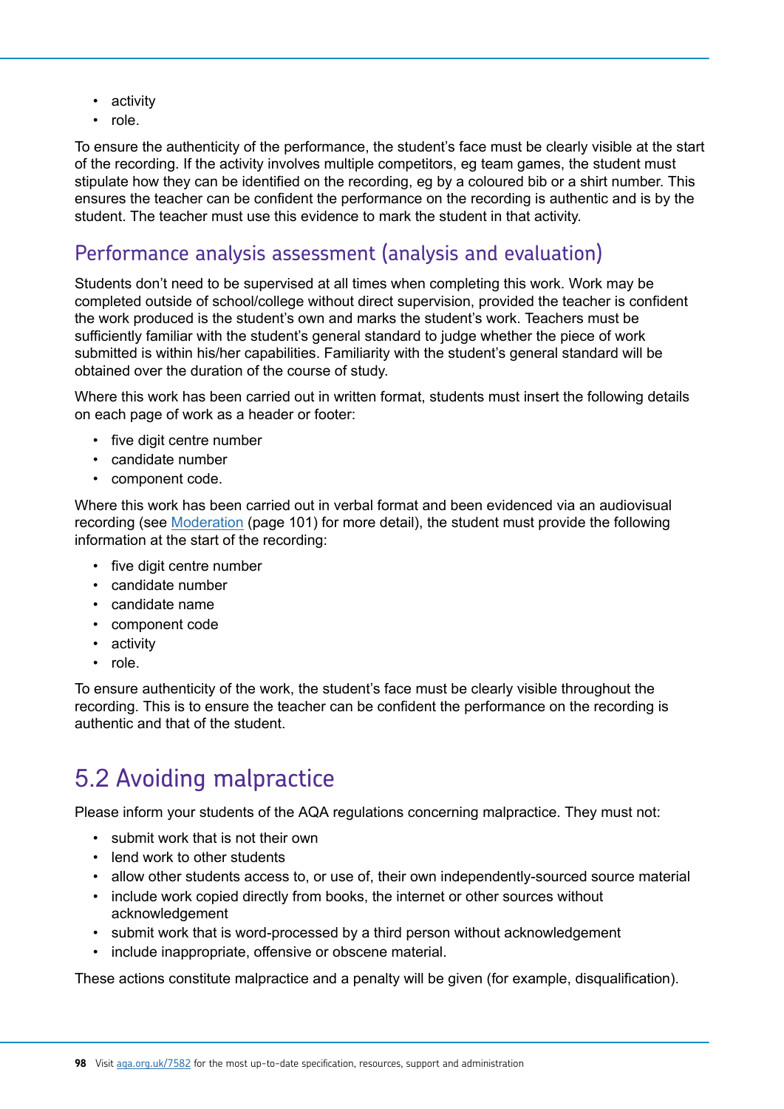- activity
- role.

To ensure the authenticity of the performance, the student's face must be clearly visible at the start of the recording. If the activity involves multiple competitors, eg team games, the student must stipulate how they can be identified on the recording, eg by a coloured bib or a shirt number. This ensures the teacher can be confident the performance on the recording is authentic and is by the student. The teacher must use this evidence to mark the student in that activity.

## Performance analysis assessment (analysis and evaluation)

Students don't need to be supervised at all times when completing this work. Work may be completed outside of school/college without direct supervision, provided the teacher is confident the work produced is the student's own and marks the student's work. Teachers must be sufficiently familiar with the student's general standard to judge whether the piece of work submitted is within his/her capabilities. Familiarity with the student's general standard will be obtained over the duration of the course of study.

Where this work has been carried out in written format, students must insert the following details on each page of work as a header or footer:

- five digit centre number
- candidate number
- component code.

Where this work has been carried out in verbal format and been evidenced via an audiovisual recording (see [Moderation](#page-100-0) (page 101) for more detail), the student must provide the following information at the start of the recording:

- five digit centre number
- candidate number
- candidate name
- component code
- **activity**
- role.

To ensure authenticity of the work, the student's face must be clearly visible throughout the recording. This is to ensure the teacher can be confident the performance on the recording is authentic and that of the student.

## 5.2 Avoiding malpractice

Please inform your students of the AQA regulations concerning malpractice. They must not:

- submit work that is not their own
- lend work to other students
- allow other students access to, or use of, their own independently-sourced source material
- include work copied directly from books, the internet or other sources without acknowledgement
- submit work that is word-processed by a third person without acknowledgement
- include inappropriate, offensive or obscene material.

These actions constitute malpractice and a penalty will be given (for example, disqualification).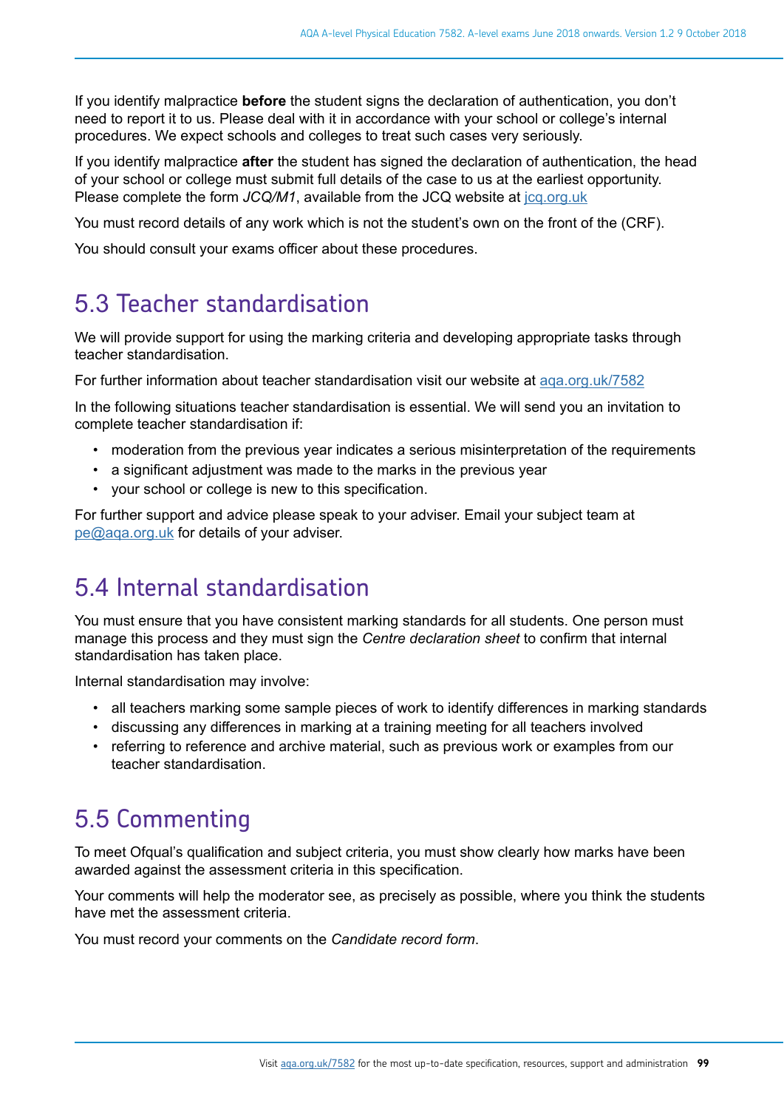If you identify malpractice **before** the student signs the declaration of authentication, you don't need to report it to us. Please deal with it in accordance with your school or college's internal procedures. We expect schools and colleges to treat such cases very seriously.

If you identify malpractice **after** the student has signed the declaration of authentication, the head of your school or college must submit full details of the case to us at the earliest opportunity. Please complete the form *JCQ/M1*, available from the JCQ website at [jcq.org.uk](http://www.jcq.org.uk/)

You must record details of any work which is not the student's own on the front of the (CRF).

You should consult your exams officer about these procedures.

## 5.3 Teacher standardisation

We will provide support for using the marking criteria and developing appropriate tasks through teacher standardisation.

For further information about teacher standardisation visit our website at [aqa.org.uk/7582](http://www.aqa.org.uk/7582)

In the following situations teacher standardisation is essential. We will send you an invitation to complete teacher standardisation if:

- moderation from the previous year indicates a serious misinterpretation of the requirements
- a significant adjustment was made to the marks in the previous year
- your school or college is new to this specification.

For further support and advice please speak to your adviser. Email your subject team at [pe@aqa.org.uk](mailto:pe@aqa.org.uk) for details of your adviser.

## 5.4 Internal standardisation

You must ensure that you have consistent marking standards for all students. One person must manage this process and they must sign the *Centre declaration sheet* to confirm that internal standardisation has taken place.

Internal standardisation may involve:

- all teachers marking some sample pieces of work to identify differences in marking standards
- discussing any differences in marking at a training meeting for all teachers involved
- referring to reference and archive material, such as previous work or examples from our teacher standardisation.

## 5.5 Commenting

To meet Ofqual's qualification and subject criteria, you must show clearly how marks have been awarded against the assessment criteria in this specification.

Your comments will help the moderator see, as precisely as possible, where you think the students have met the assessment criteria.

You must record your comments on the *Candidate record form*.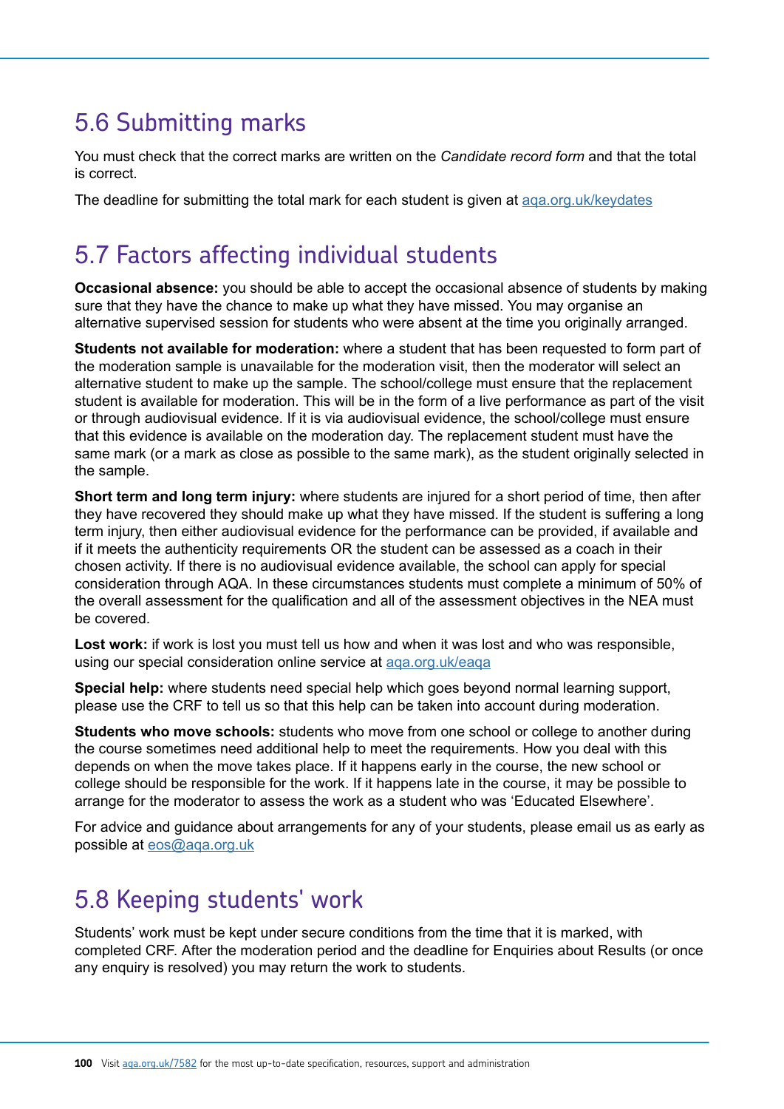# 5.6 Submitting marks

You must check that the correct marks are written on the *Candidate record form* and that the total is correct.

The deadline for submitting the total mark for each student is given at [aqa.org.uk/keydates](http://www.aqa.org.uk/keydates)

# 5.7 Factors affecting individual students

**Occasional absence:** you should be able to accept the occasional absence of students by making sure that they have the chance to make up what they have missed. You may organise an alternative supervised session for students who were absent at the time you originally arranged.

**Students not available for moderation:** where a student that has been requested to form part of the moderation sample is unavailable for the moderation visit, then the moderator will select an alternative student to make up the sample. The school/college must ensure that the replacement student is available for moderation. This will be in the form of a live performance as part of the visit or through audiovisual evidence. If it is via audiovisual evidence, the school/college must ensure that this evidence is available on the moderation day. The replacement student must have the same mark (or a mark as close as possible to the same mark), as the student originally selected in the sample.

**Short term and long term injury:** where students are injured for a short period of time, then after they have recovered they should make up what they have missed. If the student is suffering a long term injury, then either audiovisual evidence for the performance can be provided, if available and if it meets the authenticity requirements OR the student can be assessed as a coach in their chosen activity. If there is no audiovisual evidence available, the school can apply for special consideration through AQA. In these circumstances students must complete a minimum of 50% of the overall assessment for the qualification and all of the assessment objectives in the NEA must be covered.

**Lost work:** if work is lost you must tell us how and when it was lost and who was responsible, using our special consideration online service at [aqa.org.uk/eaqa](http://www.aqa.org.uk/eaqa)

**Special help:** where students need special help which goes beyond normal learning support, please use the CRF to tell us so that this help can be taken into account during moderation.

**Students who move schools:** students who move from one school or college to another during the course sometimes need additional help to meet the requirements. How you deal with this depends on when the move takes place. If it happens early in the course, the new school or college should be responsible for the work. If it happens late in the course, it may be possible to arrange for the moderator to assess the work as a student who was 'Educated Elsewhere'.

For advice and guidance about arrangements for any of your students, please email us as early as possible at [eos@aqa.org.uk](mailto:eos@aqa.org.uk)

## 5.8 Keeping students' work

Students' work must be kept under secure conditions from the time that it is marked, with completed CRF. After the moderation period and the deadline for Enquiries about Results (or once any enquiry is resolved) you may return the work to students.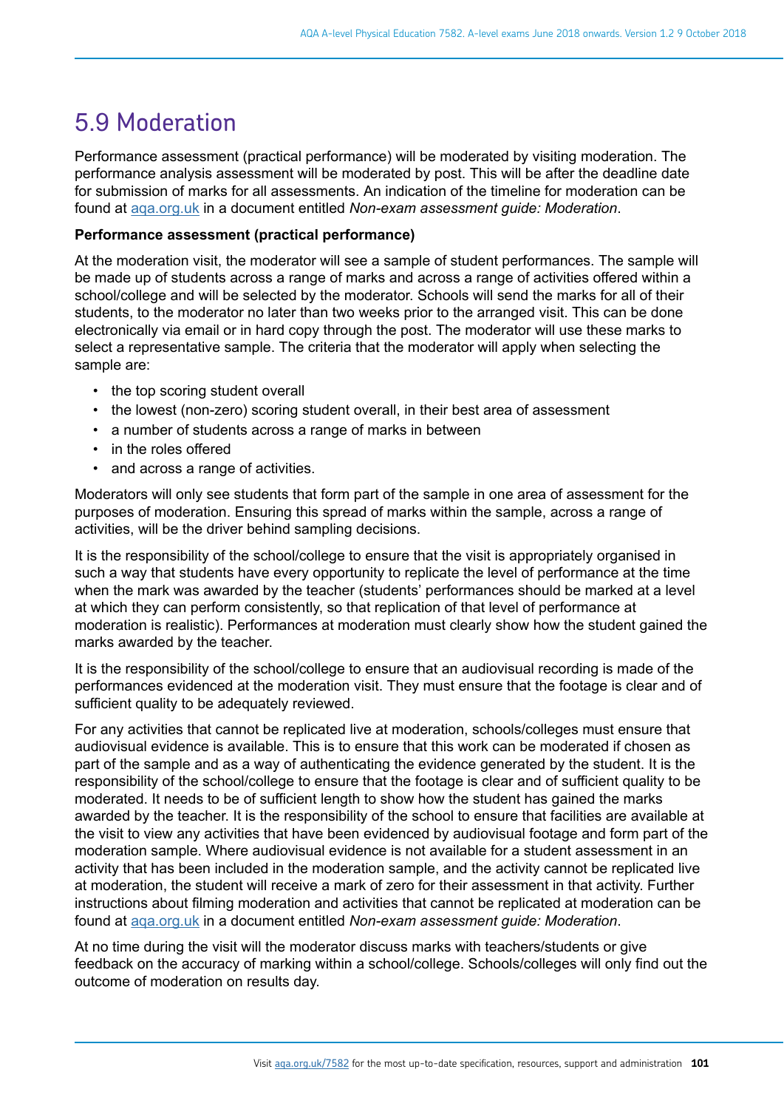# <span id="page-100-0"></span>5.9 Moderation

Performance assessment (practical performance) will be moderated by visiting moderation. The performance analysis assessment will be moderated by post. This will be after the deadline date for submission of marks for all assessments. An indication of the timeline for moderation can be found at [aqa.org.uk](http://www.aqa.org.uk) in a document entitled *Non-exam assessment guide: Moderation*.

#### **Performance assessment (practical performance)**

At the moderation visit, the moderator will see a sample of student performances. The sample will be made up of students across a range of marks and across a range of activities offered within a school/college and will be selected by the moderator. Schools will send the marks for all of their students, to the moderator no later than two weeks prior to the arranged visit. This can be done electronically via email or in hard copy through the post. The moderator will use these marks to select a representative sample. The criteria that the moderator will apply when selecting the sample are:

- the top scoring student overall
- the lowest (non-zero) scoring student overall, in their best area of assessment
- a number of students across a range of marks in between
- in the roles offered
- and across a range of activities.

Moderators will only see students that form part of the sample in one area of assessment for the purposes of moderation. Ensuring this spread of marks within the sample, across a range of activities, will be the driver behind sampling decisions.

It is the responsibility of the school/college to ensure that the visit is appropriately organised in such a way that students have every opportunity to replicate the level of performance at the time when the mark was awarded by the teacher (students' performances should be marked at a level at which they can perform consistently, so that replication of that level of performance at moderation is realistic). Performances at moderation must clearly show how the student gained the marks awarded by the teacher.

It is the responsibility of the school/college to ensure that an audiovisual recording is made of the performances evidenced at the moderation visit. They must ensure that the footage is clear and of sufficient quality to be adequately reviewed.

For any activities that cannot be replicated live at moderation, schools/colleges must ensure that audiovisual evidence is available. This is to ensure that this work can be moderated if chosen as part of the sample and as a way of authenticating the evidence generated by the student. It is the responsibility of the school/college to ensure that the footage is clear and of sufficient quality to be moderated. It needs to be of sufficient length to show how the student has gained the marks awarded by the teacher. It is the responsibility of the school to ensure that facilities are available at the visit to view any activities that have been evidenced by audiovisual footage and form part of the moderation sample. Where audiovisual evidence is not available for a student assessment in an activity that has been included in the moderation sample, and the activity cannot be replicated live at moderation, the student will receive a mark of zero for their assessment in that activity. Further instructions about filming moderation and activities that cannot be replicated at moderation can be found at [aqa.org.uk](http://www.aqa.org.uk) in a document entitled *Non-exam assessment guide: Moderation*.

At no time during the visit will the moderator discuss marks with teachers/students or give feedback on the accuracy of marking within a school/college. Schools/colleges will only find out the outcome of moderation on results day.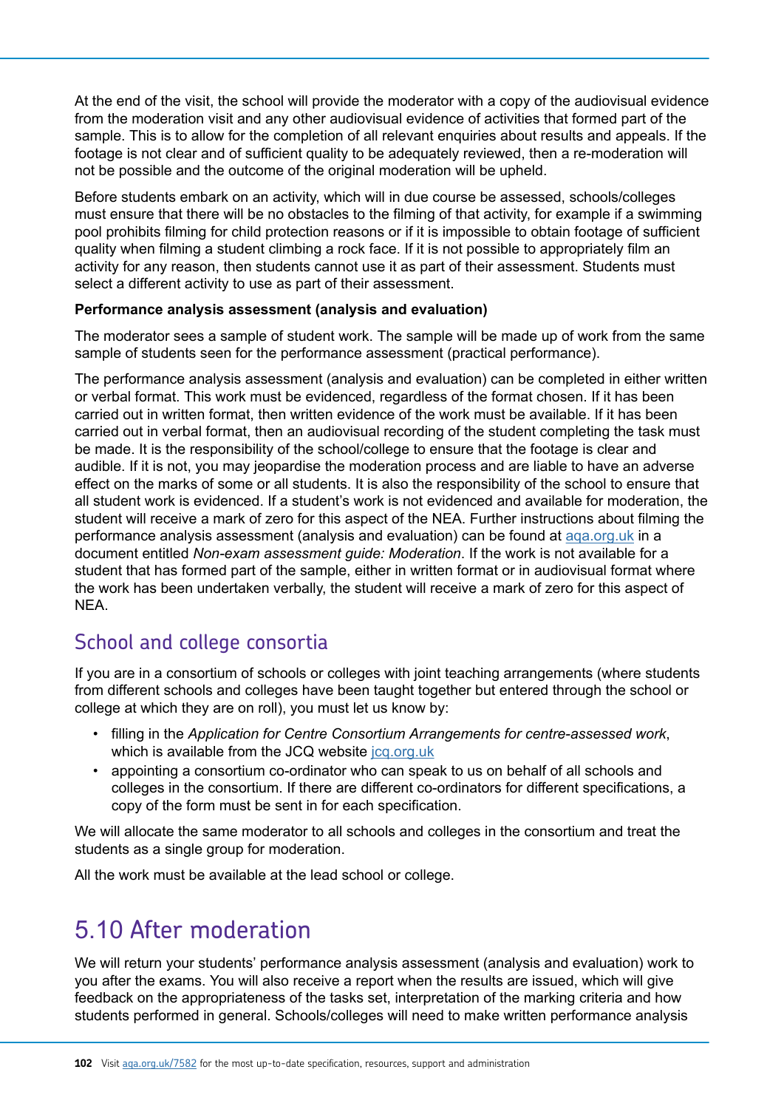At the end of the visit, the school will provide the moderator with a copy of the audiovisual evidence from the moderation visit and any other audiovisual evidence of activities that formed part of the sample. This is to allow for the completion of all relevant enquiries about results and appeals. If the footage is not clear and of sufficient quality to be adequately reviewed, then a re-moderation will not be possible and the outcome of the original moderation will be upheld.

Before students embark on an activity, which will in due course be assessed, schools/colleges must ensure that there will be no obstacles to the filming of that activity, for example if a swimming pool prohibits filming for child protection reasons or if it is impossible to obtain footage of sufficient quality when filming a student climbing a rock face. If it is not possible to appropriately film an activity for any reason, then students cannot use it as part of their assessment. Students must select a different activity to use as part of their assessment.

#### **Performance analysis assessment (analysis and evaluation)**

The moderator sees a sample of student work. The sample will be made up of work from the same sample of students seen for the performance assessment (practical performance).

The performance analysis assessment (analysis and evaluation) can be completed in either written or verbal format. This work must be evidenced, regardless of the format chosen. If it has been carried out in written format, then written evidence of the work must be available. If it has been carried out in verbal format, then an audiovisual recording of the student completing the task must be made. It is the responsibility of the school/college to ensure that the footage is clear and audible. If it is not, you may jeopardise the moderation process and are liable to have an adverse effect on the marks of some or all students. It is also the responsibility of the school to ensure that all student work is evidenced. If a student's work is not evidenced and available for moderation, the student will receive a mark of zero for this aspect of the NEA. Further instructions about filming the performance analysis assessment (analysis and evaluation) can be found at [aqa.org.uk](http://www.aqa.org.uk) in a document entitled *Non-exam assessment guide: Moderation*. If the work is not available for a student that has formed part of the sample, either in written format or in audiovisual format where the work has been undertaken verbally, the student will receive a mark of zero for this aspect of NEA.

## School and college consortia

If you are in a consortium of schools or colleges with joint teaching arrangements (where students from different schools and colleges have been taught together but entered through the school or college at which they are on roll), you must let us know by:

- filling in the *Application for Centre Consortium Arrangements for centre-assessed work*, which is available from the JCQ website [jcq.org.uk](http://www.jcq.org.uk/)
- appointing a consortium co-ordinator who can speak to us on behalf of all schools and colleges in the consortium. If there are different co-ordinators for different specifications, a copy of the form must be sent in for each specification.

We will allocate the same moderator to all schools and colleges in the consortium and treat the students as a single group for moderation.

All the work must be available at the lead school or college.

# 5.10 After moderation

We will return your students' performance analysis assessment (analysis and evaluation) work to you after the exams. You will also receive a report when the results are issued, which will give feedback on the appropriateness of the tasks set, interpretation of the marking criteria and how students performed in general. Schools/colleges will need to make written performance analysis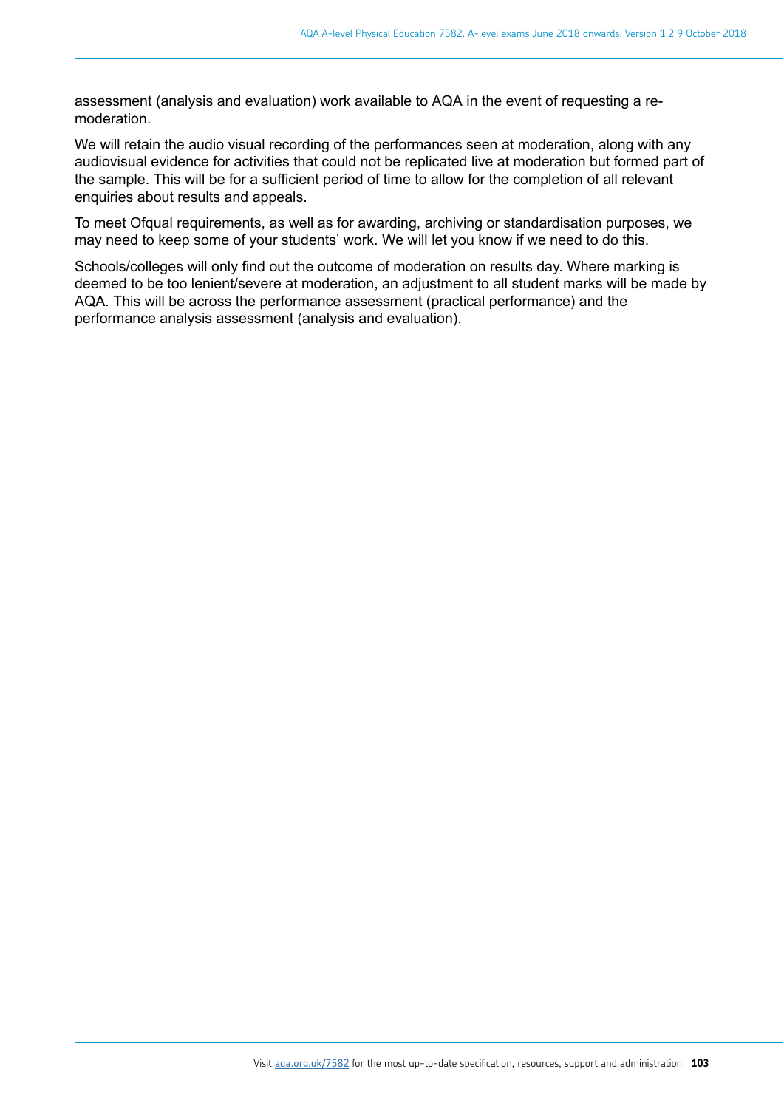assessment (analysis and evaluation) work available to AQA in the event of requesting a remoderation.

We will retain the audio visual recording of the performances seen at moderation, along with any audiovisual evidence for activities that could not be replicated live at moderation but formed part of the sample. This will be for a sufficient period of time to allow for the completion of all relevant enquiries about results and appeals.

To meet Ofqual requirements, as well as for awarding, archiving or standardisation purposes, we may need to keep some of your students' work. We will let you know if we need to do this.

Schools/colleges will only find out the outcome of moderation on results day. Where marking is deemed to be too lenient/severe at moderation, an adjustment to all student marks will be made by AQA. This will be across the performance assessment (practical performance) and the performance analysis assessment (analysis and evaluation).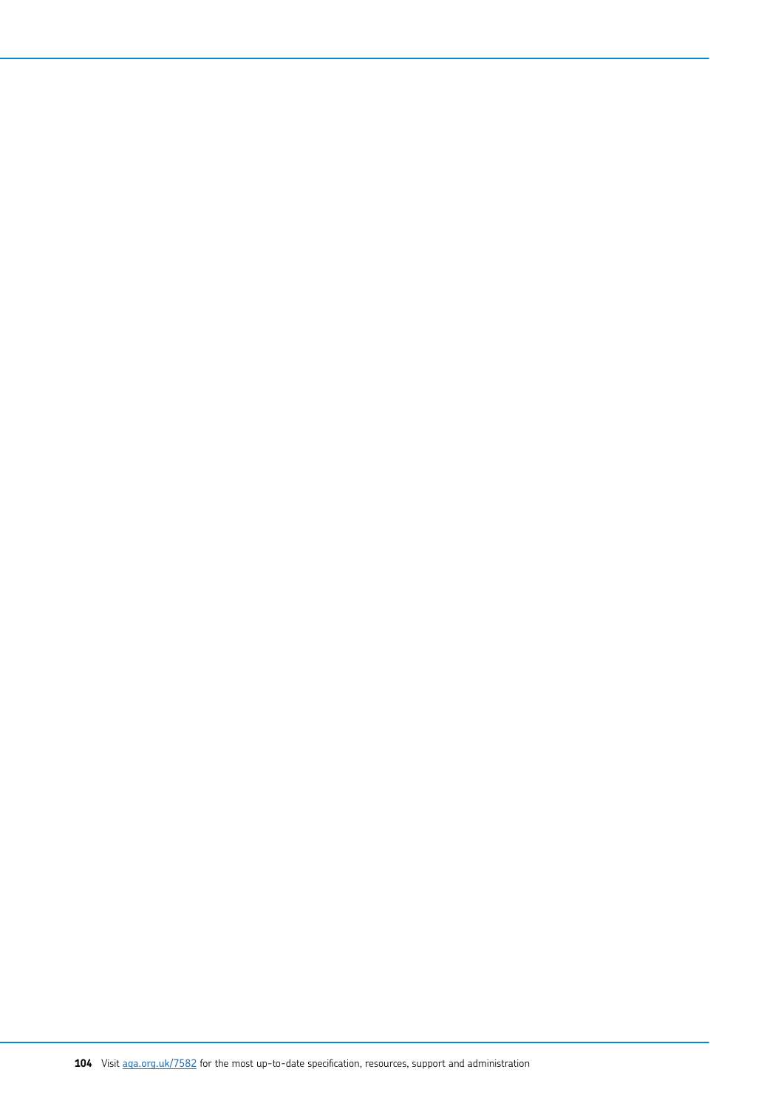Visit [aqa.org.uk/7582](http://aqa.org.uk/7582) for the most up-to-date specification, resources, support and administration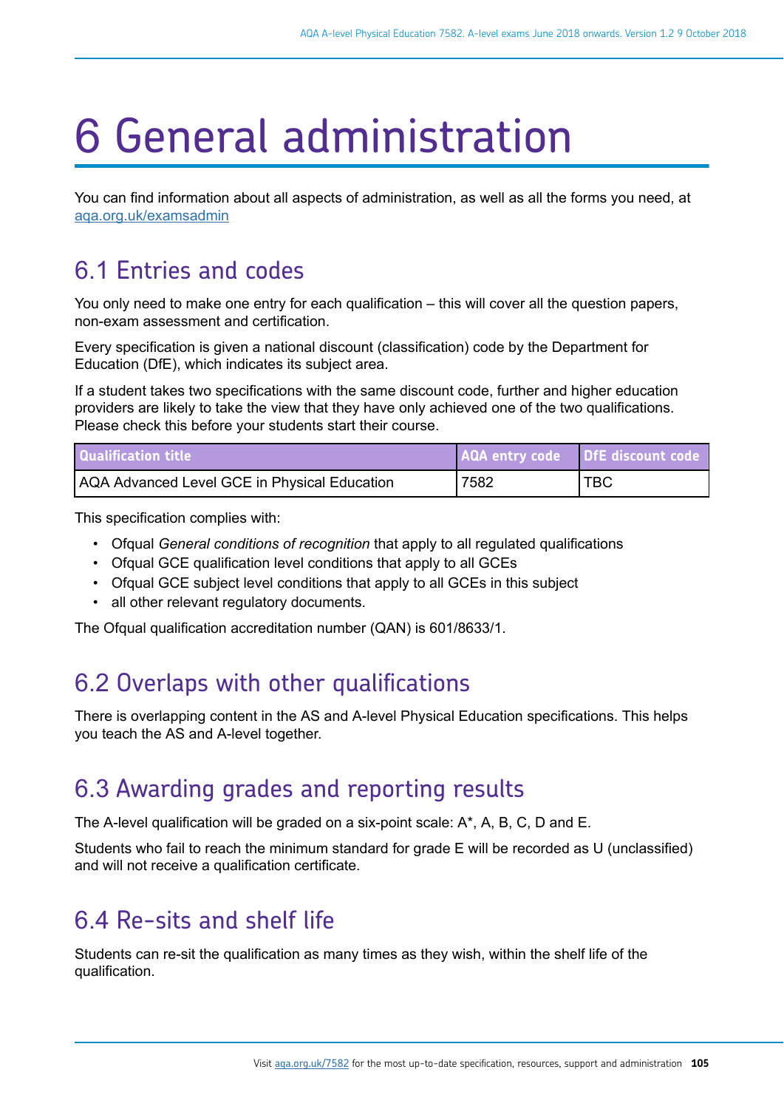# 6 General administration

You can find information about all aspects of administration, as well as all the forms you need, at [aqa.org.uk/examsadmin](http://aqa.org.uk/examsadmin)

## 6.1 Entries and codes

You only need to make one entry for each qualification – this will cover all the question papers, non-exam assessment and certification.

Every specification is given a national discount (classification) code by the Department for Education (DfE), which indicates its subject area.

If a student takes two specifications with the same discount code, further and higher education providers are likely to take the view that they have only achieved one of the two qualifications. Please check this before your students start their course.

| <b>Qualification title</b>                   |      | AQA entry code DfE discount code |
|----------------------------------------------|------|----------------------------------|
| AQA Advanced Level GCE in Physical Education | 7582 | TBC                              |

This specification complies with:

- Ofqual *General conditions of recognition* that apply to all regulated qualifications
- Ofqual GCE qualification level conditions that apply to all GCEs
- Ofqual GCE subject level conditions that apply to all GCEs in this subject
- all other relevant regulatory documents.

The Ofqual qualification accreditation number (QAN) is 601/8633/1.

## 6.2 Overlaps with other qualifications

There is overlapping content in the AS and A-level Physical Education specifications. This helps you teach the AS and A-level together.

## 6.3 Awarding grades and reporting results

The A-level qualification will be graded on a six-point scale: A\*, A, B, C, D and E.

Students who fail to reach the minimum standard for grade E will be recorded as U (unclassified) and will not receive a qualification certificate.

## 6.4 Re-sits and shelf life

Students can re-sit the qualification as many times as they wish, within the shelf life of the qualification.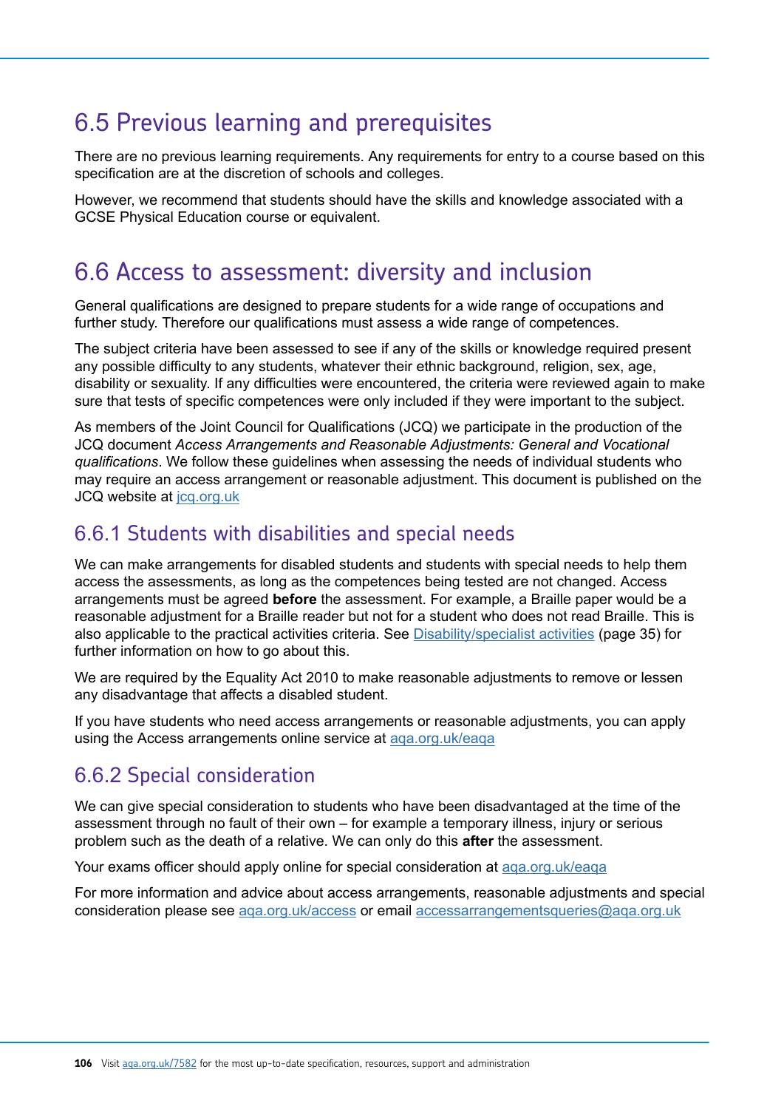# 6.5 Previous learning and prerequisites

There are no previous learning requirements. Any requirements for entry to a course based on this specification are at the discretion of schools and colleges.

However, we recommend that students should have the skills and knowledge associated with a GCSE Physical Education course or equivalent.

## 6.6 Access to assessment: diversity and inclusion

General qualifications are designed to prepare students for a wide range of occupations and further study. Therefore our qualifications must assess a wide range of competences.

The subject criteria have been assessed to see if any of the skills or knowledge required present any possible difficulty to any students, whatever their ethnic background, religion, sex, age, disability or sexuality. If any difficulties were encountered, the criteria were reviewed again to make sure that tests of specific competences were only included if they were important to the subject.

As members of the Joint Council for Qualifications (JCQ) we participate in the production of the JCQ document *Access Arrangements and Reasonable Adjustments: General and Vocational qualifications*. We follow these guidelines when assessing the needs of individual students who may require an access arrangement or reasonable adjustment. This document is published on the JCQ website at [jcq.org.uk](http://www.jcq.org.uk/)

## 6.6.1 Students with disabilities and special needs

We can make arrangements for disabled students and students with special needs to help them access the assessments, as long as the competences being tested are not changed. Access arrangements must be agreed **before** the assessment. For example, a Braille paper would be a reasonable adjustment for a Braille reader but not for a student who does not read Braille. This is also applicable to the practical activities criteria. See [Disability/specialist activities](#page-34-0) (page 35) for further information on how to go about this.

We are required by the Equality Act 2010 to make reasonable adjustments to remove or lessen any disadvantage that affects a disabled student.

If you have students who need access arrangements or reasonable adjustments, you can apply using the Access arrangements online service at [aqa.org.uk/eaqa](http://www.aqa.org.uk/eaqa)

## 6.6.2 Special consideration

We can give special consideration to students who have been disadvantaged at the time of the assessment through no fault of their own – for example a temporary illness, injury or serious problem such as the death of a relative. We can only do this **after** the assessment.

Your exams officer should apply online for special consideration at [aqa.org.uk/eaqa](http://www.aqa.org.uk/eaqa)

For more information and advice about access arrangements, reasonable adjustments and special consideration please see [aqa.org.uk/access](http://www.aqa.org.uk/access) or email [accessarrangementsqueries@aqa.org.uk](mailto:accessarrangementsqueries@aqa.org.uk)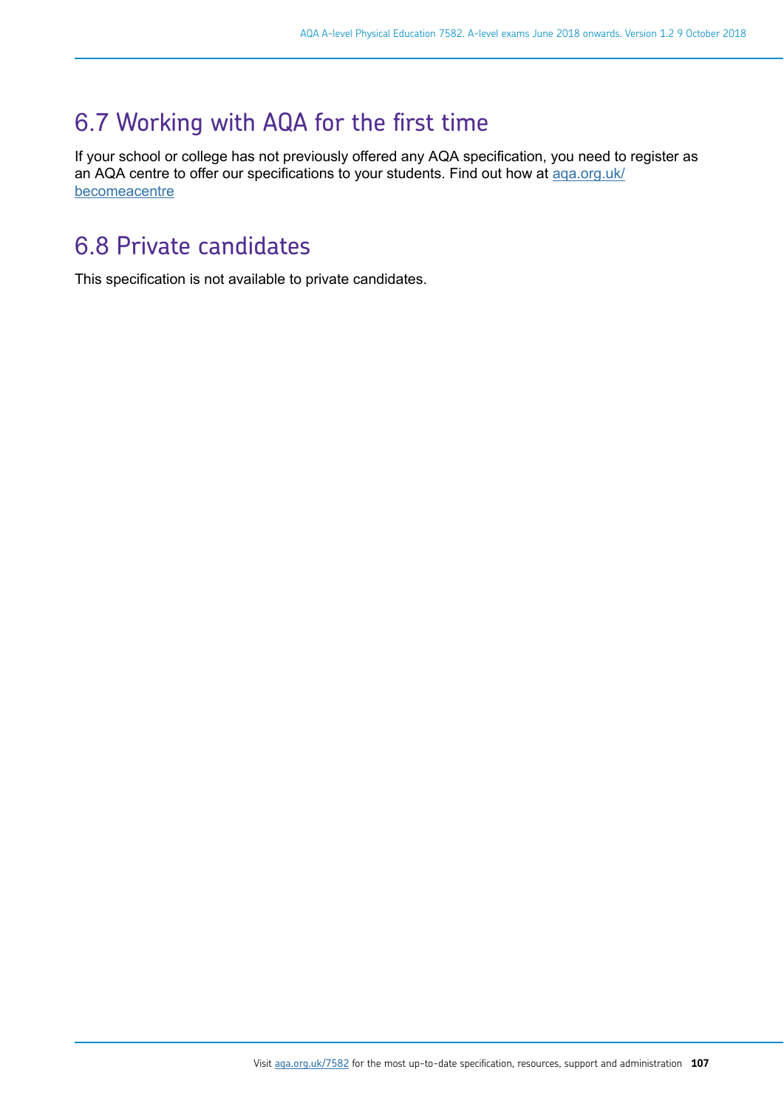# 6.7 Working with AQA for the first time

If your school or college has not previously offered any AQA specification, you need to register as an AQA centre to offer our specifications to your students. Find out how at [aqa.org.uk/](http://www.aqa.org.uk/becomeacentre) [becomeacentre](http://www.aqa.org.uk/becomeacentre)

# 6.8 Private candidates

This specification is not available to private candidates.